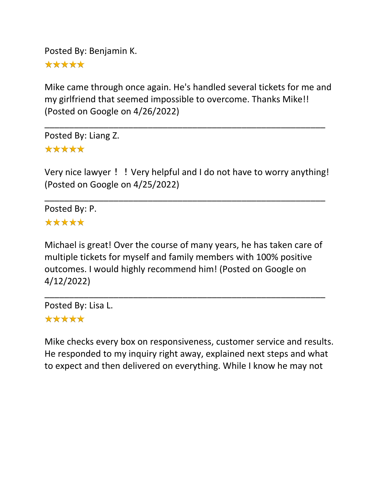Posted By: Benjamin K.

\*\*\*\*\*

Mike came through once again. He's handled several tickets for me and my girlfriend that seemed impossible to overcome. Thanks Mike!! (Posted on Google on 4/26/2022)

\_\_\_\_\_\_\_\_\_\_\_\_\_\_\_\_\_\_\_\_\_\_\_\_\_\_\_\_\_\_\_\_\_\_\_\_\_\_\_\_\_\_\_\_\_\_\_\_\_\_\_\_\_\_\_\_\_

Posted By: Liang Z. \*\*\*\*\*

Very nice lawyer! ! Very helpful and I do not have to worry anything! (Posted on Google on 4/25/2022)

\_\_\_\_\_\_\_\_\_\_\_\_\_\_\_\_\_\_\_\_\_\_\_\_\_\_\_\_\_\_\_\_\_\_\_\_\_\_\_\_\_\_\_\_\_\_\_\_\_\_\_\_\_\_\_\_\_

Posted By: P. \*\*\*\*\*

Michael is great! Over the course of many years, he has taken care of multiple tickets for myself and family members with 100% positive outcomes. I would highly recommend him! (Posted on Google on 4/12/2022)

\_\_\_\_\_\_\_\_\_\_\_\_\_\_\_\_\_\_\_\_\_\_\_\_\_\_\_\_\_\_\_\_\_\_\_\_\_\_\_\_\_\_\_\_\_\_\_\_\_\_\_\_\_\_\_\_\_

Posted By: Lisa L. \*\*\*\*\*

Mike checks every box on responsiveness, customer service and results. He responded to my inquiry right away, explained next steps and what to expect and then delivered on everything. While I know he may not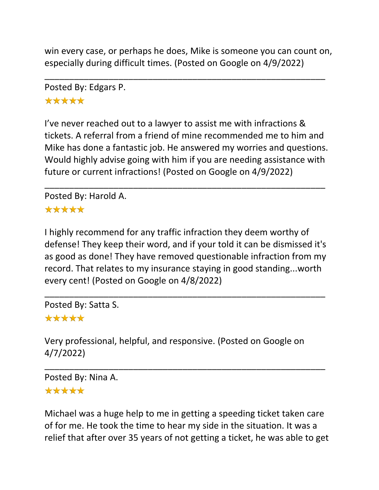win every case, or perhaps he does, Mike is someone you can count on, especially during difficult times. (Posted on Google on 4/9/2022)

\_\_\_\_\_\_\_\_\_\_\_\_\_\_\_\_\_\_\_\_\_\_\_\_\_\_\_\_\_\_\_\_\_\_\_\_\_\_\_\_\_\_\_\_\_\_\_\_\_\_\_\_\_\_\_\_\_

Posted By: Edgars P. \*\*\*\*\*

I've never reached out to a lawyer to assist me with infractions & tickets. A referral from a friend of mine recommended me to him and Mike has done a fantastic job. He answered my worries and questions. Would highly advise going with him if you are needing assistance with future or current infractions! (Posted on Google on 4/9/2022)

\_\_\_\_\_\_\_\_\_\_\_\_\_\_\_\_\_\_\_\_\_\_\_\_\_\_\_\_\_\_\_\_\_\_\_\_\_\_\_\_\_\_\_\_\_\_\_\_\_\_\_\_\_\_\_\_\_

Posted By: Harold A. \*\*\*\*\*

I highly recommend for any traffic infraction they deem worthy of defense! They keep their word, and if your told it can be dismissed it's as good as done! They have removed questionable infraction from my record. That relates to my insurance staying in good standing...worth every cent! (Posted on Google on 4/8/2022)

\_\_\_\_\_\_\_\_\_\_\_\_\_\_\_\_\_\_\_\_\_\_\_\_\_\_\_\_\_\_\_\_\_\_\_\_\_\_\_\_\_\_\_\_\_\_\_\_\_\_\_\_\_\_\_\_\_

Posted By: Satta S.

## \*\*\*\*\*

Very professional, helpful, and responsive. (Posted on Google on 4/7/2022)

\_\_\_\_\_\_\_\_\_\_\_\_\_\_\_\_\_\_\_\_\_\_\_\_\_\_\_\_\_\_\_\_\_\_\_\_\_\_\_\_\_\_\_\_\_\_\_\_\_\_\_\_\_\_\_\_\_

Posted By: Nina A.

#### \*\*\*\*\*

Michael was a huge help to me in getting a speeding ticket taken care of for me. He took the time to hear my side in the situation. It was a relief that after over 35 years of not getting a ticket, he was able to get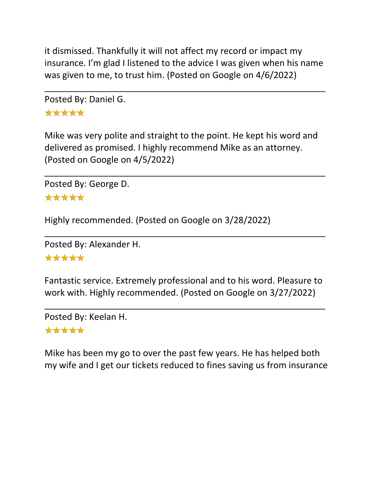it dismissed. Thankfully it will not affect my record or impact my insurance. I'm glad I listened to the advice I was given when his name was given to me, to trust him. (Posted on Google on 4/6/2022)

\_\_\_\_\_\_\_\_\_\_\_\_\_\_\_\_\_\_\_\_\_\_\_\_\_\_\_\_\_\_\_\_\_\_\_\_\_\_\_\_\_\_\_\_\_\_\_\_\_\_\_\_\_\_\_\_\_

Posted By: Daniel G. \*\*\*\*\*

Mike was very polite and straight to the point. He kept his word and delivered as promised. I highly recommend Mike as an attorney. (Posted on Google on 4/5/2022)

\_\_\_\_\_\_\_\_\_\_\_\_\_\_\_\_\_\_\_\_\_\_\_\_\_\_\_\_\_\_\_\_\_\_\_\_\_\_\_\_\_\_\_\_\_\_\_\_\_\_\_\_\_\_\_\_\_

Posted By: George D.

\*\*\*\*\*

Highly recommended. (Posted on Google on 3/28/2022)

```
Posted By: Alexander H.
```
\*\*\*\*\*

Fantastic service. Extremely professional and to his word. Pleasure to work with. Highly recommended. (Posted on Google on 3/27/2022)

\_\_\_\_\_\_\_\_\_\_\_\_\_\_\_\_\_\_\_\_\_\_\_\_\_\_\_\_\_\_\_\_\_\_\_\_\_\_\_\_\_\_\_\_\_\_\_\_\_\_\_\_\_\_\_\_\_

\_\_\_\_\_\_\_\_\_\_\_\_\_\_\_\_\_\_\_\_\_\_\_\_\_\_\_\_\_\_\_\_\_\_\_\_\_\_\_\_\_\_\_\_\_\_\_\_\_\_\_\_\_\_\_\_\_

Posted By: Keelan H.

#### \*\*\*\*\*

Mike has been my go to over the past few years. He has helped both my wife and I get our tickets reduced to fines saving us from insurance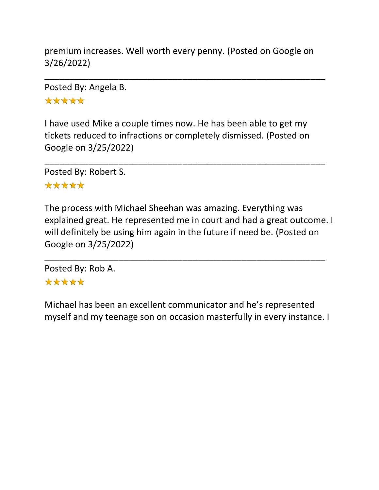premium increases. Well worth every penny. (Posted on Google on 3/26/2022)

\_\_\_\_\_\_\_\_\_\_\_\_\_\_\_\_\_\_\_\_\_\_\_\_\_\_\_\_\_\_\_\_\_\_\_\_\_\_\_\_\_\_\_\_\_\_\_\_\_\_\_\_\_\_\_\_\_

Posted By: Angela B. \*\*\*\*\*

I have used Mike a couple times now. He has been able to get my tickets reduced to infractions or completely dismissed. (Posted on Google on 3/25/2022)

\_\_\_\_\_\_\_\_\_\_\_\_\_\_\_\_\_\_\_\_\_\_\_\_\_\_\_\_\_\_\_\_\_\_\_\_\_\_\_\_\_\_\_\_\_\_\_\_\_\_\_\_\_\_\_\_\_

Posted By: Robert S.

#### \*\*\*\*\*

The process with Michael Sheehan was amazing. Everything was explained great. He represented me in court and had a great outcome. I will definitely be using him again in the future if need be. (Posted on Google on 3/25/2022)

\_\_\_\_\_\_\_\_\_\_\_\_\_\_\_\_\_\_\_\_\_\_\_\_\_\_\_\_\_\_\_\_\_\_\_\_\_\_\_\_\_\_\_\_\_\_\_\_\_\_\_\_\_\_\_\_\_

Posted By: Rob A. \*\*\*\*\*

Michael has been an excellent communicator and he's represented myself and my teenage son on occasion masterfully in every instance. I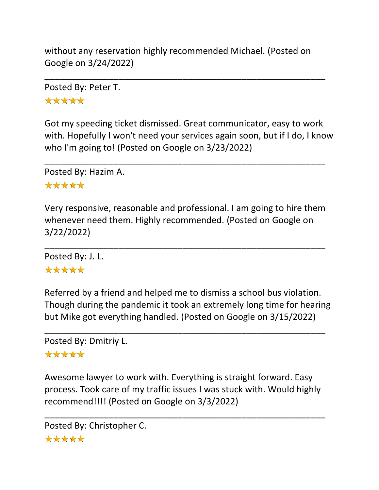without any reservation highly recommended Michael. (Posted on Google on 3/24/2022)

\_\_\_\_\_\_\_\_\_\_\_\_\_\_\_\_\_\_\_\_\_\_\_\_\_\_\_\_\_\_\_\_\_\_\_\_\_\_\_\_\_\_\_\_\_\_\_\_\_\_\_\_\_\_\_\_\_

Posted By: Peter T. \*\*\*\*\*

Got my speeding ticket dismissed. Great communicator, easy to work with. Hopefully I won't need your services again soon, but if I do, I know who I'm going to! (Posted on Google on 3/23/2022)

\_\_\_\_\_\_\_\_\_\_\_\_\_\_\_\_\_\_\_\_\_\_\_\_\_\_\_\_\_\_\_\_\_\_\_\_\_\_\_\_\_\_\_\_\_\_\_\_\_\_\_\_\_\_\_\_\_

Posted By: Hazim A.

#### \*\*\*\*\*

Very responsive, reasonable and professional. I am going to hire them whenever need them. Highly recommended. (Posted on Google on 3/22/2022)

\_\_\_\_\_\_\_\_\_\_\_\_\_\_\_\_\_\_\_\_\_\_\_\_\_\_\_\_\_\_\_\_\_\_\_\_\_\_\_\_\_\_\_\_\_\_\_\_\_\_\_\_\_\_\_\_\_

Posted By: J. L. \*\*\*\*\*

Referred by a friend and helped me to dismiss a school bus violation. Though during the pandemic it took an extremely long time for hearing but Mike got everything handled. (Posted on Google on 3/15/2022)

\_\_\_\_\_\_\_\_\_\_\_\_\_\_\_\_\_\_\_\_\_\_\_\_\_\_\_\_\_\_\_\_\_\_\_\_\_\_\_\_\_\_\_\_\_\_\_\_\_\_\_\_\_\_\_\_\_

Posted By: Dmitriy L.

#### \*\*\*\*\*

Awesome lawyer to work with. Everything is straight forward. Easy process. Took care of my traffic issues I was stuck with. Would highly recommend!!!! (Posted on Google on 3/3/2022)

\_\_\_\_\_\_\_\_\_\_\_\_\_\_\_\_\_\_\_\_\_\_\_\_\_\_\_\_\_\_\_\_\_\_\_\_\_\_\_\_\_\_\_\_\_\_\_\_\_\_\_\_\_\_\_\_\_

```
Posted By: Christopher C.*****
```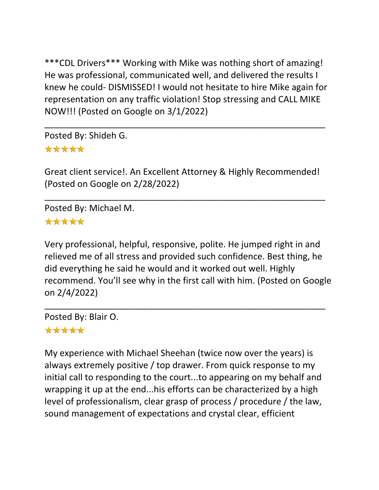\*\*\*CDL Drivers\*\*\* Working with Mike was nothing short of amazing! He was professional, communicated well, and delivered the results I knew he could- DISMISSED! I would not hesitate to hire Mike again for representation on any traffic violation! Stop stressing and CALL MIKE NOW!!! (Posted on Google on 3/1/2022)

\_\_\_\_\_\_\_\_\_\_\_\_\_\_\_\_\_\_\_\_\_\_\_\_\_\_\_\_\_\_\_\_\_\_\_\_\_\_\_\_\_\_\_\_\_\_\_\_\_\_\_\_\_\_\_\_\_

Posted By: Shideh G. \*\*\*\*\*

Great client service!. An Excellent Attorney & Highly Recommended! (Posted on Google on 2/28/2022)

\_\_\_\_\_\_\_\_\_\_\_\_\_\_\_\_\_\_\_\_\_\_\_\_\_\_\_\_\_\_\_\_\_\_\_\_\_\_\_\_\_\_\_\_\_\_\_\_\_\_\_\_\_\_\_\_\_

Posted By: Michael M. \*\*\*\*\*

Very professional, helpful, responsive, polite. He jumped right in and relieved me of all stress and provided such confidence. Best thing, he did everything he said he would and it worked out well. Highly recommend. You'll see why in the first call with him. (Posted on Google on 2/4/2022)

\_\_\_\_\_\_\_\_\_\_\_\_\_\_\_\_\_\_\_\_\_\_\_\_\_\_\_\_\_\_\_\_\_\_\_\_\_\_\_\_\_\_\_\_\_\_\_\_\_\_\_\_\_\_\_\_\_

Posted By: Blair O.

## \*\*\*\*\*

My experience with Michael Sheehan (twice now over the years) is always extremely positive / top drawer. From quick response to my initial call to responding to the court...to appearing on my behalf and wrapping it up at the end...his efforts can be characterized by a high level of professionalism, clear grasp of process / procedure / the law, sound management of expectations and crystal clear, efficient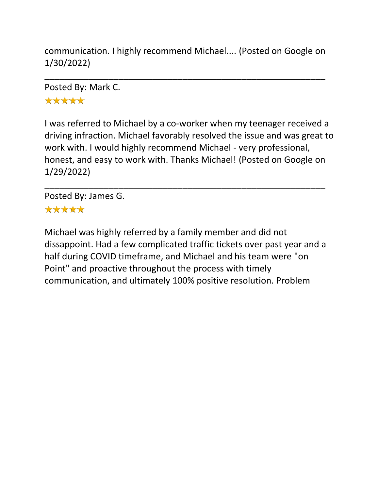communication. I highly recommend Michael.... (Posted on Google on 1/30/2022)

\_\_\_\_\_\_\_\_\_\_\_\_\_\_\_\_\_\_\_\_\_\_\_\_\_\_\_\_\_\_\_\_\_\_\_\_\_\_\_\_\_\_\_\_\_\_\_\_\_\_\_\_\_\_\_\_\_

Posted By: Mark C. \*\*\*\*\*

I was referred to Michael by a co-worker when my teenager received a driving infraction. Michael favorably resolved the issue and was great to work with. I would highly recommend Michael - very professional, honest, and easy to work with. Thanks Michael! (Posted on Google on 1/29/2022)

\_\_\_\_\_\_\_\_\_\_\_\_\_\_\_\_\_\_\_\_\_\_\_\_\_\_\_\_\_\_\_\_\_\_\_\_\_\_\_\_\_\_\_\_\_\_\_\_\_\_\_\_\_\_\_\_\_

Posted By: James G. \*\*\*\*\*

Michael was highly referred by a family member and did not dissappoint. Had a few complicated traffic tickets over past year and a half during COVID timeframe, and Michael and his team were "on Point" and proactive throughout the process with timely communication, and ultimately 100% positive resolution. Problem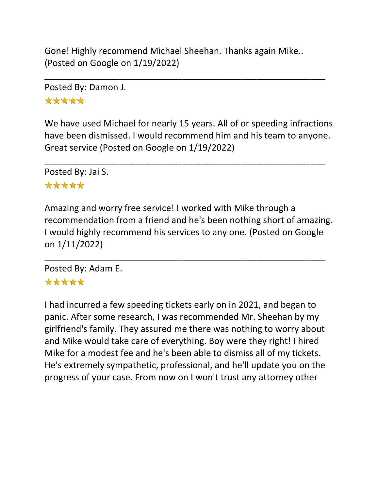Gone! Highly recommend Michael Sheehan. Thanks again Mike.. (Posted on Google on 1/19/2022)

\_\_\_\_\_\_\_\_\_\_\_\_\_\_\_\_\_\_\_\_\_\_\_\_\_\_\_\_\_\_\_\_\_\_\_\_\_\_\_\_\_\_\_\_\_\_\_\_\_\_\_\_\_\_\_\_\_

Posted By: Damon J.

\*\*\*\*\*

We have used Michael for nearly 15 years. All of or speeding infractions have been dismissed. I would recommend him and his team to anyone. Great service (Posted on Google on 1/19/2022)

\_\_\_\_\_\_\_\_\_\_\_\_\_\_\_\_\_\_\_\_\_\_\_\_\_\_\_\_\_\_\_\_\_\_\_\_\_\_\_\_\_\_\_\_\_\_\_\_\_\_\_\_\_\_\_\_\_

Posted By: Jai S.

## \*\*\*\*\*

Amazing and worry free service! I worked with Mike through a recommendation from a friend and he's been nothing short of amazing. I would highly recommend his services to any one. (Posted on Google on 1/11/2022)

\_\_\_\_\_\_\_\_\_\_\_\_\_\_\_\_\_\_\_\_\_\_\_\_\_\_\_\_\_\_\_\_\_\_\_\_\_\_\_\_\_\_\_\_\_\_\_\_\_\_\_\_\_\_\_\_\_ Posted By: Adam E.

# \*\*\*\*\*

I had incurred a few speeding tickets early on in 2021, and began to panic. After some research, I was recommended Mr. Sheehan by my girlfriend's family. They assured me there was nothing to worry about and Mike would take care of everything. Boy were they right! I hired Mike for a modest fee and he's been able to dismiss all of my tickets. He's extremely sympathetic, professional, and he'll update you on the progress of your case. From now on I won't trust any attorney other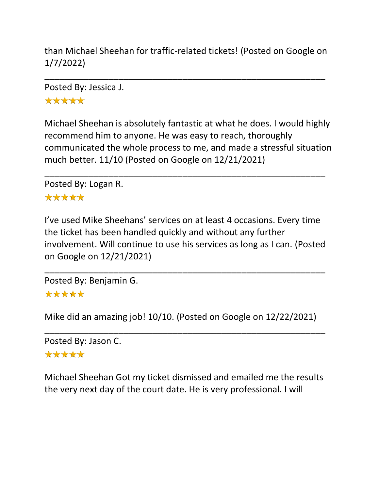than Michael Sheehan for traffic-related tickets! (Posted on Google on 1/7/2022)

\_\_\_\_\_\_\_\_\_\_\_\_\_\_\_\_\_\_\_\_\_\_\_\_\_\_\_\_\_\_\_\_\_\_\_\_\_\_\_\_\_\_\_\_\_\_\_\_\_\_\_\_\_\_\_\_\_

Posted By: Jessica J. \*\*\*\*\*

Michael Sheehan is absolutely fantastic at what he does. I would highly recommend him to anyone. He was easy to reach, thoroughly communicated the whole process to me, and made a stressful situation much better. 11/10 (Posted on Google on 12/21/2021)

\_\_\_\_\_\_\_\_\_\_\_\_\_\_\_\_\_\_\_\_\_\_\_\_\_\_\_\_\_\_\_\_\_\_\_\_\_\_\_\_\_\_\_\_\_\_\_\_\_\_\_\_\_\_\_\_\_

Posted By: Logan R.

#### \*\*\*\*\*

I've used Mike Sheehans' services on at least 4 occasions. Every time the ticket has been handled quickly and without any further involvement. Will continue to use his services as long as I can. (Posted on Google on 12/21/2021)

\_\_\_\_\_\_\_\_\_\_\_\_\_\_\_\_\_\_\_\_\_\_\_\_\_\_\_\_\_\_\_\_\_\_\_\_\_\_\_\_\_\_\_\_\_\_\_\_\_\_\_\_\_\_\_\_\_

Posted By: Benjamin G.

#### \*\*\*\*\*

Mike did an amazing job! 10/10. (Posted on Google on 12/22/2021)

\_\_\_\_\_\_\_\_\_\_\_\_\_\_\_\_\_\_\_\_\_\_\_\_\_\_\_\_\_\_\_\_\_\_\_\_\_\_\_\_\_\_\_\_\_\_\_\_\_\_\_\_\_\_\_\_\_

```
Posted By: Jason C.
```
#### \*\*\*\*\*

Michael Sheehan Got my ticket dismissed and emailed me the results the very next day of the court date. He is very professional. I will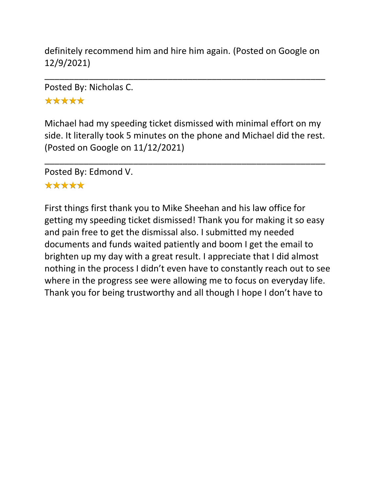definitely recommend him and hire him again. (Posted on Google on 12/9/2021)

\_\_\_\_\_\_\_\_\_\_\_\_\_\_\_\_\_\_\_\_\_\_\_\_\_\_\_\_\_\_\_\_\_\_\_\_\_\_\_\_\_\_\_\_\_\_\_\_\_\_\_\_\_\_\_\_\_

Posted By: Nicholas C.

\*\*\*\*\*

Michael had my speeding ticket dismissed with minimal effort on my side. It literally took 5 minutes on the phone and Michael did the rest. (Posted on Google on 11/12/2021)

\_\_\_\_\_\_\_\_\_\_\_\_\_\_\_\_\_\_\_\_\_\_\_\_\_\_\_\_\_\_\_\_\_\_\_\_\_\_\_\_\_\_\_\_\_\_\_\_\_\_\_\_\_\_\_\_\_

Posted By: Edmond V.

## \*\*\*\*\*

First things first thank you to Mike Sheehan and his law office for getting my speeding ticket dismissed! Thank you for making it so easy and pain free to get the dismissal also. I submitted my needed documents and funds waited patiently and boom I get the email to brighten up my day with a great result. I appreciate that I did almost nothing in the process I didn't even have to constantly reach out to see where in the progress see were allowing me to focus on everyday life. Thank you for being trustworthy and all though I hope I don't have to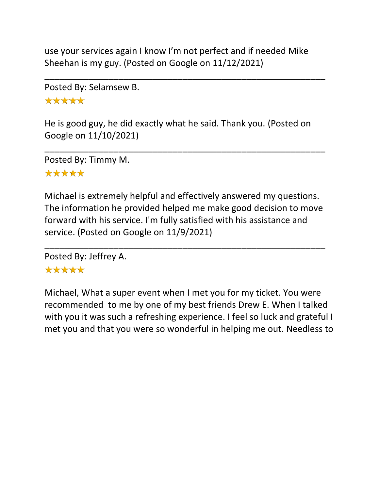use your services again I know I'm not perfect and if needed Mike Sheehan is my guy. (Posted on Google on 11/12/2021)

\_\_\_\_\_\_\_\_\_\_\_\_\_\_\_\_\_\_\_\_\_\_\_\_\_\_\_\_\_\_\_\_\_\_\_\_\_\_\_\_\_\_\_\_\_\_\_\_\_\_\_\_\_\_\_\_\_

Posted By: Selamsew B.

\*\*\*\*\*

He is good guy, he did exactly what he said. Thank you. (Posted on Google on 11/10/2021)

\_\_\_\_\_\_\_\_\_\_\_\_\_\_\_\_\_\_\_\_\_\_\_\_\_\_\_\_\_\_\_\_\_\_\_\_\_\_\_\_\_\_\_\_\_\_\_\_\_\_\_\_\_\_\_\_\_

Posted By: Timmy M. \*\*\*\*\*

Michael is extremely helpful and effectively answered my questions. The information he provided helped me make good decision to move forward with his service. I'm fully satisfied with his assistance and service. (Posted on Google on 11/9/2021)

\_\_\_\_\_\_\_\_\_\_\_\_\_\_\_\_\_\_\_\_\_\_\_\_\_\_\_\_\_\_\_\_\_\_\_\_\_\_\_\_\_\_\_\_\_\_\_\_\_\_\_\_\_\_\_\_\_

Posted By: Jeffrey A.

## \*\*\*\*\*

Michael, What a super event when I met you for my ticket. You were recommended to me by one of my best friends Drew E. When I talked with you it was such a refreshing experience. I feel so luck and grateful I met you and that you were so wonderful in helping me out. Needless to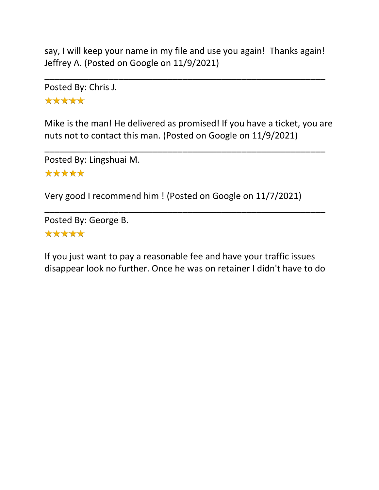say, I will keep your name in my file and use you again! Thanks again! Jeffrey A. (Posted on Google on 11/9/2021)

\_\_\_\_\_\_\_\_\_\_\_\_\_\_\_\_\_\_\_\_\_\_\_\_\_\_\_\_\_\_\_\_\_\_\_\_\_\_\_\_\_\_\_\_\_\_\_\_\_\_\_\_\_\_\_\_\_

Posted By: Chris J. \*\*\*\*\*

Mike is the man! He delivered as promised! If you have a ticket, you are nuts not to contact this man. (Posted on Google on 11/9/2021)

\_\_\_\_\_\_\_\_\_\_\_\_\_\_\_\_\_\_\_\_\_\_\_\_\_\_\_\_\_\_\_\_\_\_\_\_\_\_\_\_\_\_\_\_\_\_\_\_\_\_\_\_\_\_\_\_\_

Posted By: Lingshuai M. \*\*\*\*\*

Very good I recommend him ! (Posted on Google on 11/7/2021)

Posted By: George B. \*\*\*\*\*

If you just want to pay a reasonable fee and have your traffic issues disappear look no further. Once he was on retainer I didn't have to do

\_\_\_\_\_\_\_\_\_\_\_\_\_\_\_\_\_\_\_\_\_\_\_\_\_\_\_\_\_\_\_\_\_\_\_\_\_\_\_\_\_\_\_\_\_\_\_\_\_\_\_\_\_\_\_\_\_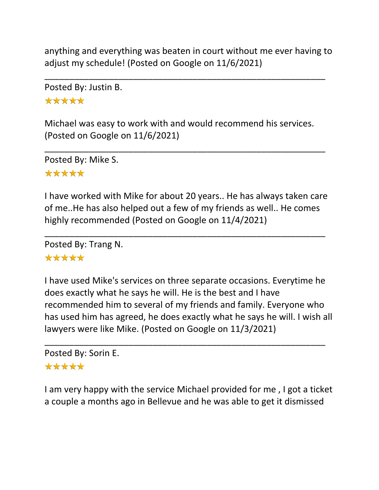anything and everything was beaten in court without me ever having to adjust my schedule! (Posted on Google on 11/6/2021)

\_\_\_\_\_\_\_\_\_\_\_\_\_\_\_\_\_\_\_\_\_\_\_\_\_\_\_\_\_\_\_\_\_\_\_\_\_\_\_\_\_\_\_\_\_\_\_\_\_\_\_\_\_\_\_\_\_

Posted By: Justin B.

\*\*\*\*\*

Michael was easy to work with and would recommend his services. (Posted on Google on 11/6/2021)

\_\_\_\_\_\_\_\_\_\_\_\_\_\_\_\_\_\_\_\_\_\_\_\_\_\_\_\_\_\_\_\_\_\_\_\_\_\_\_\_\_\_\_\_\_\_\_\_\_\_\_\_\_\_\_\_\_

Posted By: Mike S. \*\*\*\*\*

I have worked with Mike for about 20 years.. He has always taken care of me..He has also helped out a few of my friends as well.. He comes highly recommended (Posted on Google on 11/4/2021)

\_\_\_\_\_\_\_\_\_\_\_\_\_\_\_\_\_\_\_\_\_\_\_\_\_\_\_\_\_\_\_\_\_\_\_\_\_\_\_\_\_\_\_\_\_\_\_\_\_\_\_\_\_\_\_\_\_

Posted By: Trang N.

#### \*\*\*\*\*

I have used Mike's services on three separate occasions. Everytime he does exactly what he says he will. He is the best and I have recommended him to several of my friends and family. Everyone who has used him has agreed, he does exactly what he says he will. I wish all lawyers were like Mike. (Posted on Google on 11/3/2021)

\_\_\_\_\_\_\_\_\_\_\_\_\_\_\_\_\_\_\_\_\_\_\_\_\_\_\_\_\_\_\_\_\_\_\_\_\_\_\_\_\_\_\_\_\_\_\_\_\_\_\_\_\_\_\_\_\_

Posted By: Sorin E. \*\*\*\*\*

I am very happy with the service Michael provided for me , I got a ticket a couple a months ago in Bellevue and he was able to get it dismissed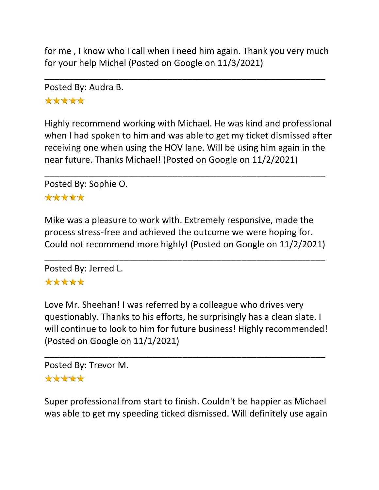for me , I know who I call when i need him again. Thank you very much for your help Michel (Posted on Google on 11/3/2021)

\_\_\_\_\_\_\_\_\_\_\_\_\_\_\_\_\_\_\_\_\_\_\_\_\_\_\_\_\_\_\_\_\_\_\_\_\_\_\_\_\_\_\_\_\_\_\_\_\_\_\_\_\_\_\_\_\_

Posted By: Audra B.

\*\*\*\*\*

Highly recommend working with Michael. He was kind and professional when I had spoken to him and was able to get my ticket dismissed after receiving one when using the HOV lane. Will be using him again in the near future. Thanks Michael! (Posted on Google on 11/2/2021)

\_\_\_\_\_\_\_\_\_\_\_\_\_\_\_\_\_\_\_\_\_\_\_\_\_\_\_\_\_\_\_\_\_\_\_\_\_\_\_\_\_\_\_\_\_\_\_\_\_\_\_\_\_\_\_\_\_

Posted By: Sophie O.

#### \*\*\*\*\*

Mike was a pleasure to work with. Extremely responsive, made the process stress-free and achieved the outcome we were hoping for. Could not recommend more highly! (Posted on Google on 11/2/2021)

\_\_\_\_\_\_\_\_\_\_\_\_\_\_\_\_\_\_\_\_\_\_\_\_\_\_\_\_\_\_\_\_\_\_\_\_\_\_\_\_\_\_\_\_\_\_\_\_\_\_\_\_\_\_\_\_\_

Posted By: Jerred L.

## \*\*\*\*\*

Love Mr. Sheehan! I was referred by a colleague who drives very questionably. Thanks to his efforts, he surprisingly has a clean slate. I will continue to look to him for future business! Highly recommended! (Posted on Google on 11/1/2021)

\_\_\_\_\_\_\_\_\_\_\_\_\_\_\_\_\_\_\_\_\_\_\_\_\_\_\_\_\_\_\_\_\_\_\_\_\_\_\_\_\_\_\_\_\_\_\_\_\_\_\_\_\_\_\_\_\_

Posted By: Trevor M. \*\*\*\*\*

Super professional from start to finish. Couldn't be happier as Michael was able to get my speeding ticked dismissed. Will definitely use again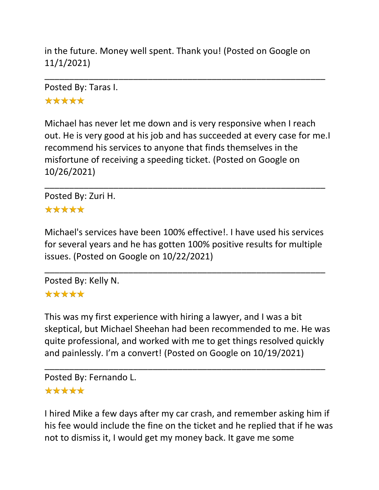in the future. Money well spent. Thank you! (Posted on Google on 11/1/2021)

\_\_\_\_\_\_\_\_\_\_\_\_\_\_\_\_\_\_\_\_\_\_\_\_\_\_\_\_\_\_\_\_\_\_\_\_\_\_\_\_\_\_\_\_\_\_\_\_\_\_\_\_\_\_\_\_\_

Posted By: Taras I. \*\*\*\*\*

Michael has never let me down and is very responsive when I reach out. He is very good at his job and has succeeded at every case for me.I recommend his services to anyone that finds themselves in the misfortune of receiving a speeding ticket. (Posted on Google on 10/26/2021)

\_\_\_\_\_\_\_\_\_\_\_\_\_\_\_\_\_\_\_\_\_\_\_\_\_\_\_\_\_\_\_\_\_\_\_\_\_\_\_\_\_\_\_\_\_\_\_\_\_\_\_\_\_\_\_\_\_

Posted By: Zuri H. \*\*\*\*\*

Michael's services have been 100% effective!. I have used his services for several years and he has gotten 100% positive results for multiple issues. (Posted on Google on 10/22/2021)

\_\_\_\_\_\_\_\_\_\_\_\_\_\_\_\_\_\_\_\_\_\_\_\_\_\_\_\_\_\_\_\_\_\_\_\_\_\_\_\_\_\_\_\_\_\_\_\_\_\_\_\_\_\_\_\_\_

Posted By: Kelly N.

#### \*\*\*\*\*

This was my first experience with hiring a lawyer, and I was a bit skeptical, but Michael Sheehan had been recommended to me. He was quite professional, and worked with me to get things resolved quickly and painlessly. I'm a convert! (Posted on Google on 10/19/2021)

\_\_\_\_\_\_\_\_\_\_\_\_\_\_\_\_\_\_\_\_\_\_\_\_\_\_\_\_\_\_\_\_\_\_\_\_\_\_\_\_\_\_\_\_\_\_\_\_\_\_\_\_\_\_\_\_\_

Posted By: Fernando L.

#### \*\*\*\*\*

I hired Mike a few days after my car crash, and remember asking him if his fee would include the fine on the ticket and he replied that if he was not to dismiss it, I would get my money back. It gave me some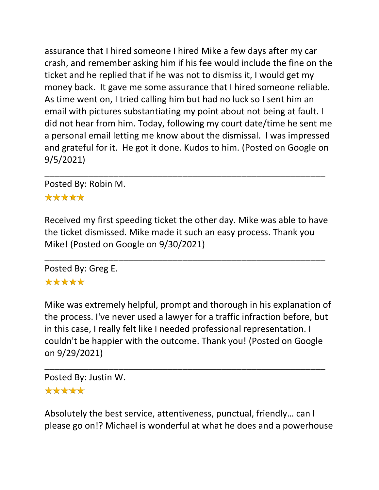assurance that I hired someone I hired Mike a few days after my car crash, and remember asking him if his fee would include the fine on the ticket and he replied that if he was not to dismiss it, I would get my money back. It gave me some assurance that I hired someone reliable. As time went on, I tried calling him but had no luck so I sent him an email with pictures substantiating my point about not being at fault. I did not hear from him. Today, following my court date/time he sent me a personal email letting me know about the dismissal. I was impressed and grateful for it. He got it done. Kudos to him. (Posted on Google on 9/5/2021)

Posted By: Robin M.

#### \*\*\*\*\*

Received my first speeding ticket the other day. Mike was able to have the ticket dismissed. Mike made it such an easy process. Thank you Mike! (Posted on Google on 9/30/2021)

\_\_\_\_\_\_\_\_\_\_\_\_\_\_\_\_\_\_\_\_\_\_\_\_\_\_\_\_\_\_\_\_\_\_\_\_\_\_\_\_\_\_\_\_\_\_\_\_\_\_\_\_\_\_\_\_\_

\_\_\_\_\_\_\_\_\_\_\_\_\_\_\_\_\_\_\_\_\_\_\_\_\_\_\_\_\_\_\_\_\_\_\_\_\_\_\_\_\_\_\_\_\_\_\_\_\_\_\_\_\_\_\_\_\_

Posted By: Greg E. \*\*\*\*\*

Mike was extremely helpful, prompt and thorough in his explanation of the process. I've never used a lawyer for a traffic infraction before, but in this case, I really felt like I needed professional representation. I couldn't be happier with the outcome. Thank you! (Posted on Google on 9/29/2021)

\_\_\_\_\_\_\_\_\_\_\_\_\_\_\_\_\_\_\_\_\_\_\_\_\_\_\_\_\_\_\_\_\_\_\_\_\_\_\_\_\_\_\_\_\_\_\_\_\_\_\_\_\_\_\_\_\_

Posted By: Justin W.

#### \*\*\*\*\*

Absolutely the best service, attentiveness, punctual, friendly… can I please go on!? Michael is wonderful at what he does and a powerhouse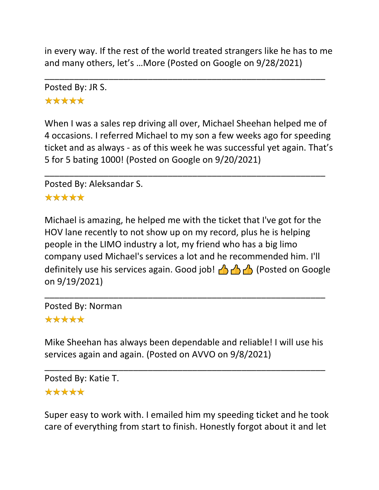in every way. If the rest of the world treated strangers like he has to me and many others, let's …More (Posted on Google on 9/28/2021)

\_\_\_\_\_\_\_\_\_\_\_\_\_\_\_\_\_\_\_\_\_\_\_\_\_\_\_\_\_\_\_\_\_\_\_\_\_\_\_\_\_\_\_\_\_\_\_\_\_\_\_\_\_\_\_\_\_

Posted By: JR S. \*\*\*\*\*

When I was a sales rep driving all over, Michael Sheehan helped me of 4 occasions. I referred Michael to my son a few weeks ago for speeding ticket and as always - as of this week he was successful yet again. That's 5 for 5 bating 1000! (Posted on Google on 9/20/2021)

\_\_\_\_\_\_\_\_\_\_\_\_\_\_\_\_\_\_\_\_\_\_\_\_\_\_\_\_\_\_\_\_\_\_\_\_\_\_\_\_\_\_\_\_\_\_\_\_\_\_\_\_\_\_\_\_\_

Posted By: Aleksandar S.

## \*\*\*\*\*

Michael is amazing, he helped me with the ticket that I've got for the HOV lane recently to not show up on my record, plus he is helping people in the LIMO industry a lot, my friend who has a big limo company used Michael's services a lot and he recommended him. I'll definitely use his services again. Good job!  $\left(\frac{1}{2}\right)\left(\frac{1}{2}\right)$  (Posted on Google on 9/19/2021)

Posted By: Norman \*\*\*\*\*

Mike Sheehan has always been dependable and reliable! I will use his services again and again. (Posted on AVVO on 9/8/2021)

\_\_\_\_\_\_\_\_\_\_\_\_\_\_\_\_\_\_\_\_\_\_\_\_\_\_\_\_\_\_\_\_\_\_\_\_\_\_\_\_\_\_\_\_\_\_\_\_\_\_\_\_\_\_\_\_\_

\_\_\_\_\_\_\_\_\_\_\_\_\_\_\_\_\_\_\_\_\_\_\_\_\_\_\_\_\_\_\_\_\_\_\_\_\_\_\_\_\_\_\_\_\_\_\_\_\_\_\_\_\_\_\_\_\_

Posted By: Katie T. \*\*\*\*\*

Super easy to work with. I emailed him my speeding ticket and he took care of everything from start to finish. Honestly forgot about it and let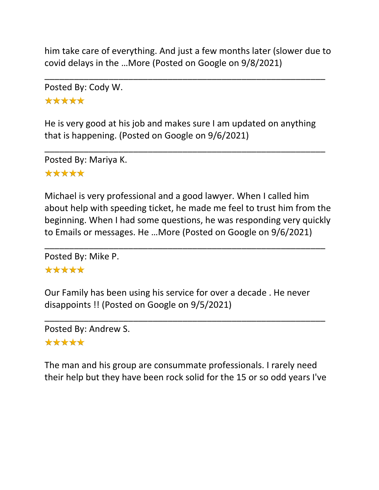him take care of everything. And just a few months later (slower due to covid delays in the …More (Posted on Google on 9/8/2021)

\_\_\_\_\_\_\_\_\_\_\_\_\_\_\_\_\_\_\_\_\_\_\_\_\_\_\_\_\_\_\_\_\_\_\_\_\_\_\_\_\_\_\_\_\_\_\_\_\_\_\_\_\_\_\_\_\_

Posted By: Cody W. \*\*\*\*\*

He is very good at his job and makes sure I am updated on anything that is happening. (Posted on Google on 9/6/2021)

\_\_\_\_\_\_\_\_\_\_\_\_\_\_\_\_\_\_\_\_\_\_\_\_\_\_\_\_\_\_\_\_\_\_\_\_\_\_\_\_\_\_\_\_\_\_\_\_\_\_\_\_\_\_\_\_\_

Posted By: Mariya K. \*\*\*\*\*

Michael is very professional and a good lawyer. When I called him about help with speeding ticket, he made me feel to trust him from the beginning. When I had some questions, he was responding very quickly to Emails or messages. He …More (Posted on Google on 9/6/2021)

\_\_\_\_\_\_\_\_\_\_\_\_\_\_\_\_\_\_\_\_\_\_\_\_\_\_\_\_\_\_\_\_\_\_\_\_\_\_\_\_\_\_\_\_\_\_\_\_\_\_\_\_\_\_\_\_\_

Posted By: Mike P.

## \*\*\*\*\*

Our Family has been using his service for over a decade . He never disappoints !! (Posted on Google on 9/5/2021)

\_\_\_\_\_\_\_\_\_\_\_\_\_\_\_\_\_\_\_\_\_\_\_\_\_\_\_\_\_\_\_\_\_\_\_\_\_\_\_\_\_\_\_\_\_\_\_\_\_\_\_\_\_\_\_\_\_

Posted By: Andrew S. \*\*\*\*\*

The man and his group are consummate professionals. I rarely need their help but they have been rock solid for the 15 or so odd years I've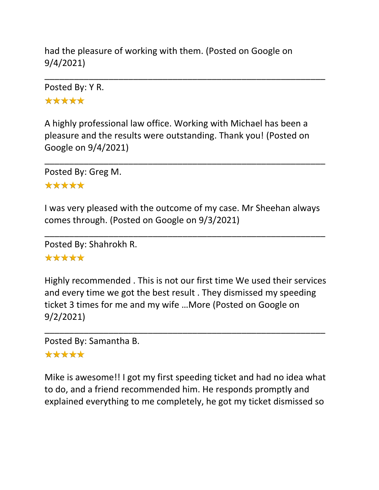had the pleasure of working with them. (Posted on Google on 9/4/2021)

Posted By: Y R. \*\*\*\*\*

A highly professional law office. Working with Michael has been a pleasure and the results were outstanding. Thank you! (Posted on Google on 9/4/2021)

\_\_\_\_\_\_\_\_\_\_\_\_\_\_\_\_\_\_\_\_\_\_\_\_\_\_\_\_\_\_\_\_\_\_\_\_\_\_\_\_\_\_\_\_\_\_\_\_\_\_\_\_\_\_\_\_\_

\_\_\_\_\_\_\_\_\_\_\_\_\_\_\_\_\_\_\_\_\_\_\_\_\_\_\_\_\_\_\_\_\_\_\_\_\_\_\_\_\_\_\_\_\_\_\_\_\_\_\_\_\_\_\_\_\_

Posted By: Greg M.

#### \*\*\*\*\*

I was very pleased with the outcome of my case. Mr Sheehan always comes through. (Posted on Google on 9/3/2021)

\_\_\_\_\_\_\_\_\_\_\_\_\_\_\_\_\_\_\_\_\_\_\_\_\_\_\_\_\_\_\_\_\_\_\_\_\_\_\_\_\_\_\_\_\_\_\_\_\_\_\_\_\_\_\_\_\_

Posted By: Shahrokh R.

#### \*\*\*\*\*

Highly recommended . This is not our first time We used their services and every time we got the best result . They dismissed my speeding ticket 3 times for me and my wife …More (Posted on Google on 9/2/2021)

\_\_\_\_\_\_\_\_\_\_\_\_\_\_\_\_\_\_\_\_\_\_\_\_\_\_\_\_\_\_\_\_\_\_\_\_\_\_\_\_\_\_\_\_\_\_\_\_\_\_\_\_\_\_\_\_\_

Posted By: Samantha B.

## \*\*\*\*\*

Mike is awesome!! I got my first speeding ticket and had no idea what to do, and a friend recommended him. He responds promptly and explained everything to me completely, he got my ticket dismissed so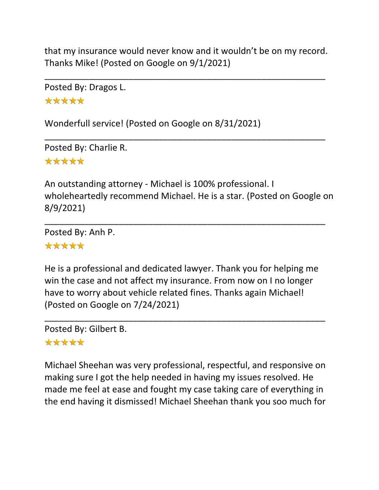that my insurance would never know and it wouldn't be on my record. Thanks Mike! (Posted on Google on 9/1/2021)

\_\_\_\_\_\_\_\_\_\_\_\_\_\_\_\_\_\_\_\_\_\_\_\_\_\_\_\_\_\_\_\_\_\_\_\_\_\_\_\_\_\_\_\_\_\_\_\_\_\_\_\_\_\_\_\_\_

\_\_\_\_\_\_\_\_\_\_\_\_\_\_\_\_\_\_\_\_\_\_\_\_\_\_\_\_\_\_\_\_\_\_\_\_\_\_\_\_\_\_\_\_\_\_\_\_\_\_\_\_\_\_\_\_\_

Posted By: Dragos L. \*\*\*\*\*

Wonderfull service! (Posted on Google on 8/31/2021)

Posted By: Charlie R. \*\*\*\*\*

An outstanding attorney - Michael is 100% professional. I wholeheartedly recommend Michael. He is a star. (Posted on Google on 8/9/2021)

\_\_\_\_\_\_\_\_\_\_\_\_\_\_\_\_\_\_\_\_\_\_\_\_\_\_\_\_\_\_\_\_\_\_\_\_\_\_\_\_\_\_\_\_\_\_\_\_\_\_\_\_\_\_\_\_\_

Posted By: Anh P. \*\*\*\*\*

He is a professional and dedicated lawyer. Thank you for helping me win the case and not affect my insurance. From now on I no longer have to worry about vehicle related fines. Thanks again Michael! (Posted on Google on 7/24/2021)

\_\_\_\_\_\_\_\_\_\_\_\_\_\_\_\_\_\_\_\_\_\_\_\_\_\_\_\_\_\_\_\_\_\_\_\_\_\_\_\_\_\_\_\_\_\_\_\_\_\_\_\_\_\_\_\_\_

Posted By: Gilbert B. \*\*\*\*\*

Michael Sheehan was very professional, respectful, and responsive on making sure I got the help needed in having my issues resolved. He made me feel at ease and fought my case taking care of everything in the end having it dismissed! Michael Sheehan thank you soo much for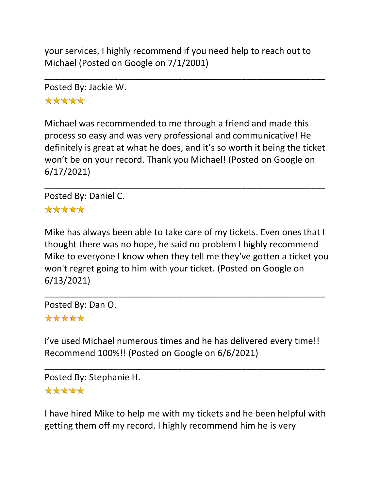your services, I highly recommend if you need help to reach out to Michael (Posted on Google on 7/1/2001)

\_\_\_\_\_\_\_\_\_\_\_\_\_\_\_\_\_\_\_\_\_\_\_\_\_\_\_\_\_\_\_\_\_\_\_\_\_\_\_\_\_\_\_\_\_\_\_\_\_\_\_\_\_\_\_\_\_

Posted By: Jackie W. \*\*\*\*\*

Michael was recommended to me through a friend and made this process so easy and was very professional and communicative! He definitely is great at what he does, and it's so worth it being the ticket won't be on your record. Thank you Michael! (Posted on Google on 6/17/2021)

\_\_\_\_\_\_\_\_\_\_\_\_\_\_\_\_\_\_\_\_\_\_\_\_\_\_\_\_\_\_\_\_\_\_\_\_\_\_\_\_\_\_\_\_\_\_\_\_\_\_\_\_\_\_\_\_\_

Posted By: Daniel C. \*\*\*\*\*

Mike has always been able to take care of my tickets. Even ones that I thought there was no hope, he said no problem I highly recommend Mike to everyone I know when they tell me they've gotten a ticket you won't regret going to him with your ticket. (Posted on Google on 6/13/2021)

\_\_\_\_\_\_\_\_\_\_\_\_\_\_\_\_\_\_\_\_\_\_\_\_\_\_\_\_\_\_\_\_\_\_\_\_\_\_\_\_\_\_\_\_\_\_\_\_\_\_\_\_\_\_\_\_\_

Posted By: Dan O.

## \*\*\*\*\*

I've used Michael numerous times and he has delivered every time!! Recommend 100%!! (Posted on Google on 6/6/2021)

\_\_\_\_\_\_\_\_\_\_\_\_\_\_\_\_\_\_\_\_\_\_\_\_\_\_\_\_\_\_\_\_\_\_\_\_\_\_\_\_\_\_\_\_\_\_\_\_\_\_\_\_\_\_\_\_\_

Posted By: Stephanie H.

#### \*\*\*\*\*

I have hired Mike to help me with my tickets and he been helpful with getting them off my record. I highly recommend him he is very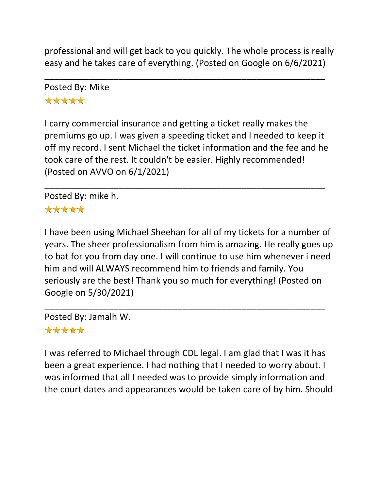professional and will get back to you quickly. The whole process is really easy and he takes care of everything. (Posted on Google on 6/6/2021)

\_\_\_\_\_\_\_\_\_\_\_\_\_\_\_\_\_\_\_\_\_\_\_\_\_\_\_\_\_\_\_\_\_\_\_\_\_\_\_\_\_\_\_\_\_\_\_\_\_\_\_\_\_\_\_\_\_

Posted By: Mike \*\*\*\*\*

I carry commercial insurance and getting a ticket really makes the premiums go up. I was given a speeding ticket and I needed to keep it off my record. I sent Michael the ticket information and the fee and he took care of the rest. It couldn't be easier. Highly recommended! (Posted on AVVO on 6/1/2021)

\_\_\_\_\_\_\_\_\_\_\_\_\_\_\_\_\_\_\_\_\_\_\_\_\_\_\_\_\_\_\_\_\_\_\_\_\_\_\_\_\_\_\_\_\_\_\_\_\_\_\_\_\_\_\_\_\_

Posted By: mike h. \*\*\*\*\*

I have been using Michael Sheehan for all of my tickets for a number of years. The sheer professionalism from him is amazing. He really goes up to bat for you from day one. I will continue to use him whenever i need him and will ALWAYS recommend him to friends and family. You seriously are the best! Thank you so much for everything! (Posted on Google on 5/30/2021)

\_\_\_\_\_\_\_\_\_\_\_\_\_\_\_\_\_\_\_\_\_\_\_\_\_\_\_\_\_\_\_\_\_\_\_\_\_\_\_\_\_\_\_\_\_\_\_\_\_\_\_\_\_\_\_\_\_

Posted By: Jamalh W.

## \*\*\*\*\*

I was referred to Michael through CDL legal. I am glad that I was it has been a great experience. I had nothing that I needed to worry about. I was informed that all I needed was to provide simply information and the court dates and appearances would be taken care of by him. Should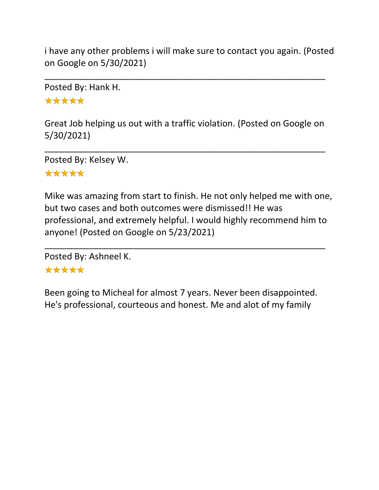i have any other problems i will make sure to contact you again. (Posted on Google on 5/30/2021)

\_\_\_\_\_\_\_\_\_\_\_\_\_\_\_\_\_\_\_\_\_\_\_\_\_\_\_\_\_\_\_\_\_\_\_\_\_\_\_\_\_\_\_\_\_\_\_\_\_\_\_\_\_\_\_\_\_

Posted By: Hank H.

\*\*\*\*\*

Great Job helping us out with a traffic violation. (Posted on Google on 5/30/2021)

\_\_\_\_\_\_\_\_\_\_\_\_\_\_\_\_\_\_\_\_\_\_\_\_\_\_\_\_\_\_\_\_\_\_\_\_\_\_\_\_\_\_\_\_\_\_\_\_\_\_\_\_\_\_\_\_\_

Posted By: Kelsey W.

## \*\*\*\*\*

Mike was amazing from start to finish. He not only helped me with one, but two cases and both outcomes were dismissed!! He was professional, and extremely helpful. I would highly recommend him to anyone! (Posted on Google on 5/23/2021)

\_\_\_\_\_\_\_\_\_\_\_\_\_\_\_\_\_\_\_\_\_\_\_\_\_\_\_\_\_\_\_\_\_\_\_\_\_\_\_\_\_\_\_\_\_\_\_\_\_\_\_\_\_\_\_\_\_

Posted By: Ashneel K.

## \*\*\*\*\*

Been going to Micheal for almost 7 years. Never been disappointed. He's professional, courteous and honest. Me and alot of my family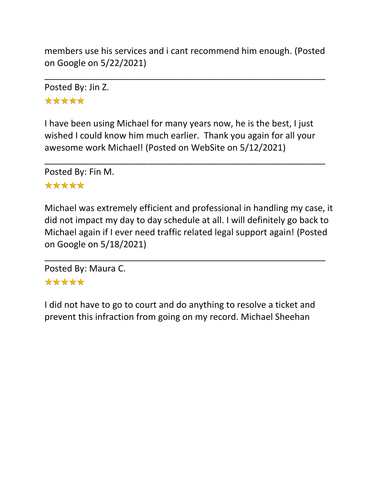members use his services and i cant recommend him enough. (Posted on Google on 5/22/2021)

\_\_\_\_\_\_\_\_\_\_\_\_\_\_\_\_\_\_\_\_\_\_\_\_\_\_\_\_\_\_\_\_\_\_\_\_\_\_\_\_\_\_\_\_\_\_\_\_\_\_\_\_\_\_\_\_\_

Posted By: Jin Z. \*\*\*\*\*

I have been using Michael for many years now, he is the best, I just wished I could know him much earlier. Thank you again for all your awesome work Michael! (Posted on WebSite on 5/12/2021)

\_\_\_\_\_\_\_\_\_\_\_\_\_\_\_\_\_\_\_\_\_\_\_\_\_\_\_\_\_\_\_\_\_\_\_\_\_\_\_\_\_\_\_\_\_\_\_\_\_\_\_\_\_\_\_\_\_

Posted By: Fin M.

## \*\*\*\*\*

Michael was extremely efficient and professional in handling my case, it did not impact my day to day schedule at all. I will definitely go back to Michael again if I ever need traffic related legal support again! (Posted on Google on 5/18/2021)

\_\_\_\_\_\_\_\_\_\_\_\_\_\_\_\_\_\_\_\_\_\_\_\_\_\_\_\_\_\_\_\_\_\_\_\_\_\_\_\_\_\_\_\_\_\_\_\_\_\_\_\_\_\_\_\_\_

Posted By: Maura C. \*\*\*\*\*

I did not have to go to court and do anything to resolve a ticket and prevent this infraction from going on my record. Michael Sheehan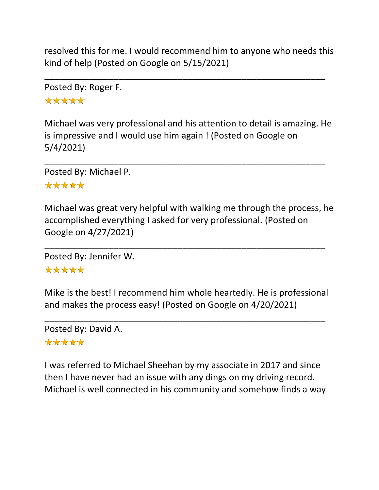resolved this for me. I would recommend him to anyone who needs this kind of help (Posted on Google on 5/15/2021)

\_\_\_\_\_\_\_\_\_\_\_\_\_\_\_\_\_\_\_\_\_\_\_\_\_\_\_\_\_\_\_\_\_\_\_\_\_\_\_\_\_\_\_\_\_\_\_\_\_\_\_\_\_\_\_\_\_

Posted By: Roger F. \*\*\*\*\*

Michael was very professional and his attention to detail is amazing. He is impressive and I would use him again ! (Posted on Google on 5/4/2021)

\_\_\_\_\_\_\_\_\_\_\_\_\_\_\_\_\_\_\_\_\_\_\_\_\_\_\_\_\_\_\_\_\_\_\_\_\_\_\_\_\_\_\_\_\_\_\_\_\_\_\_\_\_\_\_\_\_

Posted By: Michael P.

#### \*\*\*\*\*

Michael was great very helpful with walking me through the process, he accomplished everything I asked for very professional. (Posted on Google on 4/27/2021)

\_\_\_\_\_\_\_\_\_\_\_\_\_\_\_\_\_\_\_\_\_\_\_\_\_\_\_\_\_\_\_\_\_\_\_\_\_\_\_\_\_\_\_\_\_\_\_\_\_\_\_\_\_\_\_\_\_

Posted By: Jennifer W.

## \*\*\*\*\*

Mike is the best! I recommend him whole heartedly. He is professional and makes the process easy! (Posted on Google on 4/20/2021)

\_\_\_\_\_\_\_\_\_\_\_\_\_\_\_\_\_\_\_\_\_\_\_\_\_\_\_\_\_\_\_\_\_\_\_\_\_\_\_\_\_\_\_\_\_\_\_\_\_\_\_\_\_\_\_\_\_

Posted By: David A. \*\*\*\*\*

I was referred to Michael Sheehan by my associate in 2017 and since then I have never had an issue with any dings on my driving record. Michael is well connected in his community and somehow finds a way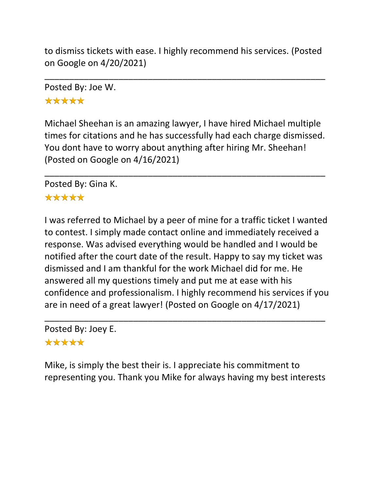to dismiss tickets with ease. I highly recommend his services. (Posted on Google on 4/20/2021)

\_\_\_\_\_\_\_\_\_\_\_\_\_\_\_\_\_\_\_\_\_\_\_\_\_\_\_\_\_\_\_\_\_\_\_\_\_\_\_\_\_\_\_\_\_\_\_\_\_\_\_\_\_\_\_\_\_

Posted By: Joe W.

\*\*\*\*\*

Michael Sheehan is an amazing lawyer, I have hired Michael multiple times for citations and he has successfully had each charge dismissed. You dont have to worry about anything after hiring Mr. Sheehan! (Posted on Google on 4/16/2021)

\_\_\_\_\_\_\_\_\_\_\_\_\_\_\_\_\_\_\_\_\_\_\_\_\_\_\_\_\_\_\_\_\_\_\_\_\_\_\_\_\_\_\_\_\_\_\_\_\_\_\_\_\_\_\_\_\_

Posted By: Gina K.

## \*\*\*\*\*

I was referred to Michael by a peer of mine for a traffic ticket I wanted to contest. I simply made contact online and immediately received a response. Was advised everything would be handled and I would be notified after the court date of the result. Happy to say my ticket was dismissed and I am thankful for the work Michael did for me. He answered all my questions timely and put me at ease with his confidence and professionalism. I highly recommend his services if you are in need of a great lawyer! (Posted on Google on 4/17/2021)

\_\_\_\_\_\_\_\_\_\_\_\_\_\_\_\_\_\_\_\_\_\_\_\_\_\_\_\_\_\_\_\_\_\_\_\_\_\_\_\_\_\_\_\_\_\_\_\_\_\_\_\_\_\_\_\_\_ Posted By: Joey E.

\*\*\*\*\*

Mike, is simply the best their is. I appreciate his commitment to representing you. Thank you Mike for always having my best interests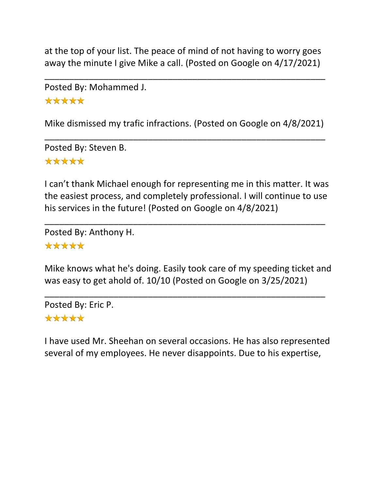at the top of your list. The peace of mind of not having to worry goes away the minute I give Mike a call. (Posted on Google on 4/17/2021)

\_\_\_\_\_\_\_\_\_\_\_\_\_\_\_\_\_\_\_\_\_\_\_\_\_\_\_\_\_\_\_\_\_\_\_\_\_\_\_\_\_\_\_\_\_\_\_\_\_\_\_\_\_\_\_\_\_

Posted By: Mohammed J. \*\*\*\*\*

Mike dismissed my trafic infractions. (Posted on Google on 4/8/2021)

\_\_\_\_\_\_\_\_\_\_\_\_\_\_\_\_\_\_\_\_\_\_\_\_\_\_\_\_\_\_\_\_\_\_\_\_\_\_\_\_\_\_\_\_\_\_\_\_\_\_\_\_\_\_\_\_\_

Posted By: Steven B. \*\*\*\*\*

I can't thank Michael enough for representing me in this matter. It was the easiest process, and completely professional. I will continue to use his services in the future! (Posted on Google on 4/8/2021)

\_\_\_\_\_\_\_\_\_\_\_\_\_\_\_\_\_\_\_\_\_\_\_\_\_\_\_\_\_\_\_\_\_\_\_\_\_\_\_\_\_\_\_\_\_\_\_\_\_\_\_\_\_\_\_\_\_

Posted By: Anthony H. \*\*\*\*\*

Mike knows what he's doing. Easily took care of my speeding ticket and was easy to get ahold of. 10/10 (Posted on Google on 3/25/2021)

\_\_\_\_\_\_\_\_\_\_\_\_\_\_\_\_\_\_\_\_\_\_\_\_\_\_\_\_\_\_\_\_\_\_\_\_\_\_\_\_\_\_\_\_\_\_\_\_\_\_\_\_\_\_\_\_\_ Posted By: Eric P.

## \*\*\*\*\*

I have used Mr. Sheehan on several occasions. He has also represented several of my employees. He never disappoints. Due to his expertise,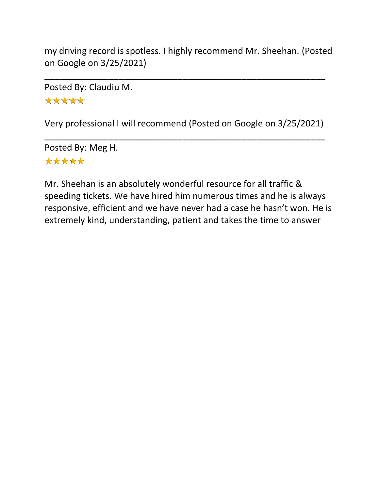my driving record is spotless. I highly recommend Mr. Sheehan. (Posted on Google on 3/25/2021)

\_\_\_\_\_\_\_\_\_\_\_\_\_\_\_\_\_\_\_\_\_\_\_\_\_\_\_\_\_\_\_\_\_\_\_\_\_\_\_\_\_\_\_\_\_\_\_\_\_\_\_\_\_\_\_\_\_

Posted By: Claudiu M. \*\*\*\*\*

Very professional I will recommend (Posted on Google on 3/25/2021)

\_\_\_\_\_\_\_\_\_\_\_\_\_\_\_\_\_\_\_\_\_\_\_\_\_\_\_\_\_\_\_\_\_\_\_\_\_\_\_\_\_\_\_\_\_\_\_\_\_\_\_\_\_\_\_\_\_

Posted By: Meg H. \*\*\*\*\*

Mr. Sheehan is an absolutely wonderful resource for all traffic & speeding tickets. We have hired him numerous times and he is always responsive, efficient and we have never had a case he hasn't won. He is extremely kind, understanding, patient and takes the time to answer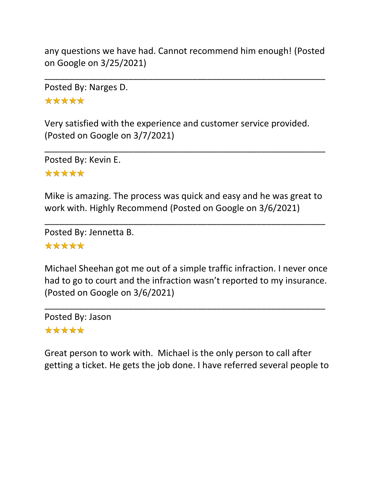any questions we have had. Cannot recommend him enough! (Posted on Google on 3/25/2021)

\_\_\_\_\_\_\_\_\_\_\_\_\_\_\_\_\_\_\_\_\_\_\_\_\_\_\_\_\_\_\_\_\_\_\_\_\_\_\_\_\_\_\_\_\_\_\_\_\_\_\_\_\_\_\_\_\_

Posted By: Narges D. \*\*\*\*\*

Very satisfied with the experience and customer service provided. (Posted on Google on 3/7/2021)

\_\_\_\_\_\_\_\_\_\_\_\_\_\_\_\_\_\_\_\_\_\_\_\_\_\_\_\_\_\_\_\_\_\_\_\_\_\_\_\_\_\_\_\_\_\_\_\_\_\_\_\_\_\_\_\_\_

Posted By: Kevin E. \*\*\*\*\*

Mike is amazing. The process was quick and easy and he was great to work with. Highly Recommend (Posted on Google on 3/6/2021)

\_\_\_\_\_\_\_\_\_\_\_\_\_\_\_\_\_\_\_\_\_\_\_\_\_\_\_\_\_\_\_\_\_\_\_\_\_\_\_\_\_\_\_\_\_\_\_\_\_\_\_\_\_\_\_\_\_

Posted By: Jennetta B. \*\*\*\*\*

Michael Sheehan got me out of a simple traffic infraction. I never once had to go to court and the infraction wasn't reported to my insurance. (Posted on Google on 3/6/2021)

\_\_\_\_\_\_\_\_\_\_\_\_\_\_\_\_\_\_\_\_\_\_\_\_\_\_\_\_\_\_\_\_\_\_\_\_\_\_\_\_\_\_\_\_\_\_\_\_\_\_\_\_\_\_\_\_\_

Posted By: Jason \*\*\*\*\*

Great person to work with. Michael is the only person to call after getting a ticket. He gets the job done. I have referred several people to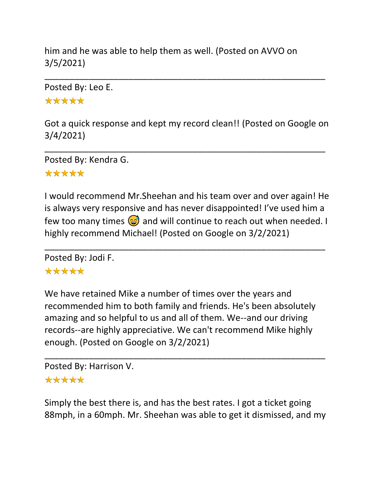him and he was able to help them as well. (Posted on AVVO on 3/5/2021)

Posted By: Leo E.

\*\*\*\*\*

Got a quick response and kept my record clean!! (Posted on Google on 3/4/2021)

\_\_\_\_\_\_\_\_\_\_\_\_\_\_\_\_\_\_\_\_\_\_\_\_\_\_\_\_\_\_\_\_\_\_\_\_\_\_\_\_\_\_\_\_\_\_\_\_\_\_\_\_\_\_\_\_\_

\_\_\_\_\_\_\_\_\_\_\_\_\_\_\_\_\_\_\_\_\_\_\_\_\_\_\_\_\_\_\_\_\_\_\_\_\_\_\_\_\_\_\_\_\_\_\_\_\_\_\_\_\_\_\_\_\_

Posted By: Kendra G. \*\*\*\*\*

I would recommend Mr.Sheehan and his team over and over again! He is always very responsive and has never disappointed! I've used him a few too many times  $\circledcirc$  and will continue to reach out when needed. I highly recommend Michael! (Posted on Google on 3/2/2021)

\_\_\_\_\_\_\_\_\_\_\_\_\_\_\_\_\_\_\_\_\_\_\_\_\_\_\_\_\_\_\_\_\_\_\_\_\_\_\_\_\_\_\_\_\_\_\_\_\_\_\_\_\_\_\_\_\_

Posted By: Jodi F. \*\*\*\*\*

We have retained Mike a number of times over the years and recommended him to both family and friends. He's been absolutely amazing and so helpful to us and all of them. We--and our driving records--are highly appreciative. We can't recommend Mike highly enough. (Posted on Google on 3/2/2021)

Posted By: Harrison V. \*\*\*\*\*

Simply the best there is, and has the best rates. I got a ticket going 88mph, in a 60mph. Mr. Sheehan was able to get it dismissed, and my

\_\_\_\_\_\_\_\_\_\_\_\_\_\_\_\_\_\_\_\_\_\_\_\_\_\_\_\_\_\_\_\_\_\_\_\_\_\_\_\_\_\_\_\_\_\_\_\_\_\_\_\_\_\_\_\_\_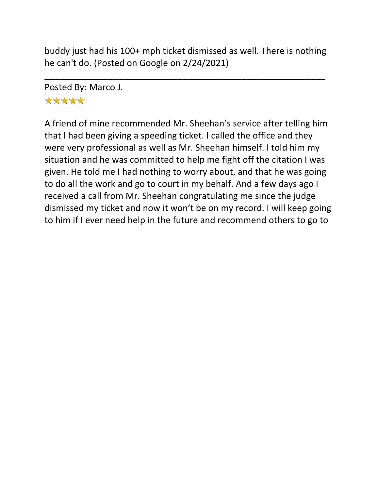buddy just had his 100+ mph ticket dismissed as well. There is nothing he can't do. (Posted on Google on 2/24/2021)

\_\_\_\_\_\_\_\_\_\_\_\_\_\_\_\_\_\_\_\_\_\_\_\_\_\_\_\_\_\_\_\_\_\_\_\_\_\_\_\_\_\_\_\_\_\_\_\_\_\_\_\_\_\_\_\_\_

Posted By: Marco J.

# \*\*\*\*\*

A friend of mine recommended Mr. Sheehan's service after telling him that I had been giving a speeding ticket. I called the office and they were very professional as well as Mr. Sheehan himself. I told him my situation and he was committed to help me fight off the citation I was given. He told me I had nothing to worry about, and that he was going to do all the work and go to court in my behalf. And a few days ago I received a call from Mr. Sheehan congratulating me since the judge dismissed my ticket and now it won't be on my record. I will keep going to him if I ever need help in the future and recommend others to go to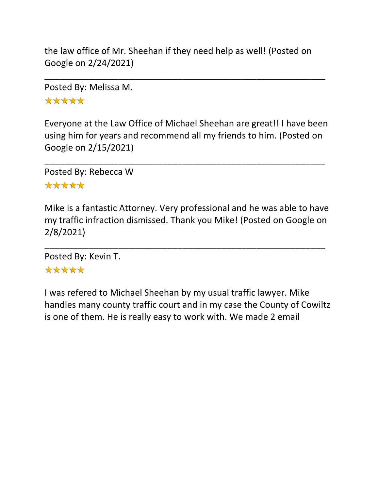the law office of Mr. Sheehan if they need help as well! (Posted on Google on 2/24/2021)

\_\_\_\_\_\_\_\_\_\_\_\_\_\_\_\_\_\_\_\_\_\_\_\_\_\_\_\_\_\_\_\_\_\_\_\_\_\_\_\_\_\_\_\_\_\_\_\_\_\_\_\_\_\_\_\_\_

Posted By: Melissa M.

\*\*\*\*\*

Everyone at the Law Office of Michael Sheehan are great!! I have been using him for years and recommend all my friends to him. (Posted on Google on 2/15/2021)

\_\_\_\_\_\_\_\_\_\_\_\_\_\_\_\_\_\_\_\_\_\_\_\_\_\_\_\_\_\_\_\_\_\_\_\_\_\_\_\_\_\_\_\_\_\_\_\_\_\_\_\_\_\_\_\_\_

Posted By: Rebecca W \*\*\*\*\*

Mike is a fantastic Attorney. Very professional and he was able to have my traffic infraction dismissed. Thank you Mike! (Posted on Google on 2/8/2021)

\_\_\_\_\_\_\_\_\_\_\_\_\_\_\_\_\_\_\_\_\_\_\_\_\_\_\_\_\_\_\_\_\_\_\_\_\_\_\_\_\_\_\_\_\_\_\_\_\_\_\_\_\_\_\_\_\_

Posted By: Kevin T.

## \*\*\*\*\*

I was refered to Michael Sheehan by my usual traffic lawyer. Mike handles many county traffic court and in my case the County of Cowiltz is one of them. He is really easy to work with. We made 2 email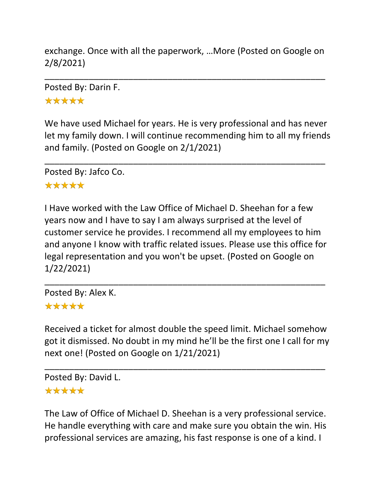exchange. Once with all the paperwork, …More (Posted on Google on 2/8/2021)

\_\_\_\_\_\_\_\_\_\_\_\_\_\_\_\_\_\_\_\_\_\_\_\_\_\_\_\_\_\_\_\_\_\_\_\_\_\_\_\_\_\_\_\_\_\_\_\_\_\_\_\_\_\_\_\_\_

Posted By: Darin F.

\*\*\*\*\*

We have used Michael for years. He is very professional and has never let my family down. I will continue recommending him to all my friends and family. (Posted on Google on 2/1/2021)

\_\_\_\_\_\_\_\_\_\_\_\_\_\_\_\_\_\_\_\_\_\_\_\_\_\_\_\_\_\_\_\_\_\_\_\_\_\_\_\_\_\_\_\_\_\_\_\_\_\_\_\_\_\_\_\_\_

Posted By: Jafco Co.

#### \*\*\*\*\*

I Have worked with the Law Office of Michael D. Sheehan for a few years now and I have to say I am always surprised at the level of customer service he provides. I recommend all my employees to him and anyone I know with traffic related issues. Please use this office for legal representation and you won't be upset. (Posted on Google on 1/22/2021)

\_\_\_\_\_\_\_\_\_\_\_\_\_\_\_\_\_\_\_\_\_\_\_\_\_\_\_\_\_\_\_\_\_\_\_\_\_\_\_\_\_\_\_\_\_\_\_\_\_\_\_\_\_\_\_\_\_

Posted By: Alex K. \*\*\*\*\*

Received a ticket for almost double the speed limit. Michael somehow got it dismissed. No doubt in my mind he'll be the first one I call for my next one! (Posted on Google on 1/21/2021)

\_\_\_\_\_\_\_\_\_\_\_\_\_\_\_\_\_\_\_\_\_\_\_\_\_\_\_\_\_\_\_\_\_\_\_\_\_\_\_\_\_\_\_\_\_\_\_\_\_\_\_\_\_\_\_\_\_

Posted By: David L.

#### \*\*\*\*\*

The Law of Office of Michael D. Sheehan is a very professional service. He handle everything with care and make sure you obtain the win. His professional services are amazing, his fast response is one of a kind. I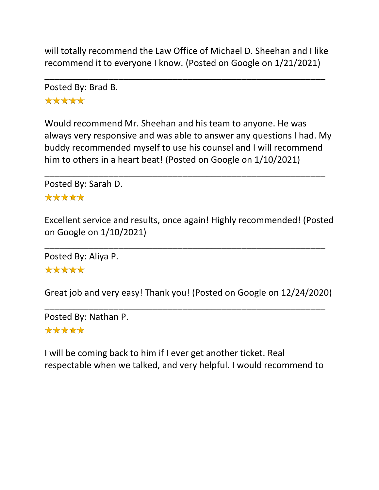will totally recommend the Law Office of Michael D. Sheehan and I like recommend it to everyone I know. (Posted on Google on 1/21/2021)

\_\_\_\_\_\_\_\_\_\_\_\_\_\_\_\_\_\_\_\_\_\_\_\_\_\_\_\_\_\_\_\_\_\_\_\_\_\_\_\_\_\_\_\_\_\_\_\_\_\_\_\_\_\_\_\_\_

Posted By: Brad B.

\*\*\*\*\*

Would recommend Mr. Sheehan and his team to anyone. He was always very responsive and was able to answer any questions I had. My buddy recommended myself to use his counsel and I will recommend him to others in a heart beat! (Posted on Google on 1/10/2021)

\_\_\_\_\_\_\_\_\_\_\_\_\_\_\_\_\_\_\_\_\_\_\_\_\_\_\_\_\_\_\_\_\_\_\_\_\_\_\_\_\_\_\_\_\_\_\_\_\_\_\_\_\_\_\_\_\_

Posted By: Sarah D.

#### \*\*\*\*\*

Excellent service and results, once again! Highly recommended! (Posted on Google on 1/10/2021)

\_\_\_\_\_\_\_\_\_\_\_\_\_\_\_\_\_\_\_\_\_\_\_\_\_\_\_\_\_\_\_\_\_\_\_\_\_\_\_\_\_\_\_\_\_\_\_\_\_\_\_\_\_\_\_\_\_

Posted By: Aliya P.

#### \*\*\*\*\*

Great job and very easy! Thank you! (Posted on Google on 12/24/2020)

\_\_\_\_\_\_\_\_\_\_\_\_\_\_\_\_\_\_\_\_\_\_\_\_\_\_\_\_\_\_\_\_\_\_\_\_\_\_\_\_\_\_\_\_\_\_\_\_\_\_\_\_\_\_\_\_\_

Posted By: Nathan P.

#### \*\*\*\*\*

I will be coming back to him if I ever get another ticket. Real respectable when we talked, and very helpful. I would recommend to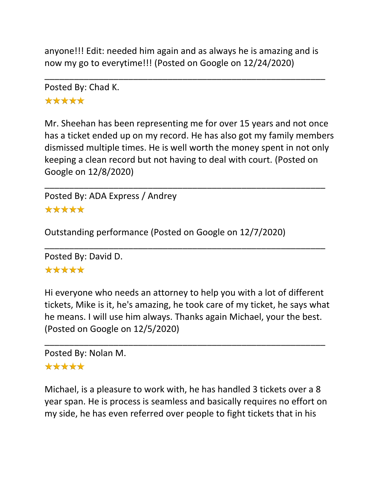anyone!!! Edit: needed him again and as always he is amazing and is now my go to everytime!!! (Posted on Google on 12/24/2020)

\_\_\_\_\_\_\_\_\_\_\_\_\_\_\_\_\_\_\_\_\_\_\_\_\_\_\_\_\_\_\_\_\_\_\_\_\_\_\_\_\_\_\_\_\_\_\_\_\_\_\_\_\_\_\_\_\_

Posted By: Chad K. \*\*\*\*\*

Mr. Sheehan has been representing me for over 15 years and not once has a ticket ended up on my record. He has also got my family members dismissed multiple times. He is well worth the money spent in not only keeping a clean record but not having to deal with court. (Posted on Google on 12/8/2020)

\_\_\_\_\_\_\_\_\_\_\_\_\_\_\_\_\_\_\_\_\_\_\_\_\_\_\_\_\_\_\_\_\_\_\_\_\_\_\_\_\_\_\_\_\_\_\_\_\_\_\_\_\_\_\_\_\_

\_\_\_\_\_\_\_\_\_\_\_\_\_\_\_\_\_\_\_\_\_\_\_\_\_\_\_\_\_\_\_\_\_\_\_\_\_\_\_\_\_\_\_\_\_\_\_\_\_\_\_\_\_\_\_\_\_

Posted By: ADA Express / Andrey \*\*\*\*\*

Outstanding performance (Posted on Google on 12/7/2020)

Posted By: David D.

#### \*\*\*\*\*

Hi everyone who needs an attorney to help you with a lot of different tickets, Mike is it, he's amazing, he took care of my ticket, he says what he means. I will use him always. Thanks again Michael, your the best. (Posted on Google on 12/5/2020)

\_\_\_\_\_\_\_\_\_\_\_\_\_\_\_\_\_\_\_\_\_\_\_\_\_\_\_\_\_\_\_\_\_\_\_\_\_\_\_\_\_\_\_\_\_\_\_\_\_\_\_\_\_\_\_\_\_

Posted By: Nolan M.

#### \*\*\*\*\*

Michael, is a pleasure to work with, he has handled 3 tickets over a 8 year span. He is process is seamless and basically requires no effort on my side, he has even referred over people to fight tickets that in his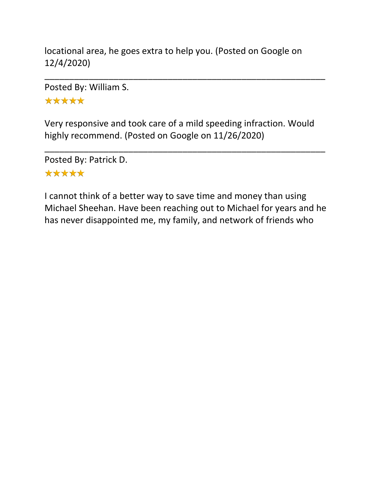locational area, he goes extra to help you. (Posted on Google on 12/4/2020)

\_\_\_\_\_\_\_\_\_\_\_\_\_\_\_\_\_\_\_\_\_\_\_\_\_\_\_\_\_\_\_\_\_\_\_\_\_\_\_\_\_\_\_\_\_\_\_\_\_\_\_\_\_\_\_\_\_

Posted By: William S.

\*\*\*\*\*

Very responsive and took care of a mild speeding infraction. Would highly recommend. (Posted on Google on 11/26/2020)

\_\_\_\_\_\_\_\_\_\_\_\_\_\_\_\_\_\_\_\_\_\_\_\_\_\_\_\_\_\_\_\_\_\_\_\_\_\_\_\_\_\_\_\_\_\_\_\_\_\_\_\_\_\_\_\_\_

Posted By: Patrick D. \*\*\*\*\*

I cannot think of a better way to save time and money than using Michael Sheehan. Have been reaching out to Michael for years and he has never disappointed me, my family, and network of friends who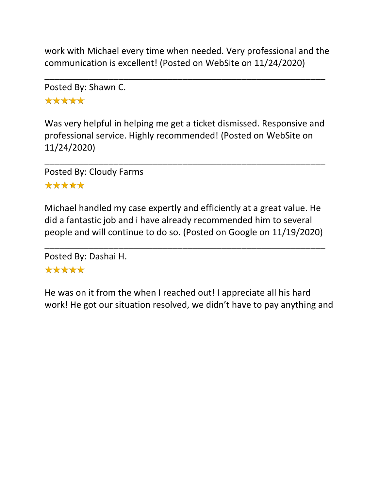work with Michael every time when needed. Very professional and the communication is excellent! (Posted on WebSite on 11/24/2020)

\_\_\_\_\_\_\_\_\_\_\_\_\_\_\_\_\_\_\_\_\_\_\_\_\_\_\_\_\_\_\_\_\_\_\_\_\_\_\_\_\_\_\_\_\_\_\_\_\_\_\_\_\_\_\_\_\_

Posted By: Shawn C. \*\*\*\*\*

Was very helpful in helping me get a ticket dismissed. Responsive and professional service. Highly recommended! (Posted on WebSite on 11/24/2020)

\_\_\_\_\_\_\_\_\_\_\_\_\_\_\_\_\_\_\_\_\_\_\_\_\_\_\_\_\_\_\_\_\_\_\_\_\_\_\_\_\_\_\_\_\_\_\_\_\_\_\_\_\_\_\_\_\_

Posted By: Cloudy Farms \*\*\*\*\*

Michael handled my case expertly and efficiently at a great value. He did a fantastic job and i have already recommended him to several people and will continue to do so. (Posted on Google on 11/19/2020)

\_\_\_\_\_\_\_\_\_\_\_\_\_\_\_\_\_\_\_\_\_\_\_\_\_\_\_\_\_\_\_\_\_\_\_\_\_\_\_\_\_\_\_\_\_\_\_\_\_\_\_\_\_\_\_\_\_

Posted By: Dashai H. \*\*\*\*\*

He was on it from the when I reached out! I appreciate all his hard work! He got our situation resolved, we didn't have to pay anything and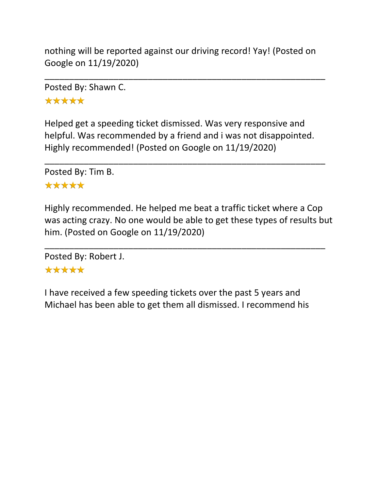nothing will be reported against our driving record! Yay! (Posted on Google on 11/19/2020)

\_\_\_\_\_\_\_\_\_\_\_\_\_\_\_\_\_\_\_\_\_\_\_\_\_\_\_\_\_\_\_\_\_\_\_\_\_\_\_\_\_\_\_\_\_\_\_\_\_\_\_\_\_\_\_\_\_

Posted By: Shawn C. \*\*\*\*\*

Helped get a speeding ticket dismissed. Was very responsive and helpful. Was recommended by a friend and i was not disappointed. Highly recommended! (Posted on Google on 11/19/2020)

\_\_\_\_\_\_\_\_\_\_\_\_\_\_\_\_\_\_\_\_\_\_\_\_\_\_\_\_\_\_\_\_\_\_\_\_\_\_\_\_\_\_\_\_\_\_\_\_\_\_\_\_\_\_\_\_\_

Posted By: Tim B.

### \*\*\*\*\*

Highly recommended. He helped me beat a traffic ticket where a Cop was acting crazy. No one would be able to get these types of results but him. (Posted on Google on 11/19/2020)

\_\_\_\_\_\_\_\_\_\_\_\_\_\_\_\_\_\_\_\_\_\_\_\_\_\_\_\_\_\_\_\_\_\_\_\_\_\_\_\_\_\_\_\_\_\_\_\_\_\_\_\_\_\_\_\_\_

Posted By: Robert J.

# \*\*\*\*\*

I have received a few speeding tickets over the past 5 years and Michael has been able to get them all dismissed. I recommend his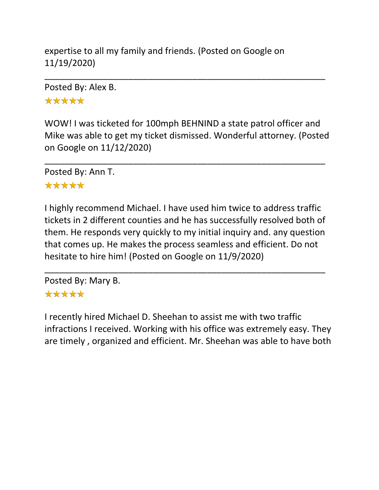expertise to all my family and friends. (Posted on Google on 11/19/2020)

Posted By: Alex B.

\*\*\*\*\*

WOW! I was ticketed for 100mph BEHNIND a state patrol officer and Mike was able to get my ticket dismissed. Wonderful attorney. (Posted on Google on 11/12/2020)

\_\_\_\_\_\_\_\_\_\_\_\_\_\_\_\_\_\_\_\_\_\_\_\_\_\_\_\_\_\_\_\_\_\_\_\_\_\_\_\_\_\_\_\_\_\_\_\_\_\_\_\_\_\_\_\_\_

\_\_\_\_\_\_\_\_\_\_\_\_\_\_\_\_\_\_\_\_\_\_\_\_\_\_\_\_\_\_\_\_\_\_\_\_\_\_\_\_\_\_\_\_\_\_\_\_\_\_\_\_\_\_\_\_\_

Posted By: Ann T.

### \*\*\*\*\*

I highly recommend Michael. I have used him twice to address traffic tickets in 2 different counties and he has successfully resolved both of them. He responds very quickly to my initial inquiry and. any question that comes up. He makes the process seamless and efficient. Do not hesitate to hire him! (Posted on Google on 11/9/2020)

\_\_\_\_\_\_\_\_\_\_\_\_\_\_\_\_\_\_\_\_\_\_\_\_\_\_\_\_\_\_\_\_\_\_\_\_\_\_\_\_\_\_\_\_\_\_\_\_\_\_\_\_\_\_\_\_\_

Posted By: Mary B.

# \*\*\*\*\*

I recently hired Michael D. Sheehan to assist me with two traffic infractions I received. Working with his office was extremely easy. They are timely , organized and efficient. Mr. Sheehan was able to have both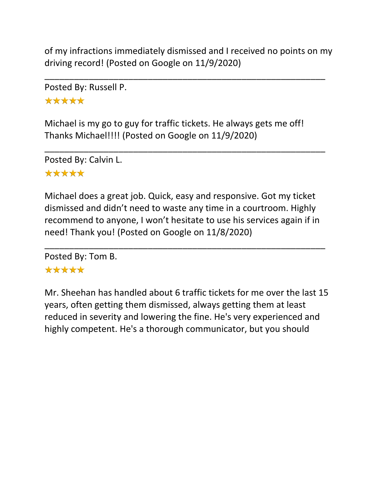of my infractions immediately dismissed and I received no points on my driving record! (Posted on Google on 11/9/2020)

\_\_\_\_\_\_\_\_\_\_\_\_\_\_\_\_\_\_\_\_\_\_\_\_\_\_\_\_\_\_\_\_\_\_\_\_\_\_\_\_\_\_\_\_\_\_\_\_\_\_\_\_\_\_\_\_\_

Posted By: Russell P. \*\*\*\*\*

Michael is my go to guy for traffic tickets. He always gets me off! Thanks Michael!!!! (Posted on Google on 11/9/2020)

\_\_\_\_\_\_\_\_\_\_\_\_\_\_\_\_\_\_\_\_\_\_\_\_\_\_\_\_\_\_\_\_\_\_\_\_\_\_\_\_\_\_\_\_\_\_\_\_\_\_\_\_\_\_\_\_\_

Posted By: Calvin L. \*\*\*\*\*

Michael does a great job. Quick, easy and responsive. Got my ticket dismissed and didn't need to waste any time in a courtroom. Highly recommend to anyone, I won't hesitate to use his services again if in need! Thank you! (Posted on Google on 11/8/2020)

\_\_\_\_\_\_\_\_\_\_\_\_\_\_\_\_\_\_\_\_\_\_\_\_\_\_\_\_\_\_\_\_\_\_\_\_\_\_\_\_\_\_\_\_\_\_\_\_\_\_\_\_\_\_\_\_\_

Posted By: Tom B.

### \*\*\*\*\*

Mr. Sheehan has handled about 6 traffic tickets for me over the last 15 years, often getting them dismissed, always getting them at least reduced in severity and lowering the fine. He's very experienced and highly competent. He's a thorough communicator, but you should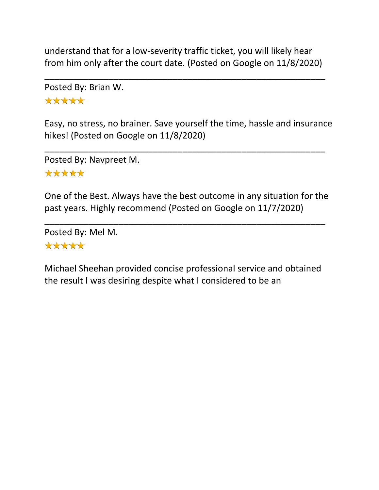understand that for a low-severity traffic ticket, you will likely hear from him only after the court date. (Posted on Google on 11/8/2020)

\_\_\_\_\_\_\_\_\_\_\_\_\_\_\_\_\_\_\_\_\_\_\_\_\_\_\_\_\_\_\_\_\_\_\_\_\_\_\_\_\_\_\_\_\_\_\_\_\_\_\_\_\_\_\_\_\_

Posted By: Brian W. \*\*\*\*\*

Easy, no stress, no brainer. Save yourself the time, hassle and insurance hikes! (Posted on Google on 11/8/2020)

\_\_\_\_\_\_\_\_\_\_\_\_\_\_\_\_\_\_\_\_\_\_\_\_\_\_\_\_\_\_\_\_\_\_\_\_\_\_\_\_\_\_\_\_\_\_\_\_\_\_\_\_\_\_\_\_\_

Posted By: Navpreet M. \*\*\*\*\*

One of the Best. Always have the best outcome in any situation for the past years. Highly recommend (Posted on Google on 11/7/2020)

\_\_\_\_\_\_\_\_\_\_\_\_\_\_\_\_\_\_\_\_\_\_\_\_\_\_\_\_\_\_\_\_\_\_\_\_\_\_\_\_\_\_\_\_\_\_\_\_\_\_\_\_\_\_\_\_\_

Posted By: Mel M. \*\*\*\*\*

Michael Sheehan provided concise professional service and obtained the result I was desiring despite what I considered to be an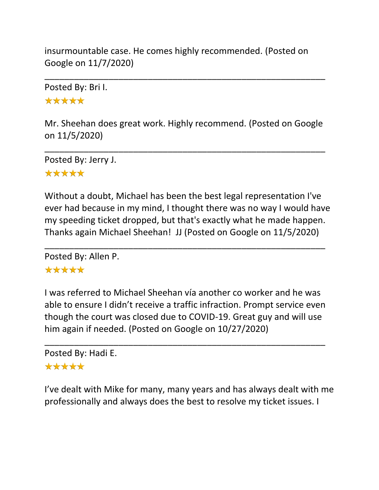insurmountable case. He comes highly recommended. (Posted on Google on 11/7/2020)

Posted By: Bri I. \*\*\*\*\*

Mr. Sheehan does great work. Highly recommend. (Posted on Google on 11/5/2020)

\_\_\_\_\_\_\_\_\_\_\_\_\_\_\_\_\_\_\_\_\_\_\_\_\_\_\_\_\_\_\_\_\_\_\_\_\_\_\_\_\_\_\_\_\_\_\_\_\_\_\_\_\_\_\_\_\_

\_\_\_\_\_\_\_\_\_\_\_\_\_\_\_\_\_\_\_\_\_\_\_\_\_\_\_\_\_\_\_\_\_\_\_\_\_\_\_\_\_\_\_\_\_\_\_\_\_\_\_\_\_\_\_\_\_

Posted By: Jerry J. \*\*\*\*\*

Without a doubt, Michael has been the best legal representation I've ever had because in my mind, I thought there was no way I would have my speeding ticket dropped, but that's exactly what he made happen. Thanks again Michael Sheehan! JJ (Posted on Google on 11/5/2020)

\_\_\_\_\_\_\_\_\_\_\_\_\_\_\_\_\_\_\_\_\_\_\_\_\_\_\_\_\_\_\_\_\_\_\_\_\_\_\_\_\_\_\_\_\_\_\_\_\_\_\_\_\_\_\_\_\_

Posted By: Allen P.

### \*\*\*\*\*

I was referred to Michael Sheehan vía another co worker and he was able to ensure I didn't receive a traffic infraction. Prompt service even though the court was closed due to COVID-19. Great guy and will use him again if needed. (Posted on Google on 10/27/2020)

\_\_\_\_\_\_\_\_\_\_\_\_\_\_\_\_\_\_\_\_\_\_\_\_\_\_\_\_\_\_\_\_\_\_\_\_\_\_\_\_\_\_\_\_\_\_\_\_\_\_\_\_\_\_\_\_\_

Posted By: Hadi E. \*\*\*\*\*

I've dealt with Mike for many, many years and has always dealt with me professionally and always does the best to resolve my ticket issues. I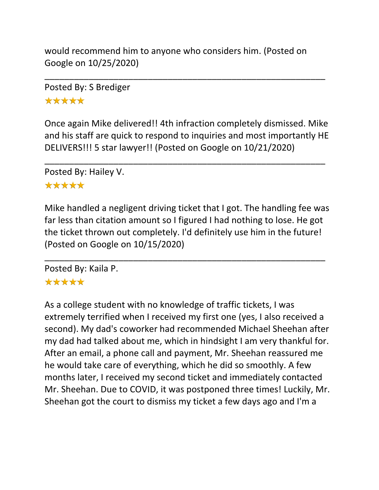would recommend him to anyone who considers him. (Posted on Google on 10/25/2020)

\_\_\_\_\_\_\_\_\_\_\_\_\_\_\_\_\_\_\_\_\_\_\_\_\_\_\_\_\_\_\_\_\_\_\_\_\_\_\_\_\_\_\_\_\_\_\_\_\_\_\_\_\_\_\_\_\_

Posted By: S Brediger \*\*\*\*\*

Once again Mike delivered!! 4th infraction completely dismissed. Mike and his staff are quick to respond to inquiries and most importantly HE DELIVERS!!! 5 star lawyer!! (Posted on Google on 10/21/2020)

\_\_\_\_\_\_\_\_\_\_\_\_\_\_\_\_\_\_\_\_\_\_\_\_\_\_\_\_\_\_\_\_\_\_\_\_\_\_\_\_\_\_\_\_\_\_\_\_\_\_\_\_\_\_\_\_\_

Posted By: Hailey V.

### \*\*\*\*\*

Mike handled a negligent driving ticket that I got. The handling fee was far less than citation amount so I figured I had nothing to lose. He got the ticket thrown out completely. I'd definitely use him in the future! (Posted on Google on 10/15/2020)

\_\_\_\_\_\_\_\_\_\_\_\_\_\_\_\_\_\_\_\_\_\_\_\_\_\_\_\_\_\_\_\_\_\_\_\_\_\_\_\_\_\_\_\_\_\_\_\_\_\_\_\_\_\_\_\_\_

Posted By: Kaila P.

## \*\*\*\*\*

As a college student with no knowledge of traffic tickets, I was extremely terrified when I received my first one (yes, I also received a second). My dad's coworker had recommended Michael Sheehan after my dad had talked about me, which in hindsight I am very thankful for. After an email, a phone call and payment, Mr. Sheehan reassured me he would take care of everything, which he did so smoothly. A few months later, I received my second ticket and immediately contacted Mr. Sheehan. Due to COVID, it was postponed three times! Luckily, Mr. Sheehan got the court to dismiss my ticket a few days ago and I'm a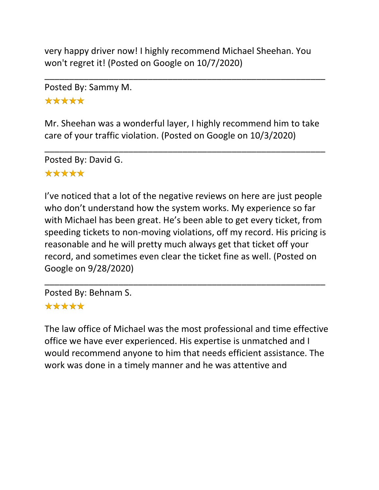very happy driver now! I highly recommend Michael Sheehan. You won't regret it! (Posted on Google on 10/7/2020)

\_\_\_\_\_\_\_\_\_\_\_\_\_\_\_\_\_\_\_\_\_\_\_\_\_\_\_\_\_\_\_\_\_\_\_\_\_\_\_\_\_\_\_\_\_\_\_\_\_\_\_\_\_\_\_\_\_

Posted By: Sammy M.

\*\*\*\*\*

Mr. Sheehan was a wonderful layer, I highly recommend him to take care of your traffic violation. (Posted on Google on 10/3/2020)

\_\_\_\_\_\_\_\_\_\_\_\_\_\_\_\_\_\_\_\_\_\_\_\_\_\_\_\_\_\_\_\_\_\_\_\_\_\_\_\_\_\_\_\_\_\_\_\_\_\_\_\_\_\_\_\_\_

Posted By: David G. \*\*\*\*\*

I've noticed that a lot of the negative reviews on here are just people who don't understand how the system works. My experience so far with Michael has been great. He's been able to get every ticket, from speeding tickets to non-moving violations, off my record. His pricing is reasonable and he will pretty much always get that ticket off your record, and sometimes even clear the ticket fine as well. (Posted on Google on 9/28/2020)

\_\_\_\_\_\_\_\_\_\_\_\_\_\_\_\_\_\_\_\_\_\_\_\_\_\_\_\_\_\_\_\_\_\_\_\_\_\_\_\_\_\_\_\_\_\_\_\_\_\_\_\_\_\_\_\_\_

Posted By: Behnam S. \*\*\*\*\*

The law office of Michael was the most professional and time effective office we have ever experienced. His expertise is unmatched and I would recommend anyone to him that needs efficient assistance. The work was done in a timely manner and he was attentive and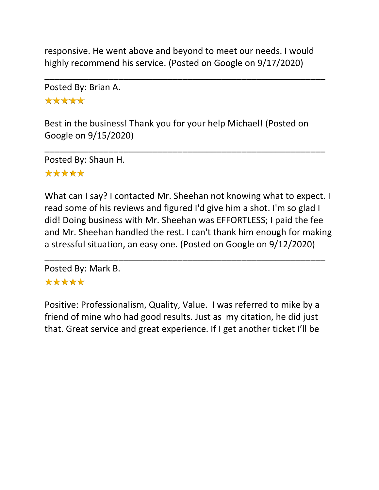responsive. He went above and beyond to meet our needs. I would highly recommend his service. (Posted on Google on 9/17/2020)

\_\_\_\_\_\_\_\_\_\_\_\_\_\_\_\_\_\_\_\_\_\_\_\_\_\_\_\_\_\_\_\_\_\_\_\_\_\_\_\_\_\_\_\_\_\_\_\_\_\_\_\_\_\_\_\_\_

Posted By: Brian A.

\*\*\*\*\*

Best in the business! Thank you for your help Michael! (Posted on Google on 9/15/2020)

\_\_\_\_\_\_\_\_\_\_\_\_\_\_\_\_\_\_\_\_\_\_\_\_\_\_\_\_\_\_\_\_\_\_\_\_\_\_\_\_\_\_\_\_\_\_\_\_\_\_\_\_\_\_\_\_\_

Posted By: Shaun H. \*\*\*\*\*

What can I say? I contacted Mr. Sheehan not knowing what to expect. I read some of his reviews and figured I'd give him a shot. I'm so glad I did! Doing business with Mr. Sheehan was EFFORTLESS; I paid the fee and Mr. Sheehan handled the rest. I can't thank him enough for making a stressful situation, an easy one. (Posted on Google on 9/12/2020)

\_\_\_\_\_\_\_\_\_\_\_\_\_\_\_\_\_\_\_\_\_\_\_\_\_\_\_\_\_\_\_\_\_\_\_\_\_\_\_\_\_\_\_\_\_\_\_\_\_\_\_\_\_\_\_\_\_

Posted By: Mark B. \*\*\*\*\*

Positive: Professionalism, Quality, Value. I was referred to mike by a friend of mine who had good results. Just as my citation, he did just that. Great service and great experience. If I get another ticket I'll be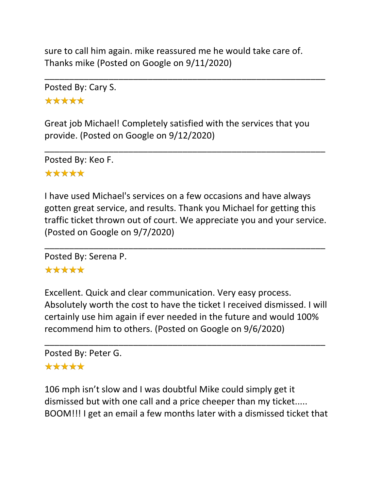sure to call him again. mike reassured me he would take care of. Thanks mike (Posted on Google on 9/11/2020)

\_\_\_\_\_\_\_\_\_\_\_\_\_\_\_\_\_\_\_\_\_\_\_\_\_\_\_\_\_\_\_\_\_\_\_\_\_\_\_\_\_\_\_\_\_\_\_\_\_\_\_\_\_\_\_\_\_

Posted By: Cary S. \*\*\*\*\*

Great job Michael! Completely satisfied with the services that you provide. (Posted on Google on 9/12/2020)

\_\_\_\_\_\_\_\_\_\_\_\_\_\_\_\_\_\_\_\_\_\_\_\_\_\_\_\_\_\_\_\_\_\_\_\_\_\_\_\_\_\_\_\_\_\_\_\_\_\_\_\_\_\_\_\_\_

Posted By: Keo F. \*\*\*\*\*

I have used Michael's services on a few occasions and have always gotten great service, and results. Thank you Michael for getting this traffic ticket thrown out of court. We appreciate you and your service. (Posted on Google on 9/7/2020)

\_\_\_\_\_\_\_\_\_\_\_\_\_\_\_\_\_\_\_\_\_\_\_\_\_\_\_\_\_\_\_\_\_\_\_\_\_\_\_\_\_\_\_\_\_\_\_\_\_\_\_\_\_\_\_\_\_

Posted By: Serena P.

### \*\*\*\*\*

Excellent. Quick and clear communication. Very easy process. Absolutely worth the cost to have the ticket I received dismissed. I will certainly use him again if ever needed in the future and would 100% recommend him to others. (Posted on Google on 9/6/2020)

\_\_\_\_\_\_\_\_\_\_\_\_\_\_\_\_\_\_\_\_\_\_\_\_\_\_\_\_\_\_\_\_\_\_\_\_\_\_\_\_\_\_\_\_\_\_\_\_\_\_\_\_\_\_\_\_\_

Posted By: Peter G.

### \*\*\*\*\*

106 mph isn't slow and I was doubtful Mike could simply get it dismissed but with one call and a price cheeper than my ticket..... BOOM!!! I get an email a few months later with a dismissed ticket that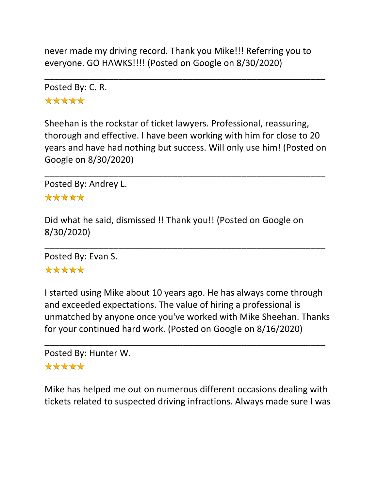never made my driving record. Thank you Mike!!! Referring you to everyone. GO HAWKS!!!! (Posted on Google on 8/30/2020)

\_\_\_\_\_\_\_\_\_\_\_\_\_\_\_\_\_\_\_\_\_\_\_\_\_\_\_\_\_\_\_\_\_\_\_\_\_\_\_\_\_\_\_\_\_\_\_\_\_\_\_\_\_\_\_\_\_

Posted By: C. R. \*\*\*\*\*

Sheehan is the rockstar of ticket lawyers. Professional, reassuring, thorough and effective. I have been working with him for close to 20 years and have had nothing but success. Will only use him! (Posted on Google on 8/30/2020)

\_\_\_\_\_\_\_\_\_\_\_\_\_\_\_\_\_\_\_\_\_\_\_\_\_\_\_\_\_\_\_\_\_\_\_\_\_\_\_\_\_\_\_\_\_\_\_\_\_\_\_\_\_\_\_\_\_

Posted By: Andrey L.

#### \*\*\*\*\*

Did what he said, dismissed !! Thank you!! (Posted on Google on 8/30/2020)

\_\_\_\_\_\_\_\_\_\_\_\_\_\_\_\_\_\_\_\_\_\_\_\_\_\_\_\_\_\_\_\_\_\_\_\_\_\_\_\_\_\_\_\_\_\_\_\_\_\_\_\_\_\_\_\_\_

Posted By: Evan S.

### \*\*\*\*\*

I started using Mike about 10 years ago. He has always come through and exceeded expectations. The value of hiring a professional is unmatched by anyone once you've worked with Mike Sheehan. Thanks for your continued hard work. (Posted on Google on 8/16/2020)

\_\_\_\_\_\_\_\_\_\_\_\_\_\_\_\_\_\_\_\_\_\_\_\_\_\_\_\_\_\_\_\_\_\_\_\_\_\_\_\_\_\_\_\_\_\_\_\_\_\_\_\_\_\_\_\_\_

```
Posted By: Hunter W.
*****
```
Mike has helped me out on numerous different occasions dealing with tickets related to suspected driving infractions. Always made sure I was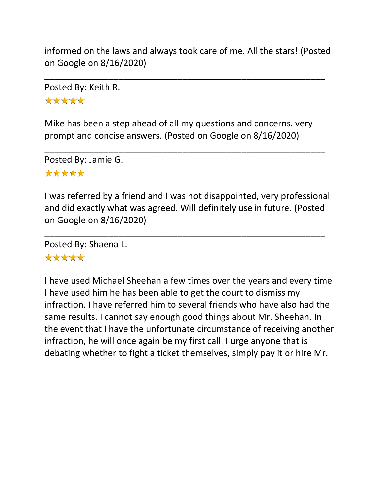informed on the laws and always took care of me. All the stars! (Posted on Google on 8/16/2020)

\_\_\_\_\_\_\_\_\_\_\_\_\_\_\_\_\_\_\_\_\_\_\_\_\_\_\_\_\_\_\_\_\_\_\_\_\_\_\_\_\_\_\_\_\_\_\_\_\_\_\_\_\_\_\_\_\_

Posted By: Keith R. \*\*\*\*\*

Mike has been a step ahead of all my questions and concerns. very prompt and concise answers. (Posted on Google on 8/16/2020)

\_\_\_\_\_\_\_\_\_\_\_\_\_\_\_\_\_\_\_\_\_\_\_\_\_\_\_\_\_\_\_\_\_\_\_\_\_\_\_\_\_\_\_\_\_\_\_\_\_\_\_\_\_\_\_\_\_

Posted By: Jamie G. \*\*\*\*\*

I was referred by a friend and I was not disappointed, very professional and did exactly what was agreed. Will definitely use in future. (Posted on Google on 8/16/2020)

\_\_\_\_\_\_\_\_\_\_\_\_\_\_\_\_\_\_\_\_\_\_\_\_\_\_\_\_\_\_\_\_\_\_\_\_\_\_\_\_\_\_\_\_\_\_\_\_\_\_\_\_\_\_\_\_\_

Posted By: Shaena L.

### \*\*\*\*\*

I have used Michael Sheehan a few times over the years and every time I have used him he has been able to get the court to dismiss my infraction. I have referred him to several friends who have also had the same results. I cannot say enough good things about Mr. Sheehan. In the event that I have the unfortunate circumstance of receiving another infraction, he will once again be my first call. I urge anyone that is debating whether to fight a ticket themselves, simply pay it or hire Mr.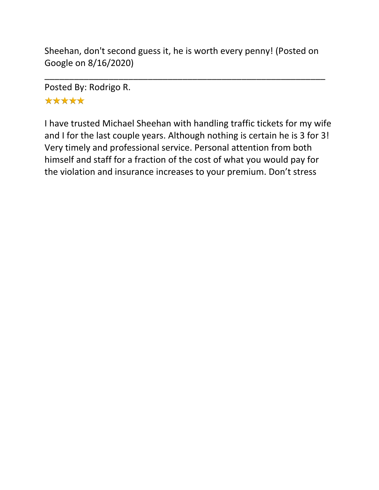Sheehan, don't second guess it, he is worth every penny! (Posted on Google on 8/16/2020)

\_\_\_\_\_\_\_\_\_\_\_\_\_\_\_\_\_\_\_\_\_\_\_\_\_\_\_\_\_\_\_\_\_\_\_\_\_\_\_\_\_\_\_\_\_\_\_\_\_\_\_\_\_\_\_\_\_

Posted By: Rodrigo R. \*\*\*\*\*

I have trusted Michael Sheehan with handling traffic tickets for my wife and I for the last couple years. Although nothing is certain he is 3 for 3! Very timely and professional service. Personal attention from both himself and staff for a fraction of the cost of what you would pay for the violation and insurance increases to your premium. Don't stress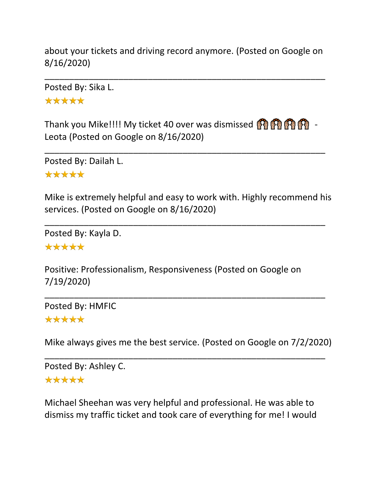about your tickets and driving record anymore. (Posted on Google on 8/16/2020)

\_\_\_\_\_\_\_\_\_\_\_\_\_\_\_\_\_\_\_\_\_\_\_\_\_\_\_\_\_\_\_\_\_\_\_\_\_\_\_\_\_\_\_\_\_\_\_\_\_\_\_\_\_\_\_\_\_

Posted By: Sika L.

\*\*\*\*\*

Thank you Mike!!!! My ticket 40 over was dismissed  $\binom{2}{3}$ Leota (Posted on Google on 8/16/2020)

\_\_\_\_\_\_\_\_\_\_\_\_\_\_\_\_\_\_\_\_\_\_\_\_\_\_\_\_\_\_\_\_\_\_\_\_\_\_\_\_\_\_\_\_\_\_\_\_\_\_\_\_\_\_\_\_\_

Posted By: Dailah L.

\*\*\*\*\*

Mike is extremely helpful and easy to work with. Highly recommend his services. (Posted on Google on 8/16/2020)

\_\_\_\_\_\_\_\_\_\_\_\_\_\_\_\_\_\_\_\_\_\_\_\_\_\_\_\_\_\_\_\_\_\_\_\_\_\_\_\_\_\_\_\_\_\_\_\_\_\_\_\_\_\_\_\_\_

Posted By: Kayla D.

\*\*\*\*\*

Positive: Professionalism, Responsiveness (Posted on Google on 7/19/2020)

\_\_\_\_\_\_\_\_\_\_\_\_\_\_\_\_\_\_\_\_\_\_\_\_\_\_\_\_\_\_\_\_\_\_\_\_\_\_\_\_\_\_\_\_\_\_\_\_\_\_\_\_\_\_\_\_\_ Posted By: HMFIC \*\*\*\*\*

Mike always gives me the best service. (Posted on Google on 7/2/2020)

\_\_\_\_\_\_\_\_\_\_\_\_\_\_\_\_\_\_\_\_\_\_\_\_\_\_\_\_\_\_\_\_\_\_\_\_\_\_\_\_\_\_\_\_\_\_\_\_\_\_\_\_\_\_\_\_\_

Posted By: Ashley C. \*\*\*\*\*

Michael Sheehan was very helpful and professional. He was able to dismiss my traffic ticket and took care of everything for me! I would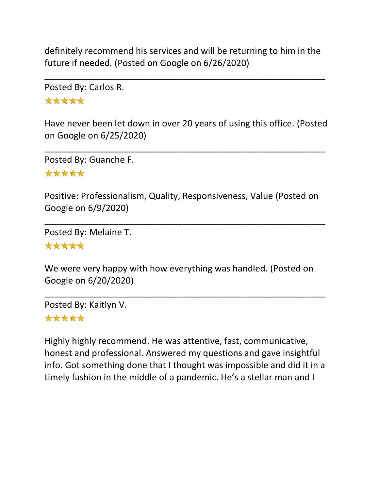definitely recommend his services and will be returning to him in the future if needed. (Posted on Google on 6/26/2020)

\_\_\_\_\_\_\_\_\_\_\_\_\_\_\_\_\_\_\_\_\_\_\_\_\_\_\_\_\_\_\_\_\_\_\_\_\_\_\_\_\_\_\_\_\_\_\_\_\_\_\_\_\_\_\_\_\_

Posted By: Carlos R. \*\*\*\*\*

Have never been let down in over 20 years of using this office. (Posted on Google on 6/25/2020)

\_\_\_\_\_\_\_\_\_\_\_\_\_\_\_\_\_\_\_\_\_\_\_\_\_\_\_\_\_\_\_\_\_\_\_\_\_\_\_\_\_\_\_\_\_\_\_\_\_\_\_\_\_\_\_\_\_

Posted By: Guanche F. \*\*\*\*\*

Positive: Professionalism, Quality, Responsiveness, Value (Posted on Google on 6/9/2020)

\_\_\_\_\_\_\_\_\_\_\_\_\_\_\_\_\_\_\_\_\_\_\_\_\_\_\_\_\_\_\_\_\_\_\_\_\_\_\_\_\_\_\_\_\_\_\_\_\_\_\_\_\_\_\_\_\_

Posted By: Melaine T. \*\*\*\*\*

We were very happy with how everything was handled. (Posted on Google on 6/20/2020)

\_\_\_\_\_\_\_\_\_\_\_\_\_\_\_\_\_\_\_\_\_\_\_\_\_\_\_\_\_\_\_\_\_\_\_\_\_\_\_\_\_\_\_\_\_\_\_\_\_\_\_\_\_\_\_\_\_

Posted By: Kaitlyn V.

### \*\*\*\*\*

Highly highly recommend. He was attentive, fast, communicative, honest and professional. Answered my questions and gave insightful info. Got something done that I thought was impossible and did it in a timely fashion in the middle of a pandemic. He's a stellar man and I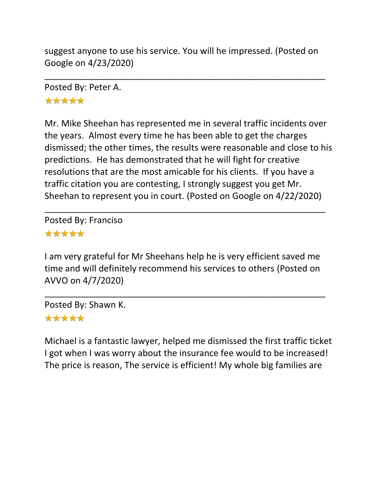suggest anyone to use his service. You will he impressed. (Posted on Google on 4/23/2020)

\_\_\_\_\_\_\_\_\_\_\_\_\_\_\_\_\_\_\_\_\_\_\_\_\_\_\_\_\_\_\_\_\_\_\_\_\_\_\_\_\_\_\_\_\_\_\_\_\_\_\_\_\_\_\_\_\_

Posted By: Peter A. \*\*\*\*\*

Mr. Mike Sheehan has represented me in several traffic incidents over the years. Almost every time he has been able to get the charges dismissed; the other times, the results were reasonable and close to his predictions. He has demonstrated that he will fight for creative resolutions that are the most amicable for his clients. If you have a traffic citation you are contesting, I strongly suggest you get Mr. Sheehan to represent you in court. (Posted on Google on 4/22/2020)

\_\_\_\_\_\_\_\_\_\_\_\_\_\_\_\_\_\_\_\_\_\_\_\_\_\_\_\_\_\_\_\_\_\_\_\_\_\_\_\_\_\_\_\_\_\_\_\_\_\_\_\_\_\_\_\_\_

Posted By: Franciso \*\*\*\*\*

I am very grateful for Mr Sheehans help he is very efficient saved me time and will definitely recommend his services to others (Posted on AVVO on 4/7/2020)

\_\_\_\_\_\_\_\_\_\_\_\_\_\_\_\_\_\_\_\_\_\_\_\_\_\_\_\_\_\_\_\_\_\_\_\_\_\_\_\_\_\_\_\_\_\_\_\_\_\_\_\_\_\_\_\_\_

Posted By: Shawn K.

# \*\*\*\*\*

Michael is a fantastic lawyer, helped me dismissed the first traffic ticket I got when I was worry about the insurance fee would to be increased! The price is reason, The service is efficient! My whole big families are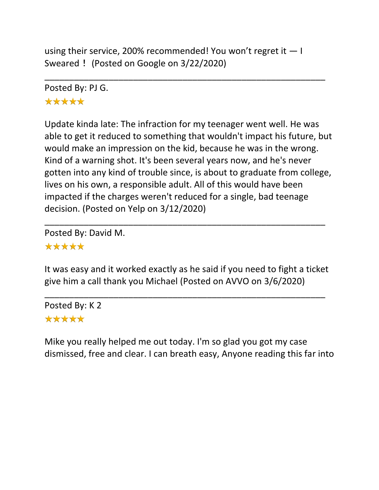using their service, 200% recommended! You won't regret it  $-1$ Sweared ! (Posted on Google on 3/22/2020)

\_\_\_\_\_\_\_\_\_\_\_\_\_\_\_\_\_\_\_\_\_\_\_\_\_\_\_\_\_\_\_\_\_\_\_\_\_\_\_\_\_\_\_\_\_\_\_\_\_\_\_\_\_\_\_\_\_

Posted By: PJ G. \*\*\*\*\*

Update kinda late: The infraction for my teenager went well. He was able to get it reduced to something that wouldn't impact his future, but would make an impression on the kid, because he was in the wrong. Kind of a warning shot. It's been several years now, and he's never gotten into any kind of trouble since, is about to graduate from college, lives on his own, a responsible adult. All of this would have been impacted if the charges weren't reduced for a single, bad teenage decision. (Posted on Yelp on 3/12/2020)

Posted By: David M.

### \*\*\*\*\*

It was easy and it worked exactly as he said if you need to fight a ticket give him a call thank you Michael (Posted on AVVO on 3/6/2020)

\_\_\_\_\_\_\_\_\_\_\_\_\_\_\_\_\_\_\_\_\_\_\_\_\_\_\_\_\_\_\_\_\_\_\_\_\_\_\_\_\_\_\_\_\_\_\_\_\_\_\_\_\_\_\_\_\_

\_\_\_\_\_\_\_\_\_\_\_\_\_\_\_\_\_\_\_\_\_\_\_\_\_\_\_\_\_\_\_\_\_\_\_\_\_\_\_\_\_\_\_\_\_\_\_\_\_\_\_\_\_\_\_\_\_

Posted By: K 2 \*\*\*\*\*

Mike you really helped me out today. I'm so glad you got my case dismissed, free and clear. I can breath easy, Anyone reading this far into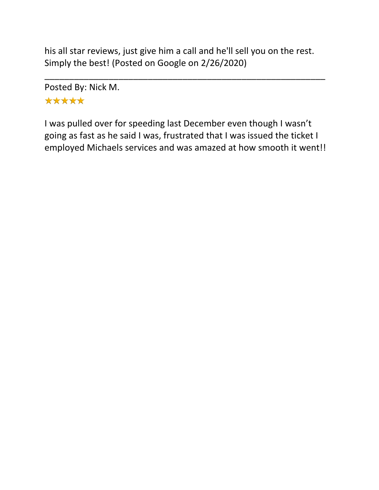his all star reviews, just give him a call and he'll sell you on the rest. Simply the best! (Posted on Google on 2/26/2020)

\_\_\_\_\_\_\_\_\_\_\_\_\_\_\_\_\_\_\_\_\_\_\_\_\_\_\_\_\_\_\_\_\_\_\_\_\_\_\_\_\_\_\_\_\_\_\_\_\_\_\_\_\_\_\_\_\_

Posted By: Nick M. \*\*\*\*\*

I was pulled over for speeding last December even though I wasn't going as fast as he said I was, frustrated that I was issued the ticket I employed Michaels services and was amazed at how smooth it went!!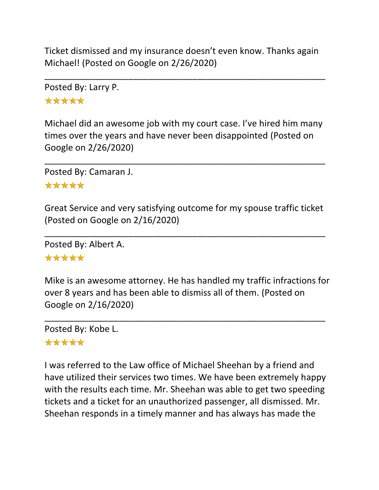Ticket dismissed and my insurance doesn't even know. Thanks again Michael! (Posted on Google on 2/26/2020)

\_\_\_\_\_\_\_\_\_\_\_\_\_\_\_\_\_\_\_\_\_\_\_\_\_\_\_\_\_\_\_\_\_\_\_\_\_\_\_\_\_\_\_\_\_\_\_\_\_\_\_\_\_\_\_\_\_

Posted By: Larry P. \*\*\*\*\*

Michael did an awesome job with my court case. I've hired him many times over the years and have never been disappointed (Posted on Google on 2/26/2020)

\_\_\_\_\_\_\_\_\_\_\_\_\_\_\_\_\_\_\_\_\_\_\_\_\_\_\_\_\_\_\_\_\_\_\_\_\_\_\_\_\_\_\_\_\_\_\_\_\_\_\_\_\_\_\_\_\_

Posted By: Camaran J.

#### \*\*\*\*\*

Great Service and very satisfying outcome for my spouse traffic ticket (Posted on Google on 2/16/2020)

\_\_\_\_\_\_\_\_\_\_\_\_\_\_\_\_\_\_\_\_\_\_\_\_\_\_\_\_\_\_\_\_\_\_\_\_\_\_\_\_\_\_\_\_\_\_\_\_\_\_\_\_\_\_\_\_\_

Posted By: Albert A.

#### \*\*\*\*\*

Mike is an awesome attorney. He has handled my traffic infractions for over 8 years and has been able to dismiss all of them. (Posted on Google on 2/16/2020)

\_\_\_\_\_\_\_\_\_\_\_\_\_\_\_\_\_\_\_\_\_\_\_\_\_\_\_\_\_\_\_\_\_\_\_\_\_\_\_\_\_\_\_\_\_\_\_\_\_\_\_\_\_\_\_\_\_

Posted By: Kobe L. \*\*\*\*\*

I was referred to the Law office of Michael Sheehan by a friend and have utilized their services two times. We have been extremely happy with the results each time. Mr. Sheehan was able to get two speeding tickets and a ticket for an unauthorized passenger, all dismissed. Mr. Sheehan responds in a timely manner and has always has made the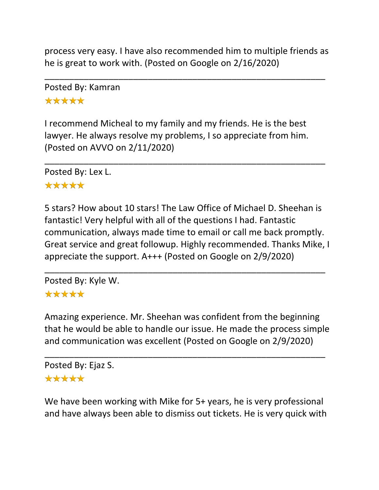process very easy. I have also recommended him to multiple friends as he is great to work with. (Posted on Google on 2/16/2020)

\_\_\_\_\_\_\_\_\_\_\_\_\_\_\_\_\_\_\_\_\_\_\_\_\_\_\_\_\_\_\_\_\_\_\_\_\_\_\_\_\_\_\_\_\_\_\_\_\_\_\_\_\_\_\_\_\_

Posted By: Kamran \*\*\*\*\*

I recommend Micheal to my family and my friends. He is the best lawyer. He always resolve my problems, I so appreciate from him. (Posted on AVVO on 2/11/2020)

\_\_\_\_\_\_\_\_\_\_\_\_\_\_\_\_\_\_\_\_\_\_\_\_\_\_\_\_\_\_\_\_\_\_\_\_\_\_\_\_\_\_\_\_\_\_\_\_\_\_\_\_\_\_\_\_\_

Posted By: Lex L.

### \*\*\*\*\*

5 stars? How about 10 stars! The Law Office of Michael D. Sheehan is fantastic! Very helpful with all of the questions I had. Fantastic communication, always made time to email or call me back promptly. Great service and great followup. Highly recommended. Thanks Mike, I appreciate the support. A+++ (Posted on Google on 2/9/2020)

\_\_\_\_\_\_\_\_\_\_\_\_\_\_\_\_\_\_\_\_\_\_\_\_\_\_\_\_\_\_\_\_\_\_\_\_\_\_\_\_\_\_\_\_\_\_\_\_\_\_\_\_\_\_\_\_\_

Posted By: Kyle W. \*\*\*\*\*

## Amazing experience. Mr. Sheehan was confident from the beginning that he would be able to handle our issue. He made the process simple and communication was excellent (Posted on Google on 2/9/2020)

\_\_\_\_\_\_\_\_\_\_\_\_\_\_\_\_\_\_\_\_\_\_\_\_\_\_\_\_\_\_\_\_\_\_\_\_\_\_\_\_\_\_\_\_\_\_\_\_\_\_\_\_\_\_\_\_\_

```
Posted By: Ejaz S.
*****
```
We have been working with Mike for 5+ years, he is very professional and have always been able to dismiss out tickets. He is very quick with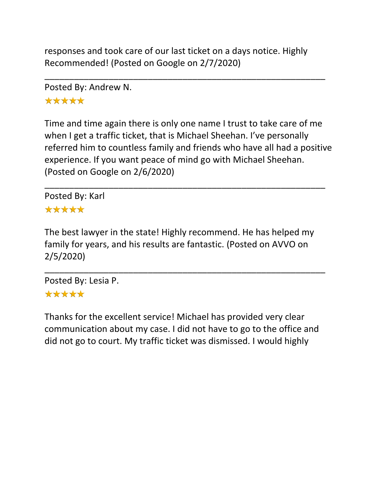responses and took care of our last ticket on a days notice. Highly Recommended! (Posted on Google on 2/7/2020)

\_\_\_\_\_\_\_\_\_\_\_\_\_\_\_\_\_\_\_\_\_\_\_\_\_\_\_\_\_\_\_\_\_\_\_\_\_\_\_\_\_\_\_\_\_\_\_\_\_\_\_\_\_\_\_\_\_

Posted By: Andrew N.

\*\*\*\*\*

Time and time again there is only one name I trust to take care of me when I get a traffic ticket, that is Michael Sheehan. I've personally referred him to countless family and friends who have all had a positive experience. If you want peace of mind go with Michael Sheehan. (Posted on Google on 2/6/2020)

\_\_\_\_\_\_\_\_\_\_\_\_\_\_\_\_\_\_\_\_\_\_\_\_\_\_\_\_\_\_\_\_\_\_\_\_\_\_\_\_\_\_\_\_\_\_\_\_\_\_\_\_\_\_\_\_\_

Posted By: Karl \*\*\*\*\*

The best lawyer in the state! Highly recommend. He has helped my family for years, and his results are fantastic. (Posted on AVVO on 2/5/2020)

\_\_\_\_\_\_\_\_\_\_\_\_\_\_\_\_\_\_\_\_\_\_\_\_\_\_\_\_\_\_\_\_\_\_\_\_\_\_\_\_\_\_\_\_\_\_\_\_\_\_\_\_\_\_\_\_\_

Posted By: Lesia P. \*\*\*\*\*

Thanks for the excellent service! Michael has provided very clear communication about my case. I did not have to go to the office and did not go to court. My traffic ticket was dismissed. I would highly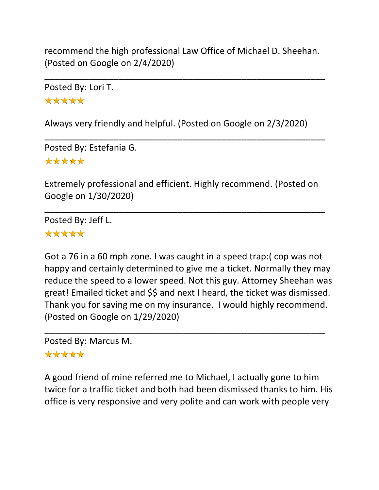recommend the high professional Law Office of Michael D. Sheehan. (Posted on Google on 2/4/2020)

\_\_\_\_\_\_\_\_\_\_\_\_\_\_\_\_\_\_\_\_\_\_\_\_\_\_\_\_\_\_\_\_\_\_\_\_\_\_\_\_\_\_\_\_\_\_\_\_\_\_\_\_\_\_\_\_\_

Posted By: Lori T. \*\*\*\*\*

Always very friendly and helpful. (Posted on Google on 2/3/2020)

\_\_\_\_\_\_\_\_\_\_\_\_\_\_\_\_\_\_\_\_\_\_\_\_\_\_\_\_\_\_\_\_\_\_\_\_\_\_\_\_\_\_\_\_\_\_\_\_\_\_\_\_\_\_\_\_\_

Posted By: Estefania G. \*\*\*\*\*

Extremely professional and efficient. Highly recommend. (Posted on Google on 1/30/2020)

\_\_\_\_\_\_\_\_\_\_\_\_\_\_\_\_\_\_\_\_\_\_\_\_\_\_\_\_\_\_\_\_\_\_\_\_\_\_\_\_\_\_\_\_\_\_\_\_\_\_\_\_\_\_\_\_\_

Posted By: Jeff L. \*\*\*\*\*

Got a 76 in a 60 mph zone. I was caught in a speed trap:( cop was not happy and certainly determined to give me a ticket. Normally they may reduce the speed to a lower speed. Not this guy. Attorney Sheehan was great! Emailed ticket and \$\$ and next I heard, the ticket was dismissed. Thank you for saving me on my insurance. I would highly recommend. (Posted on Google on 1/29/2020)

\_\_\_\_\_\_\_\_\_\_\_\_\_\_\_\_\_\_\_\_\_\_\_\_\_\_\_\_\_\_\_\_\_\_\_\_\_\_\_\_\_\_\_\_\_\_\_\_\_\_\_\_\_\_\_\_\_

Posted By: Marcus M.

### \*\*\*\*\*

A good friend of mine referred me to Michael, I actually gone to him twice for a traffic ticket and both had been dismissed thanks to him. His office is very responsive and very polite and can work with people very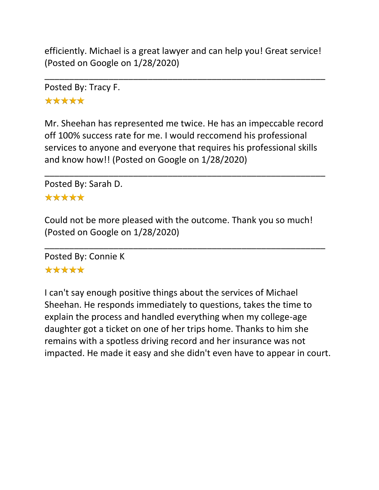efficiently. Michael is a great lawyer and can help you! Great service! (Posted on Google on 1/28/2020)

\_\_\_\_\_\_\_\_\_\_\_\_\_\_\_\_\_\_\_\_\_\_\_\_\_\_\_\_\_\_\_\_\_\_\_\_\_\_\_\_\_\_\_\_\_\_\_\_\_\_\_\_\_\_\_\_\_

Posted By: Tracy F. \*\*\*\*\*

Mr. Sheehan has represented me twice. He has an impeccable record off 100% success rate for me. I would reccomend his professional services to anyone and everyone that requires his professional skills and know how!! (Posted on Google on 1/28/2020)

\_\_\_\_\_\_\_\_\_\_\_\_\_\_\_\_\_\_\_\_\_\_\_\_\_\_\_\_\_\_\_\_\_\_\_\_\_\_\_\_\_\_\_\_\_\_\_\_\_\_\_\_\_\_\_\_\_

Posted By: Sarah D.

#### \*\*\*\*\*

Could not be more pleased with the outcome. Thank you so much! (Posted on Google on 1/28/2020)

\_\_\_\_\_\_\_\_\_\_\_\_\_\_\_\_\_\_\_\_\_\_\_\_\_\_\_\_\_\_\_\_\_\_\_\_\_\_\_\_\_\_\_\_\_\_\_\_\_\_\_\_\_\_\_\_\_

Posted By: Connie K \*\*\*\*\*

I can't say enough positive things about the services of Michael Sheehan. He responds immediately to questions, takes the time to explain the process and handled everything when my college-age daughter got a ticket on one of her trips home. Thanks to him she remains with a spotless driving record and her insurance was not impacted. He made it easy and she didn't even have to appear in court.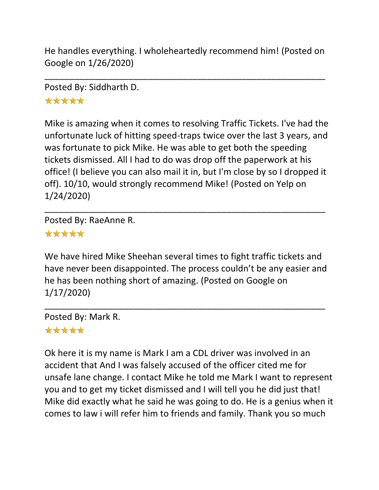He handles everything. I wholeheartedly recommend him! (Posted on Google on 1/26/2020)

\_\_\_\_\_\_\_\_\_\_\_\_\_\_\_\_\_\_\_\_\_\_\_\_\_\_\_\_\_\_\_\_\_\_\_\_\_\_\_\_\_\_\_\_\_\_\_\_\_\_\_\_\_\_\_\_\_

Posted By: Siddharth D.

## \*\*\*\*\*

Mike is amazing when it comes to resolving Traffic Tickets. I've had the unfortunate luck of hitting speed-traps twice over the last 3 years, and was fortunate to pick Mike. He was able to get both the speeding tickets dismissed. All I had to do was drop off the paperwork at his office! (I believe you can also mail it in, but I'm close by so I dropped it off). 10/10, would strongly recommend Mike! (Posted on Yelp on 1/24/2020)

\_\_\_\_\_\_\_\_\_\_\_\_\_\_\_\_\_\_\_\_\_\_\_\_\_\_\_\_\_\_\_\_\_\_\_\_\_\_\_\_\_\_\_\_\_\_\_\_\_\_\_\_\_\_\_\_\_

Posted By: RaeAnne R.

# \*\*\*\*\*

We have hired Mike Sheehan several times to fight traffic tickets and have never been disappointed. The process couldn't be any easier and he has been nothing short of amazing. (Posted on Google on 1/17/2020)

\_\_\_\_\_\_\_\_\_\_\_\_\_\_\_\_\_\_\_\_\_\_\_\_\_\_\_\_\_\_\_\_\_\_\_\_\_\_\_\_\_\_\_\_\_\_\_\_\_\_\_\_\_\_\_\_\_

Posted By: Mark R.

# \*\*\*\*\*

Ok here it is my name is Mark I am a CDL driver was involved in an accident that And I was falsely accused of the officer cited me for unsafe lane change. I contact Mike he told me Mark I want to represent you and to get my ticket dismissed and I will tell you he did just that! Mike did exactly what he said he was going to do. He is a genius when it comes to law i will refer him to friends and family. Thank you so much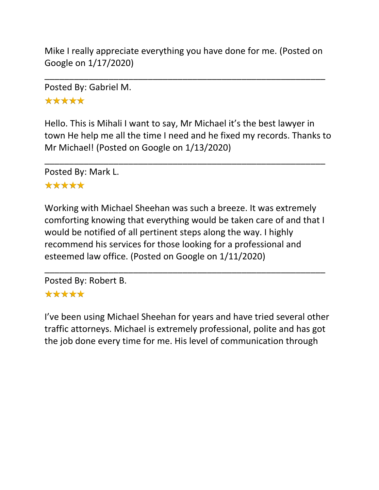Mike I really appreciate everything you have done for me. (Posted on Google on 1/17/2020)

\_\_\_\_\_\_\_\_\_\_\_\_\_\_\_\_\_\_\_\_\_\_\_\_\_\_\_\_\_\_\_\_\_\_\_\_\_\_\_\_\_\_\_\_\_\_\_\_\_\_\_\_\_\_\_\_\_

Posted By: Gabriel M.

\*\*\*\*\*

Hello. This is Mihali I want to say, Mr Michael it's the best lawyer in town He help me all the time I need and he fixed my records. Thanks to Mr Michael! (Posted on Google on 1/13/2020)

\_\_\_\_\_\_\_\_\_\_\_\_\_\_\_\_\_\_\_\_\_\_\_\_\_\_\_\_\_\_\_\_\_\_\_\_\_\_\_\_\_\_\_\_\_\_\_\_\_\_\_\_\_\_\_\_\_

Posted By: Mark L.

## \*\*\*\*\*

Working with Michael Sheehan was such a breeze. It was extremely comforting knowing that everything would be taken care of and that I would be notified of all pertinent steps along the way. I highly recommend his services for those looking for a professional and esteemed law office. (Posted on Google on 1/11/2020)

\_\_\_\_\_\_\_\_\_\_\_\_\_\_\_\_\_\_\_\_\_\_\_\_\_\_\_\_\_\_\_\_\_\_\_\_\_\_\_\_\_\_\_\_\_\_\_\_\_\_\_\_\_\_\_\_\_

Posted By: Robert B. \*\*\*\*\*

I've been using Michael Sheehan for years and have tried several other traffic attorneys. Michael is extremely professional, polite and has got the job done every time for me. His level of communication through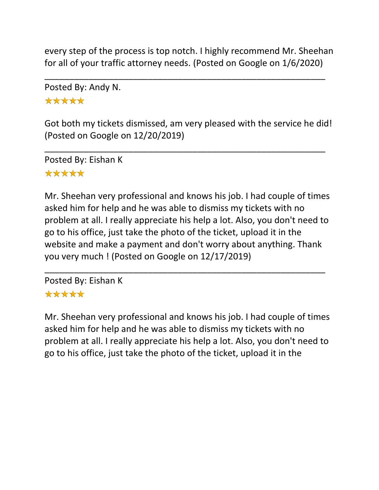every step of the process is top notch. I highly recommend Mr. Sheehan for all of your traffic attorney needs. (Posted on Google on 1/6/2020)

\_\_\_\_\_\_\_\_\_\_\_\_\_\_\_\_\_\_\_\_\_\_\_\_\_\_\_\_\_\_\_\_\_\_\_\_\_\_\_\_\_\_\_\_\_\_\_\_\_\_\_\_\_\_\_\_\_

Posted By: Andy N.

\*\*\*\*\*

Got both my tickets dismissed, am very pleased with the service he did! (Posted on Google on 12/20/2019)

\_\_\_\_\_\_\_\_\_\_\_\_\_\_\_\_\_\_\_\_\_\_\_\_\_\_\_\_\_\_\_\_\_\_\_\_\_\_\_\_\_\_\_\_\_\_\_\_\_\_\_\_\_\_\_\_\_

Posted By: Eishan K \*\*\*\*\*

Mr. Sheehan very professional and knows his job. I had couple of times asked him for help and he was able to dismiss my tickets with no problem at all. I really appreciate his help a lot. Also, you don't need to go to his office, just take the photo of the ticket, upload it in the website and make a payment and don't worry about anything. Thank you very much ! (Posted on Google on 12/17/2019)

\_\_\_\_\_\_\_\_\_\_\_\_\_\_\_\_\_\_\_\_\_\_\_\_\_\_\_\_\_\_\_\_\_\_\_\_\_\_\_\_\_\_\_\_\_\_\_\_\_\_\_\_\_\_\_\_\_

Posted By: Eishan K \*\*\*\*\*

Mr. Sheehan very professional and knows his job. I had couple of times asked him for help and he was able to dismiss my tickets with no problem at all. I really appreciate his help a lot. Also, you don't need to go to his office, just take the photo of the ticket, upload it in the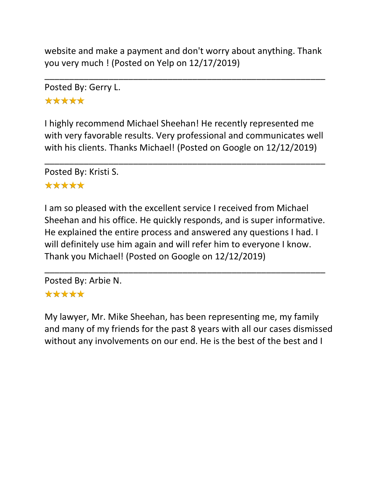website and make a payment and don't worry about anything. Thank you very much ! (Posted on Yelp on 12/17/2019)

\_\_\_\_\_\_\_\_\_\_\_\_\_\_\_\_\_\_\_\_\_\_\_\_\_\_\_\_\_\_\_\_\_\_\_\_\_\_\_\_\_\_\_\_\_\_\_\_\_\_\_\_\_\_\_\_\_

Posted By: Gerry L. \*\*\*\*\*

I highly recommend Michael Sheehan! He recently represented me with very favorable results. Very professional and communicates well with his clients. Thanks Michael! (Posted on Google on 12/12/2019)

\_\_\_\_\_\_\_\_\_\_\_\_\_\_\_\_\_\_\_\_\_\_\_\_\_\_\_\_\_\_\_\_\_\_\_\_\_\_\_\_\_\_\_\_\_\_\_\_\_\_\_\_\_\_\_\_\_

Posted By: Kristi S.

### \*\*\*\*\*

I am so pleased with the excellent service I received from Michael Sheehan and his office. He quickly responds, and is super informative. He explained the entire process and answered any questions I had. I will definitely use him again and will refer him to everyone I know. Thank you Michael! (Posted on Google on 12/12/2019)

\_\_\_\_\_\_\_\_\_\_\_\_\_\_\_\_\_\_\_\_\_\_\_\_\_\_\_\_\_\_\_\_\_\_\_\_\_\_\_\_\_\_\_\_\_\_\_\_\_\_\_\_\_\_\_\_\_

Posted By: Arbie N.

### \*\*\*\*\*

My lawyer, Mr. Mike Sheehan, has been representing me, my family and many of my friends for the past 8 years with all our cases dismissed without any involvements on our end. He is the best of the best and I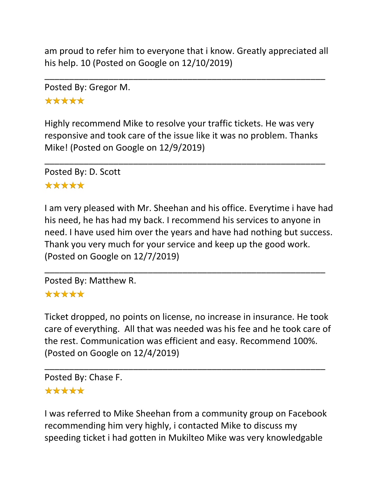am proud to refer him to everyone that i know. Greatly appreciated all his help. 10 (Posted on Google on 12/10/2019)

\_\_\_\_\_\_\_\_\_\_\_\_\_\_\_\_\_\_\_\_\_\_\_\_\_\_\_\_\_\_\_\_\_\_\_\_\_\_\_\_\_\_\_\_\_\_\_\_\_\_\_\_\_\_\_\_\_

Posted By: Gregor M.

\*\*\*\*\*

Highly recommend Mike to resolve your traffic tickets. He was very responsive and took care of the issue like it was no problem. Thanks Mike! (Posted on Google on 12/9/2019)

\_\_\_\_\_\_\_\_\_\_\_\_\_\_\_\_\_\_\_\_\_\_\_\_\_\_\_\_\_\_\_\_\_\_\_\_\_\_\_\_\_\_\_\_\_\_\_\_\_\_\_\_\_\_\_\_\_

Posted By: D. Scott \*\*\*\*\*

I am very pleased with Mr. Sheehan and his office. Everytime i have had his need, he has had my back. I recommend his services to anyone in need. I have used him over the years and have had nothing but success. Thank you very much for your service and keep up the good work. (Posted on Google on 12/7/2019)

\_\_\_\_\_\_\_\_\_\_\_\_\_\_\_\_\_\_\_\_\_\_\_\_\_\_\_\_\_\_\_\_\_\_\_\_\_\_\_\_\_\_\_\_\_\_\_\_\_\_\_\_\_\_\_\_\_

Posted By: Matthew R.

### \*\*\*\*\*

Ticket dropped, no points on license, no increase in insurance. He took care of everything. All that was needed was his fee and he took care of the rest. Communication was efficient and easy. Recommend 100%. (Posted on Google on 12/4/2019)

\_\_\_\_\_\_\_\_\_\_\_\_\_\_\_\_\_\_\_\_\_\_\_\_\_\_\_\_\_\_\_\_\_\_\_\_\_\_\_\_\_\_\_\_\_\_\_\_\_\_\_\_\_\_\_\_\_

Posted By: Chase F.

#### \*\*\*\*\*

I was referred to Mike Sheehan from a community group on Facebook recommending him very highly, i contacted Mike to discuss my speeding ticket i had gotten in Mukilteo Mike was very knowledgable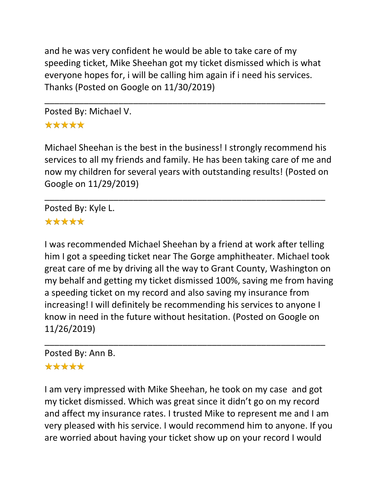and he was very confident he would be able to take care of my speeding ticket, Mike Sheehan got my ticket dismissed which is what everyone hopes for, i will be calling him again if i need his services. Thanks (Posted on Google on 11/30/2019)

\_\_\_\_\_\_\_\_\_\_\_\_\_\_\_\_\_\_\_\_\_\_\_\_\_\_\_\_\_\_\_\_\_\_\_\_\_\_\_\_\_\_\_\_\_\_\_\_\_\_\_\_\_\_\_\_\_

Posted By: Michael V. \*\*\*\*\*

Michael Sheehan is the best in the business! I strongly recommend his services to all my friends and family. He has been taking care of me and now my children for several years with outstanding results! (Posted on Google on 11/29/2019)

\_\_\_\_\_\_\_\_\_\_\_\_\_\_\_\_\_\_\_\_\_\_\_\_\_\_\_\_\_\_\_\_\_\_\_\_\_\_\_\_\_\_\_\_\_\_\_\_\_\_\_\_\_\_\_\_\_

Posted By: Kyle L.

### \*\*\*\*\*

I was recommended Michael Sheehan by a friend at work after telling him I got a speeding ticket near The Gorge amphitheater. Michael took great care of me by driving all the way to Grant County, Washington on my behalf and getting my ticket dismissed 100%, saving me from having a speeding ticket on my record and also saving my insurance from increasing! I will definitely be recommending his services to anyone I know in need in the future without hesitation. (Posted on Google on 11/26/2019)

\_\_\_\_\_\_\_\_\_\_\_\_\_\_\_\_\_\_\_\_\_\_\_\_\_\_\_\_\_\_\_\_\_\_\_\_\_\_\_\_\_\_\_\_\_\_\_\_\_\_\_\_\_\_\_\_\_

# Posted By: Ann B.

### \*\*\*\*\*

I am very impressed with Mike Sheehan, he took on my case and got my ticket dismissed. Which was great since it didn't go on my record and affect my insurance rates. I trusted Mike to represent me and I am very pleased with his service. I would recommend him to anyone. If you are worried about having your ticket show up on your record I would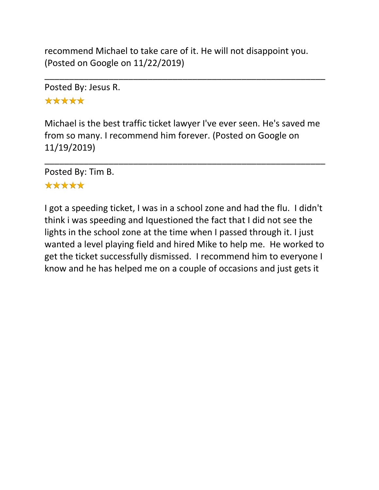recommend Michael to take care of it. He will not disappoint you. (Posted on Google on 11/22/2019)

\_\_\_\_\_\_\_\_\_\_\_\_\_\_\_\_\_\_\_\_\_\_\_\_\_\_\_\_\_\_\_\_\_\_\_\_\_\_\_\_\_\_\_\_\_\_\_\_\_\_\_\_\_\_\_\_\_

Posted By: Jesus R.

\*\*\*\*\*

Michael is the best traffic ticket lawyer I've ever seen. He's saved me from so many. I recommend him forever. (Posted on Google on 11/19/2019)

\_\_\_\_\_\_\_\_\_\_\_\_\_\_\_\_\_\_\_\_\_\_\_\_\_\_\_\_\_\_\_\_\_\_\_\_\_\_\_\_\_\_\_\_\_\_\_\_\_\_\_\_\_\_\_\_\_

Posted By: Tim B.

### \*\*\*\*\*

I got a speeding ticket, I was in a school zone and had the flu. I didn't think i was speeding and Iquestioned the fact that I did not see the lights in the school zone at the time when I passed through it. I just wanted a level playing field and hired Mike to help me. He worked to get the ticket successfully dismissed. I recommend him to everyone I know and he has helped me on a couple of occasions and just gets it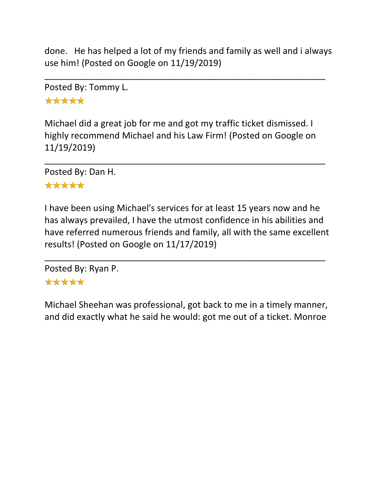done. He has helped a lot of my friends and family as well and i always use him! (Posted on Google on 11/19/2019)

\_\_\_\_\_\_\_\_\_\_\_\_\_\_\_\_\_\_\_\_\_\_\_\_\_\_\_\_\_\_\_\_\_\_\_\_\_\_\_\_\_\_\_\_\_\_\_\_\_\_\_\_\_\_\_\_\_

Posted By: Tommy L. \*\*\*\*\*

Michael did a great job for me and got my traffic ticket dismissed. I highly recommend Michael and his Law Firm! (Posted on Google on 11/19/2019)

\_\_\_\_\_\_\_\_\_\_\_\_\_\_\_\_\_\_\_\_\_\_\_\_\_\_\_\_\_\_\_\_\_\_\_\_\_\_\_\_\_\_\_\_\_\_\_\_\_\_\_\_\_\_\_\_\_

Posted By: Dan H.

### \*\*\*\*\*

I have been using Michael's services for at least 15 years now and he has always prevailed, I have the utmost confidence in his abilities and have referred numerous friends and family, all with the same excellent results! (Posted on Google on 11/17/2019)

\_\_\_\_\_\_\_\_\_\_\_\_\_\_\_\_\_\_\_\_\_\_\_\_\_\_\_\_\_\_\_\_\_\_\_\_\_\_\_\_\_\_\_\_\_\_\_\_\_\_\_\_\_\_\_\_\_

Posted By: Ryan P. \*\*\*\*\*

Michael Sheehan was professional, got back to me in a timely manner, and did exactly what he said he would: got me out of a ticket. Monroe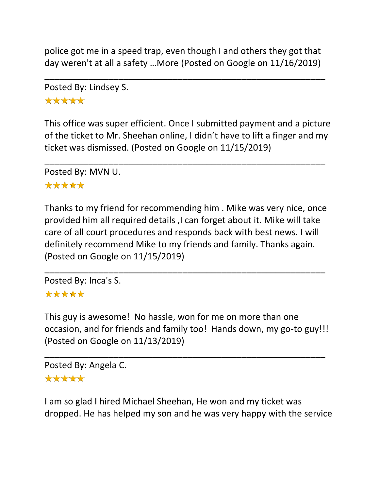police got me in a speed trap, even though I and others they got that day weren't at all a safety …More (Posted on Google on 11/16/2019)

\_\_\_\_\_\_\_\_\_\_\_\_\_\_\_\_\_\_\_\_\_\_\_\_\_\_\_\_\_\_\_\_\_\_\_\_\_\_\_\_\_\_\_\_\_\_\_\_\_\_\_\_\_\_\_\_\_

Posted By: Lindsey S. \*\*\*\*\*

This office was super efficient. Once I submitted payment and a picture of the ticket to Mr. Sheehan online, I didn't have to lift a finger and my ticket was dismissed. (Posted on Google on 11/15/2019)

\_\_\_\_\_\_\_\_\_\_\_\_\_\_\_\_\_\_\_\_\_\_\_\_\_\_\_\_\_\_\_\_\_\_\_\_\_\_\_\_\_\_\_\_\_\_\_\_\_\_\_\_\_\_\_\_\_

Posted By: MVN U.

### \*\*\*\*\*

Thanks to my friend for recommending him . Mike was very nice, once provided him all required details ,I can forget about it. Mike will take care of all court procedures and responds back with best news. I will definitely recommend Mike to my friends and family. Thanks again. (Posted on Google on 11/15/2019)

\_\_\_\_\_\_\_\_\_\_\_\_\_\_\_\_\_\_\_\_\_\_\_\_\_\_\_\_\_\_\_\_\_\_\_\_\_\_\_\_\_\_\_\_\_\_\_\_\_\_\_\_\_\_\_\_\_

Posted By: Inca's S.

# \*\*\*\*\*

This guy is awesome! No hassle, won for me on more than one occasion, and for friends and family too! Hands down, my go-to guy!!! (Posted on Google on 11/13/2019)

\_\_\_\_\_\_\_\_\_\_\_\_\_\_\_\_\_\_\_\_\_\_\_\_\_\_\_\_\_\_\_\_\_\_\_\_\_\_\_\_\_\_\_\_\_\_\_\_\_\_\_\_\_\_\_\_\_

Posted By: Angela C. \*\*\*\*\*

I am so glad I hired Michael Sheehan, He won and my ticket was dropped. He has helped my son and he was very happy with the service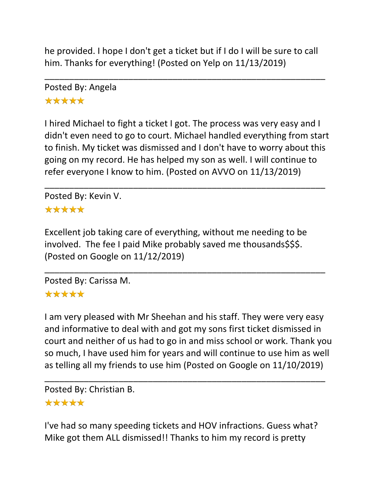he provided. I hope I don't get a ticket but if I do I will be sure to call him. Thanks for everything! (Posted on Yelp on 11/13/2019)

\_\_\_\_\_\_\_\_\_\_\_\_\_\_\_\_\_\_\_\_\_\_\_\_\_\_\_\_\_\_\_\_\_\_\_\_\_\_\_\_\_\_\_\_\_\_\_\_\_\_\_\_\_\_\_\_\_

Posted By: Angela \*\*\*\*\*

I hired Michael to fight a ticket I got. The process was very easy and I didn't even need to go to court. Michael handled everything from start to finish. My ticket was dismissed and I don't have to worry about this going on my record. He has helped my son as well. I will continue to refer everyone I know to him. (Posted on AVVO on 11/13/2019)

\_\_\_\_\_\_\_\_\_\_\_\_\_\_\_\_\_\_\_\_\_\_\_\_\_\_\_\_\_\_\_\_\_\_\_\_\_\_\_\_\_\_\_\_\_\_\_\_\_\_\_\_\_\_\_\_\_

Posted By: Kevin V.

### \*\*\*\*\*

Excellent job taking care of everything, without me needing to be involved. The fee I paid Mike probably saved me thousands\$\$\$. (Posted on Google on 11/12/2019)

\_\_\_\_\_\_\_\_\_\_\_\_\_\_\_\_\_\_\_\_\_\_\_\_\_\_\_\_\_\_\_\_\_\_\_\_\_\_\_\_\_\_\_\_\_\_\_\_\_\_\_\_\_\_\_\_\_

Posted By: Carissa M.

#### \*\*\*\*\*

I am very pleased with Mr Sheehan and his staff. They were very easy and informative to deal with and got my sons first ticket dismissed in court and neither of us had to go in and miss school or work. Thank you so much, I have used him for years and will continue to use him as well as telling all my friends to use him (Posted on Google on 11/10/2019)

\_\_\_\_\_\_\_\_\_\_\_\_\_\_\_\_\_\_\_\_\_\_\_\_\_\_\_\_\_\_\_\_\_\_\_\_\_\_\_\_\_\_\_\_\_\_\_\_\_\_\_\_\_\_\_\_\_

Posted By: Christian B. \*\*\*\*\*

I've had so many speeding tickets and HOV infractions. Guess what? Mike got them ALL dismissed!! Thanks to him my record is pretty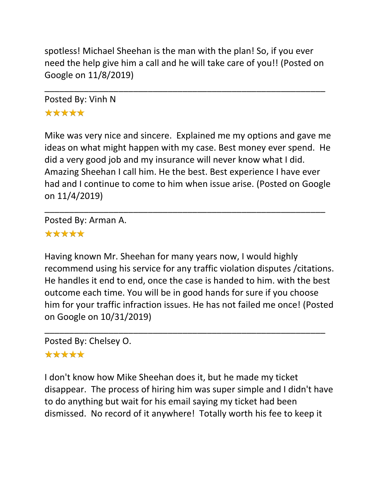spotless! Michael Sheehan is the man with the plan! So, if you ever need the help give him a call and he will take care of you!! (Posted on Google on 11/8/2019)

\_\_\_\_\_\_\_\_\_\_\_\_\_\_\_\_\_\_\_\_\_\_\_\_\_\_\_\_\_\_\_\_\_\_\_\_\_\_\_\_\_\_\_\_\_\_\_\_\_\_\_\_\_\_\_\_\_

Posted By: Vinh N \*\*\*\*\*

Mike was very nice and sincere. Explained me my options and gave me ideas on what might happen with my case. Best money ever spend. He did a very good job and my insurance will never know what I did. Amazing Sheehan I call him. He the best. Best experience I have ever had and I continue to come to him when issue arise. (Posted on Google on 11/4/2019)

\_\_\_\_\_\_\_\_\_\_\_\_\_\_\_\_\_\_\_\_\_\_\_\_\_\_\_\_\_\_\_\_\_\_\_\_\_\_\_\_\_\_\_\_\_\_\_\_\_\_\_\_\_\_\_\_\_

Posted By: Arman A.

### \*\*\*\*\*

Having known Mr. Sheehan for many years now, I would highly recommend using his service for any traffic violation disputes /citations. He handles it end to end, once the case is handed to him. with the best outcome each time. You will be in good hands for sure if you choose him for your traffic infraction issues. He has not failed me once! (Posted on Google on 10/31/2019)

\_\_\_\_\_\_\_\_\_\_\_\_\_\_\_\_\_\_\_\_\_\_\_\_\_\_\_\_\_\_\_\_\_\_\_\_\_\_\_\_\_\_\_\_\_\_\_\_\_\_\_\_\_\_\_\_\_

Posted By: Chelsey O.

### \*\*\*\*\*

I don't know how Mike Sheehan does it, but he made my ticket disappear. The process of hiring him was super simple and I didn't have to do anything but wait for his email saying my ticket had been dismissed. No record of it anywhere! Totally worth his fee to keep it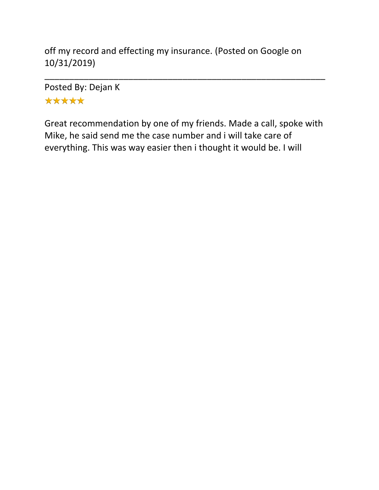off my record and effecting my insurance. (Posted on Google on 10/31/2019)

Posted By: Dejan K \*\*\*\*\*

Great recommendation by one of my friends. Made a call, spoke with Mike, he said send me the case number and i will take care of everything. This was way easier then i thought it would be. I will

\_\_\_\_\_\_\_\_\_\_\_\_\_\_\_\_\_\_\_\_\_\_\_\_\_\_\_\_\_\_\_\_\_\_\_\_\_\_\_\_\_\_\_\_\_\_\_\_\_\_\_\_\_\_\_\_\_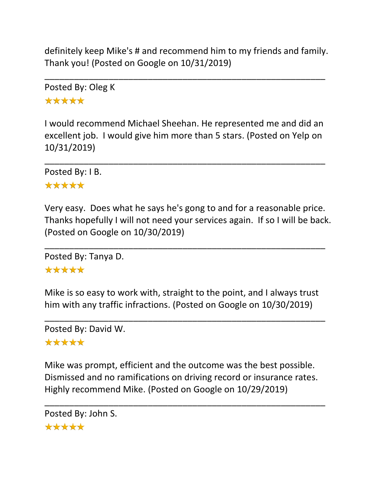definitely keep Mike's # and recommend him to my friends and family. Thank you! (Posted on Google on 10/31/2019)

\_\_\_\_\_\_\_\_\_\_\_\_\_\_\_\_\_\_\_\_\_\_\_\_\_\_\_\_\_\_\_\_\_\_\_\_\_\_\_\_\_\_\_\_\_\_\_\_\_\_\_\_\_\_\_\_\_

Posted By: Oleg K \*\*\*\*\*

I would recommend Michael Sheehan. He represented me and did an excellent job. I would give him more than 5 stars. (Posted on Yelp on 10/31/2019)

\_\_\_\_\_\_\_\_\_\_\_\_\_\_\_\_\_\_\_\_\_\_\_\_\_\_\_\_\_\_\_\_\_\_\_\_\_\_\_\_\_\_\_\_\_\_\_\_\_\_\_\_\_\_\_\_\_

Posted By: I B.

## \*\*\*\*\*

Very easy. Does what he says he's gong to and for a reasonable price. Thanks hopefully I will not need your services again. If so I will be back. (Posted on Google on 10/30/2019)

\_\_\_\_\_\_\_\_\_\_\_\_\_\_\_\_\_\_\_\_\_\_\_\_\_\_\_\_\_\_\_\_\_\_\_\_\_\_\_\_\_\_\_\_\_\_\_\_\_\_\_\_\_\_\_\_\_

Posted By: Tanya D.

### \*\*\*\*\*

Mike is so easy to work with, straight to the point, and I always trust him with any traffic infractions. (Posted on Google on 10/30/2019)

\_\_\_\_\_\_\_\_\_\_\_\_\_\_\_\_\_\_\_\_\_\_\_\_\_\_\_\_\_\_\_\_\_\_\_\_\_\_\_\_\_\_\_\_\_\_\_\_\_\_\_\_\_\_\_\_\_ Posted By: David W.

\*\*\*\*\*

Mike was prompt, efficient and the outcome was the best possible. Dismissed and no ramifications on driving record or insurance rates. Highly recommend Mike. (Posted on Google on 10/29/2019)

\_\_\_\_\_\_\_\_\_\_\_\_\_\_\_\_\_\_\_\_\_\_\_\_\_\_\_\_\_\_\_\_\_\_\_\_\_\_\_\_\_\_\_\_\_\_\_\_\_\_\_\_\_\_\_\_\_

```
Posted By: John S.*****
```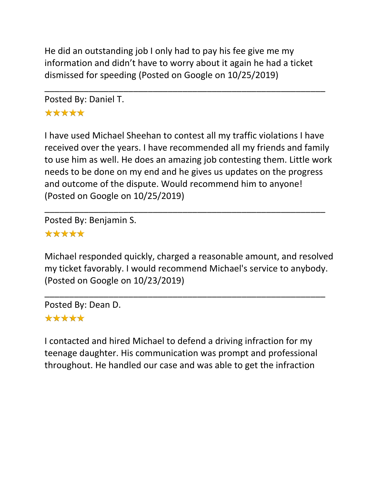He did an outstanding job I only had to pay his fee give me my information and didn't have to worry about it again he had a ticket dismissed for speeding (Posted on Google on 10/25/2019)

\_\_\_\_\_\_\_\_\_\_\_\_\_\_\_\_\_\_\_\_\_\_\_\_\_\_\_\_\_\_\_\_\_\_\_\_\_\_\_\_\_\_\_\_\_\_\_\_\_\_\_\_\_\_\_\_\_

Posted By: Daniel T. \*\*\*\*\*

I have used Michael Sheehan to contest all my traffic violations I have received over the years. I have recommended all my friends and family to use him as well. He does an amazing job contesting them. Little work needs to be done on my end and he gives us updates on the progress and outcome of the dispute. Would recommend him to anyone! (Posted on Google on 10/25/2019)

\_\_\_\_\_\_\_\_\_\_\_\_\_\_\_\_\_\_\_\_\_\_\_\_\_\_\_\_\_\_\_\_\_\_\_\_\_\_\_\_\_\_\_\_\_\_\_\_\_\_\_\_\_\_\_\_\_

Posted By: Benjamin S.

## \*\*\*\*\*

Michael responded quickly, charged a reasonable amount, and resolved my ticket favorably. I would recommend Michael's service to anybody. (Posted on Google on 10/23/2019)

\_\_\_\_\_\_\_\_\_\_\_\_\_\_\_\_\_\_\_\_\_\_\_\_\_\_\_\_\_\_\_\_\_\_\_\_\_\_\_\_\_\_\_\_\_\_\_\_\_\_\_\_\_\_\_\_\_

Posted By: Dean D.

## \*\*\*\*\*

I contacted and hired Michael to defend a driving infraction for my teenage daughter. His communication was prompt and professional throughout. He handled our case and was able to get the infraction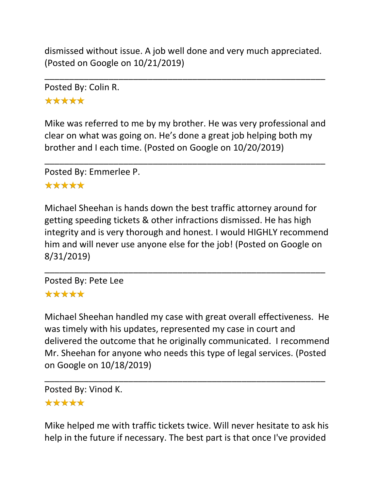dismissed without issue. A job well done and very much appreciated. (Posted on Google on 10/21/2019)

\_\_\_\_\_\_\_\_\_\_\_\_\_\_\_\_\_\_\_\_\_\_\_\_\_\_\_\_\_\_\_\_\_\_\_\_\_\_\_\_\_\_\_\_\_\_\_\_\_\_\_\_\_\_\_\_\_

Posted By: Colin R. \*\*\*\*\*

Mike was referred to me by my brother. He was very professional and clear on what was going on. He's done a great job helping both my brother and I each time. (Posted on Google on 10/20/2019)

\_\_\_\_\_\_\_\_\_\_\_\_\_\_\_\_\_\_\_\_\_\_\_\_\_\_\_\_\_\_\_\_\_\_\_\_\_\_\_\_\_\_\_\_\_\_\_\_\_\_\_\_\_\_\_\_\_

Posted By: Emmerlee P.

## \*\*\*\*\*

Michael Sheehan is hands down the best traffic attorney around for getting speeding tickets & other infractions dismissed. He has high integrity and is very thorough and honest. I would HIGHLY recommend him and will never use anyone else for the job! (Posted on Google on 8/31/2019)

\_\_\_\_\_\_\_\_\_\_\_\_\_\_\_\_\_\_\_\_\_\_\_\_\_\_\_\_\_\_\_\_\_\_\_\_\_\_\_\_\_\_\_\_\_\_\_\_\_\_\_\_\_\_\_\_\_

Posted By: Pete Lee \*\*\*\*\*

Michael Sheehan handled my case with great overall effectiveness. He was timely with his updates, represented my case in court and delivered the outcome that he originally communicated. I recommend Mr. Sheehan for anyone who needs this type of legal services. (Posted on Google on 10/18/2019)

\_\_\_\_\_\_\_\_\_\_\_\_\_\_\_\_\_\_\_\_\_\_\_\_\_\_\_\_\_\_\_\_\_\_\_\_\_\_\_\_\_\_\_\_\_\_\_\_\_\_\_\_\_\_\_\_\_

Posted By: Vinod K.

## \*\*\*\*\*

Mike helped me with traffic tickets twice. Will never hesitate to ask his help in the future if necessary. The best part is that once I've provided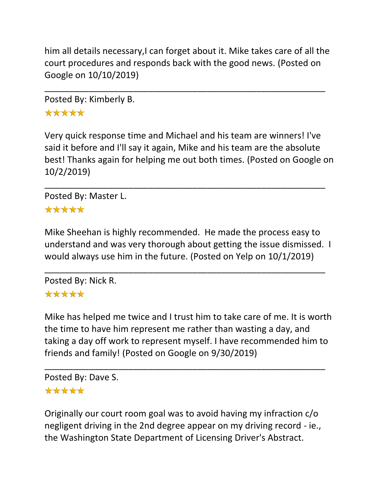him all details necessary,I can forget about it. Mike takes care of all the court procedures and responds back with the good news. (Posted on Google on 10/10/2019)

\_\_\_\_\_\_\_\_\_\_\_\_\_\_\_\_\_\_\_\_\_\_\_\_\_\_\_\_\_\_\_\_\_\_\_\_\_\_\_\_\_\_\_\_\_\_\_\_\_\_\_\_\_\_\_\_\_

Posted By: Kimberly B. \*\*\*\*\*

Very quick response time and Michael and his team are winners! I've said it before and I'll say it again, Mike and his team are the absolute best! Thanks again for helping me out both times. (Posted on Google on 10/2/2019)

\_\_\_\_\_\_\_\_\_\_\_\_\_\_\_\_\_\_\_\_\_\_\_\_\_\_\_\_\_\_\_\_\_\_\_\_\_\_\_\_\_\_\_\_\_\_\_\_\_\_\_\_\_\_\_\_\_

Posted By: Master L. \*\*\*\*\*

Mike Sheehan is highly recommended. He made the process easy to understand and was very thorough about getting the issue dismissed. I would always use him in the future. (Posted on Yelp on 10/1/2019)

\_\_\_\_\_\_\_\_\_\_\_\_\_\_\_\_\_\_\_\_\_\_\_\_\_\_\_\_\_\_\_\_\_\_\_\_\_\_\_\_\_\_\_\_\_\_\_\_\_\_\_\_\_\_\_\_\_

Posted By: Nick R.

# \*\*\*\*\*

Mike has helped me twice and I trust him to take care of me. It is worth the time to have him represent me rather than wasting a day, and taking a day off work to represent myself. I have recommended him to friends and family! (Posted on Google on 9/30/2019)

\_\_\_\_\_\_\_\_\_\_\_\_\_\_\_\_\_\_\_\_\_\_\_\_\_\_\_\_\_\_\_\_\_\_\_\_\_\_\_\_\_\_\_\_\_\_\_\_\_\_\_\_\_\_\_\_\_ Posted By: Dave S. \*\*\*\*\*

Originally our court room goal was to avoid having my infraction c/o negligent driving in the 2nd degree appear on my driving record - ie., the Washington State Department of Licensing Driver's Abstract.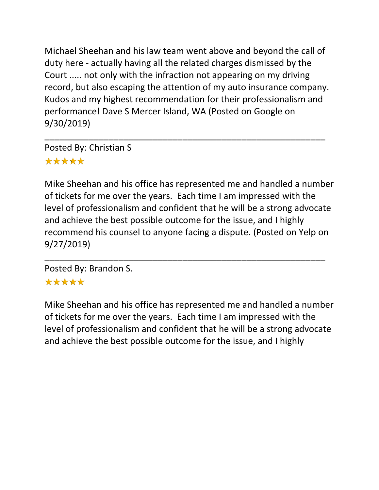Michael Sheehan and his law team went above and beyond the call of duty here - actually having all the related charges dismissed by the Court ..... not only with the infraction not appearing on my driving record, but also escaping the attention of my auto insurance company. Kudos and my highest recommendation for their professionalism and performance! Dave S Mercer Island, WA (Posted on Google on 9/30/2019)

\_\_\_\_\_\_\_\_\_\_\_\_\_\_\_\_\_\_\_\_\_\_\_\_\_\_\_\_\_\_\_\_\_\_\_\_\_\_\_\_\_\_\_\_\_\_\_\_\_\_\_\_\_\_\_\_\_

Posted By: Christian S \*\*\*\*\*

Mike Sheehan and his office has represented me and handled a number of tickets for me over the years. Each time I am impressed with the level of professionalism and confident that he will be a strong advocate and achieve the best possible outcome for the issue, and I highly recommend his counsel to anyone facing a dispute. (Posted on Yelp on 9/27/2019)

\_\_\_\_\_\_\_\_\_\_\_\_\_\_\_\_\_\_\_\_\_\_\_\_\_\_\_\_\_\_\_\_\_\_\_\_\_\_\_\_\_\_\_\_\_\_\_\_\_\_\_\_\_\_\_\_\_

Posted By: Brandon S.

## \*\*\*\*\*

Mike Sheehan and his office has represented me and handled a number of tickets for me over the years. Each time I am impressed with the level of professionalism and confident that he will be a strong advocate and achieve the best possible outcome for the issue, and I highly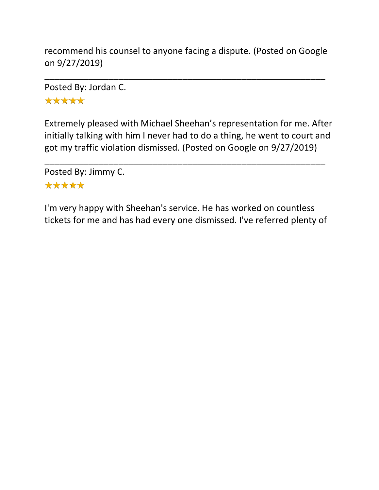recommend his counsel to anyone facing a dispute. (Posted on Google on 9/27/2019)

\_\_\_\_\_\_\_\_\_\_\_\_\_\_\_\_\_\_\_\_\_\_\_\_\_\_\_\_\_\_\_\_\_\_\_\_\_\_\_\_\_\_\_\_\_\_\_\_\_\_\_\_\_\_\_\_\_

Posted By: Jordan C.

\*\*\*\*\*

Extremely pleased with Michael Sheehan's representation for me. After initially talking with him I never had to do a thing, he went to court and got my traffic violation dismissed. (Posted on Google on 9/27/2019)

\_\_\_\_\_\_\_\_\_\_\_\_\_\_\_\_\_\_\_\_\_\_\_\_\_\_\_\_\_\_\_\_\_\_\_\_\_\_\_\_\_\_\_\_\_\_\_\_\_\_\_\_\_\_\_\_\_

Posted By: Jimmy C. \*\*\*\*\*

I'm very happy with Sheehan's service. He has worked on countless tickets for me and has had every one dismissed. I've referred plenty of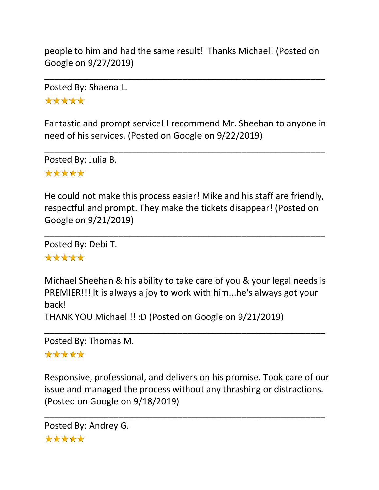people to him and had the same result! Thanks Michael! (Posted on Google on 9/27/2019)

\_\_\_\_\_\_\_\_\_\_\_\_\_\_\_\_\_\_\_\_\_\_\_\_\_\_\_\_\_\_\_\_\_\_\_\_\_\_\_\_\_\_\_\_\_\_\_\_\_\_\_\_\_\_\_\_\_

Posted By: Shaena L. \*\*\*\*\*

Fantastic and prompt service! I recommend Mr. Sheehan to anyone in need of his services. (Posted on Google on 9/22/2019)

\_\_\_\_\_\_\_\_\_\_\_\_\_\_\_\_\_\_\_\_\_\_\_\_\_\_\_\_\_\_\_\_\_\_\_\_\_\_\_\_\_\_\_\_\_\_\_\_\_\_\_\_\_\_\_\_\_

Posted By: Julia B. \*\*\*\*\*

He could not make this process easier! Mike and his staff are friendly, respectful and prompt. They make the tickets disappear! (Posted on Google on 9/21/2019)

\_\_\_\_\_\_\_\_\_\_\_\_\_\_\_\_\_\_\_\_\_\_\_\_\_\_\_\_\_\_\_\_\_\_\_\_\_\_\_\_\_\_\_\_\_\_\_\_\_\_\_\_\_\_\_\_\_

Posted By: Debi T.

#### \*\*\*\*\*

Michael Sheehan & his ability to take care of you & your legal needs is PREMIER!!! It is always a joy to work with him...he's always got your back!

\_\_\_\_\_\_\_\_\_\_\_\_\_\_\_\_\_\_\_\_\_\_\_\_\_\_\_\_\_\_\_\_\_\_\_\_\_\_\_\_\_\_\_\_\_\_\_\_\_\_\_\_\_\_\_\_\_

THANK YOU Michael !! :D (Posted on Google on 9/21/2019)

Posted By: Thomas M.

#### \*\*\*\*\*

Responsive, professional, and delivers on his promise. Took care of our issue and managed the process without any thrashing or distractions. (Posted on Google on 9/18/2019)

\_\_\_\_\_\_\_\_\_\_\_\_\_\_\_\_\_\_\_\_\_\_\_\_\_\_\_\_\_\_\_\_\_\_\_\_\_\_\_\_\_\_\_\_\_\_\_\_\_\_\_\_\_\_\_\_\_

```
Posted By: Andrey G.*****
```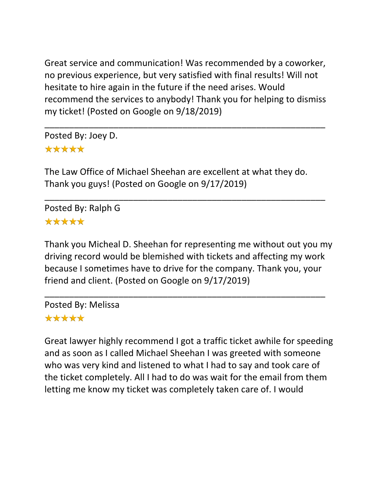Great service and communication! Was recommended by a coworker, no previous experience, but very satisfied with final results! Will not hesitate to hire again in the future if the need arises. Would recommend the services to anybody! Thank you for helping to dismiss my ticket! (Posted on Google on 9/18/2019)

\_\_\_\_\_\_\_\_\_\_\_\_\_\_\_\_\_\_\_\_\_\_\_\_\_\_\_\_\_\_\_\_\_\_\_\_\_\_\_\_\_\_\_\_\_\_\_\_\_\_\_\_\_\_\_\_\_

Posted By: Joey D. \*\*\*\*\*

The Law Office of Michael Sheehan are excellent at what they do. Thank you guys! (Posted on Google on 9/17/2019)

\_\_\_\_\_\_\_\_\_\_\_\_\_\_\_\_\_\_\_\_\_\_\_\_\_\_\_\_\_\_\_\_\_\_\_\_\_\_\_\_\_\_\_\_\_\_\_\_\_\_\_\_\_\_\_\_\_

Posted By: Ralph G \*\*\*\*\*

Thank you Micheal D. Sheehan for representing me without out you my driving record would be blemished with tickets and affecting my work because I sometimes have to drive for the company. Thank you, your friend and client. (Posted on Google on 9/17/2019)

\_\_\_\_\_\_\_\_\_\_\_\_\_\_\_\_\_\_\_\_\_\_\_\_\_\_\_\_\_\_\_\_\_\_\_\_\_\_\_\_\_\_\_\_\_\_\_\_\_\_\_\_\_\_\_\_\_

Posted By: Melissa \*\*\*\*\*

Great lawyer highly recommend I got a traffic ticket awhile for speeding and as soon as I called Michael Sheehan I was greeted with someone who was very kind and listened to what I had to say and took care of the ticket completely. All I had to do was wait for the email from them letting me know my ticket was completely taken care of. I would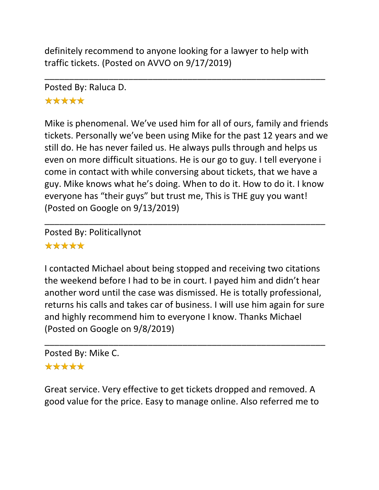definitely recommend to anyone looking for a lawyer to help with traffic tickets. (Posted on AVVO on 9/17/2019)

\_\_\_\_\_\_\_\_\_\_\_\_\_\_\_\_\_\_\_\_\_\_\_\_\_\_\_\_\_\_\_\_\_\_\_\_\_\_\_\_\_\_\_\_\_\_\_\_\_\_\_\_\_\_\_\_\_

Posted By: Raluca D. \*\*\*\*\*

Mike is phenomenal. We've used him for all of ours, family and friends tickets. Personally we've been using Mike for the past 12 years and we still do. He has never failed us. He always pulls through and helps us even on more difficult situations. He is our go to guy. I tell everyone i come in contact with while conversing about tickets, that we have a guy. Mike knows what he's doing. When to do it. How to do it. I know everyone has "their guys" but trust me, This is THE guy you want! (Posted on Google on 9/13/2019)

\_\_\_\_\_\_\_\_\_\_\_\_\_\_\_\_\_\_\_\_\_\_\_\_\_\_\_\_\_\_\_\_\_\_\_\_\_\_\_\_\_\_\_\_\_\_\_\_\_\_\_\_\_\_\_\_\_

Posted By: Politicallynot \*\*\*\*\*

I contacted Michael about being stopped and receiving two citations the weekend before I had to be in court. I payed him and didn't hear another word until the case was dismissed. He is totally professional, returns his calls and takes car of business. I will use him again for sure and highly recommend him to everyone I know. Thanks Michael (Posted on Google on 9/8/2019)

\_\_\_\_\_\_\_\_\_\_\_\_\_\_\_\_\_\_\_\_\_\_\_\_\_\_\_\_\_\_\_\_\_\_\_\_\_\_\_\_\_\_\_\_\_\_\_\_\_\_\_\_\_\_\_\_\_

Posted By: Mike C.

# \*\*\*\*\*

Great service. Very effective to get tickets dropped and removed. A good value for the price. Easy to manage online. Also referred me to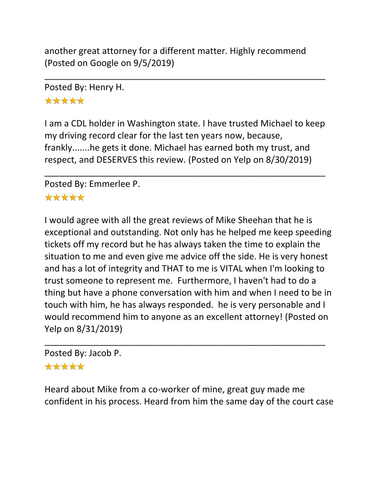another great attorney for a different matter. Highly recommend (Posted on Google on 9/5/2019)

\_\_\_\_\_\_\_\_\_\_\_\_\_\_\_\_\_\_\_\_\_\_\_\_\_\_\_\_\_\_\_\_\_\_\_\_\_\_\_\_\_\_\_\_\_\_\_\_\_\_\_\_\_\_\_\_\_

Posted By: Henry H.

\*\*\*\*\*

I am a CDL holder in Washington state. I have trusted Michael to keep my driving record clear for the last ten years now, because, frankly.......he gets it done. Michael has earned both my trust, and respect, and DESERVES this review. (Posted on Yelp on 8/30/2019)

\_\_\_\_\_\_\_\_\_\_\_\_\_\_\_\_\_\_\_\_\_\_\_\_\_\_\_\_\_\_\_\_\_\_\_\_\_\_\_\_\_\_\_\_\_\_\_\_\_\_\_\_\_\_\_\_\_

Posted By: Emmerlee P.

## \*\*\*\*\*

I would agree with all the great reviews of Mike Sheehan that he is exceptional and outstanding. Not only has he helped me keep speeding tickets off my record but he has always taken the time to explain the situation to me and even give me advice off the side. He is very honest and has a lot of integrity and THAT to me is VITAL when I'm looking to trust someone to represent me. Furthermore, I haven't had to do a thing but have a phone conversation with him and when I need to be in touch with him, he has always responded. he is very personable and I would recommend him to anyone as an excellent attorney! (Posted on Yelp on 8/31/2019)

Posted By: Jacob P.

\*\*\*\*\*

Heard about Mike from a co-worker of mine, great guy made me confident in his process. Heard from him the same day of the court case

\_\_\_\_\_\_\_\_\_\_\_\_\_\_\_\_\_\_\_\_\_\_\_\_\_\_\_\_\_\_\_\_\_\_\_\_\_\_\_\_\_\_\_\_\_\_\_\_\_\_\_\_\_\_\_\_\_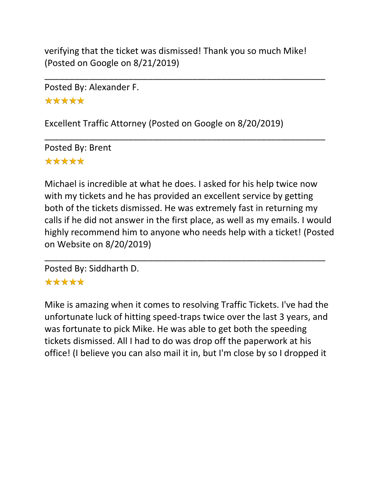verifying that the ticket was dismissed! Thank you so much Mike! (Posted on Google on 8/21/2019)

\_\_\_\_\_\_\_\_\_\_\_\_\_\_\_\_\_\_\_\_\_\_\_\_\_\_\_\_\_\_\_\_\_\_\_\_\_\_\_\_\_\_\_\_\_\_\_\_\_\_\_\_\_\_\_\_\_

\_\_\_\_\_\_\_\_\_\_\_\_\_\_\_\_\_\_\_\_\_\_\_\_\_\_\_\_\_\_\_\_\_\_\_\_\_\_\_\_\_\_\_\_\_\_\_\_\_\_\_\_\_\_\_\_\_

Posted By: Alexander F. \*\*\*\*\*

Excellent Traffic Attorney (Posted on Google on 8/20/2019)

Posted By: Brent \*\*\*\*\*

Michael is incredible at what he does. I asked for his help twice now with my tickets and he has provided an excellent service by getting both of the tickets dismissed. He was extremely fast in returning my calls if he did not answer in the first place, as well as my emails. I would highly recommend him to anyone who needs help with a ticket! (Posted on Website on 8/20/2019)

\_\_\_\_\_\_\_\_\_\_\_\_\_\_\_\_\_\_\_\_\_\_\_\_\_\_\_\_\_\_\_\_\_\_\_\_\_\_\_\_\_\_\_\_\_\_\_\_\_\_\_\_\_\_\_\_\_

Posted By: Siddharth D.

# \*\*\*\*\*

Mike is amazing when it comes to resolving Traffic Tickets. I've had the unfortunate luck of hitting speed-traps twice over the last 3 years, and was fortunate to pick Mike. He was able to get both the speeding tickets dismissed. All I had to do was drop off the paperwork at his office! (I believe you can also mail it in, but I'm close by so I dropped it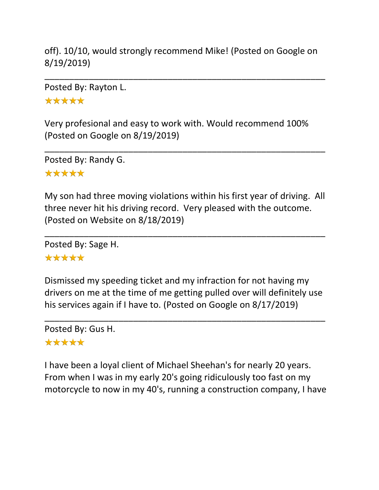off). 10/10, would strongly recommend Mike! (Posted on Google on 8/19/2019)

\_\_\_\_\_\_\_\_\_\_\_\_\_\_\_\_\_\_\_\_\_\_\_\_\_\_\_\_\_\_\_\_\_\_\_\_\_\_\_\_\_\_\_\_\_\_\_\_\_\_\_\_\_\_\_\_\_

Posted By: Rayton L.

\*\*\*\*\*

Very profesional and easy to work with. Would recommend 100% (Posted on Google on 8/19/2019)

\_\_\_\_\_\_\_\_\_\_\_\_\_\_\_\_\_\_\_\_\_\_\_\_\_\_\_\_\_\_\_\_\_\_\_\_\_\_\_\_\_\_\_\_\_\_\_\_\_\_\_\_\_\_\_\_\_

Posted By: Randy G.

## \*\*\*\*\*

My son had three moving violations within his first year of driving. All three never hit his driving record. Very pleased with the outcome. (Posted on Website on 8/18/2019)

\_\_\_\_\_\_\_\_\_\_\_\_\_\_\_\_\_\_\_\_\_\_\_\_\_\_\_\_\_\_\_\_\_\_\_\_\_\_\_\_\_\_\_\_\_\_\_\_\_\_\_\_\_\_\_\_\_

Posted By: Sage H.

### \*\*\*\*\*

Dismissed my speeding ticket and my infraction for not having my drivers on me at the time of me getting pulled over will definitely use his services again if I have to. (Posted on Google on 8/17/2019)

\_\_\_\_\_\_\_\_\_\_\_\_\_\_\_\_\_\_\_\_\_\_\_\_\_\_\_\_\_\_\_\_\_\_\_\_\_\_\_\_\_\_\_\_\_\_\_\_\_\_\_\_\_\_\_\_\_

Posted By: Gus H. \*\*\*\*\*

I have been a loyal client of Michael Sheehan's for nearly 20 years. From when I was in my early 20's going ridiculously too fast on my motorcycle to now in my 40's, running a construction company, I have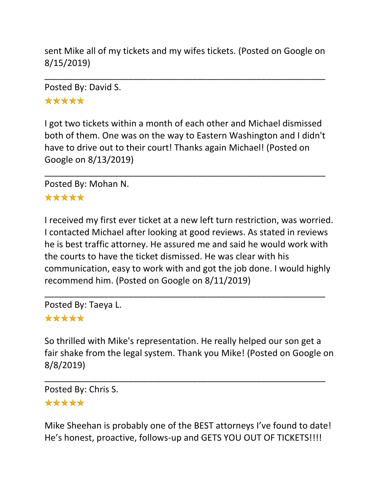sent Mike all of my tickets and my wifes tickets. (Posted on Google on 8/15/2019)

\_\_\_\_\_\_\_\_\_\_\_\_\_\_\_\_\_\_\_\_\_\_\_\_\_\_\_\_\_\_\_\_\_\_\_\_\_\_\_\_\_\_\_\_\_\_\_\_\_\_\_\_\_\_\_\_\_

Posted By: David S.

\*\*\*\*\*

I got two tickets within a month of each other and Michael dismissed both of them. One was on the way to Eastern Washington and I didn't have to drive out to their court! Thanks again Michael! (Posted on Google on 8/13/2019)

\_\_\_\_\_\_\_\_\_\_\_\_\_\_\_\_\_\_\_\_\_\_\_\_\_\_\_\_\_\_\_\_\_\_\_\_\_\_\_\_\_\_\_\_\_\_\_\_\_\_\_\_\_\_\_\_\_

Posted By: Mohan N.

#### \*\*\*\*\*

I received my first ever ticket at a new left turn restriction, was worried. I contacted Michael after looking at good reviews. As stated in reviews he is best traffic attorney. He assured me and said he would work with the courts to have the ticket dismissed. He was clear with his communication, easy to work with and got the job done. I would highly recommend him. (Posted on Google on 8/11/2019)

\_\_\_\_\_\_\_\_\_\_\_\_\_\_\_\_\_\_\_\_\_\_\_\_\_\_\_\_\_\_\_\_\_\_\_\_\_\_\_\_\_\_\_\_\_\_\_\_\_\_\_\_\_\_\_\_\_

Posted By: Taeya L.

# \*\*\*\*\*

So thrilled with Mike's representation. He really helped our son get a fair shake from the legal system. Thank you Mike! (Posted on Google on 8/8/2019)

\_\_\_\_\_\_\_\_\_\_\_\_\_\_\_\_\_\_\_\_\_\_\_\_\_\_\_\_\_\_\_\_\_\_\_\_\_\_\_\_\_\_\_\_\_\_\_\_\_\_\_\_\_\_\_\_\_

Posted By: Chris S. \*\*\*\*\*

Mike Sheehan is probably one of the BEST attorneys I've found to date! He's honest, proactive, follows-up and GETS YOU OUT OF TICKETS!!!!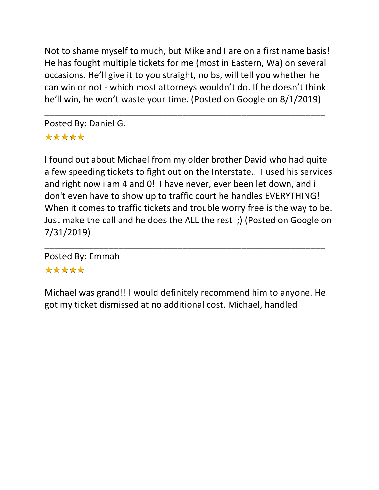Not to shame myself to much, but Mike and I are on a first name basis! He has fought multiple tickets for me (most in Eastern, Wa) on several occasions. He'll give it to you straight, no bs, will tell you whether he can win or not - which most attorneys wouldn't do. If he doesn't think he'll win, he won't waste your time. (Posted on Google on 8/1/2019)

\_\_\_\_\_\_\_\_\_\_\_\_\_\_\_\_\_\_\_\_\_\_\_\_\_\_\_\_\_\_\_\_\_\_\_\_\_\_\_\_\_\_\_\_\_\_\_\_\_\_\_\_\_\_\_\_\_

Posted By: Daniel G.

# \*\*\*\*\*

I found out about Michael from my older brother David who had quite a few speeding tickets to fight out on the Interstate.. I used his services and right now i am 4 and 0! I have never, ever been let down, and i don't even have to show up to traffic court he handles EVERYTHING! When it comes to traffic tickets and trouble worry free is the way to be. Just make the call and he does the ALL the rest ;) (Posted on Google on 7/31/2019)

\_\_\_\_\_\_\_\_\_\_\_\_\_\_\_\_\_\_\_\_\_\_\_\_\_\_\_\_\_\_\_\_\_\_\_\_\_\_\_\_\_\_\_\_\_\_\_\_\_\_\_\_\_\_\_\_\_ Posted By: Emmah \*\*\*\*\*

Michael was grand!! I would definitely recommend him to anyone. He got my ticket dismissed at no additional cost. Michael, handled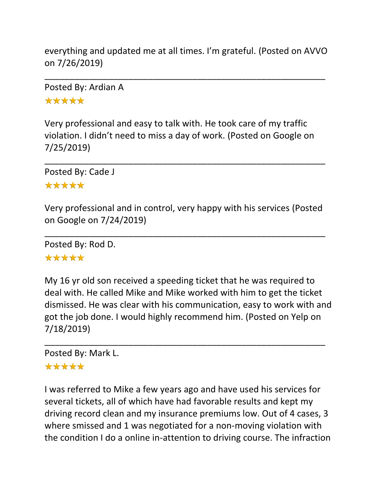everything and updated me at all times. I'm grateful. (Posted on AVVO on 7/26/2019)

\_\_\_\_\_\_\_\_\_\_\_\_\_\_\_\_\_\_\_\_\_\_\_\_\_\_\_\_\_\_\_\_\_\_\_\_\_\_\_\_\_\_\_\_\_\_\_\_\_\_\_\_\_\_\_\_\_

Posted By: Ardian A \*\*\*\*\*

Very professional and easy to talk with. He took care of my traffic violation. I didn't need to miss a day of work. (Posted on Google on 7/25/2019)

\_\_\_\_\_\_\_\_\_\_\_\_\_\_\_\_\_\_\_\_\_\_\_\_\_\_\_\_\_\_\_\_\_\_\_\_\_\_\_\_\_\_\_\_\_\_\_\_\_\_\_\_\_\_\_\_\_

Posted By: Cade J \*\*\*\*\*

Very professional and in control, very happy with his services (Posted on Google on 7/24/2019)

\_\_\_\_\_\_\_\_\_\_\_\_\_\_\_\_\_\_\_\_\_\_\_\_\_\_\_\_\_\_\_\_\_\_\_\_\_\_\_\_\_\_\_\_\_\_\_\_\_\_\_\_\_\_\_\_\_

Posted By: Rod D.

### \*\*\*\*\*

My 16 yr old son received a speeding ticket that he was required to deal with. He called Mike and Mike worked with him to get the ticket dismissed. He was clear with his communication, easy to work with and got the job done. I would highly recommend him. (Posted on Yelp on 7/18/2019)

\_\_\_\_\_\_\_\_\_\_\_\_\_\_\_\_\_\_\_\_\_\_\_\_\_\_\_\_\_\_\_\_\_\_\_\_\_\_\_\_\_\_\_\_\_\_\_\_\_\_\_\_\_\_\_\_\_

# Posted By: Mark L.

# \*\*\*\*\*

I was referred to Mike a few years ago and have used his services for several tickets, all of which have had favorable results and kept my driving record clean and my insurance premiums low. Out of 4 cases, 3 where smissed and 1 was negotiated for a non-moving violation with the condition I do a online in-attention to driving course. The infraction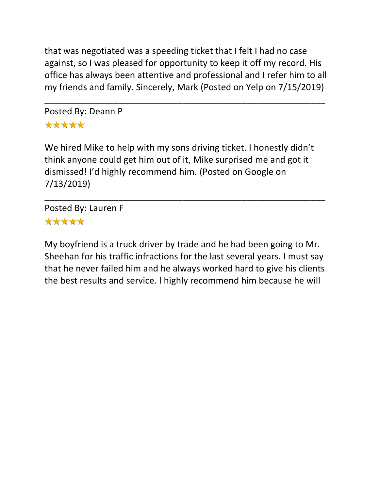that was negotiated was a speeding ticket that I felt I had no case against, so I was pleased for opportunity to keep it off my record. His office has always been attentive and professional and I refer him to all my friends and family. Sincerely, Mark (Posted on Yelp on 7/15/2019)

\_\_\_\_\_\_\_\_\_\_\_\_\_\_\_\_\_\_\_\_\_\_\_\_\_\_\_\_\_\_\_\_\_\_\_\_\_\_\_\_\_\_\_\_\_\_\_\_\_\_\_\_\_\_\_\_\_

Posted By: Deann P \*\*\*\*\*

We hired Mike to help with my sons driving ticket. I honestly didn't think anyone could get him out of it, Mike surprised me and got it dismissed! I'd highly recommend him. (Posted on Google on 7/13/2019)

\_\_\_\_\_\_\_\_\_\_\_\_\_\_\_\_\_\_\_\_\_\_\_\_\_\_\_\_\_\_\_\_\_\_\_\_\_\_\_\_\_\_\_\_\_\_\_\_\_\_\_\_\_\_\_\_\_

Posted By: Lauren F \*\*\*\*\*

My boyfriend is a truck driver by trade and he had been going to Mr. Sheehan for his traffic infractions for the last several years. I must say that he never failed him and he always worked hard to give his clients the best results and service. I highly recommend him because he will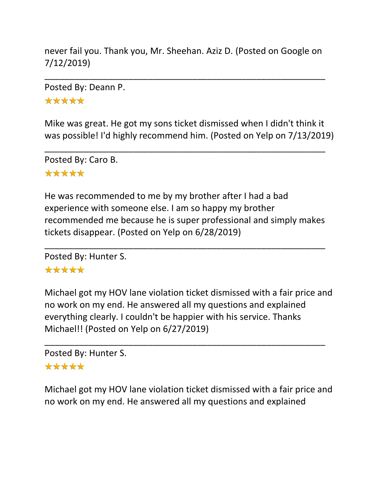never fail you. Thank you, Mr. Sheehan. Aziz D. (Posted on Google on 7/12/2019)

\_\_\_\_\_\_\_\_\_\_\_\_\_\_\_\_\_\_\_\_\_\_\_\_\_\_\_\_\_\_\_\_\_\_\_\_\_\_\_\_\_\_\_\_\_\_\_\_\_\_\_\_\_\_\_\_\_

Posted By: Deann P. \*\*\*\*\*

Mike was great. He got my sons ticket dismissed when I didn't think it was possible! I'd highly recommend him. (Posted on Yelp on 7/13/2019)

\_\_\_\_\_\_\_\_\_\_\_\_\_\_\_\_\_\_\_\_\_\_\_\_\_\_\_\_\_\_\_\_\_\_\_\_\_\_\_\_\_\_\_\_\_\_\_\_\_\_\_\_\_\_\_\_\_

Posted By: Caro B. \*\*\*\*\*

He was recommended to me by my brother after I had a bad experience with someone else. I am so happy my brother recommended me because he is super professional and simply makes tickets disappear. (Posted on Yelp on 6/28/2019)

\_\_\_\_\_\_\_\_\_\_\_\_\_\_\_\_\_\_\_\_\_\_\_\_\_\_\_\_\_\_\_\_\_\_\_\_\_\_\_\_\_\_\_\_\_\_\_\_\_\_\_\_\_\_\_\_\_

Posted By: Hunter S.

### \*\*\*\*\*

Michael got my HOV lane violation ticket dismissed with a fair price and no work on my end. He answered all my questions and explained everything clearly. I couldn't be happier with his service. Thanks Michael!! (Posted on Yelp on 6/27/2019)

\_\_\_\_\_\_\_\_\_\_\_\_\_\_\_\_\_\_\_\_\_\_\_\_\_\_\_\_\_\_\_\_\_\_\_\_\_\_\_\_\_\_\_\_\_\_\_\_\_\_\_\_\_\_\_\_\_

Posted By: Hunter S.

## \*\*\*\*\*

Michael got my HOV lane violation ticket dismissed with a fair price and no work on my end. He answered all my questions and explained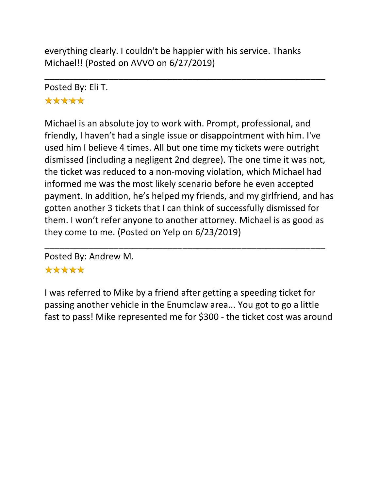everything clearly. I couldn't be happier with his service. Thanks Michael!! (Posted on AVVO on 6/27/2019)

\_\_\_\_\_\_\_\_\_\_\_\_\_\_\_\_\_\_\_\_\_\_\_\_\_\_\_\_\_\_\_\_\_\_\_\_\_\_\_\_\_\_\_\_\_\_\_\_\_\_\_\_\_\_\_\_\_

Posted By: Eli T. \*\*\*\*\*

Michael is an absolute joy to work with. Prompt, professional, and friendly, I haven't had a single issue or disappointment with him. I've used him I believe 4 times. All but one time my tickets were outright dismissed (including a negligent 2nd degree). The one time it was not, the ticket was reduced to a non-moving violation, which Michael had informed me was the most likely scenario before he even accepted payment. In addition, he's helped my friends, and my girlfriend, and has gotten another 3 tickets that I can think of successfully dismissed for them. I won't refer anyone to another attorney. Michael is as good as they come to me. (Posted on Yelp on 6/23/2019)

Posted By: Andrew M.

# \*\*\*\*\*

I was referred to Mike by a friend after getting a speeding ticket for passing another vehicle in the Enumclaw area... You got to go a little fast to pass! Mike represented me for \$300 - the ticket cost was around

\_\_\_\_\_\_\_\_\_\_\_\_\_\_\_\_\_\_\_\_\_\_\_\_\_\_\_\_\_\_\_\_\_\_\_\_\_\_\_\_\_\_\_\_\_\_\_\_\_\_\_\_\_\_\_\_\_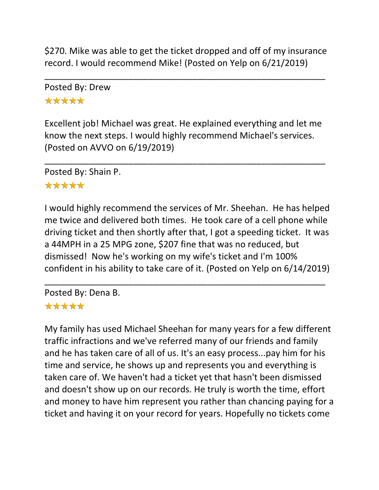\$270. Mike was able to get the ticket dropped and off of my insurance record. I would recommend Mike! (Posted on Yelp on 6/21/2019)

\_\_\_\_\_\_\_\_\_\_\_\_\_\_\_\_\_\_\_\_\_\_\_\_\_\_\_\_\_\_\_\_\_\_\_\_\_\_\_\_\_\_\_\_\_\_\_\_\_\_\_\_\_\_\_\_\_

Posted By: Drew \*\*\*\*\*

Excellent job! Michael was great. He explained everything and let me know the next steps. I would highly recommend Michael's services. (Posted on AVVO on 6/19/2019)

\_\_\_\_\_\_\_\_\_\_\_\_\_\_\_\_\_\_\_\_\_\_\_\_\_\_\_\_\_\_\_\_\_\_\_\_\_\_\_\_\_\_\_\_\_\_\_\_\_\_\_\_\_\_\_\_\_

Posted By: Shain P.

## \*\*\*\*\*

I would highly recommend the services of Mr. Sheehan. He has helped me twice and delivered both times. He took care of a cell phone while driving ticket and then shortly after that, I got a speeding ticket. It was a 44MPH in a 25 MPG zone, \$207 fine that was no reduced, but dismissed! Now he's working on my wife's ticket and I'm 100% confident in his ability to take care of it. (Posted on Yelp on 6/14/2019)

\_\_\_\_\_\_\_\_\_\_\_\_\_\_\_\_\_\_\_\_\_\_\_\_\_\_\_\_\_\_\_\_\_\_\_\_\_\_\_\_\_\_\_\_\_\_\_\_\_\_\_\_\_\_\_\_\_

Posted By: Dena B. \*\*\*\*\*

My family has used Michael Sheehan for many years for a few different traffic infractions and we've referred many of our friends and family and he has taken care of all of us. It's an easy process...pay him for his time and service, he shows up and represents you and everything is taken care of. We haven't had a ticket yet that hasn't been dismissed and doesn't show up on our records. He truly is worth the time, effort and money to have him represent you rather than chancing paying for a ticket and having it on your record for years. Hopefully no tickets come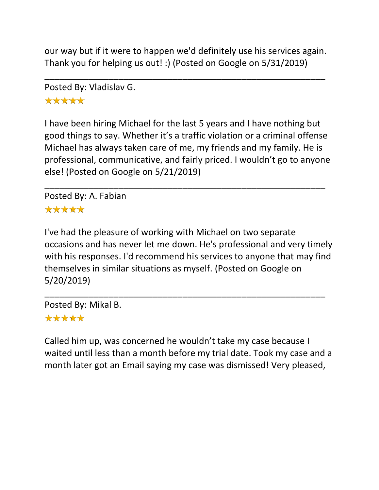our way but if it were to happen we'd definitely use his services again. Thank you for helping us out! :) (Posted on Google on 5/31/2019)

\_\_\_\_\_\_\_\_\_\_\_\_\_\_\_\_\_\_\_\_\_\_\_\_\_\_\_\_\_\_\_\_\_\_\_\_\_\_\_\_\_\_\_\_\_\_\_\_\_\_\_\_\_\_\_\_\_

Posted By: Vladislav G.

\*\*\*\*\*

I have been hiring Michael for the last 5 years and I have nothing but good things to say. Whether it's a traffic violation or a criminal offense Michael has always taken care of me, my friends and my family. He is professional, communicative, and fairly priced. I wouldn't go to anyone else! (Posted on Google on 5/21/2019)

\_\_\_\_\_\_\_\_\_\_\_\_\_\_\_\_\_\_\_\_\_\_\_\_\_\_\_\_\_\_\_\_\_\_\_\_\_\_\_\_\_\_\_\_\_\_\_\_\_\_\_\_\_\_\_\_\_

Posted By: A. Fabian \*\*\*\*\*

I've had the pleasure of working with Michael on two separate occasions and has never let me down. He's professional and very timely with his responses. I'd recommend his services to anyone that may find themselves in similar situations as myself. (Posted on Google on 5/20/2019)

\_\_\_\_\_\_\_\_\_\_\_\_\_\_\_\_\_\_\_\_\_\_\_\_\_\_\_\_\_\_\_\_\_\_\_\_\_\_\_\_\_\_\_\_\_\_\_\_\_\_\_\_\_\_\_\_\_ Posted By: Mikal B.

# \*\*\*\*\*

Called him up, was concerned he wouldn't take my case because I waited until less than a month before my trial date. Took my case and a month later got an Email saying my case was dismissed! Very pleased,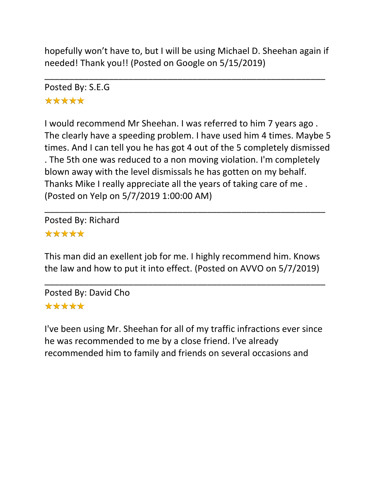hopefully won't have to, but I will be using Michael D. Sheehan again if needed! Thank you!! (Posted on Google on 5/15/2019)

\_\_\_\_\_\_\_\_\_\_\_\_\_\_\_\_\_\_\_\_\_\_\_\_\_\_\_\_\_\_\_\_\_\_\_\_\_\_\_\_\_\_\_\_\_\_\_\_\_\_\_\_\_\_\_\_\_

Posted By: S.E.G \*\*\*\*\*

I would recommend Mr Sheehan. I was referred to him 7 years ago . The clearly have a speeding problem. I have used him 4 times. Maybe 5 times. And I can tell you he has got 4 out of the 5 completely dismissed . The 5th one was reduced to a non moving violation. I'm completely blown away with the level dismissals he has gotten on my behalf. Thanks Mike I really appreciate all the years of taking care of me . (Posted on Yelp on 5/7/2019 1:00:00 AM)

Posted By: Richard \*\*\*\*\*

This man did an exellent job for me. I highly recommend him. Knows the law and how to put it into effect. (Posted on AVVO on 5/7/2019)

\_\_\_\_\_\_\_\_\_\_\_\_\_\_\_\_\_\_\_\_\_\_\_\_\_\_\_\_\_\_\_\_\_\_\_\_\_\_\_\_\_\_\_\_\_\_\_\_\_\_\_\_\_\_\_\_\_

\_\_\_\_\_\_\_\_\_\_\_\_\_\_\_\_\_\_\_\_\_\_\_\_\_\_\_\_\_\_\_\_\_\_\_\_\_\_\_\_\_\_\_\_\_\_\_\_\_\_\_\_\_\_\_\_\_

Posted By: David Cho \*\*\*\*\*

I've been using Mr. Sheehan for all of my traffic infractions ever since he was recommended to me by a close friend. I've already recommended him to family and friends on several occasions and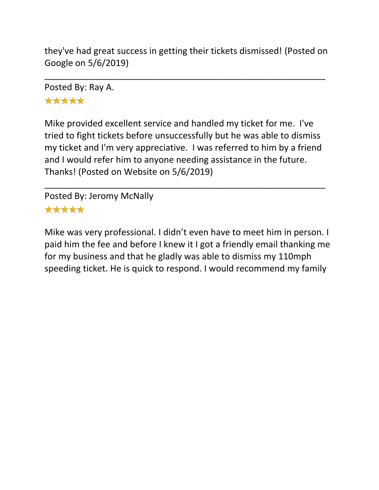they've had great success in getting their tickets dismissed! (Posted on Google on 5/6/2019)

\_\_\_\_\_\_\_\_\_\_\_\_\_\_\_\_\_\_\_\_\_\_\_\_\_\_\_\_\_\_\_\_\_\_\_\_\_\_\_\_\_\_\_\_\_\_\_\_\_\_\_\_\_\_\_\_\_

Posted By: Ray A. \*\*\*\*\*

Mike provided excellent service and handled my ticket for me. I've tried to fight tickets before unsuccessfully but he was able to dismiss my ticket and I'm very appreciative. I was referred to him by a friend and I would refer him to anyone needing assistance in the future. Thanks! (Posted on Website on 5/6/2019)

\_\_\_\_\_\_\_\_\_\_\_\_\_\_\_\_\_\_\_\_\_\_\_\_\_\_\_\_\_\_\_\_\_\_\_\_\_\_\_\_\_\_\_\_\_\_\_\_\_\_\_\_\_\_\_\_\_

Posted By: Jeromy McNally \*\*\*\*\*

Mike was very professional. I didn't even have to meet him in person. I paid him the fee and before I knew it I got a friendly email thanking me for my business and that he gladly was able to dismiss my 110mph speeding ticket. He is quick to respond. I would recommend my family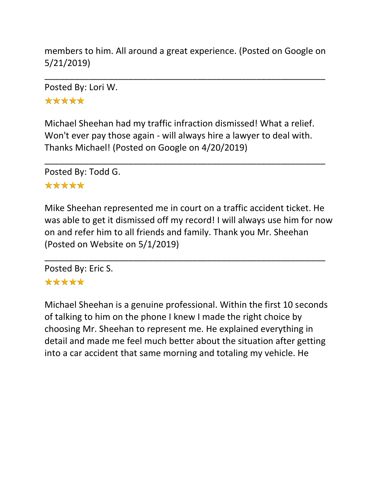members to him. All around a great experience. (Posted on Google on 5/21/2019)

\_\_\_\_\_\_\_\_\_\_\_\_\_\_\_\_\_\_\_\_\_\_\_\_\_\_\_\_\_\_\_\_\_\_\_\_\_\_\_\_\_\_\_\_\_\_\_\_\_\_\_\_\_\_\_\_\_

Posted By: Lori W.

\*\*\*\*\*

Michael Sheehan had my traffic infraction dismissed! What a relief. Won't ever pay those again - will always hire a lawyer to deal with. Thanks Michael! (Posted on Google on 4/20/2019)

\_\_\_\_\_\_\_\_\_\_\_\_\_\_\_\_\_\_\_\_\_\_\_\_\_\_\_\_\_\_\_\_\_\_\_\_\_\_\_\_\_\_\_\_\_\_\_\_\_\_\_\_\_\_\_\_\_

Posted By: Todd G.

## \*\*\*\*\*

Mike Sheehan represented me in court on a traffic accident ticket. He was able to get it dismissed off my record! I will always use him for now on and refer him to all friends and family. Thank you Mr. Sheehan (Posted on Website on 5/1/2019)

\_\_\_\_\_\_\_\_\_\_\_\_\_\_\_\_\_\_\_\_\_\_\_\_\_\_\_\_\_\_\_\_\_\_\_\_\_\_\_\_\_\_\_\_\_\_\_\_\_\_\_\_\_\_\_\_\_

Posted By: Eric S. \*\*\*\*\*

Michael Sheehan is a genuine professional. Within the first 10 seconds of talking to him on the phone I knew I made the right choice by choosing Mr. Sheehan to represent me. He explained everything in detail and made me feel much better about the situation after getting into a car accident that same morning and totaling my vehicle. He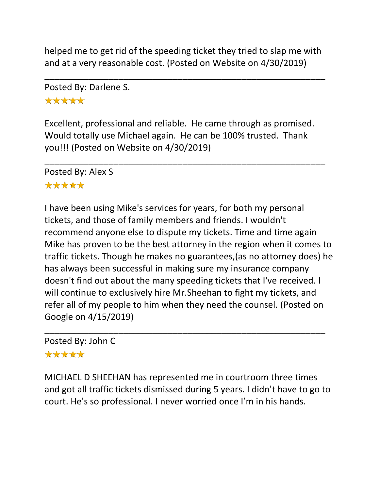helped me to get rid of the speeding ticket they tried to slap me with and at a very reasonable cost. (Posted on Website on 4/30/2019)

\_\_\_\_\_\_\_\_\_\_\_\_\_\_\_\_\_\_\_\_\_\_\_\_\_\_\_\_\_\_\_\_\_\_\_\_\_\_\_\_\_\_\_\_\_\_\_\_\_\_\_\_\_\_\_\_\_

Posted By: Darlene S.

# \*\*\*\*\*

Excellent, professional and reliable. He came through as promised. Would totally use Michael again. He can be 100% trusted. Thank you!!! (Posted on Website on 4/30/2019)

\_\_\_\_\_\_\_\_\_\_\_\_\_\_\_\_\_\_\_\_\_\_\_\_\_\_\_\_\_\_\_\_\_\_\_\_\_\_\_\_\_\_\_\_\_\_\_\_\_\_\_\_\_\_\_\_\_

Posted By: Alex S \*\*\*\*\*

I have been using Mike's services for years, for both my personal tickets, and those of family members and friends. I wouldn't recommend anyone else to dispute my tickets. Time and time again Mike has proven to be the best attorney in the region when it comes to traffic tickets. Though he makes no guarantees,(as no attorney does) he has always been successful in making sure my insurance company doesn't find out about the many speeding tickets that I've received. I will continue to exclusively hire Mr.Sheehan to fight my tickets, and refer all of my people to him when they need the counsel. (Posted on Google on 4/15/2019)

Posted By: John C

### \*\*\*\*\*

MICHAEL D SHEEHAN has represented me in courtroom three times and got all traffic tickets dismissed during 5 years. I didn't have to go to court. He's so professional. I never worried once I'm in his hands.

\_\_\_\_\_\_\_\_\_\_\_\_\_\_\_\_\_\_\_\_\_\_\_\_\_\_\_\_\_\_\_\_\_\_\_\_\_\_\_\_\_\_\_\_\_\_\_\_\_\_\_\_\_\_\_\_\_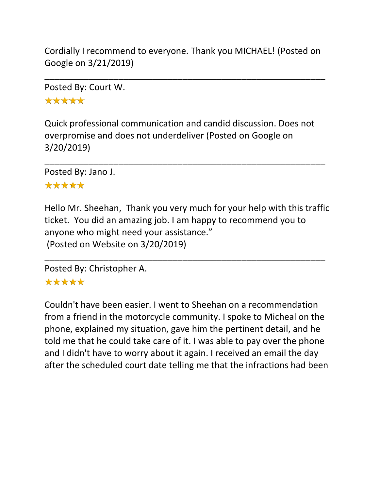Cordially I recommend to everyone. Thank you MICHAEL! (Posted on Google on 3/21/2019)

\_\_\_\_\_\_\_\_\_\_\_\_\_\_\_\_\_\_\_\_\_\_\_\_\_\_\_\_\_\_\_\_\_\_\_\_\_\_\_\_\_\_\_\_\_\_\_\_\_\_\_\_\_\_\_\_\_

Posted By: Court W.

\*\*\*\*\*

Quick professional communication and candid discussion. Does not overpromise and does not underdeliver (Posted on Google on 3/20/2019)

\_\_\_\_\_\_\_\_\_\_\_\_\_\_\_\_\_\_\_\_\_\_\_\_\_\_\_\_\_\_\_\_\_\_\_\_\_\_\_\_\_\_\_\_\_\_\_\_\_\_\_\_\_\_\_\_\_

Posted By: Jano J.

## \*\*\*\*\*

Hello Mr. Sheehan, Thank you very much for your help with this traffic ticket. You did an amazing job. I am happy to recommend you to anyone who might need your assistance." (Posted on Website on 3/20/2019)

\_\_\_\_\_\_\_\_\_\_\_\_\_\_\_\_\_\_\_\_\_\_\_\_\_\_\_\_\_\_\_\_\_\_\_\_\_\_\_\_\_\_\_\_\_\_\_\_\_\_\_\_\_\_\_\_\_

Posted By: Christopher A.

# \*\*\*\*\*

Couldn't have been easier. I went to Sheehan on a recommendation from a friend in the motorcycle community. I spoke to Micheal on the phone, explained my situation, gave him the pertinent detail, and he told me that he could take care of it. I was able to pay over the phone and I didn't have to worry about it again. I received an email the day after the scheduled court date telling me that the infractions had been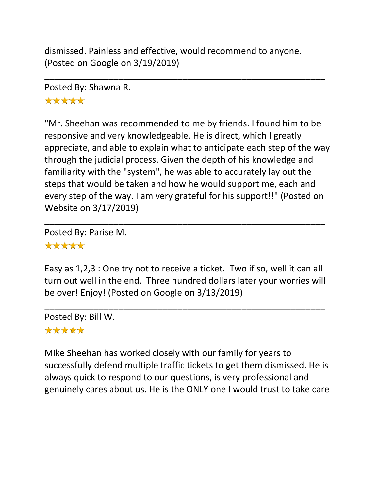dismissed. Painless and effective, would recommend to anyone. (Posted on Google on 3/19/2019)

\_\_\_\_\_\_\_\_\_\_\_\_\_\_\_\_\_\_\_\_\_\_\_\_\_\_\_\_\_\_\_\_\_\_\_\_\_\_\_\_\_\_\_\_\_\_\_\_\_\_\_\_\_\_\_\_\_

Posted By: Shawna R.

# \*\*\*\*\*

"Mr. Sheehan was recommended to me by friends. I found him to be responsive and very knowledgeable. He is direct, which I greatly appreciate, and able to explain what to anticipate each step of the way through the judicial process. Given the depth of his knowledge and familiarity with the "system", he was able to accurately lay out the steps that would be taken and how he would support me, each and every step of the way. I am very grateful for his support!!" (Posted on Website on 3/17/2019)

Posted By: Parise M. \*\*\*\*\*

Easy as 1,2,3 : One try not to receive a ticket. Two if so, well it can all turn out well in the end. Three hundred dollars later your worries will be over! Enjoy! (Posted on Google on 3/13/2019)

\_\_\_\_\_\_\_\_\_\_\_\_\_\_\_\_\_\_\_\_\_\_\_\_\_\_\_\_\_\_\_\_\_\_\_\_\_\_\_\_\_\_\_\_\_\_\_\_\_\_\_\_\_\_\_\_\_

\_\_\_\_\_\_\_\_\_\_\_\_\_\_\_\_\_\_\_\_\_\_\_\_\_\_\_\_\_\_\_\_\_\_\_\_\_\_\_\_\_\_\_\_\_\_\_\_\_\_\_\_\_\_\_\_\_

Posted By: Bill W.

# \*\*\*\*\*

Mike Sheehan has worked closely with our family for years to successfully defend multiple traffic tickets to get them dismissed. He is always quick to respond to our questions, is very professional and genuinely cares about us. He is the ONLY one I would trust to take care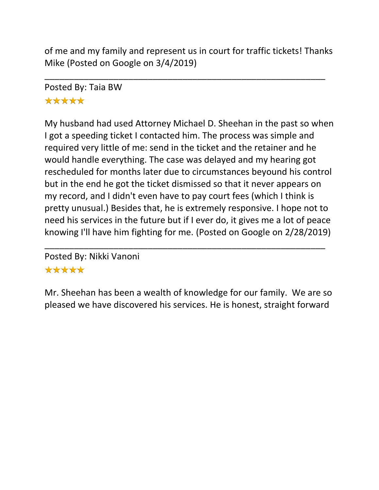of me and my family and represent us in court for traffic tickets! Thanks Mike (Posted on Google on 3/4/2019)

\_\_\_\_\_\_\_\_\_\_\_\_\_\_\_\_\_\_\_\_\_\_\_\_\_\_\_\_\_\_\_\_\_\_\_\_\_\_\_\_\_\_\_\_\_\_\_\_\_\_\_\_\_\_\_\_\_

Posted By: Taia BW \*\*\*\*\*

My husband had used Attorney Michael D. Sheehan in the past so when I got a speeding ticket I contacted him. The process was simple and required very little of me: send in the ticket and the retainer and he would handle everything. The case was delayed and my hearing got rescheduled for months later due to circumstances beyound his control but in the end he got the ticket dismissed so that it never appears on my record, and I didn't even have to pay court fees (which I think is pretty unusual.) Besides that, he is extremely responsive. I hope not to need his services in the future but if I ever do, it gives me a lot of peace knowing I'll have him fighting for me. (Posted on Google on 2/28/2019)

Posted By: Nikki Vanoni \*\*\*\*\*

Mr. Sheehan has been a wealth of knowledge for our family. We are so pleased we have discovered his services. He is honest, straight forward

\_\_\_\_\_\_\_\_\_\_\_\_\_\_\_\_\_\_\_\_\_\_\_\_\_\_\_\_\_\_\_\_\_\_\_\_\_\_\_\_\_\_\_\_\_\_\_\_\_\_\_\_\_\_\_\_\_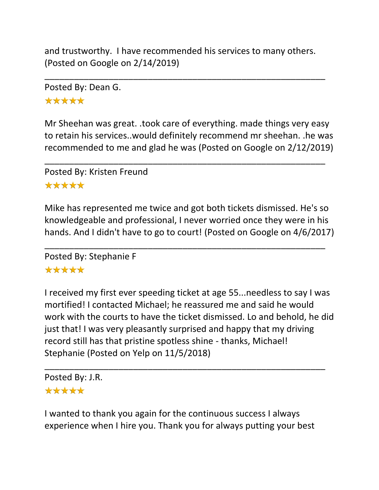and trustworthy. I have recommended his services to many others. (Posted on Google on 2/14/2019)

\_\_\_\_\_\_\_\_\_\_\_\_\_\_\_\_\_\_\_\_\_\_\_\_\_\_\_\_\_\_\_\_\_\_\_\_\_\_\_\_\_\_\_\_\_\_\_\_\_\_\_\_\_\_\_\_\_

Posted By: Dean G.

\*\*\*\*\*

Mr Sheehan was great. .took care of everything. made things very easy to retain his services..would definitely recommend mr sheehan. .he was recommended to me and glad he was (Posted on Google on 2/12/2019)

\_\_\_\_\_\_\_\_\_\_\_\_\_\_\_\_\_\_\_\_\_\_\_\_\_\_\_\_\_\_\_\_\_\_\_\_\_\_\_\_\_\_\_\_\_\_\_\_\_\_\_\_\_\_\_\_\_

Posted By: Kristen Freund \*\*\*\*\*

Mike has represented me twice and got both tickets dismissed. He's so knowledgeable and professional, I never worried once they were in his hands. And I didn't have to go to court! (Posted on Google on 4/6/2017)

\_\_\_\_\_\_\_\_\_\_\_\_\_\_\_\_\_\_\_\_\_\_\_\_\_\_\_\_\_\_\_\_\_\_\_\_\_\_\_\_\_\_\_\_\_\_\_\_\_\_\_\_\_\_\_\_\_

Posted By: Stephanie F

# \*\*\*\*\*

I received my first ever speeding ticket at age 55...needless to say I was mortified! I contacted Michael; he reassured me and said he would work with the courts to have the ticket dismissed. Lo and behold, he did just that! I was very pleasantly surprised and happy that my driving record still has that pristine spotless shine - thanks, Michael! Stephanie (Posted on Yelp on 11/5/2018)

\_\_\_\_\_\_\_\_\_\_\_\_\_\_\_\_\_\_\_\_\_\_\_\_\_\_\_\_\_\_\_\_\_\_\_\_\_\_\_\_\_\_\_\_\_\_\_\_\_\_\_\_\_\_\_\_\_

Posted By: J.R.

#### \*\*\*\*\*

I wanted to thank you again for the continuous success I always experience when I hire you. Thank you for always putting your best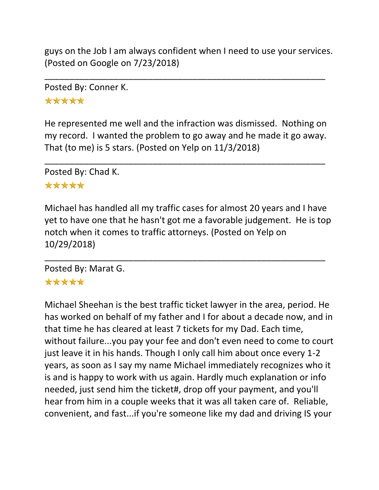guys on the Job I am always confident when I need to use your services. (Posted on Google on 7/23/2018)

\_\_\_\_\_\_\_\_\_\_\_\_\_\_\_\_\_\_\_\_\_\_\_\_\_\_\_\_\_\_\_\_\_\_\_\_\_\_\_\_\_\_\_\_\_\_\_\_\_\_\_\_\_\_\_\_\_

Posted By: Conner K.

\*\*\*\*\*

He represented me well and the infraction was dismissed. Nothing on my record. I wanted the problem to go away and he made it go away. That (to me) is 5 stars. (Posted on Yelp on 11/3/2018)

\_\_\_\_\_\_\_\_\_\_\_\_\_\_\_\_\_\_\_\_\_\_\_\_\_\_\_\_\_\_\_\_\_\_\_\_\_\_\_\_\_\_\_\_\_\_\_\_\_\_\_\_\_\_\_\_\_

Posted By: Chad K.

## \*\*\*\*\*

Michael has handled all my traffic cases for almost 20 years and I have yet to have one that he hasn't got me a favorable judgement. He is top notch when it comes to traffic attorneys. (Posted on Yelp on 10/29/2018)

\_\_\_\_\_\_\_\_\_\_\_\_\_\_\_\_\_\_\_\_\_\_\_\_\_\_\_\_\_\_\_\_\_\_\_\_\_\_\_\_\_\_\_\_\_\_\_\_\_\_\_\_\_\_\_\_\_

Posted By: Marat G.

## \*\*\*\*\*

Michael Sheehan is the best traffic ticket lawyer in the area, period. He has worked on behalf of my father and I for about a decade now, and in that time he has cleared at least 7 tickets for my Dad. Each time, without failure...you pay your fee and don't even need to come to court just leave it in his hands. Though I only call him about once every 1-2 years, as soon as I say my name Michael immediately recognizes who it is and is happy to work with us again. Hardly much explanation or info needed, just send him the ticket#, drop off your payment, and you'll hear from him in a couple weeks that it was all taken care of. Reliable, convenient, and fast...if you're someone like my dad and driving IS your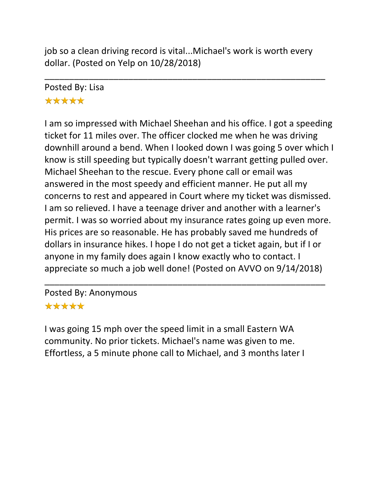job so a clean driving record is vital...Michael's work is worth every dollar. (Posted on Yelp on 10/28/2018)

\_\_\_\_\_\_\_\_\_\_\_\_\_\_\_\_\_\_\_\_\_\_\_\_\_\_\_\_\_\_\_\_\_\_\_\_\_\_\_\_\_\_\_\_\_\_\_\_\_\_\_\_\_\_\_\_\_

# Posted By: Lisa \*\*\*\*\*

I am so impressed with Michael Sheehan and his office. I got a speeding ticket for 11 miles over. The officer clocked me when he was driving downhill around a bend. When I looked down I was going 5 over which I know is still speeding but typically doesn't warrant getting pulled over. Michael Sheehan to the rescue. Every phone call or email was answered in the most speedy and efficient manner. He put all my concerns to rest and appeared in Court where my ticket was dismissed. I am so relieved. I have a teenage driver and another with a learner's permit. I was so worried about my insurance rates going up even more. His prices are so reasonable. He has probably saved me hundreds of dollars in insurance hikes. I hope I do not get a ticket again, but if I or anyone in my family does again I know exactly who to contact. I appreciate so much a job well done! (Posted on AVVO on 9/14/2018)

\_\_\_\_\_\_\_\_\_\_\_\_\_\_\_\_\_\_\_\_\_\_\_\_\_\_\_\_\_\_\_\_\_\_\_\_\_\_\_\_\_\_\_\_\_\_\_\_\_\_\_\_\_\_\_\_\_

Posted By: Anonymous \*\*\*\*\*

I was going 15 mph over the speed limit in a small Eastern WA community. No prior tickets. Michael's name was given to me. Effortless, a 5 minute phone call to Michael, and 3 months later I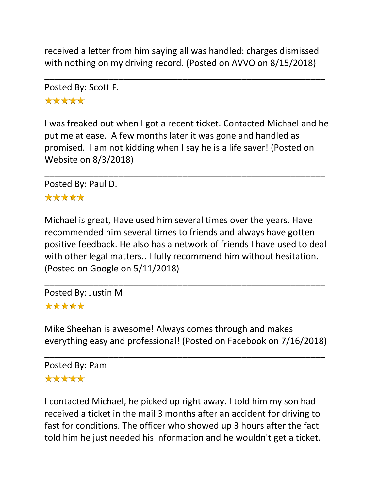received a letter from him saying all was handled: charges dismissed with nothing on my driving record. (Posted on AVVO on 8/15/2018)

\_\_\_\_\_\_\_\_\_\_\_\_\_\_\_\_\_\_\_\_\_\_\_\_\_\_\_\_\_\_\_\_\_\_\_\_\_\_\_\_\_\_\_\_\_\_\_\_\_\_\_\_\_\_\_\_\_

Posted By: Scott F. \*\*\*\*\*

I was freaked out when I got a recent ticket. Contacted Michael and he put me at ease. A few months later it was gone and handled as promised. I am not kidding when I say he is a life saver! (Posted on Website on 8/3/2018)

\_\_\_\_\_\_\_\_\_\_\_\_\_\_\_\_\_\_\_\_\_\_\_\_\_\_\_\_\_\_\_\_\_\_\_\_\_\_\_\_\_\_\_\_\_\_\_\_\_\_\_\_\_\_\_\_\_

Posted By: Paul D.

### \*\*\*\*\*

Michael is great, Have used him several times over the years. Have recommended him several times to friends and always have gotten positive feedback. He also has a network of friends I have used to deal with other legal matters.. I fully recommend him without hesitation. (Posted on Google on 5/11/2018)

\_\_\_\_\_\_\_\_\_\_\_\_\_\_\_\_\_\_\_\_\_\_\_\_\_\_\_\_\_\_\_\_\_\_\_\_\_\_\_\_\_\_\_\_\_\_\_\_\_\_\_\_\_\_\_\_\_

Posted By: Justin M \*\*\*\*\*

Mike Sheehan is awesome! Always comes through and makes everything easy and professional! (Posted on Facebook on 7/16/2018)

\_\_\_\_\_\_\_\_\_\_\_\_\_\_\_\_\_\_\_\_\_\_\_\_\_\_\_\_\_\_\_\_\_\_\_\_\_\_\_\_\_\_\_\_\_\_\_\_\_\_\_\_\_\_\_\_\_

Posted By: Pam \*\*\*\*\*

I contacted Michael, he picked up right away. I told him my son had received a ticket in the mail 3 months after an accident for driving to fast for conditions. The officer who showed up 3 hours after the fact told him he just needed his information and he wouldn't get a ticket.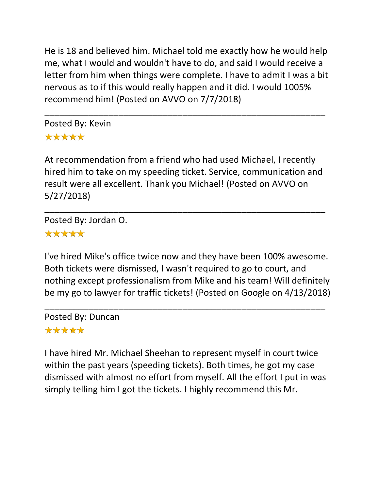He is 18 and believed him. Michael told me exactly how he would help me, what I would and wouldn't have to do, and said I would receive a letter from him when things were complete. I have to admit I was a bit nervous as to if this would really happen and it did. I would 1005% recommend him! (Posted on AVVO on 7/7/2018)

\_\_\_\_\_\_\_\_\_\_\_\_\_\_\_\_\_\_\_\_\_\_\_\_\_\_\_\_\_\_\_\_\_\_\_\_\_\_\_\_\_\_\_\_\_\_\_\_\_\_\_\_\_\_\_\_\_ Posted By: Kevin \*\*\*\*\*

At recommendation from a friend who had used Michael, I recently hired him to take on my speeding ticket. Service, communication and result were all excellent. Thank you Michael! (Posted on AVVO on 5/27/2018)

\_\_\_\_\_\_\_\_\_\_\_\_\_\_\_\_\_\_\_\_\_\_\_\_\_\_\_\_\_\_\_\_\_\_\_\_\_\_\_\_\_\_\_\_\_\_\_\_\_\_\_\_\_\_\_\_\_

Posted By: Jordan O.

# \*\*\*\*\*

I've hired Mike's office twice now and they have been 100% awesome. Both tickets were dismissed, I wasn't required to go to court, and nothing except professionalism from Mike and his team! Will definitely be my go to lawyer for traffic tickets! (Posted on Google on 4/13/2018)

\_\_\_\_\_\_\_\_\_\_\_\_\_\_\_\_\_\_\_\_\_\_\_\_\_\_\_\_\_\_\_\_\_\_\_\_\_\_\_\_\_\_\_\_\_\_\_\_\_\_\_\_\_\_\_\_\_

Posted By: Duncan

# \*\*\*\*\*

I have hired Mr. Michael Sheehan to represent myself in court twice within the past years (speeding tickets). Both times, he got my case dismissed with almost no effort from myself. All the effort I put in was simply telling him I got the tickets. I highly recommend this Mr.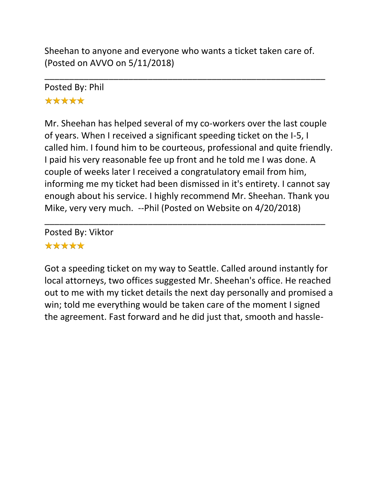Sheehan to anyone and everyone who wants a ticket taken care of. (Posted on AVVO on 5/11/2018)

\_\_\_\_\_\_\_\_\_\_\_\_\_\_\_\_\_\_\_\_\_\_\_\_\_\_\_\_\_\_\_\_\_\_\_\_\_\_\_\_\_\_\_\_\_\_\_\_\_\_\_\_\_\_\_\_\_

# Posted By: Phil \*\*\*\*\*

Mr. Sheehan has helped several of my co-workers over the last couple of years. When I received a significant speeding ticket on the I-5, I called him. I found him to be courteous, professional and quite friendly. I paid his very reasonable fee up front and he told me I was done. A couple of weeks later I received a congratulatory email from him, informing me my ticket had been dismissed in it's entirety. I cannot say enough about his service. I highly recommend Mr. Sheehan. Thank you Mike, very very much. --Phil (Posted on Website on 4/20/2018)

\_\_\_\_\_\_\_\_\_\_\_\_\_\_\_\_\_\_\_\_\_\_\_\_\_\_\_\_\_\_\_\_\_\_\_\_\_\_\_\_\_\_\_\_\_\_\_\_\_\_\_\_\_\_\_\_\_

Posted By: Viktor \*\*\*\*\*

Got a speeding ticket on my way to Seattle. Called around instantly for local attorneys, two offices suggested Mr. Sheehan's office. He reached out to me with my ticket details the next day personally and promised a win; told me everything would be taken care of the moment I signed the agreement. Fast forward and he did just that, smooth and hassle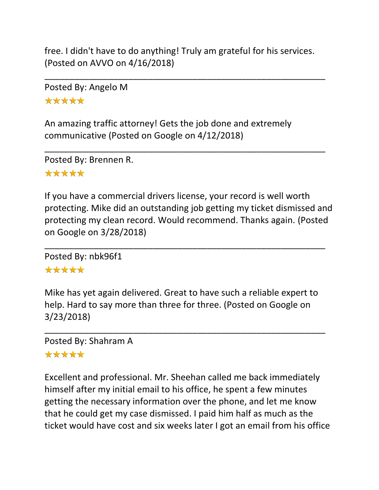free. I didn't have to do anything! Truly am grateful for his services. (Posted on AVVO on 4/16/2018)

\_\_\_\_\_\_\_\_\_\_\_\_\_\_\_\_\_\_\_\_\_\_\_\_\_\_\_\_\_\_\_\_\_\_\_\_\_\_\_\_\_\_\_\_\_\_\_\_\_\_\_\_\_\_\_\_\_

\_\_\_\_\_\_\_\_\_\_\_\_\_\_\_\_\_\_\_\_\_\_\_\_\_\_\_\_\_\_\_\_\_\_\_\_\_\_\_\_\_\_\_\_\_\_\_\_\_\_\_\_\_\_\_\_\_

Posted By: Angelo M \*\*\*\*\*

An amazing traffic attorney! Gets the job done and extremely communicative (Posted on Google on 4/12/2018)

Posted By: Brennen R.

# \*\*\*\*\*

If you have a commercial drivers license, your record is well worth protecting. Mike did an outstanding job getting my ticket dismissed and protecting my clean record. Would recommend. Thanks again. (Posted on Google on 3/28/2018)

\_\_\_\_\_\_\_\_\_\_\_\_\_\_\_\_\_\_\_\_\_\_\_\_\_\_\_\_\_\_\_\_\_\_\_\_\_\_\_\_\_\_\_\_\_\_\_\_\_\_\_\_\_\_\_\_\_

Posted By: nbk96f1

# \*\*\*\*\*

Mike has yet again delivered. Great to have such a reliable expert to help. Hard to say more than three for three. (Posted on Google on 3/23/2018)

\_\_\_\_\_\_\_\_\_\_\_\_\_\_\_\_\_\_\_\_\_\_\_\_\_\_\_\_\_\_\_\_\_\_\_\_\_\_\_\_\_\_\_\_\_\_\_\_\_\_\_\_\_\_\_\_\_

Posted By: Shahram A

## \*\*\*\*\*

Excellent and professional. Mr. Sheehan called me back immediately himself after my initial email to his office, he spent a few minutes getting the necessary information over the phone, and let me know that he could get my case dismissed. I paid him half as much as the ticket would have cost and six weeks later I got an email from his office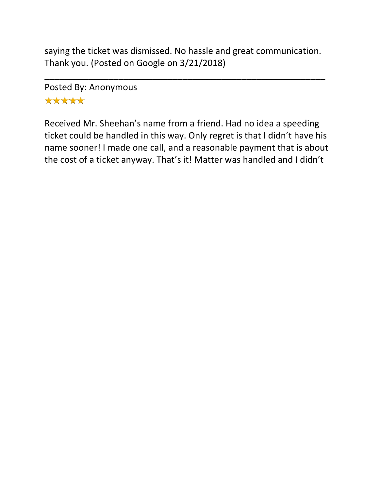saying the ticket was dismissed. No hassle and great communication. Thank you. (Posted on Google on 3/21/2018)

\_\_\_\_\_\_\_\_\_\_\_\_\_\_\_\_\_\_\_\_\_\_\_\_\_\_\_\_\_\_\_\_\_\_\_\_\_\_\_\_\_\_\_\_\_\_\_\_\_\_\_\_\_\_\_\_\_

Posted By: Anonymous \*\*\*\*\*

Received Mr. Sheehan's name from a friend. Had no idea a speeding ticket could be handled in this way. Only regret is that I didn't have his name sooner! I made one call, and a reasonable payment that is about the cost of a ticket anyway. That's it! Matter was handled and I didn't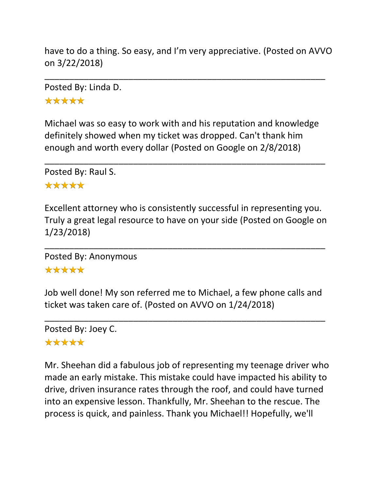have to do a thing. So easy, and I'm very appreciative. (Posted on AVVO on 3/22/2018)

\_\_\_\_\_\_\_\_\_\_\_\_\_\_\_\_\_\_\_\_\_\_\_\_\_\_\_\_\_\_\_\_\_\_\_\_\_\_\_\_\_\_\_\_\_\_\_\_\_\_\_\_\_\_\_\_\_

Posted By: Linda D.

\*\*\*\*\*

Michael was so easy to work with and his reputation and knowledge definitely showed when my ticket was dropped. Can't thank him enough and worth every dollar (Posted on Google on 2/8/2018)

\_\_\_\_\_\_\_\_\_\_\_\_\_\_\_\_\_\_\_\_\_\_\_\_\_\_\_\_\_\_\_\_\_\_\_\_\_\_\_\_\_\_\_\_\_\_\_\_\_\_\_\_\_\_\_\_\_

Posted By: Raul S.

#### \*\*\*\*\*

Excellent attorney who is consistently successful in representing you. Truly a great legal resource to have on your side (Posted on Google on 1/23/2018)

\_\_\_\_\_\_\_\_\_\_\_\_\_\_\_\_\_\_\_\_\_\_\_\_\_\_\_\_\_\_\_\_\_\_\_\_\_\_\_\_\_\_\_\_\_\_\_\_\_\_\_\_\_\_\_\_\_

Posted By: Anonymous \*\*\*\*\*

Job well done! My son referred me to Michael, a few phone calls and ticket was taken care of. (Posted on AVVO on 1/24/2018)

\_\_\_\_\_\_\_\_\_\_\_\_\_\_\_\_\_\_\_\_\_\_\_\_\_\_\_\_\_\_\_\_\_\_\_\_\_\_\_\_\_\_\_\_\_\_\_\_\_\_\_\_\_\_\_\_\_

Posted By: Joey C. \*\*\*\*\*

Mr. Sheehan did a fabulous job of representing my teenage driver who made an early mistake. This mistake could have impacted his ability to drive, driven insurance rates through the roof, and could have turned into an expensive lesson. Thankfully, Mr. Sheehan to the rescue. The process is quick, and painless. Thank you Michael!! Hopefully, we'll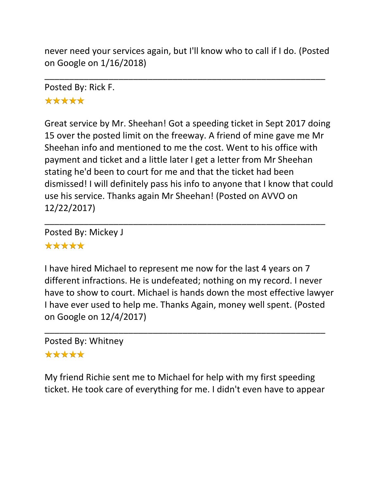never need your services again, but I'll know who to call if I do. (Posted on Google on 1/16/2018)

\_\_\_\_\_\_\_\_\_\_\_\_\_\_\_\_\_\_\_\_\_\_\_\_\_\_\_\_\_\_\_\_\_\_\_\_\_\_\_\_\_\_\_\_\_\_\_\_\_\_\_\_\_\_\_\_\_

Posted By: Rick F.

## \*\*\*\*\*

Great service by Mr. Sheehan! Got a speeding ticket in Sept 2017 doing 15 over the posted limit on the freeway. A friend of mine gave me Mr Sheehan info and mentioned to me the cost. Went to his office with payment and ticket and a little later I get a letter from Mr Sheehan stating he'd been to court for me and that the ticket had been dismissed! I will definitely pass his info to anyone that I know that could use his service. Thanks again Mr Sheehan! (Posted on AVVO on 12/22/2017)

\_\_\_\_\_\_\_\_\_\_\_\_\_\_\_\_\_\_\_\_\_\_\_\_\_\_\_\_\_\_\_\_\_\_\_\_\_\_\_\_\_\_\_\_\_\_\_\_\_\_\_\_\_\_\_\_\_

Posted By: Mickey J \*\*\*\*\*

I have hired Michael to represent me now for the last 4 years on 7 different infractions. He is undefeated; nothing on my record. I never have to show to court. Michael is hands down the most effective lawyer I have ever used to help me. Thanks Again, money well spent. (Posted on Google on 12/4/2017)

Posted By: Whitney

#### \*\*\*\*\*

My friend Richie sent me to Michael for help with my first speeding ticket. He took care of everything for me. I didn't even have to appear

\_\_\_\_\_\_\_\_\_\_\_\_\_\_\_\_\_\_\_\_\_\_\_\_\_\_\_\_\_\_\_\_\_\_\_\_\_\_\_\_\_\_\_\_\_\_\_\_\_\_\_\_\_\_\_\_\_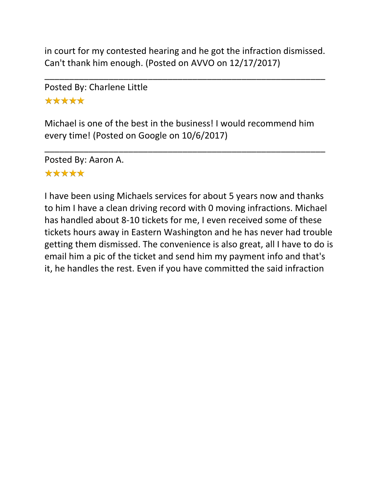in court for my contested hearing and he got the infraction dismissed. Can't thank him enough. (Posted on AVVO on 12/17/2017)

\_\_\_\_\_\_\_\_\_\_\_\_\_\_\_\_\_\_\_\_\_\_\_\_\_\_\_\_\_\_\_\_\_\_\_\_\_\_\_\_\_\_\_\_\_\_\_\_\_\_\_\_\_\_\_\_\_

Posted By: Charlene Little \*\*\*\*\*

Michael is one of the best in the business! I would recommend him every time! (Posted on Google on 10/6/2017)

\_\_\_\_\_\_\_\_\_\_\_\_\_\_\_\_\_\_\_\_\_\_\_\_\_\_\_\_\_\_\_\_\_\_\_\_\_\_\_\_\_\_\_\_\_\_\_\_\_\_\_\_\_\_\_\_\_

Posted By: Aaron A. \*\*\*\*\*

I have been using Michaels services for about 5 years now and thanks to him I have a clean driving record with 0 moving infractions. Michael has handled about 8-10 tickets for me, I even received some of these tickets hours away in Eastern Washington and he has never had trouble getting them dismissed. The convenience is also great, all I have to do is email him a pic of the ticket and send him my payment info and that's it, he handles the rest. Even if you have committed the said infraction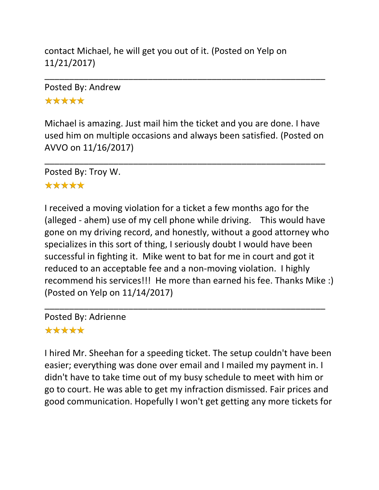contact Michael, he will get you out of it. (Posted on Yelp on 11/21/2017)

Posted By: Andrew \*\*\*\*\*

Michael is amazing. Just mail him the ticket and you are done. I have used him on multiple occasions and always been satisfied. (Posted on AVVO on 11/16/2017)

\_\_\_\_\_\_\_\_\_\_\_\_\_\_\_\_\_\_\_\_\_\_\_\_\_\_\_\_\_\_\_\_\_\_\_\_\_\_\_\_\_\_\_\_\_\_\_\_\_\_\_\_\_\_\_\_\_

\_\_\_\_\_\_\_\_\_\_\_\_\_\_\_\_\_\_\_\_\_\_\_\_\_\_\_\_\_\_\_\_\_\_\_\_\_\_\_\_\_\_\_\_\_\_\_\_\_\_\_\_\_\_\_\_\_

Posted By: Troy W.

#### \*\*\*\*\*

I received a moving violation for a ticket a few months ago for the (alleged - ahem) use of my cell phone while driving. This would have gone on my driving record, and honestly, without a good attorney who specializes in this sort of thing, I seriously doubt I would have been successful in fighting it. Mike went to bat for me in court and got it reduced to an acceptable fee and a non-moving violation. I highly recommend his services!!! He more than earned his fee. Thanks Mike :) (Posted on Yelp on 11/14/2017)

\_\_\_\_\_\_\_\_\_\_\_\_\_\_\_\_\_\_\_\_\_\_\_\_\_\_\_\_\_\_\_\_\_\_\_\_\_\_\_\_\_\_\_\_\_\_\_\_\_\_\_\_\_\_\_\_\_

Posted By: Adrienne

#### \*\*\*\*\*

I hired Mr. Sheehan for a speeding ticket. The setup couldn't have been easier; everything was done over email and I mailed my payment in. I didn't have to take time out of my busy schedule to meet with him or go to court. He was able to get my infraction dismissed. Fair prices and good communication. Hopefully I won't get getting any more tickets for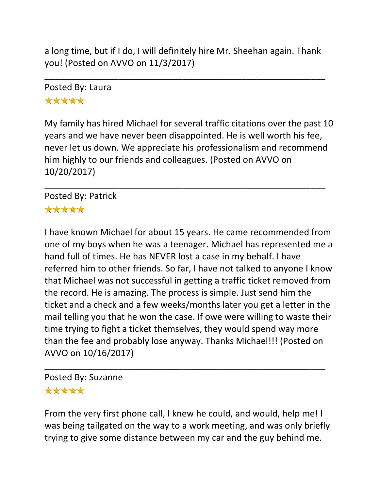a long time, but if I do, I will definitely hire Mr. Sheehan again. Thank you! (Posted on AVVO on 11/3/2017)

\_\_\_\_\_\_\_\_\_\_\_\_\_\_\_\_\_\_\_\_\_\_\_\_\_\_\_\_\_\_\_\_\_\_\_\_\_\_\_\_\_\_\_\_\_\_\_\_\_\_\_\_\_\_\_\_\_

Posted By: Laura \*\*\*\*\*

My family has hired Michael for several traffic citations over the past 10 years and we have never been disappointed. He is well worth his fee, never let us down. We appreciate his professionalism and recommend him highly to our friends and colleagues. (Posted on AVVO on 10/20/2017)

\_\_\_\_\_\_\_\_\_\_\_\_\_\_\_\_\_\_\_\_\_\_\_\_\_\_\_\_\_\_\_\_\_\_\_\_\_\_\_\_\_\_\_\_\_\_\_\_\_\_\_\_\_\_\_\_\_

Posted By: Patrick \*\*\*\*\*

I have known Michael for about 15 years. He came recommended from one of my boys when he was a teenager. Michael has represented me a hand full of times. He has NEVER lost a case in my behalf. I have referred him to other friends. So far, I have not talked to anyone I know that Michael was not successful in getting a traffic ticket removed from the record. He is amazing. The process is simple. Just send him the ticket and a check and a few weeks/months later you get a letter in the mail telling you that he won the case. If owe were willing to waste their time trying to fight a ticket themselves, they would spend way more than the fee and probably lose anyway. Thanks Michael!!! (Posted on AVVO on 10/16/2017)

Posted By: Suzanne

#### \*\*\*\*\*

From the very first phone call, I knew he could, and would, help me! I was being tailgated on the way to a work meeting, and was only briefly trying to give some distance between my car and the guy behind me.

\_\_\_\_\_\_\_\_\_\_\_\_\_\_\_\_\_\_\_\_\_\_\_\_\_\_\_\_\_\_\_\_\_\_\_\_\_\_\_\_\_\_\_\_\_\_\_\_\_\_\_\_\_\_\_\_\_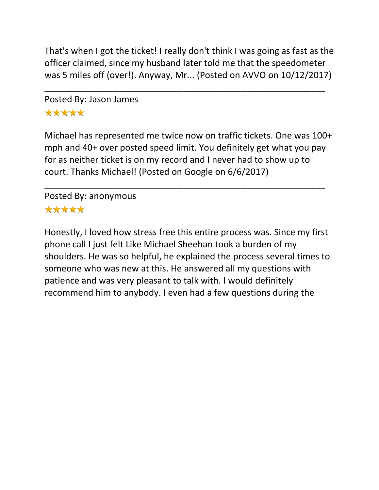That's when I got the ticket! I really don't think I was going as fast as the officer claimed, since my husband later told me that the speedometer was 5 miles off (over!). Anyway, Mr... (Posted on AVVO on 10/12/2017)

\_\_\_\_\_\_\_\_\_\_\_\_\_\_\_\_\_\_\_\_\_\_\_\_\_\_\_\_\_\_\_\_\_\_\_\_\_\_\_\_\_\_\_\_\_\_\_\_\_\_\_\_\_\_\_\_\_

Posted By: Jason James \*\*\*\*\*

Michael has represented me twice now on traffic tickets. One was 100+ mph and 40+ over posted speed limit. You definitely get what you pay for as neither ticket is on my record and I never had to show up to court. Thanks Michael! (Posted on Google on 6/6/2017)

\_\_\_\_\_\_\_\_\_\_\_\_\_\_\_\_\_\_\_\_\_\_\_\_\_\_\_\_\_\_\_\_\_\_\_\_\_\_\_\_\_\_\_\_\_\_\_\_\_\_\_\_\_\_\_\_\_

Posted By: anonymous \*\*\*\*\*

Honestly, I loved how stress free this entire process was. Since my first phone call I just felt Like Michael Sheehan took a burden of my shoulders. He was so helpful, he explained the process several times to someone who was new at this. He answered all my questions with patience and was very pleasant to talk with. I would definitely recommend him to anybody. I even had a few questions during the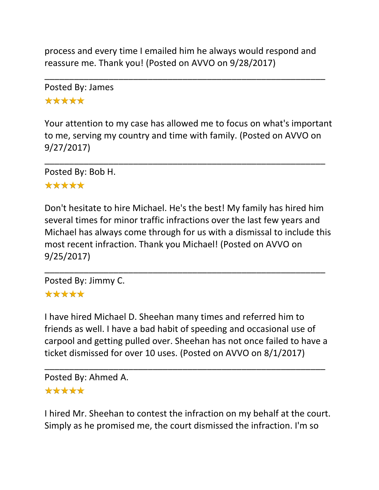process and every time I emailed him he always would respond and reassure me. Thank you! (Posted on AVVO on 9/28/2017)

\_\_\_\_\_\_\_\_\_\_\_\_\_\_\_\_\_\_\_\_\_\_\_\_\_\_\_\_\_\_\_\_\_\_\_\_\_\_\_\_\_\_\_\_\_\_\_\_\_\_\_\_\_\_\_\_\_

Posted By: James \*\*\*\*\*

Your attention to my case has allowed me to focus on what's important to me, serving my country and time with family. (Posted on AVVO on 9/27/2017)

\_\_\_\_\_\_\_\_\_\_\_\_\_\_\_\_\_\_\_\_\_\_\_\_\_\_\_\_\_\_\_\_\_\_\_\_\_\_\_\_\_\_\_\_\_\_\_\_\_\_\_\_\_\_\_\_\_

Posted By: Bob H.

#### \*\*\*\*\*

Don't hesitate to hire Michael. He's the best! My family has hired him several times for minor traffic infractions over the last few years and Michael has always come through for us with a dismissal to include this most recent infraction. Thank you Michael! (Posted on AVVO on 9/25/2017)

\_\_\_\_\_\_\_\_\_\_\_\_\_\_\_\_\_\_\_\_\_\_\_\_\_\_\_\_\_\_\_\_\_\_\_\_\_\_\_\_\_\_\_\_\_\_\_\_\_\_\_\_\_\_\_\_\_

Posted By: Jimmy C. \*\*\*\*\*

I have hired Michael D. Sheehan many times and referred him to friends as well. I have a bad habit of speeding and occasional use of carpool and getting pulled over. Sheehan has not once failed to have a ticket dismissed for over 10 uses. (Posted on AVVO on 8/1/2017)

\_\_\_\_\_\_\_\_\_\_\_\_\_\_\_\_\_\_\_\_\_\_\_\_\_\_\_\_\_\_\_\_\_\_\_\_\_\_\_\_\_\_\_\_\_\_\_\_\_\_\_\_\_\_\_\_\_ Posted By: Ahmed A.

#### \*\*\*\*\*

I hired Mr. Sheehan to contest the infraction on my behalf at the court. Simply as he promised me, the court dismissed the infraction. I'm so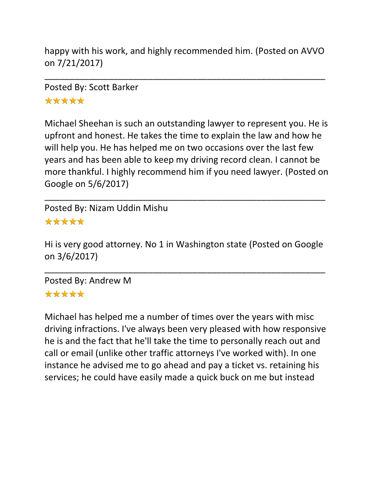happy with his work, and highly recommended him. (Posted on AVVO on 7/21/2017)

\_\_\_\_\_\_\_\_\_\_\_\_\_\_\_\_\_\_\_\_\_\_\_\_\_\_\_\_\_\_\_\_\_\_\_\_\_\_\_\_\_\_\_\_\_\_\_\_\_\_\_\_\_\_\_\_\_

Posted By: Scott Barker \*\*\*\*\*

Michael Sheehan is such an outstanding lawyer to represent you. He is upfront and honest. He takes the time to explain the law and how he will help you. He has helped me on two occasions over the last few years and has been able to keep my driving record clean. I cannot be more thankful. I highly recommend him if you need lawyer. (Posted on Google on 5/6/2017)

\_\_\_\_\_\_\_\_\_\_\_\_\_\_\_\_\_\_\_\_\_\_\_\_\_\_\_\_\_\_\_\_\_\_\_\_\_\_\_\_\_\_\_\_\_\_\_\_\_\_\_\_\_\_\_\_\_

Posted By: Nizam Uddin Mishu \*\*\*\*\*

Hi is very good attorney. No 1 in Washington state (Posted on Google on 3/6/2017)

\_\_\_\_\_\_\_\_\_\_\_\_\_\_\_\_\_\_\_\_\_\_\_\_\_\_\_\_\_\_\_\_\_\_\_\_\_\_\_\_\_\_\_\_\_\_\_\_\_\_\_\_\_\_\_\_\_

Posted By: Andrew M \*\*\*\*\*

Michael has helped me a number of times over the years with misc driving infractions. I've always been very pleased with how responsive he is and the fact that he'll take the time to personally reach out and call or email (unlike other traffic attorneys I've worked with). In one instance he advised me to go ahead and pay a ticket vs. retaining his services; he could have easily made a quick buck on me but instead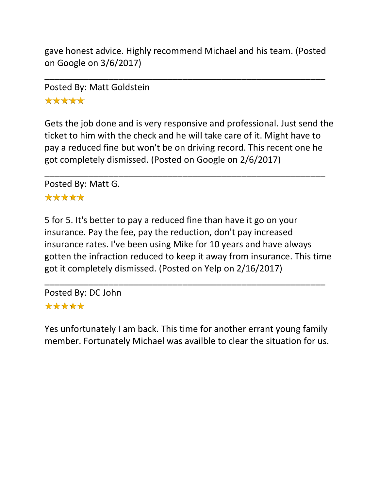gave honest advice. Highly recommend Michael and his team. (Posted on Google on 3/6/2017)

\_\_\_\_\_\_\_\_\_\_\_\_\_\_\_\_\_\_\_\_\_\_\_\_\_\_\_\_\_\_\_\_\_\_\_\_\_\_\_\_\_\_\_\_\_\_\_\_\_\_\_\_\_\_\_\_\_

Posted By: Matt Goldstein \*\*\*\*\*

Gets the job done and is very responsive and professional. Just send the ticket to him with the check and he will take care of it. Might have to pay a reduced fine but won't be on driving record. This recent one he got completely dismissed. (Posted on Google on 2/6/2017)

\_\_\_\_\_\_\_\_\_\_\_\_\_\_\_\_\_\_\_\_\_\_\_\_\_\_\_\_\_\_\_\_\_\_\_\_\_\_\_\_\_\_\_\_\_\_\_\_\_\_\_\_\_\_\_\_\_

Posted By: Matt G.

#### \*\*\*\*\*

5 for 5. It's better to pay a reduced fine than have it go on your insurance. Pay the fee, pay the reduction, don't pay increased insurance rates. I've been using Mike for 10 years and have always gotten the infraction reduced to keep it away from insurance. This time got it completely dismissed. (Posted on Yelp on 2/16/2017)

\_\_\_\_\_\_\_\_\_\_\_\_\_\_\_\_\_\_\_\_\_\_\_\_\_\_\_\_\_\_\_\_\_\_\_\_\_\_\_\_\_\_\_\_\_\_\_\_\_\_\_\_\_\_\_\_\_

Posted By: DC John \*\*\*\*\*

Yes unfortunately I am back. This time for another errant young family member. Fortunately Michael was availble to clear the situation for us.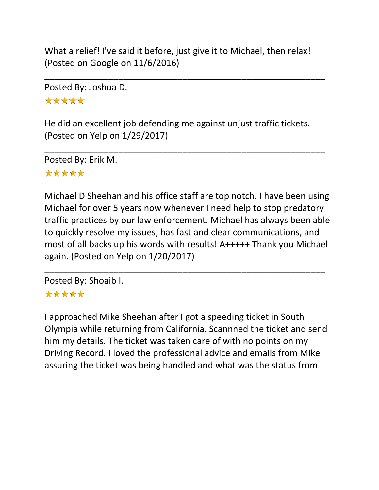What a relief! I've said it before, just give it to Michael, then relax! (Posted on Google on 11/6/2016)

\_\_\_\_\_\_\_\_\_\_\_\_\_\_\_\_\_\_\_\_\_\_\_\_\_\_\_\_\_\_\_\_\_\_\_\_\_\_\_\_\_\_\_\_\_\_\_\_\_\_\_\_\_\_\_\_\_

Posted By: Joshua D. \*\*\*\*\*

He did an excellent job defending me against unjust traffic tickets. (Posted on Yelp on 1/29/2017)

\_\_\_\_\_\_\_\_\_\_\_\_\_\_\_\_\_\_\_\_\_\_\_\_\_\_\_\_\_\_\_\_\_\_\_\_\_\_\_\_\_\_\_\_\_\_\_\_\_\_\_\_\_\_\_\_\_

Posted By: Erik M. \*\*\*\*\*

Michael D Sheehan and his office staff are top notch. I have been using Michael for over 5 years now whenever I need help to stop predatory traffic practices by our law enforcement. Michael has always been able to quickly resolve my issues, has fast and clear communications, and most of all backs up his words with results! A+++++ Thank you Michael again. (Posted on Yelp on 1/20/2017)

\_\_\_\_\_\_\_\_\_\_\_\_\_\_\_\_\_\_\_\_\_\_\_\_\_\_\_\_\_\_\_\_\_\_\_\_\_\_\_\_\_\_\_\_\_\_\_\_\_\_\_\_\_\_\_\_\_

Posted By: Shoaib I.

#### \*\*\*\*\*

I approached Mike Sheehan after I got a speeding ticket in South Olympia while returning from California. Scannned the ticket and send him my details. The ticket was taken care of with no points on my Driving Record. I loved the professional advice and emails from Mike assuring the ticket was being handled and what was the status from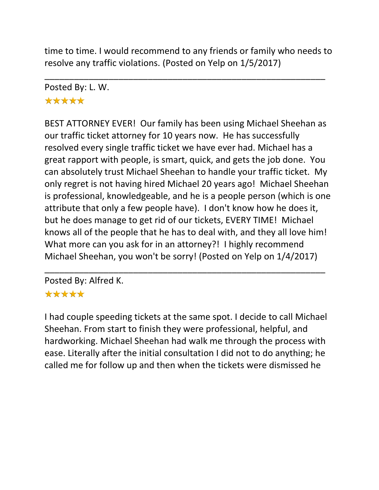time to time. I would recommend to any friends or family who needs to resolve any traffic violations. (Posted on Yelp on 1/5/2017)

\_\_\_\_\_\_\_\_\_\_\_\_\_\_\_\_\_\_\_\_\_\_\_\_\_\_\_\_\_\_\_\_\_\_\_\_\_\_\_\_\_\_\_\_\_\_\_\_\_\_\_\_\_\_\_\_\_ Posted By: L. W. \*\*\*\*\*

BEST ATTORNEY EVER! Our family has been using Michael Sheehan as our traffic ticket attorney for 10 years now. He has successfully resolved every single traffic ticket we have ever had. Michael has a great rapport with people, is smart, quick, and gets the job done. You can absolutely trust Michael Sheehan to handle your traffic ticket. My only regret is not having hired Michael 20 years ago! Michael Sheehan is professional, knowledgeable, and he is a people person (which is one attribute that only a few people have). I don't know how he does it, but he does manage to get rid of our tickets, EVERY TIME! Michael knows all of the people that he has to deal with, and they all love him! What more can you ask for in an attorney?! I highly recommend Michael Sheehan, you won't be sorry! (Posted on Yelp on 1/4/2017)

Posted By: Alfred K.

#### \*\*\*\*\*

I had couple speeding tickets at the same spot. I decide to call Michael Sheehan. From start to finish they were professional, helpful, and hardworking. Michael Sheehan had walk me through the process with ease. Literally after the initial consultation I did not to do anything; he called me for follow up and then when the tickets were dismissed he

\_\_\_\_\_\_\_\_\_\_\_\_\_\_\_\_\_\_\_\_\_\_\_\_\_\_\_\_\_\_\_\_\_\_\_\_\_\_\_\_\_\_\_\_\_\_\_\_\_\_\_\_\_\_\_\_\_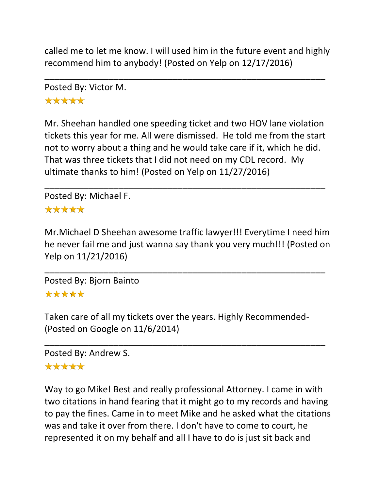called me to let me know. I will used him in the future event and highly recommend him to anybody! (Posted on Yelp on 12/17/2016)

\_\_\_\_\_\_\_\_\_\_\_\_\_\_\_\_\_\_\_\_\_\_\_\_\_\_\_\_\_\_\_\_\_\_\_\_\_\_\_\_\_\_\_\_\_\_\_\_\_\_\_\_\_\_\_\_\_

Posted By: Victor M. \*\*\*\*\*

Mr. Sheehan handled one speeding ticket and two HOV lane violation tickets this year for me. All were dismissed. He told me from the start not to worry about a thing and he would take care if it, which he did. That was three tickets that I did not need on my CDL record. My ultimate thanks to him! (Posted on Yelp on 11/27/2016)

\_\_\_\_\_\_\_\_\_\_\_\_\_\_\_\_\_\_\_\_\_\_\_\_\_\_\_\_\_\_\_\_\_\_\_\_\_\_\_\_\_\_\_\_\_\_\_\_\_\_\_\_\_\_\_\_\_

Posted By: Michael F. \*\*\*\*\*

Mr.Michael D Sheehan awesome traffic lawyer!!! Everytime I need him he never fail me and just wanna say thank you very much!!! (Posted on Yelp on 11/21/2016)

\_\_\_\_\_\_\_\_\_\_\_\_\_\_\_\_\_\_\_\_\_\_\_\_\_\_\_\_\_\_\_\_\_\_\_\_\_\_\_\_\_\_\_\_\_\_\_\_\_\_\_\_\_\_\_\_\_

Posted By: Bjorn Bainto

#### \*\*\*\*\*

Taken care of all my tickets over the years. Highly Recommended- (Posted on Google on 11/6/2014)

\_\_\_\_\_\_\_\_\_\_\_\_\_\_\_\_\_\_\_\_\_\_\_\_\_\_\_\_\_\_\_\_\_\_\_\_\_\_\_\_\_\_\_\_\_\_\_\_\_\_\_\_\_\_\_\_\_

Posted By: Andrew S.

## \*\*\*\*\*

Way to go Mike! Best and really professional Attorney. I came in with two citations in hand fearing that it might go to my records and having to pay the fines. Came in to meet Mike and he asked what the citations was and take it over from there. I don't have to come to court, he represented it on my behalf and all I have to do is just sit back and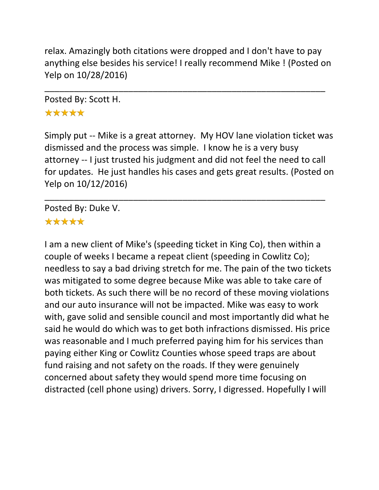relax. Amazingly both citations were dropped and I don't have to pay anything else besides his service! I really recommend Mike ! (Posted on Yelp on 10/28/2016)

\_\_\_\_\_\_\_\_\_\_\_\_\_\_\_\_\_\_\_\_\_\_\_\_\_\_\_\_\_\_\_\_\_\_\_\_\_\_\_\_\_\_\_\_\_\_\_\_\_\_\_\_\_\_\_\_\_

Posted By: Scott H. \*\*\*\*\*

Simply put -- Mike is a great attorney. My HOV lane violation ticket was dismissed and the process was simple. I know he is a very busy attorney -- I just trusted his judgment and did not feel the need to call for updates. He just handles his cases and gets great results. (Posted on Yelp on 10/12/2016)

\_\_\_\_\_\_\_\_\_\_\_\_\_\_\_\_\_\_\_\_\_\_\_\_\_\_\_\_\_\_\_\_\_\_\_\_\_\_\_\_\_\_\_\_\_\_\_\_\_\_\_\_\_\_\_\_\_

Posted By: Duke V.

#### \*\*\*\*\*

I am a new client of Mike's (speeding ticket in King Co), then within a couple of weeks I became a repeat client (speeding in Cowlitz Co); needless to say a bad driving stretch for me. The pain of the two tickets was mitigated to some degree because Mike was able to take care of both tickets. As such there will be no record of these moving violations and our auto insurance will not be impacted. Mike was easy to work with, gave solid and sensible council and most importantly did what he said he would do which was to get both infractions dismissed. His price was reasonable and I much preferred paying him for his services than paying either King or Cowlitz Counties whose speed traps are about fund raising and not safety on the roads. If they were genuinely concerned about safety they would spend more time focusing on distracted (cell phone using) drivers. Sorry, I digressed. Hopefully I will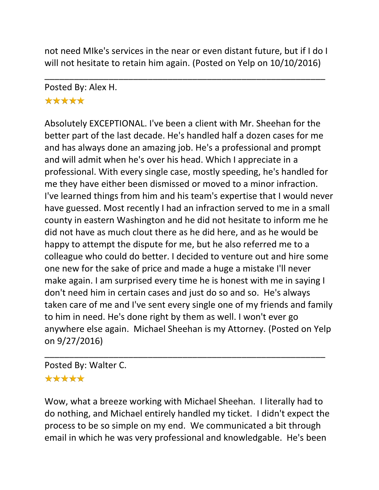not need MIke's services in the near or even distant future, but if I do I will not hesitate to retain him again. (Posted on Yelp on 10/10/2016)

\_\_\_\_\_\_\_\_\_\_\_\_\_\_\_\_\_\_\_\_\_\_\_\_\_\_\_\_\_\_\_\_\_\_\_\_\_\_\_\_\_\_\_\_\_\_\_\_\_\_\_\_\_\_\_\_\_

Posted By: Alex H.

## \*\*\*\*\*

Absolutely EXCEPTIONAL. I've been a client with Mr. Sheehan for the better part of the last decade. He's handled half a dozen cases for me and has always done an amazing job. He's a professional and prompt and will admit when he's over his head. Which I appreciate in a professional. With every single case, mostly speeding, he's handled for me they have either been dismissed or moved to a minor infraction. I've learned things from him and his team's expertise that I would never have guessed. Most recently I had an infraction served to me in a small county in eastern Washington and he did not hesitate to inform me he did not have as much clout there as he did here, and as he would be happy to attempt the dispute for me, but he also referred me to a colleague who could do better. I decided to venture out and hire some one new for the sake of price and made a huge a mistake I'll never make again. I am surprised every time he is honest with me in saying I don't need him in certain cases and just do so and so. He's always taken care of me and I've sent every single one of my friends and family to him in need. He's done right by them as well. I won't ever go anywhere else again. Michael Sheehan is my Attorney. (Posted on Yelp on 9/27/2016)

## Posted By: Walter C. \*\*\*\*\*

Wow, what a breeze working with Michael Sheehan. I literally had to do nothing, and Michael entirely handled my ticket. I didn't expect the process to be so simple on my end. We communicated a bit through email in which he was very professional and knowledgable. He's been

\_\_\_\_\_\_\_\_\_\_\_\_\_\_\_\_\_\_\_\_\_\_\_\_\_\_\_\_\_\_\_\_\_\_\_\_\_\_\_\_\_\_\_\_\_\_\_\_\_\_\_\_\_\_\_\_\_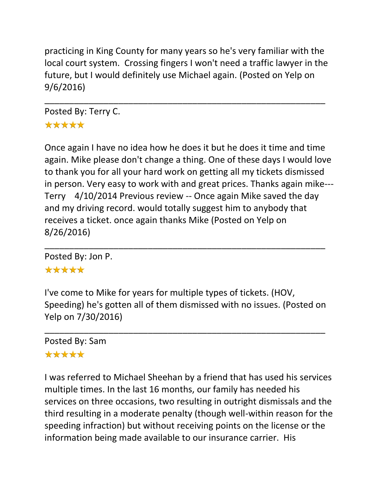practicing in King County for many years so he's very familiar with the local court system. Crossing fingers I won't need a traffic lawyer in the future, but I would definitely use Michael again. (Posted on Yelp on 9/6/2016)

\_\_\_\_\_\_\_\_\_\_\_\_\_\_\_\_\_\_\_\_\_\_\_\_\_\_\_\_\_\_\_\_\_\_\_\_\_\_\_\_\_\_\_\_\_\_\_\_\_\_\_\_\_\_\_\_\_

Posted By: Terry C. \*\*\*\*\*

Once again I have no idea how he does it but he does it time and time again. Mike please don't change a thing. One of these days I would love to thank you for all your hard work on getting all my tickets dismissed in person. Very easy to work with and great prices. Thanks again mike--- Terry 4/10/2014 Previous review -- Once again Mike saved the day and my driving record. would totally suggest him to anybody that receives a ticket. once again thanks Mike (Posted on Yelp on 8/26/2016)

Posted By: Jon P.

## \*\*\*\*\*

I've come to Mike for years for multiple types of tickets. (HOV, Speeding) he's gotten all of them dismissed with no issues. (Posted on Yelp on 7/30/2016)

\_\_\_\_\_\_\_\_\_\_\_\_\_\_\_\_\_\_\_\_\_\_\_\_\_\_\_\_\_\_\_\_\_\_\_\_\_\_\_\_\_\_\_\_\_\_\_\_\_\_\_\_\_\_\_\_\_

\_\_\_\_\_\_\_\_\_\_\_\_\_\_\_\_\_\_\_\_\_\_\_\_\_\_\_\_\_\_\_\_\_\_\_\_\_\_\_\_\_\_\_\_\_\_\_\_\_\_\_\_\_\_\_\_\_

Posted By: Sam \*\*\*\*\*

I was referred to Michael Sheehan by a friend that has used his services multiple times. In the last 16 months, our family has needed his services on three occasions, two resulting in outright dismissals and the third resulting in a moderate penalty (though well-within reason for the speeding infraction) but without receiving points on the license or the information being made available to our insurance carrier. His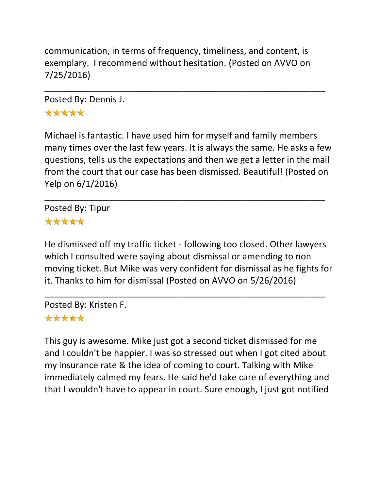communication, in terms of frequency, timeliness, and content, is exemplary. I recommend without hesitation. (Posted on AVVO on 7/25/2016)

\_\_\_\_\_\_\_\_\_\_\_\_\_\_\_\_\_\_\_\_\_\_\_\_\_\_\_\_\_\_\_\_\_\_\_\_\_\_\_\_\_\_\_\_\_\_\_\_\_\_\_\_\_\_\_\_\_

Posted By: Dennis J. \*\*\*\*\*

Michael is fantastic. I have used him for myself and family members many times over the last few years. It is always the same. He asks a few questions, tells us the expectations and then we get a letter in the mail from the court that our case has been dismissed. Beautiful! (Posted on Yelp on 6/1/2016)

\_\_\_\_\_\_\_\_\_\_\_\_\_\_\_\_\_\_\_\_\_\_\_\_\_\_\_\_\_\_\_\_\_\_\_\_\_\_\_\_\_\_\_\_\_\_\_\_\_\_\_\_\_\_\_\_\_

Posted By: Tipur \*\*\*\*\*

He dismissed off my traffic ticket - following too closed. Other lawyers which I consulted were saying about dismissal or amending to non moving ticket. But Mike was very confident for dismissal as he fights for it. Thanks to him for dismissal (Posted on AVVO on 5/26/2016)

\_\_\_\_\_\_\_\_\_\_\_\_\_\_\_\_\_\_\_\_\_\_\_\_\_\_\_\_\_\_\_\_\_\_\_\_\_\_\_\_\_\_\_\_\_\_\_\_\_\_\_\_\_\_\_\_\_

Posted By: Kristen F.

#### \*\*\*\*\*

This guy is awesome. Mike just got a second ticket dismissed for me and I couldn't be happier. I was so stressed out when I got cited about my insurance rate & the idea of coming to court. Talking with Mike immediately calmed my fears. He said he'd take care of everything and that I wouldn't have to appear in court. Sure enough, I just got notified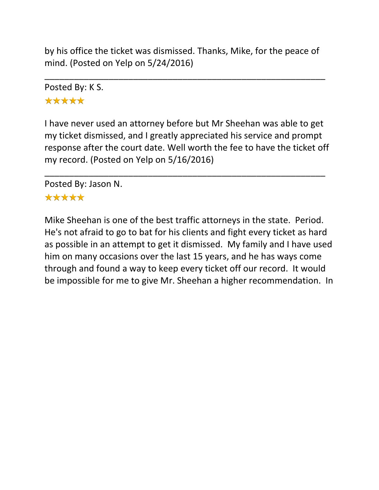by his office the ticket was dismissed. Thanks, Mike, for the peace of mind. (Posted on Yelp on 5/24/2016)

\_\_\_\_\_\_\_\_\_\_\_\_\_\_\_\_\_\_\_\_\_\_\_\_\_\_\_\_\_\_\_\_\_\_\_\_\_\_\_\_\_\_\_\_\_\_\_\_\_\_\_\_\_\_\_\_\_

Posted By: K S. \*\*\*\*\*

I have never used an attorney before but Mr Sheehan was able to get my ticket dismissed, and I greatly appreciated his service and prompt response after the court date. Well worth the fee to have the ticket off my record. (Posted on Yelp on 5/16/2016)

\_\_\_\_\_\_\_\_\_\_\_\_\_\_\_\_\_\_\_\_\_\_\_\_\_\_\_\_\_\_\_\_\_\_\_\_\_\_\_\_\_\_\_\_\_\_\_\_\_\_\_\_\_\_\_\_\_

Posted By: Jason N.

#### \*\*\*\*\*

Mike Sheehan is one of the best traffic attorneys in the state. Period. He's not afraid to go to bat for his clients and fight every ticket as hard as possible in an attempt to get it dismissed. My family and I have used him on many occasions over the last 15 years, and he has ways come through and found a way to keep every ticket off our record. It would be impossible for me to give Mr. Sheehan a higher recommendation. In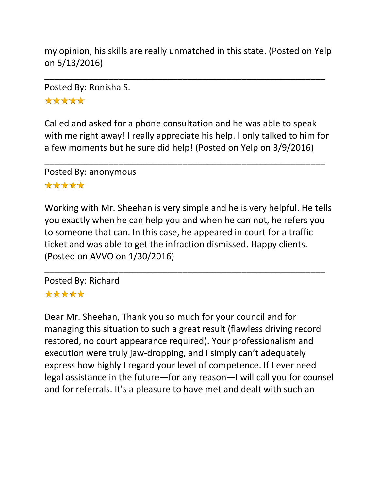my opinion, his skills are really unmatched in this state. (Posted on Yelp on 5/13/2016)

\_\_\_\_\_\_\_\_\_\_\_\_\_\_\_\_\_\_\_\_\_\_\_\_\_\_\_\_\_\_\_\_\_\_\_\_\_\_\_\_\_\_\_\_\_\_\_\_\_\_\_\_\_\_\_\_\_

Posted By: Ronisha S.

\*\*\*\*\*

Called and asked for a phone consultation and he was able to speak with me right away! I really appreciate his help. I only talked to him for a few moments but he sure did help! (Posted on Yelp on 3/9/2016)

\_\_\_\_\_\_\_\_\_\_\_\_\_\_\_\_\_\_\_\_\_\_\_\_\_\_\_\_\_\_\_\_\_\_\_\_\_\_\_\_\_\_\_\_\_\_\_\_\_\_\_\_\_\_\_\_\_

Posted By: anonymous

#### \*\*\*\*\*

Working with Mr. Sheehan is very simple and he is very helpful. He tells you exactly when he can help you and when he can not, he refers you to someone that can. In this case, he appeared in court for a traffic ticket and was able to get the infraction dismissed. Happy clients. (Posted on AVVO on 1/30/2016)

\_\_\_\_\_\_\_\_\_\_\_\_\_\_\_\_\_\_\_\_\_\_\_\_\_\_\_\_\_\_\_\_\_\_\_\_\_\_\_\_\_\_\_\_\_\_\_\_\_\_\_\_\_\_\_\_\_

Posted By: Richard \*\*\*\*\*

# Dear Mr. Sheehan, Thank you so much for your council and for managing this situation to such a great result (flawless driving record restored, no court appearance required). Your professionalism and execution were truly jaw-dropping, and I simply can't adequately express how highly I regard your level of competence. If I ever need legal assistance in the future—for any reason—I will call you for counsel and for referrals. It's a pleasure to have met and dealt with such an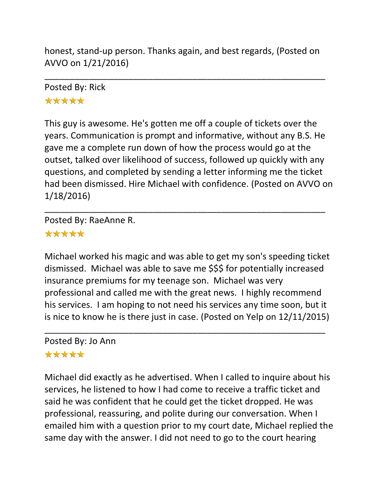honest, stand-up person. Thanks again, and best regards, (Posted on AVVO on 1/21/2016)

\_\_\_\_\_\_\_\_\_\_\_\_\_\_\_\_\_\_\_\_\_\_\_\_\_\_\_\_\_\_\_\_\_\_\_\_\_\_\_\_\_\_\_\_\_\_\_\_\_\_\_\_\_\_\_\_\_

## Posted By: Rick \*\*\*\*\*

This guy is awesome. He's gotten me off a couple of tickets over the years. Communication is prompt and informative, without any B.S. He gave me a complete run down of how the process would go at the outset, talked over likelihood of success, followed up quickly with any questions, and completed by sending a letter informing me the ticket had been dismissed. Hire Michael with confidence. (Posted on AVVO on 1/18/2016)

\_\_\_\_\_\_\_\_\_\_\_\_\_\_\_\_\_\_\_\_\_\_\_\_\_\_\_\_\_\_\_\_\_\_\_\_\_\_\_\_\_\_\_\_\_\_\_\_\_\_\_\_\_\_\_\_\_

Posted By: RaeAnne R.

# \*\*\*\*\*

Michael worked his magic and was able to get my son's speeding ticket dismissed. Michael was able to save me \$\$\$ for potentially increased insurance premiums for my teenage son. Michael was very professional and called me with the great news. I highly recommend his services. I am hoping to not need his services any time soon, but it is nice to know he is there just in case. (Posted on Yelp on 12/11/2015)

\_\_\_\_\_\_\_\_\_\_\_\_\_\_\_\_\_\_\_\_\_\_\_\_\_\_\_\_\_\_\_\_\_\_\_\_\_\_\_\_\_\_\_\_\_\_\_\_\_\_\_\_\_\_\_\_\_

Posted By: Jo Ann

#### \*\*\*\*\*

Michael did exactly as he advertised. When I called to inquire about his services, he listened to how I had come to receive a traffic ticket and said he was confident that he could get the ticket dropped. He was professional, reassuring, and polite during our conversation. When I emailed him with a question prior to my court date, Michael replied the same day with the answer. I did not need to go to the court hearing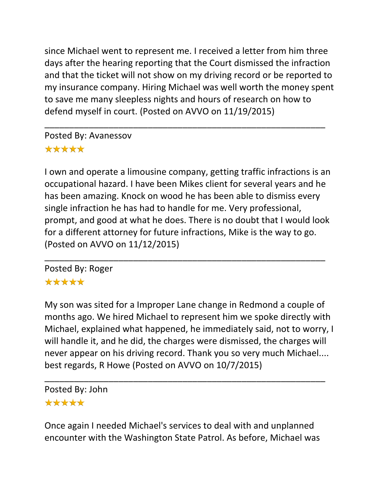since Michael went to represent me. I received a letter from him three days after the hearing reporting that the Court dismissed the infraction and that the ticket will not show on my driving record or be reported to my insurance company. Hiring Michael was well worth the money spent to save me many sleepless nights and hours of research on how to defend myself in court. (Posted on AVVO on 11/19/2015)

\_\_\_\_\_\_\_\_\_\_\_\_\_\_\_\_\_\_\_\_\_\_\_\_\_\_\_\_\_\_\_\_\_\_\_\_\_\_\_\_\_\_\_\_\_\_\_\_\_\_\_\_\_\_\_\_\_

Posted By: Avanessov \*\*\*\*\*

I own and operate a limousine company, getting traffic infractions is an occupational hazard. I have been Mikes client for several years and he has been amazing. Knock on wood he has been able to dismiss every single infraction he has had to handle for me. Very professional, prompt, and good at what he does. There is no doubt that I would look for a different attorney for future infractions, Mike is the way to go. (Posted on AVVO on 11/12/2015)

\_\_\_\_\_\_\_\_\_\_\_\_\_\_\_\_\_\_\_\_\_\_\_\_\_\_\_\_\_\_\_\_\_\_\_\_\_\_\_\_\_\_\_\_\_\_\_\_\_\_\_\_\_\_\_\_\_

Posted By: Roger \*\*\*\*\*

My son was sited for a Improper Lane change in Redmond a couple of months ago. We hired Michael to represent him we spoke directly with Michael, explained what happened, he immediately said, not to worry, I will handle it, and he did, the charges were dismissed, the charges will never appear on his driving record. Thank you so very much Michael.... best regards, R Howe (Posted on AVVO on 10/7/2015)

Posted By: John \*\*\*\*\*

Once again I needed Michael's services to deal with and unplanned encounter with the Washington State Patrol. As before, Michael was

\_\_\_\_\_\_\_\_\_\_\_\_\_\_\_\_\_\_\_\_\_\_\_\_\_\_\_\_\_\_\_\_\_\_\_\_\_\_\_\_\_\_\_\_\_\_\_\_\_\_\_\_\_\_\_\_\_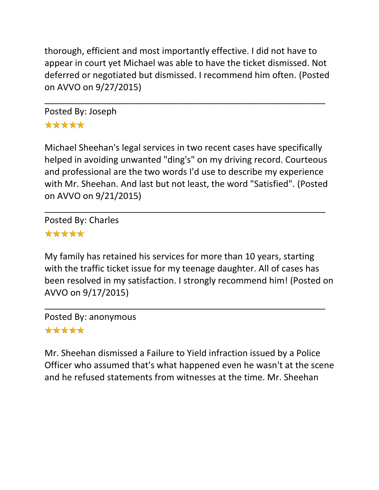thorough, efficient and most importantly effective. I did not have to appear in court yet Michael was able to have the ticket dismissed. Not deferred or negotiated but dismissed. I recommend him often. (Posted on AVVO on 9/27/2015)

\_\_\_\_\_\_\_\_\_\_\_\_\_\_\_\_\_\_\_\_\_\_\_\_\_\_\_\_\_\_\_\_\_\_\_\_\_\_\_\_\_\_\_\_\_\_\_\_\_\_\_\_\_\_\_\_\_

Posted By: Joseph \*\*\*\*\*

Michael Sheehan's legal services in two recent cases have specifically helped in avoiding unwanted "ding's" on my driving record. Courteous and professional are the two words I'd use to describe my experience with Mr. Sheehan. And last but not least, the word "Satisfied". (Posted on AVVO on 9/21/2015)

\_\_\_\_\_\_\_\_\_\_\_\_\_\_\_\_\_\_\_\_\_\_\_\_\_\_\_\_\_\_\_\_\_\_\_\_\_\_\_\_\_\_\_\_\_\_\_\_\_\_\_\_\_\_\_\_\_

Posted By: Charles \*\*\*\*\*

My family has retained his services for more than 10 years, starting with the traffic ticket issue for my teenage daughter. All of cases has been resolved in my satisfaction. I strongly recommend him! (Posted on AVVO on 9/17/2015)

\_\_\_\_\_\_\_\_\_\_\_\_\_\_\_\_\_\_\_\_\_\_\_\_\_\_\_\_\_\_\_\_\_\_\_\_\_\_\_\_\_\_\_\_\_\_\_\_\_\_\_\_\_\_\_\_\_

Posted By: anonymous

# \*\*\*\*\*

Mr. Sheehan dismissed a Failure to Yield infraction issued by a Police Officer who assumed that's what happened even he wasn't at the scene and he refused statements from witnesses at the time. Mr. Sheehan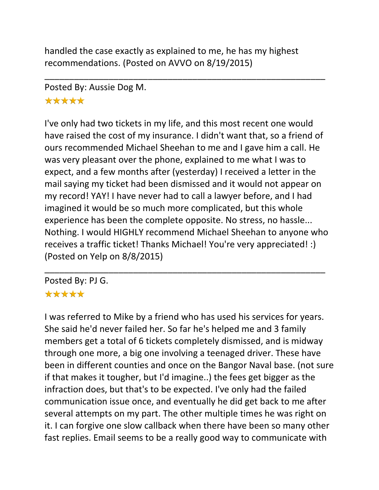handled the case exactly as explained to me, he has my highest recommendations. (Posted on AVVO on 8/19/2015)

\_\_\_\_\_\_\_\_\_\_\_\_\_\_\_\_\_\_\_\_\_\_\_\_\_\_\_\_\_\_\_\_\_\_\_\_\_\_\_\_\_\_\_\_\_\_\_\_\_\_\_\_\_\_\_\_\_

Posted By: Aussie Dog M.

## \*\*\*\*\*

I've only had two tickets in my life, and this most recent one would have raised the cost of my insurance. I didn't want that, so a friend of ours recommended Michael Sheehan to me and I gave him a call. He was very pleasant over the phone, explained to me what I was to expect, and a few months after (yesterday) I received a letter in the mail saying my ticket had been dismissed and it would not appear on my record! YAY! I have never had to call a lawyer before, and I had imagined it would be so much more complicated, but this whole experience has been the complete opposite. No stress, no hassle... Nothing. I would HIGHLY recommend Michael Sheehan to anyone who receives a traffic ticket! Thanks Michael! You're very appreciated! :) (Posted on Yelp on 8/8/2015)

\_\_\_\_\_\_\_\_\_\_\_\_\_\_\_\_\_\_\_\_\_\_\_\_\_\_\_\_\_\_\_\_\_\_\_\_\_\_\_\_\_\_\_\_\_\_\_\_\_\_\_\_\_\_\_\_\_

Posted By: PJ G. \*\*\*\*\*

I was referred to Mike by a friend who has used his services for years. She said he'd never failed her. So far he's helped me and 3 family members get a total of 6 tickets completely dismissed, and is midway through one more, a big one involving a teenaged driver. These have been in different counties and once on the Bangor Naval base. (not sure if that makes it tougher, but I'd imagine..) the fees get bigger as the infraction does, but that's to be expected. I've only had the failed communication issue once, and eventually he did get back to me after several attempts on my part. The other multiple times he was right on it. I can forgive one slow callback when there have been so many other fast replies. Email seems to be a really good way to communicate with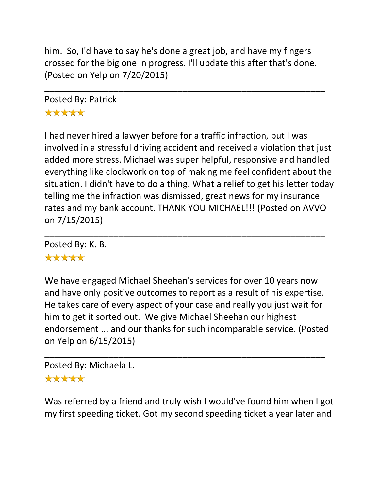him. So, I'd have to say he's done a great job, and have my fingers crossed for the big one in progress. I'll update this after that's done. (Posted on Yelp on 7/20/2015)

\_\_\_\_\_\_\_\_\_\_\_\_\_\_\_\_\_\_\_\_\_\_\_\_\_\_\_\_\_\_\_\_\_\_\_\_\_\_\_\_\_\_\_\_\_\_\_\_\_\_\_\_\_\_\_\_\_

# Posted By: Patrick \*\*\*\*\*

I had never hired a lawyer before for a traffic infraction, but I was involved in a stressful driving accident and received a violation that just added more stress. Michael was super helpful, responsive and handled everything like clockwork on top of making me feel confident about the situation. I didn't have to do a thing. What a relief to get his letter today telling me the infraction was dismissed, great news for my insurance rates and my bank account. THANK YOU MICHAEL!!! (Posted on AVVO on 7/15/2015)

\_\_\_\_\_\_\_\_\_\_\_\_\_\_\_\_\_\_\_\_\_\_\_\_\_\_\_\_\_\_\_\_\_\_\_\_\_\_\_\_\_\_\_\_\_\_\_\_\_\_\_\_\_\_\_\_\_

Posted By: K. B. \*\*\*\*\*

We have engaged Michael Sheehan's services for over 10 years now and have only positive outcomes to report as a result of his expertise. He takes care of every aspect of your case and really you just wait for him to get it sorted out. We give Michael Sheehan our highest endorsement ... and our thanks for such incomparable service. (Posted on Yelp on 6/15/2015)

\_\_\_\_\_\_\_\_\_\_\_\_\_\_\_\_\_\_\_\_\_\_\_\_\_\_\_\_\_\_\_\_\_\_\_\_\_\_\_\_\_\_\_\_\_\_\_\_\_\_\_\_\_\_\_\_\_

Posted By: Michaela L. \*\*\*\*\*

Was referred by a friend and truly wish I would've found him when I got my first speeding ticket. Got my second speeding ticket a year later and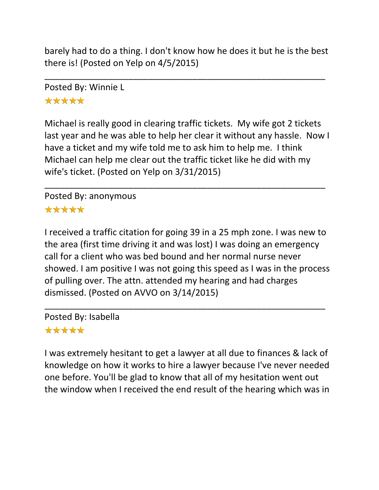barely had to do a thing. I don't know how he does it but he is the best there is! (Posted on Yelp on 4/5/2015)

\_\_\_\_\_\_\_\_\_\_\_\_\_\_\_\_\_\_\_\_\_\_\_\_\_\_\_\_\_\_\_\_\_\_\_\_\_\_\_\_\_\_\_\_\_\_\_\_\_\_\_\_\_\_\_\_\_

Posted By: Winnie L \*\*\*\*\*

Michael is really good in clearing traffic tickets. My wife got 2 tickets last year and he was able to help her clear it without any hassle. Now I have a ticket and my wife told me to ask him to help me. I think Michael can help me clear out the traffic ticket like he did with my wife's ticket. (Posted on Yelp on 3/31/2015)

\_\_\_\_\_\_\_\_\_\_\_\_\_\_\_\_\_\_\_\_\_\_\_\_\_\_\_\_\_\_\_\_\_\_\_\_\_\_\_\_\_\_\_\_\_\_\_\_\_\_\_\_\_\_\_\_\_

#### Posted By: anonymous \*\*\*\*\*

I received a traffic citation for going 39 in a 25 mph zone. I was new to the area (first time driving it and was lost) I was doing an emergency call for a client who was bed bound and her normal nurse never showed. I am positive I was not going this speed as I was in the process of pulling over. The attn. attended my hearing and had charges dismissed. (Posted on AVVO on 3/14/2015)

\_\_\_\_\_\_\_\_\_\_\_\_\_\_\_\_\_\_\_\_\_\_\_\_\_\_\_\_\_\_\_\_\_\_\_\_\_\_\_\_\_\_\_\_\_\_\_\_\_\_\_\_\_\_\_\_\_

Posted By: Isabella

## \*\*\*\*\*

I was extremely hesitant to get a lawyer at all due to finances & lack of knowledge on how it works to hire a lawyer because I've never needed one before. You'll be glad to know that all of my hesitation went out the window when I received the end result of the hearing which was in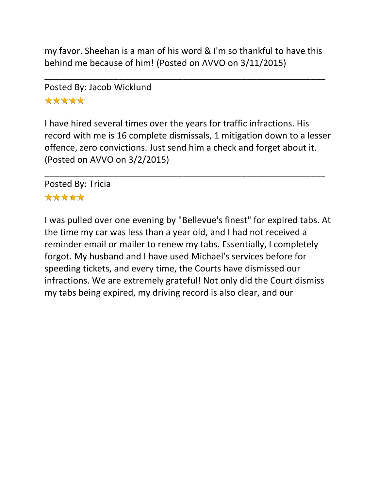my favor. Sheehan is a man of his word & I'm so thankful to have this behind me because of him! (Posted on AVVO on 3/11/2015)

\_\_\_\_\_\_\_\_\_\_\_\_\_\_\_\_\_\_\_\_\_\_\_\_\_\_\_\_\_\_\_\_\_\_\_\_\_\_\_\_\_\_\_\_\_\_\_\_\_\_\_\_\_\_\_\_\_

# Posted By: Jacob Wicklund \*\*\*\*\*

I have hired several times over the years for traffic infractions. His record with me is 16 complete dismissals, 1 mitigation down to a lesser offence, zero convictions. Just send him a check and forget about it. (Posted on AVVO on 3/2/2015)

\_\_\_\_\_\_\_\_\_\_\_\_\_\_\_\_\_\_\_\_\_\_\_\_\_\_\_\_\_\_\_\_\_\_\_\_\_\_\_\_\_\_\_\_\_\_\_\_\_\_\_\_\_\_\_\_\_

Posted By: Tricia

#### \*\*\*\*\*

I was pulled over one evening by "Bellevue's finest" for expired tabs. At the time my car was less than a year old, and I had not received a reminder email or mailer to renew my tabs. Essentially, I completely forgot. My husband and I have used Michael's services before for speeding tickets, and every time, the Courts have dismissed our infractions. We are extremely grateful! Not only did the Court dismiss my tabs being expired, my driving record is also clear, and our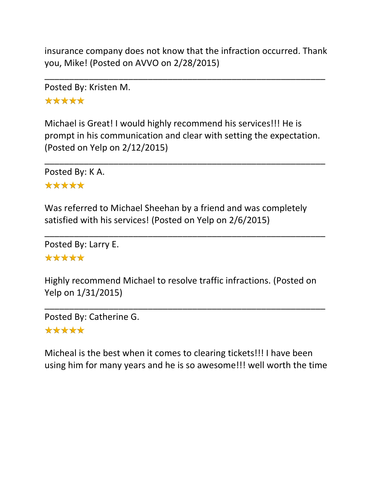insurance company does not know that the infraction occurred. Thank you, Mike! (Posted on AVVO on 2/28/2015)

\_\_\_\_\_\_\_\_\_\_\_\_\_\_\_\_\_\_\_\_\_\_\_\_\_\_\_\_\_\_\_\_\_\_\_\_\_\_\_\_\_\_\_\_\_\_\_\_\_\_\_\_\_\_\_\_\_

Posted By: Kristen M. \*\*\*\*\*

Michael is Great! I would highly recommend his services!!! He is prompt in his communication and clear with setting the expectation. (Posted on Yelp on 2/12/2015)

\_\_\_\_\_\_\_\_\_\_\_\_\_\_\_\_\_\_\_\_\_\_\_\_\_\_\_\_\_\_\_\_\_\_\_\_\_\_\_\_\_\_\_\_\_\_\_\_\_\_\_\_\_\_\_\_\_

Posted By: K A. \*\*\*\*\*

Was referred to Michael Sheehan by a friend and was completely satisfied with his services! (Posted on Yelp on 2/6/2015)

\_\_\_\_\_\_\_\_\_\_\_\_\_\_\_\_\_\_\_\_\_\_\_\_\_\_\_\_\_\_\_\_\_\_\_\_\_\_\_\_\_\_\_\_\_\_\_\_\_\_\_\_\_\_\_\_\_

Posted By: Larry E. \*\*\*\*\*

Highly recommend Michael to resolve traffic infractions. (Posted on Yelp on 1/31/2015)

\_\_\_\_\_\_\_\_\_\_\_\_\_\_\_\_\_\_\_\_\_\_\_\_\_\_\_\_\_\_\_\_\_\_\_\_\_\_\_\_\_\_\_\_\_\_\_\_\_\_\_\_\_\_\_\_\_

Posted By: Catherine G.

#### \*\*\*\*\*

Micheal is the best when it comes to clearing tickets!!! I have been using him for many years and he is so awesome!!! well worth the time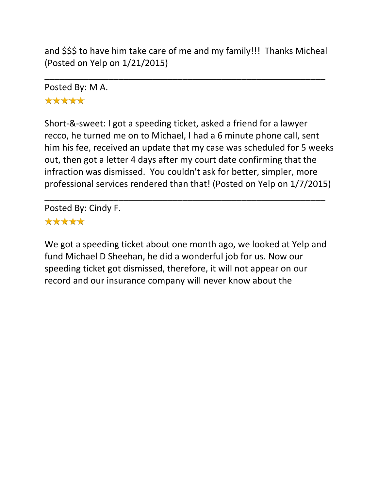and \$\$\$ to have him take care of me and my family!!! Thanks Micheal (Posted on Yelp on 1/21/2015)

\_\_\_\_\_\_\_\_\_\_\_\_\_\_\_\_\_\_\_\_\_\_\_\_\_\_\_\_\_\_\_\_\_\_\_\_\_\_\_\_\_\_\_\_\_\_\_\_\_\_\_\_\_\_\_\_\_

Posted By: M A. \*\*\*\*\*

Short-&-sweet: I got a speeding ticket, asked a friend for a lawyer recco, he turned me on to Michael, I had a 6 minute phone call, sent him his fee, received an update that my case was scheduled for 5 weeks out, then got a letter 4 days after my court date confirming that the infraction was dismissed. You couldn't ask for better, simpler, more professional services rendered than that! (Posted on Yelp on 1/7/2015)

\_\_\_\_\_\_\_\_\_\_\_\_\_\_\_\_\_\_\_\_\_\_\_\_\_\_\_\_\_\_\_\_\_\_\_\_\_\_\_\_\_\_\_\_\_\_\_\_\_\_\_\_\_\_\_\_\_

Posted By: Cindy F.

# \*\*\*\*\*

We got a speeding ticket about one month ago, we looked at Yelp and fund Michael D Sheehan, he did a wonderful job for us. Now our speeding ticket got dismissed, therefore, it will not appear on our record and our insurance company will never know about the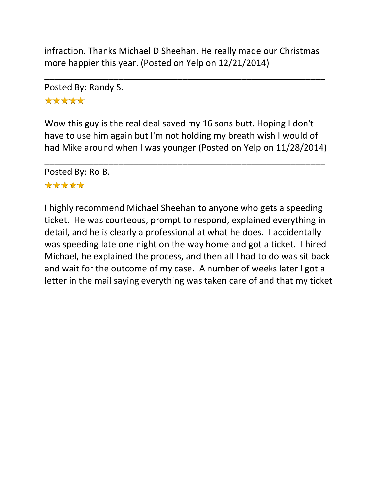infraction. Thanks Michael D Sheehan. He really made our Christmas more happier this year. (Posted on Yelp on 12/21/2014)

\_\_\_\_\_\_\_\_\_\_\_\_\_\_\_\_\_\_\_\_\_\_\_\_\_\_\_\_\_\_\_\_\_\_\_\_\_\_\_\_\_\_\_\_\_\_\_\_\_\_\_\_\_\_\_\_\_

Posted By: Randy S. \*\*\*\*\*

Wow this guy is the real deal saved my 16 sons butt. Hoping I don't have to use him again but I'm not holding my breath wish I would of had Mike around when I was younger (Posted on Yelp on 11/28/2014)

\_\_\_\_\_\_\_\_\_\_\_\_\_\_\_\_\_\_\_\_\_\_\_\_\_\_\_\_\_\_\_\_\_\_\_\_\_\_\_\_\_\_\_\_\_\_\_\_\_\_\_\_\_\_\_\_\_

Posted By: Ro B.

#### \*\*\*\*\*

I highly recommend Michael Sheehan to anyone who gets a speeding ticket. He was courteous, prompt to respond, explained everything in detail, and he is clearly a professional at what he does. I accidentally was speeding late one night on the way home and got a ticket. I hired Michael, he explained the process, and then all I had to do was sit back and wait for the outcome of my case. A number of weeks later I got a letter in the mail saying everything was taken care of and that my ticket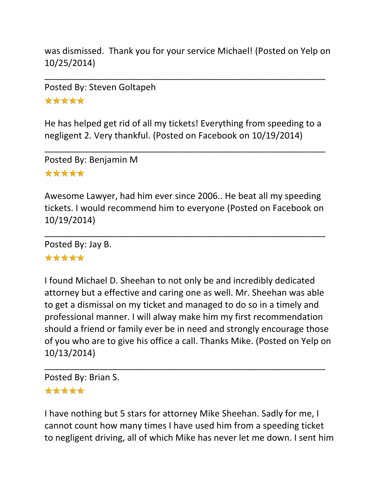was dismissed. Thank you for your service Michael! (Posted on Yelp on 10/25/2014)

\_\_\_\_\_\_\_\_\_\_\_\_\_\_\_\_\_\_\_\_\_\_\_\_\_\_\_\_\_\_\_\_\_\_\_\_\_\_\_\_\_\_\_\_\_\_\_\_\_\_\_\_\_\_\_\_\_

Posted By: Steven Goltapeh \*\*\*\*\*

He has helped get rid of all my tickets! Everything from speeding to a negligent 2. Very thankful. (Posted on Facebook on 10/19/2014)

\_\_\_\_\_\_\_\_\_\_\_\_\_\_\_\_\_\_\_\_\_\_\_\_\_\_\_\_\_\_\_\_\_\_\_\_\_\_\_\_\_\_\_\_\_\_\_\_\_\_\_\_\_\_\_\_\_

Posted By: Benjamin M \*\*\*\*\*

Awesome Lawyer, had him ever since 2006.. He beat all my speeding tickets. I would recommend him to everyone (Posted on Facebook on 10/19/2014)

\_\_\_\_\_\_\_\_\_\_\_\_\_\_\_\_\_\_\_\_\_\_\_\_\_\_\_\_\_\_\_\_\_\_\_\_\_\_\_\_\_\_\_\_\_\_\_\_\_\_\_\_\_\_\_\_\_

Posted By: Jay B.

# \*\*\*\*\*

I found Michael D. Sheehan to not only be and incredibly dedicated attorney but a effective and caring one as well. Mr. Sheehan was able to get a dismissal on my ticket and managed to do so in a timely and professional manner. I will alway make him my first recommendation should a friend or family ever be in need and strongly encourage those of you who are to give his office a call. Thanks Mike. (Posted on Yelp on 10/13/2014)

\_\_\_\_\_\_\_\_\_\_\_\_\_\_\_\_\_\_\_\_\_\_\_\_\_\_\_\_\_\_\_\_\_\_\_\_\_\_\_\_\_\_\_\_\_\_\_\_\_\_\_\_\_\_\_\_\_ Posted By: Brian S.

#### \*\*\*\*\*

I have nothing but 5 stars for attorney Mike Sheehan. Sadly for me, I cannot count how many times I have used him from a speeding ticket to negligent driving, all of which Mike has never let me down. I sent him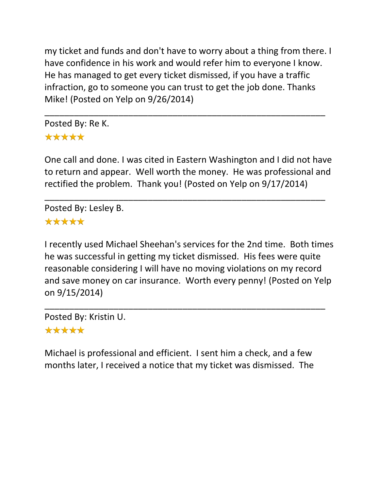my ticket and funds and don't have to worry about a thing from there. I have confidence in his work and would refer him to everyone I know. He has managed to get every ticket dismissed, if you have a traffic infraction, go to someone you can trust to get the job done. Thanks Mike! (Posted on Yelp on 9/26/2014)

\_\_\_\_\_\_\_\_\_\_\_\_\_\_\_\_\_\_\_\_\_\_\_\_\_\_\_\_\_\_\_\_\_\_\_\_\_\_\_\_\_\_\_\_\_\_\_\_\_\_\_\_\_\_\_\_\_

Posted By: Re K. \*\*\*\*\*

One call and done. I was cited in Eastern Washington and I did not have to return and appear. Well worth the money. He was professional and rectified the problem. Thank you! (Posted on Yelp on 9/17/2014)

\_\_\_\_\_\_\_\_\_\_\_\_\_\_\_\_\_\_\_\_\_\_\_\_\_\_\_\_\_\_\_\_\_\_\_\_\_\_\_\_\_\_\_\_\_\_\_\_\_\_\_\_\_\_\_\_\_

Posted By: Lesley B. \*\*\*\*\*

I recently used Michael Sheehan's services for the 2nd time. Both times he was successful in getting my ticket dismissed. His fees were quite reasonable considering I will have no moving violations on my record and save money on car insurance. Worth every penny! (Posted on Yelp on 9/15/2014)

\_\_\_\_\_\_\_\_\_\_\_\_\_\_\_\_\_\_\_\_\_\_\_\_\_\_\_\_\_\_\_\_\_\_\_\_\_\_\_\_\_\_\_\_\_\_\_\_\_\_\_\_\_\_\_\_\_

Posted By: Kristin U.

#### \*\*\*\*\*

Michael is professional and efficient. I sent him a check, and a few months later, I received a notice that my ticket was dismissed. The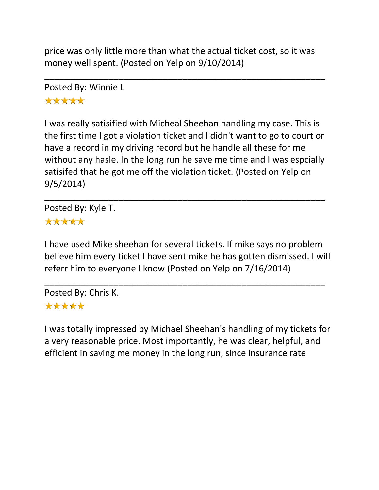price was only little more than what the actual ticket cost, so it was money well spent. (Posted on Yelp on 9/10/2014)

\_\_\_\_\_\_\_\_\_\_\_\_\_\_\_\_\_\_\_\_\_\_\_\_\_\_\_\_\_\_\_\_\_\_\_\_\_\_\_\_\_\_\_\_\_\_\_\_\_\_\_\_\_\_\_\_\_

Posted By: Winnie L \*\*\*\*\*

I was really satisified with Micheal Sheehan handling my case. This is the first time I got a violation ticket and I didn't want to go to court or have a record in my driving record but he handle all these for me without any hasle. In the long run he save me time and I was espcially satisifed that he got me off the violation ticket. (Posted on Yelp on 9/5/2014)

\_\_\_\_\_\_\_\_\_\_\_\_\_\_\_\_\_\_\_\_\_\_\_\_\_\_\_\_\_\_\_\_\_\_\_\_\_\_\_\_\_\_\_\_\_\_\_\_\_\_\_\_\_\_\_\_\_

Posted By: Kyle T. \*\*\*\*\*

I have used Mike sheehan for several tickets. If mike says no problem believe him every ticket I have sent mike he has gotten dismissed. I will referr him to everyone I know (Posted on Yelp on 7/16/2014)

\_\_\_\_\_\_\_\_\_\_\_\_\_\_\_\_\_\_\_\_\_\_\_\_\_\_\_\_\_\_\_\_\_\_\_\_\_\_\_\_\_\_\_\_\_\_\_\_\_\_\_\_\_\_\_\_\_

Posted By: Chris K. \*\*\*\*\*

I was totally impressed by Michael Sheehan's handling of my tickets for a very reasonable price. Most importantly, he was clear, helpful, and efficient in saving me money in the long run, since insurance rate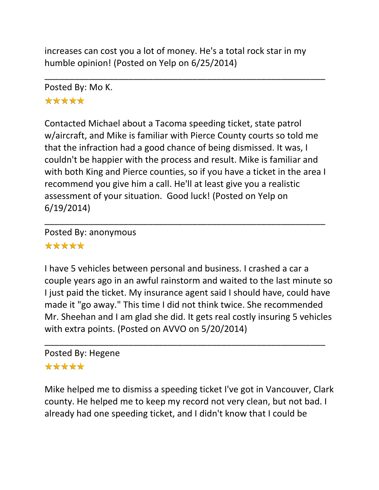increases can cost you a lot of money. He's a total rock star in my humble opinion! (Posted on Yelp on 6/25/2014)

\_\_\_\_\_\_\_\_\_\_\_\_\_\_\_\_\_\_\_\_\_\_\_\_\_\_\_\_\_\_\_\_\_\_\_\_\_\_\_\_\_\_\_\_\_\_\_\_\_\_\_\_\_\_\_\_\_

Posted By: Mo K.

# \*\*\*\*\*

Contacted Michael about a Tacoma speeding ticket, state patrol w/aircraft, and Mike is familiar with Pierce County courts so told me that the infraction had a good chance of being dismissed. It was, I couldn't be happier with the process and result. Mike is familiar and with both King and Pierce counties, so if you have a ticket in the area I recommend you give him a call. He'll at least give you a realistic assessment of your situation. Good luck! (Posted on Yelp on 6/19/2014)

\_\_\_\_\_\_\_\_\_\_\_\_\_\_\_\_\_\_\_\_\_\_\_\_\_\_\_\_\_\_\_\_\_\_\_\_\_\_\_\_\_\_\_\_\_\_\_\_\_\_\_\_\_\_\_\_\_

Posted By: anonymous \*\*\*\*\*

I have 5 vehicles between personal and business. I crashed a car a couple years ago in an awful rainstorm and waited to the last minute so I just paid the ticket. My insurance agent said I should have, could have made it "go away." This time I did not think twice. She recommended Mr. Sheehan and I am glad she did. It gets real costly insuring 5 vehicles with extra points. (Posted on AVVO on 5/20/2014)

\_\_\_\_\_\_\_\_\_\_\_\_\_\_\_\_\_\_\_\_\_\_\_\_\_\_\_\_\_\_\_\_\_\_\_\_\_\_\_\_\_\_\_\_\_\_\_\_\_\_\_\_\_\_\_\_\_

## Posted By: Hegene

# \*\*\*\*\*

Mike helped me to dismiss a speeding ticket I've got in Vancouver, Clark county. He helped me to keep my record not very clean, but not bad. I already had one speeding ticket, and I didn't know that I could be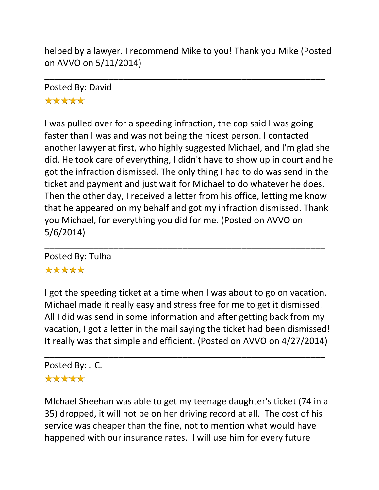helped by a lawyer. I recommend Mike to you! Thank you Mike (Posted on AVVO on 5/11/2014)

\_\_\_\_\_\_\_\_\_\_\_\_\_\_\_\_\_\_\_\_\_\_\_\_\_\_\_\_\_\_\_\_\_\_\_\_\_\_\_\_\_\_\_\_\_\_\_\_\_\_\_\_\_\_\_\_\_

Posted By: David \*\*\*\*\*

I was pulled over for a speeding infraction, the cop said I was going faster than I was and was not being the nicest person. I contacted another lawyer at first, who highly suggested Michael, and I'm glad she did. He took care of everything, I didn't have to show up in court and he got the infraction dismissed. The only thing I had to do was send in the ticket and payment and just wait for Michael to do whatever he does. Then the other day, I received a letter from his office, letting me know that he appeared on my behalf and got my infraction dismissed. Thank you Michael, for everything you did for me. (Posted on AVVO on 5/6/2014)

\_\_\_\_\_\_\_\_\_\_\_\_\_\_\_\_\_\_\_\_\_\_\_\_\_\_\_\_\_\_\_\_\_\_\_\_\_\_\_\_\_\_\_\_\_\_\_\_\_\_\_\_\_\_\_\_\_ Posted By: Tulha \*\*\*\*\*

I got the speeding ticket at a time when I was about to go on vacation. Michael made it really easy and stress free for me to get it dismissed. All I did was send in some information and after getting back from my vacation, I got a letter in the mail saying the ticket had been dismissed! It really was that simple and efficient. (Posted on AVVO on 4/27/2014)

\_\_\_\_\_\_\_\_\_\_\_\_\_\_\_\_\_\_\_\_\_\_\_\_\_\_\_\_\_\_\_\_\_\_\_\_\_\_\_\_\_\_\_\_\_\_\_\_\_\_\_\_\_\_\_\_\_

#### Posted By: J C. \*\*\*\*\*

MIchael Sheehan was able to get my teenage daughter's ticket (74 in a 35) dropped, it will not be on her driving record at all. The cost of his service was cheaper than the fine, not to mention what would have happened with our insurance rates. I will use him for every future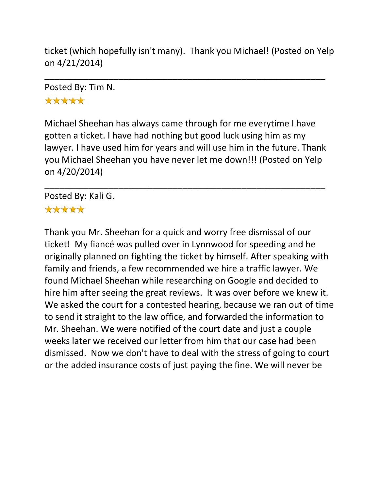ticket (which hopefully isn't many). Thank you Michael! (Posted on Yelp on 4/21/2014)

\_\_\_\_\_\_\_\_\_\_\_\_\_\_\_\_\_\_\_\_\_\_\_\_\_\_\_\_\_\_\_\_\_\_\_\_\_\_\_\_\_\_\_\_\_\_\_\_\_\_\_\_\_\_\_\_\_

Posted By: Tim N. \*\*\*\*\*

Michael Sheehan has always came through for me everytime I have gotten a ticket. I have had nothing but good luck using him as my lawyer. I have used him for years and will use him in the future. Thank you Michael Sheehan you have never let me down!!! (Posted on Yelp on 4/20/2014)

\_\_\_\_\_\_\_\_\_\_\_\_\_\_\_\_\_\_\_\_\_\_\_\_\_\_\_\_\_\_\_\_\_\_\_\_\_\_\_\_\_\_\_\_\_\_\_\_\_\_\_\_\_\_\_\_\_

Posted By: Kali G. \*\*\*\*\*

Thank you Mr. Sheehan for a quick and worry free dismissal of our ticket! My fiancé was pulled over in Lynnwood for speeding and he originally planned on fighting the ticket by himself. After speaking with family and friends, a few recommended we hire a traffic lawyer. We found Michael Sheehan while researching on Google and decided to hire him after seeing the great reviews. It was over before we knew it. We asked the court for a contested hearing, because we ran out of time to send it straight to the law office, and forwarded the information to Mr. Sheehan. We were notified of the court date and just a couple weeks later we received our letter from him that our case had been dismissed. Now we don't have to deal with the stress of going to court or the added insurance costs of just paying the fine. We will never be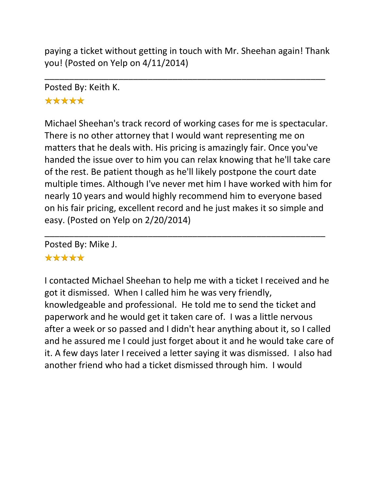paying a ticket without getting in touch with Mr. Sheehan again! Thank you! (Posted on Yelp on 4/11/2014)

\_\_\_\_\_\_\_\_\_\_\_\_\_\_\_\_\_\_\_\_\_\_\_\_\_\_\_\_\_\_\_\_\_\_\_\_\_\_\_\_\_\_\_\_\_\_\_\_\_\_\_\_\_\_\_\_\_

# Posted By: Keith K.

# \*\*\*\*\*

Michael Sheehan's track record of working cases for me is spectacular. There is no other attorney that I would want representing me on matters that he deals with. His pricing is amazingly fair. Once you've handed the issue over to him you can relax knowing that he'll take care of the rest. Be patient though as he'll likely postpone the court date multiple times. Although I've never met him I have worked with him for nearly 10 years and would highly recommend him to everyone based on his fair pricing, excellent record and he just makes it so simple and easy. (Posted on Yelp on 2/20/2014)

\_\_\_\_\_\_\_\_\_\_\_\_\_\_\_\_\_\_\_\_\_\_\_\_\_\_\_\_\_\_\_\_\_\_\_\_\_\_\_\_\_\_\_\_\_\_\_\_\_\_\_\_\_\_\_\_\_

Posted By: Mike J.

## \*\*\*\*\*

I contacted Michael Sheehan to help me with a ticket I received and he got it dismissed. When I called him he was very friendly, knowledgeable and professional. He told me to send the ticket and paperwork and he would get it taken care of. I was a little nervous after a week or so passed and I didn't hear anything about it, so I called and he assured me I could just forget about it and he would take care of it. A few days later I received a letter saying it was dismissed. I also had another friend who had a ticket dismissed through him. I would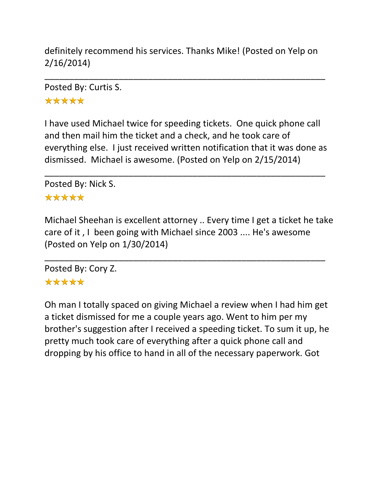definitely recommend his services. Thanks Mike! (Posted on Yelp on 2/16/2014)

\_\_\_\_\_\_\_\_\_\_\_\_\_\_\_\_\_\_\_\_\_\_\_\_\_\_\_\_\_\_\_\_\_\_\_\_\_\_\_\_\_\_\_\_\_\_\_\_\_\_\_\_\_\_\_\_\_

Posted By: Curtis S. \*\*\*\*\*

I have used Michael twice for speeding tickets. One quick phone call and then mail him the ticket and a check, and he took care of everything else. I just received written notification that it was done as dismissed. Michael is awesome. (Posted on Yelp on 2/15/2014)

\_\_\_\_\_\_\_\_\_\_\_\_\_\_\_\_\_\_\_\_\_\_\_\_\_\_\_\_\_\_\_\_\_\_\_\_\_\_\_\_\_\_\_\_\_\_\_\_\_\_\_\_\_\_\_\_\_

Posted By: Nick S.

#### \*\*\*\*\*

Michael Sheehan is excellent attorney .. Every time I get a ticket he take care of it , I been going with Michael since 2003 .... He's awesome (Posted on Yelp on 1/30/2014)

\_\_\_\_\_\_\_\_\_\_\_\_\_\_\_\_\_\_\_\_\_\_\_\_\_\_\_\_\_\_\_\_\_\_\_\_\_\_\_\_\_\_\_\_\_\_\_\_\_\_\_\_\_\_\_\_\_

Posted By: Cory Z. \*\*\*\*\*

Oh man I totally spaced on giving Michael a review when I had him get a ticket dismissed for me a couple years ago. Went to him per my brother's suggestion after I received a speeding ticket. To sum it up, he pretty much took care of everything after a quick phone call and dropping by his office to hand in all of the necessary paperwork. Got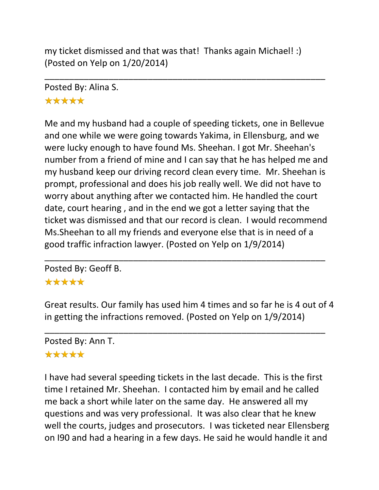my ticket dismissed and that was that! Thanks again Michael! :) (Posted on Yelp on 1/20/2014)

\_\_\_\_\_\_\_\_\_\_\_\_\_\_\_\_\_\_\_\_\_\_\_\_\_\_\_\_\_\_\_\_\_\_\_\_\_\_\_\_\_\_\_\_\_\_\_\_\_\_\_\_\_\_\_\_\_

Posted By: Alina S.

## \*\*\*\*\*

Me and my husband had a couple of speeding tickets, one in Bellevue and one while we were going towards Yakima, in Ellensburg, and we were lucky enough to have found Ms. Sheehan. I got Mr. Sheehan's number from a friend of mine and I can say that he has helped me and my husband keep our driving record clean every time. Mr. Sheehan is prompt, professional and does his job really well. We did not have to worry about anything after we contacted him. He handled the court date, court hearing , and in the end we got a letter saying that the ticket was dismissed and that our record is clean. I would recommend Ms.Sheehan to all my friends and everyone else that is in need of a good traffic infraction lawyer. (Posted on Yelp on 1/9/2014)

Posted By: Geoff B.

## \*\*\*\*\*

Great results. Our family has used him 4 times and so far he is 4 out of 4 in getting the infractions removed. (Posted on Yelp on 1/9/2014)

\_\_\_\_\_\_\_\_\_\_\_\_\_\_\_\_\_\_\_\_\_\_\_\_\_\_\_\_\_\_\_\_\_\_\_\_\_\_\_\_\_\_\_\_\_\_\_\_\_\_\_\_\_\_\_\_\_

\_\_\_\_\_\_\_\_\_\_\_\_\_\_\_\_\_\_\_\_\_\_\_\_\_\_\_\_\_\_\_\_\_\_\_\_\_\_\_\_\_\_\_\_\_\_\_\_\_\_\_\_\_\_\_\_\_

Posted By: Ann T.

#### \*\*\*\*\*

I have had several speeding tickets in the last decade. This is the first time I retained Mr. Sheehan. I contacted him by email and he called me back a short while later on the same day. He answered all my questions and was very professional. It was also clear that he knew well the courts, judges and prosecutors. I was ticketed near Ellensberg on I90 and had a hearing in a few days. He said he would handle it and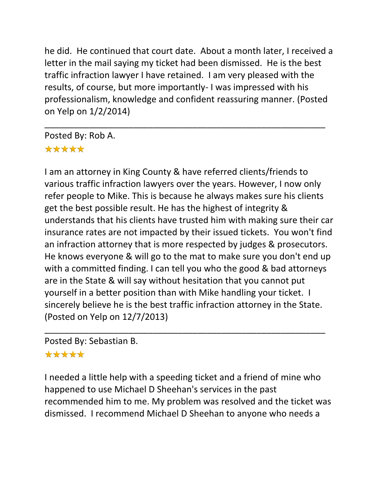he did. He continued that court date. About a month later, I received a letter in the mail saying my ticket had been dismissed. He is the best traffic infraction lawyer I have retained. I am very pleased with the results, of course, but more importantly- I was impressed with his professionalism, knowledge and confident reassuring manner. (Posted on Yelp on 1/2/2014)

\_\_\_\_\_\_\_\_\_\_\_\_\_\_\_\_\_\_\_\_\_\_\_\_\_\_\_\_\_\_\_\_\_\_\_\_\_\_\_\_\_\_\_\_\_\_\_\_\_\_\_\_\_\_\_\_\_

Posted By: Rob A. \*\*\*\*\*

I am an attorney in King County & have referred clients/friends to various traffic infraction lawyers over the years. However, I now only refer people to Mike. This is because he always makes sure his clients get the best possible result. He has the highest of integrity & understands that his clients have trusted him with making sure their car insurance rates are not impacted by their issued tickets. You won't find an infraction attorney that is more respected by judges & prosecutors. He knows everyone & will go to the mat to make sure you don't end up with a committed finding. I can tell you who the good & bad attorneys are in the State & will say without hesitation that you cannot put yourself in a better position than with Mike handling your ticket. I sincerely believe he is the best traffic infraction attorney in the State. (Posted on Yelp on 12/7/2013)

Posted By: Sebastian B.

#### \*\*\*\*\*

I needed a little help with a speeding ticket and a friend of mine who happened to use Michael D Sheehan's services in the past recommended him to me. My problem was resolved and the ticket was dismissed. I recommend Michael D Sheehan to anyone who needs a

\_\_\_\_\_\_\_\_\_\_\_\_\_\_\_\_\_\_\_\_\_\_\_\_\_\_\_\_\_\_\_\_\_\_\_\_\_\_\_\_\_\_\_\_\_\_\_\_\_\_\_\_\_\_\_\_\_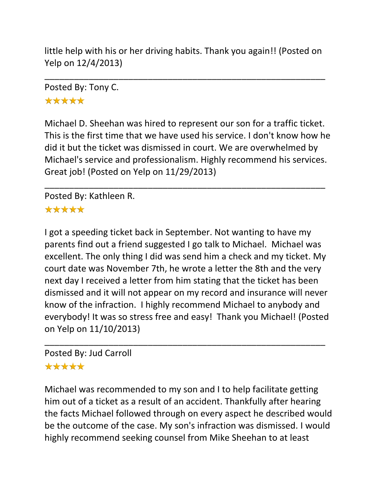little help with his or her driving habits. Thank you again!! (Posted on Yelp on 12/4/2013)

\_\_\_\_\_\_\_\_\_\_\_\_\_\_\_\_\_\_\_\_\_\_\_\_\_\_\_\_\_\_\_\_\_\_\_\_\_\_\_\_\_\_\_\_\_\_\_\_\_\_\_\_\_\_\_\_\_

Posted By: Tony C. \*\*\*\*\*

Michael D. Sheehan was hired to represent our son for a traffic ticket. This is the first time that we have used his service. I don't know how he did it but the ticket was dismissed in court. We are overwhelmed by Michael's service and professionalism. Highly recommend his services. Great job! (Posted on Yelp on 11/29/2013)

\_\_\_\_\_\_\_\_\_\_\_\_\_\_\_\_\_\_\_\_\_\_\_\_\_\_\_\_\_\_\_\_\_\_\_\_\_\_\_\_\_\_\_\_\_\_\_\_\_\_\_\_\_\_\_\_\_

Posted By: Kathleen R. \*\*\*\*\*

I got a speeding ticket back in September. Not wanting to have my parents find out a friend suggested I go talk to Michael. Michael was excellent. The only thing I did was send him a check and my ticket. My court date was November 7th, he wrote a letter the 8th and the very next day I received a letter from him stating that the ticket has been dismissed and it will not appear on my record and insurance will never know of the infraction. I highly recommend Michael to anybody and everybody! It was so stress free and easy! Thank you Michael! (Posted on Yelp on 11/10/2013)

\_\_\_\_\_\_\_\_\_\_\_\_\_\_\_\_\_\_\_\_\_\_\_\_\_\_\_\_\_\_\_\_\_\_\_\_\_\_\_\_\_\_\_\_\_\_\_\_\_\_\_\_\_\_\_\_\_

# Posted By: Jud Carroll

# \*\*\*\*\*

Michael was recommended to my son and I to help facilitate getting him out of a ticket as a result of an accident. Thankfully after hearing the facts Michael followed through on every aspect he described would be the outcome of the case. My son's infraction was dismissed. I would highly recommend seeking counsel from Mike Sheehan to at least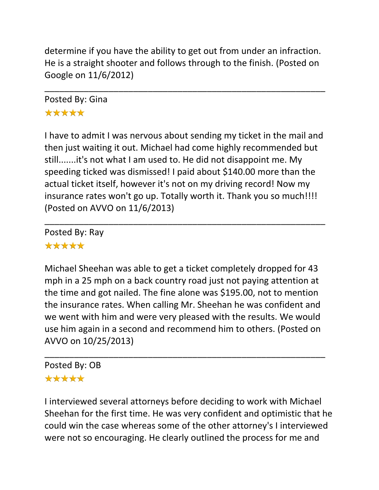determine if you have the ability to get out from under an infraction. He is a straight shooter and follows through to the finish. (Posted on Google on 11/6/2012)

\_\_\_\_\_\_\_\_\_\_\_\_\_\_\_\_\_\_\_\_\_\_\_\_\_\_\_\_\_\_\_\_\_\_\_\_\_\_\_\_\_\_\_\_\_\_\_\_\_\_\_\_\_\_\_\_\_

Posted By: Gina \*\*\*\*\*

I have to admit I was nervous about sending my ticket in the mail and then just waiting it out. Michael had come highly recommended but still.......it's not what I am used to. He did not disappoint me. My speeding ticked was dismissed! I paid about \$140.00 more than the actual ticket itself, however it's not on my driving record! Now my insurance rates won't go up. Totally worth it. Thank you so much!!!! (Posted on AVVO on 11/6/2013)

\_\_\_\_\_\_\_\_\_\_\_\_\_\_\_\_\_\_\_\_\_\_\_\_\_\_\_\_\_\_\_\_\_\_\_\_\_\_\_\_\_\_\_\_\_\_\_\_\_\_\_\_\_\_\_\_\_

Posted By: Ray \*\*\*\*\*

Michael Sheehan was able to get a ticket completely dropped for 43 mph in a 25 mph on a back country road just not paying attention at the time and got nailed. The fine alone was \$195.00, not to mention the insurance rates. When calling Mr. Sheehan he was confident and we went with him and were very pleased with the results. We would use him again in a second and recommend him to others. (Posted on AVVO on 10/25/2013)

\_\_\_\_\_\_\_\_\_\_\_\_\_\_\_\_\_\_\_\_\_\_\_\_\_\_\_\_\_\_\_\_\_\_\_\_\_\_\_\_\_\_\_\_\_\_\_\_\_\_\_\_\_\_\_\_\_

#### Posted By: OB \*\*\*\*\*

I interviewed several attorneys before deciding to work with Michael Sheehan for the first time. He was very confident and optimistic that he could win the case whereas some of the other attorney's I interviewed were not so encouraging. He clearly outlined the process for me and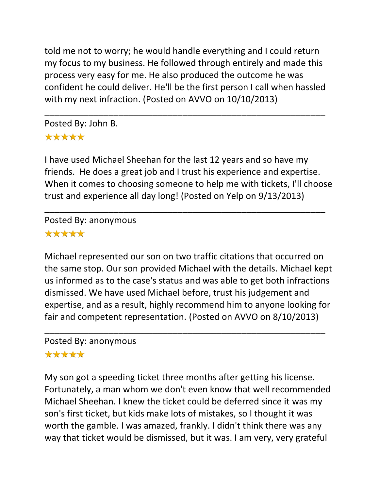told me not to worry; he would handle everything and I could return my focus to my business. He followed through entirely and made this process very easy for me. He also produced the outcome he was confident he could deliver. He'll be the first person I call when hassled with my next infraction. (Posted on AVVO on 10/10/2013)

\_\_\_\_\_\_\_\_\_\_\_\_\_\_\_\_\_\_\_\_\_\_\_\_\_\_\_\_\_\_\_\_\_\_\_\_\_\_\_\_\_\_\_\_\_\_\_\_\_\_\_\_\_\_\_\_\_

Posted By: John B. \*\*\*\*\*

I have used Michael Sheehan for the last 12 years and so have my friends. He does a great job and I trust his experience and expertise. When it comes to choosing someone to help me with tickets, I'll choose trust and experience all day long! (Posted on Yelp on 9/13/2013)

\_\_\_\_\_\_\_\_\_\_\_\_\_\_\_\_\_\_\_\_\_\_\_\_\_\_\_\_\_\_\_\_\_\_\_\_\_\_\_\_\_\_\_\_\_\_\_\_\_\_\_\_\_\_\_\_\_

Posted By: anonymous \*\*\*\*\*

Michael represented our son on two traffic citations that occurred on the same stop. Our son provided Michael with the details. Michael kept us informed as to the case's status and was able to get both infractions dismissed. We have used Michael before, trust his judgement and expertise, and as a result, highly recommend him to anyone looking for fair and competent representation. (Posted on AVVO on 8/10/2013)

\_\_\_\_\_\_\_\_\_\_\_\_\_\_\_\_\_\_\_\_\_\_\_\_\_\_\_\_\_\_\_\_\_\_\_\_\_\_\_\_\_\_\_\_\_\_\_\_\_\_\_\_\_\_\_\_\_

Posted By: anonymous

#### \*\*\*\*\*

My son got a speeding ticket three months after getting his license. Fortunately, a man whom we don't even know that well recommended Michael Sheehan. I knew the ticket could be deferred since it was my son's first ticket, but kids make lots of mistakes, so I thought it was worth the gamble. I was amazed, frankly. I didn't think there was any way that ticket would be dismissed, but it was. I am very, very grateful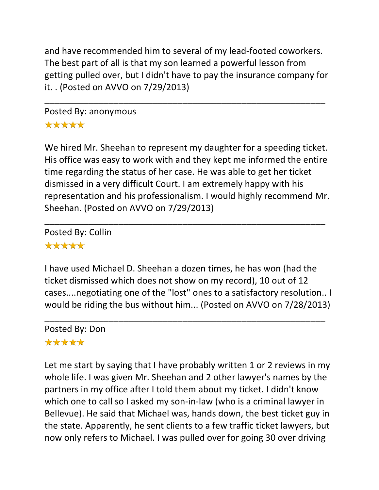and have recommended him to several of my lead-footed coworkers. The best part of all is that my son learned a powerful lesson from getting pulled over, but I didn't have to pay the insurance company for it. . (Posted on AVVO on 7/29/2013)

\_\_\_\_\_\_\_\_\_\_\_\_\_\_\_\_\_\_\_\_\_\_\_\_\_\_\_\_\_\_\_\_\_\_\_\_\_\_\_\_\_\_\_\_\_\_\_\_\_\_\_\_\_\_\_\_\_

Posted By: anonymous \*\*\*\*\*

We hired Mr. Sheehan to represent my daughter for a speeding ticket. His office was easy to work with and they kept me informed the entire time regarding the status of her case. He was able to get her ticket dismissed in a very difficult Court. I am extremely happy with his representation and his professionalism. I would highly recommend Mr. Sheehan. (Posted on AVVO on 7/29/2013)

\_\_\_\_\_\_\_\_\_\_\_\_\_\_\_\_\_\_\_\_\_\_\_\_\_\_\_\_\_\_\_\_\_\_\_\_\_\_\_\_\_\_\_\_\_\_\_\_\_\_\_\_\_\_\_\_\_

Posted By: Collin \*\*\*\*\*

I have used Michael D. Sheehan a dozen times, he has won (had the ticket dismissed which does not show on my record), 10 out of 12 cases....negotiating one of the "lost" ones to a satisfactory resolution.. I would be riding the bus without him... (Posted on AVVO on 7/28/2013)

\_\_\_\_\_\_\_\_\_\_\_\_\_\_\_\_\_\_\_\_\_\_\_\_\_\_\_\_\_\_\_\_\_\_\_\_\_\_\_\_\_\_\_\_\_\_\_\_\_\_\_\_\_\_\_\_\_ Posted By: Don \*\*\*\*\*

Let me start by saying that I have probably written 1 or 2 reviews in my whole life. I was given Mr. Sheehan and 2 other lawyer's names by the partners in my office after I told them about my ticket. I didn't know which one to call so I asked my son-in-law (who is a criminal lawyer in Bellevue). He said that Michael was, hands down, the best ticket guy in the state. Apparently, he sent clients to a few traffic ticket lawyers, but now only refers to Michael. I was pulled over for going 30 over driving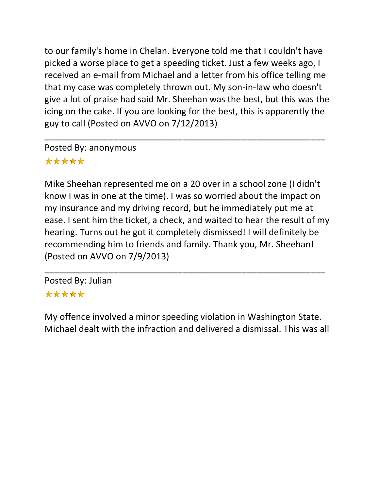to our family's home in Chelan. Everyone told me that I couldn't have picked a worse place to get a speeding ticket. Just a few weeks ago, I received an e-mail from Michael and a letter from his office telling me that my case was completely thrown out. My son-in-law who doesn't give a lot of praise had said Mr. Sheehan was the best, but this was the icing on the cake. If you are looking for the best, this is apparently the guy to call (Posted on AVVO on 7/12/2013)

\_\_\_\_\_\_\_\_\_\_\_\_\_\_\_\_\_\_\_\_\_\_\_\_\_\_\_\_\_\_\_\_\_\_\_\_\_\_\_\_\_\_\_\_\_\_\_\_\_\_\_\_\_\_\_\_\_

Posted By: anonymous \*\*\*\*\*

Mike Sheehan represented me on a 20 over in a school zone (I didn't know I was in one at the time). I was so worried about the impact on my insurance and my driving record, but he immediately put me at ease. I sent him the ticket, a check, and waited to hear the result of my hearing. Turns out he got it completely dismissed! I will definitely be recommending him to friends and family. Thank you, Mr. Sheehan! (Posted on AVVO on 7/9/2013)

\_\_\_\_\_\_\_\_\_\_\_\_\_\_\_\_\_\_\_\_\_\_\_\_\_\_\_\_\_\_\_\_\_\_\_\_\_\_\_\_\_\_\_\_\_\_\_\_\_\_\_\_\_\_\_\_\_

Posted By: Julian \*\*\*\*\*

My offence involved a minor speeding violation in Washington State. Michael dealt with the infraction and delivered a dismissal. This was all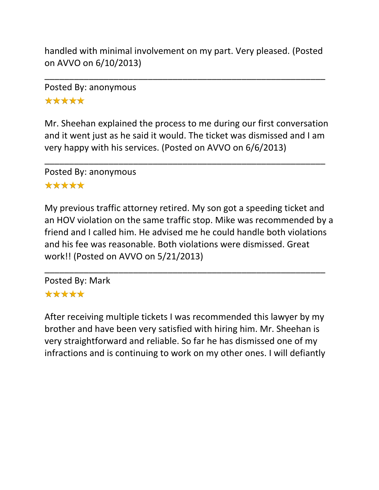handled with minimal involvement on my part. Very pleased. (Posted on AVVO on 6/10/2013)

\_\_\_\_\_\_\_\_\_\_\_\_\_\_\_\_\_\_\_\_\_\_\_\_\_\_\_\_\_\_\_\_\_\_\_\_\_\_\_\_\_\_\_\_\_\_\_\_\_\_\_\_\_\_\_\_\_

Posted By: anonymous \*\*\*\*\*

Mr. Sheehan explained the process to me during our first conversation and it went just as he said it would. The ticket was dismissed and I am very happy with his services. (Posted on AVVO on 6/6/2013)

\_\_\_\_\_\_\_\_\_\_\_\_\_\_\_\_\_\_\_\_\_\_\_\_\_\_\_\_\_\_\_\_\_\_\_\_\_\_\_\_\_\_\_\_\_\_\_\_\_\_\_\_\_\_\_\_\_

Posted By: anonymous \*\*\*\*\*

My previous traffic attorney retired. My son got a speeding ticket and an HOV violation on the same traffic stop. Mike was recommended by a friend and I called him. He advised me he could handle both violations and his fee was reasonable. Both violations were dismissed. Great work!! (Posted on AVVO on 5/21/2013)

\_\_\_\_\_\_\_\_\_\_\_\_\_\_\_\_\_\_\_\_\_\_\_\_\_\_\_\_\_\_\_\_\_\_\_\_\_\_\_\_\_\_\_\_\_\_\_\_\_\_\_\_\_\_\_\_\_

Posted By: Mark \*\*\*\*\*

After receiving multiple tickets I was recommended this lawyer by my brother and have been very satisfied with hiring him. Mr. Sheehan is very straightforward and reliable. So far he has dismissed one of my infractions and is continuing to work on my other ones. I will defiantly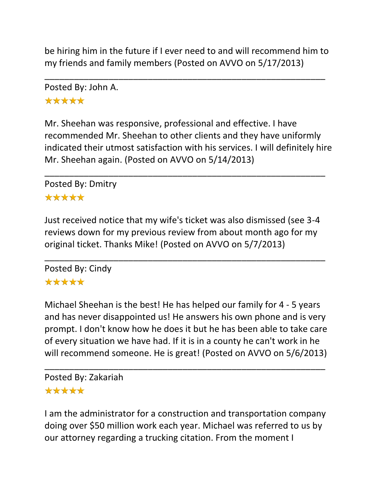be hiring him in the future if I ever need to and will recommend him to my friends and family members (Posted on AVVO on 5/17/2013)

\_\_\_\_\_\_\_\_\_\_\_\_\_\_\_\_\_\_\_\_\_\_\_\_\_\_\_\_\_\_\_\_\_\_\_\_\_\_\_\_\_\_\_\_\_\_\_\_\_\_\_\_\_\_\_\_\_

Posted By: John A. \*\*\*\*\*

Mr. Sheehan was responsive, professional and effective. I have recommended Mr. Sheehan to other clients and they have uniformly indicated their utmost satisfaction with his services. I will definitely hire Mr. Sheehan again. (Posted on AVVO on 5/14/2013)

\_\_\_\_\_\_\_\_\_\_\_\_\_\_\_\_\_\_\_\_\_\_\_\_\_\_\_\_\_\_\_\_\_\_\_\_\_\_\_\_\_\_\_\_\_\_\_\_\_\_\_\_\_\_\_\_\_

Posted By: Dmitry \*\*\*\*\*

# Just received notice that my wife's ticket was also dismissed (see 3-4 reviews down for my previous review from about month ago for my original ticket. Thanks Mike! (Posted on AVVO on 5/7/2013)

\_\_\_\_\_\_\_\_\_\_\_\_\_\_\_\_\_\_\_\_\_\_\_\_\_\_\_\_\_\_\_\_\_\_\_\_\_\_\_\_\_\_\_\_\_\_\_\_\_\_\_\_\_\_\_\_\_ Posted By: Cindy \*\*\*\*\*

Michael Sheehan is the best! He has helped our family for 4 - 5 years and has never disappointed us! He answers his own phone and is very prompt. I don't know how he does it but he has been able to take care of every situation we have had. If it is in a county he can't work in he will recommend someone. He is great! (Posted on AVVO on 5/6/2013)

\_\_\_\_\_\_\_\_\_\_\_\_\_\_\_\_\_\_\_\_\_\_\_\_\_\_\_\_\_\_\_\_\_\_\_\_\_\_\_\_\_\_\_\_\_\_\_\_\_\_\_\_\_\_\_\_\_ Posted By: Zakariah \*\*\*\*\*

I am the administrator for a construction and transportation company doing over \$50 million work each year. Michael was referred to us by our attorney regarding a trucking citation. From the moment I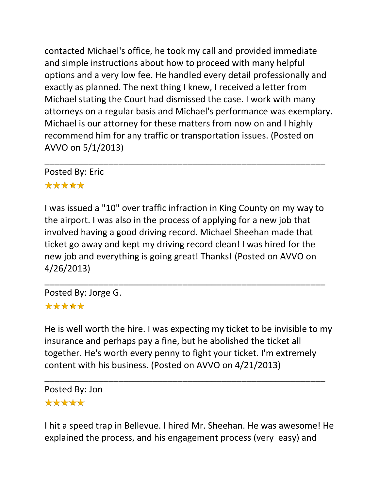contacted Michael's office, he took my call and provided immediate and simple instructions about how to proceed with many helpful options and a very low fee. He handled every detail professionally and exactly as planned. The next thing I knew, I received a letter from Michael stating the Court had dismissed the case. I work with many attorneys on a regular basis and Michael's performance was exemplary. Michael is our attorney for these matters from now on and I highly recommend him for any traffic or transportation issues. (Posted on AVVO on 5/1/2013)

Posted By: Eric

# \*\*\*\*\*

I was issued a "10" over traffic infraction in King County on my way to the airport. I was also in the process of applying for a new job that involved having a good driving record. Michael Sheehan made that ticket go away and kept my driving record clean! I was hired for the new job and everything is going great! Thanks! (Posted on AVVO on 4/26/2013)

\_\_\_\_\_\_\_\_\_\_\_\_\_\_\_\_\_\_\_\_\_\_\_\_\_\_\_\_\_\_\_\_\_\_\_\_\_\_\_\_\_\_\_\_\_\_\_\_\_\_\_\_\_\_\_\_\_

\_\_\_\_\_\_\_\_\_\_\_\_\_\_\_\_\_\_\_\_\_\_\_\_\_\_\_\_\_\_\_\_\_\_\_\_\_\_\_\_\_\_\_\_\_\_\_\_\_\_\_\_\_\_\_\_\_

Posted By: Jorge G. \*\*\*\*\*

He is well worth the hire. I was expecting my ticket to be invisible to my insurance and perhaps pay a fine, but he abolished the ticket all together. He's worth every penny to fight your ticket. I'm extremely content with his business. (Posted on AVVO on 4/21/2013)

\_\_\_\_\_\_\_\_\_\_\_\_\_\_\_\_\_\_\_\_\_\_\_\_\_\_\_\_\_\_\_\_\_\_\_\_\_\_\_\_\_\_\_\_\_\_\_\_\_\_\_\_\_\_\_\_\_

Posted By: Jon \*\*\*\*\*

I hit a speed trap in Bellevue. I hired Mr. Sheehan. He was awesome! He explained the process, and his engagement process (very easy) and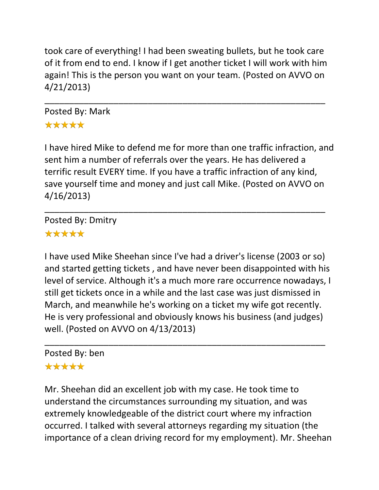took care of everything! I had been sweating bullets, but he took care of it from end to end. I know if I get another ticket I will work with him again! This is the person you want on your team. (Posted on AVVO on 4/21/2013)

\_\_\_\_\_\_\_\_\_\_\_\_\_\_\_\_\_\_\_\_\_\_\_\_\_\_\_\_\_\_\_\_\_\_\_\_\_\_\_\_\_\_\_\_\_\_\_\_\_\_\_\_\_\_\_\_\_

# Posted By: Mark \*\*\*\*\*

I have hired Mike to defend me for more than one traffic infraction, and sent him a number of referrals over the years. He has delivered a terrific result EVERY time. If you have a traffic infraction of any kind, save yourself time and money and just call Mike. (Posted on AVVO on 4/16/2013)

\_\_\_\_\_\_\_\_\_\_\_\_\_\_\_\_\_\_\_\_\_\_\_\_\_\_\_\_\_\_\_\_\_\_\_\_\_\_\_\_\_\_\_\_\_\_\_\_\_\_\_\_\_\_\_\_\_

Posted By: Dmitry \*\*\*\*\*

I have used Mike Sheehan since I've had a driver's license (2003 or so) and started getting tickets , and have never been disappointed with his level of service. Although it's a much more rare occurrence nowadays, I still get tickets once in a while and the last case was just dismissed in March, and meanwhile he's working on a ticket my wife got recently. He is very professional and obviously knows his business (and judges) well. (Posted on AVVO on 4/13/2013)

\_\_\_\_\_\_\_\_\_\_\_\_\_\_\_\_\_\_\_\_\_\_\_\_\_\_\_\_\_\_\_\_\_\_\_\_\_\_\_\_\_\_\_\_\_\_\_\_\_\_\_\_\_\_\_\_\_

# Posted By: ben

# \*\*\*\*\*

Mr. Sheehan did an excellent job with my case. He took time to understand the circumstances surrounding my situation, and was extremely knowledgeable of the district court where my infraction occurred. I talked with several attorneys regarding my situation (the importance of a clean driving record for my employment). Mr. Sheehan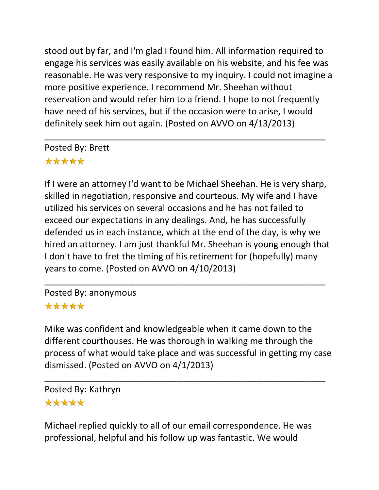stood out by far, and I'm glad I found him. All information required to engage his services was easily available on his website, and his fee was reasonable. He was very responsive to my inquiry. I could not imagine a more positive experience. I recommend Mr. Sheehan without reservation and would refer him to a friend. I hope to not frequently have need of his services, but if the occasion were to arise, I would definitely seek him out again. (Posted on AVVO on 4/13/2013)

\_\_\_\_\_\_\_\_\_\_\_\_\_\_\_\_\_\_\_\_\_\_\_\_\_\_\_\_\_\_\_\_\_\_\_\_\_\_\_\_\_\_\_\_\_\_\_\_\_\_\_\_\_\_\_\_\_

Posted By: Brett \*\*\*\*\*

If I were an attorney I'd want to be Michael Sheehan. He is very sharp, skilled in negotiation, responsive and courteous. My wife and I have utilized his services on several occasions and he has not failed to exceed our expectations in any dealings. And, he has successfully defended us in each instance, which at the end of the day, is why we hired an attorney. I am just thankful Mr. Sheehan is young enough that I don't have to fret the timing of his retirement for (hopefully) many years to come. (Posted on AVVO on 4/10/2013)

\_\_\_\_\_\_\_\_\_\_\_\_\_\_\_\_\_\_\_\_\_\_\_\_\_\_\_\_\_\_\_\_\_\_\_\_\_\_\_\_\_\_\_\_\_\_\_\_\_\_\_\_\_\_\_\_\_

Posted By: anonymous \*\*\*\*\*

Mike was confident and knowledgeable when it came down to the different courthouses. He was thorough in walking me through the process of what would take place and was successful in getting my case dismissed. (Posted on AVVO on 4/1/2013)

\_\_\_\_\_\_\_\_\_\_\_\_\_\_\_\_\_\_\_\_\_\_\_\_\_\_\_\_\_\_\_\_\_\_\_\_\_\_\_\_\_\_\_\_\_\_\_\_\_\_\_\_\_\_\_\_\_

Posted By: Kathryn \*\*\*\*\*

Michael replied quickly to all of our email correspondence. He was professional, helpful and his follow up was fantastic. We would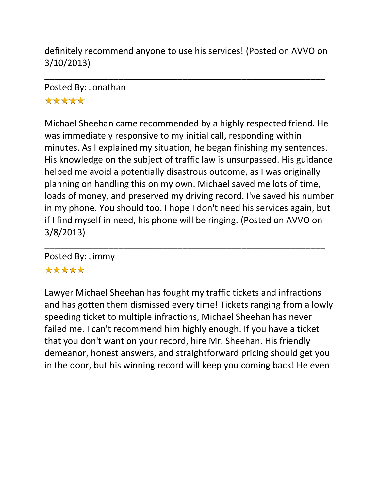definitely recommend anyone to use his services! (Posted on AVVO on 3/10/2013)

\_\_\_\_\_\_\_\_\_\_\_\_\_\_\_\_\_\_\_\_\_\_\_\_\_\_\_\_\_\_\_\_\_\_\_\_\_\_\_\_\_\_\_\_\_\_\_\_\_\_\_\_\_\_\_\_\_

Posted By: Jonathan \*\*\*\*\*

Michael Sheehan came recommended by a highly respected friend. He was immediately responsive to my initial call, responding within minutes. As I explained my situation, he began finishing my sentences. His knowledge on the subject of traffic law is unsurpassed. His guidance helped me avoid a potentially disastrous outcome, as I was originally planning on handling this on my own. Michael saved me lots of time, loads of money, and preserved my driving record. I've saved his number in my phone. You should too. I hope I don't need his services again, but if I find myself in need, his phone will be ringing. (Posted on AVVO on 3/8/2013)

\_\_\_\_\_\_\_\_\_\_\_\_\_\_\_\_\_\_\_\_\_\_\_\_\_\_\_\_\_\_\_\_\_\_\_\_\_\_\_\_\_\_\_\_\_\_\_\_\_\_\_\_\_\_\_\_\_

Posted By: Jimmy

# \*\*\*\*\*

Lawyer Michael Sheehan has fought my traffic tickets and infractions and has gotten them dismissed every time! Tickets ranging from a lowly speeding ticket to multiple infractions, Michael Sheehan has never failed me. I can't recommend him highly enough. If you have a ticket that you don't want on your record, hire Mr. Sheehan. His friendly demeanor, honest answers, and straightforward pricing should get you in the door, but his winning record will keep you coming back! He even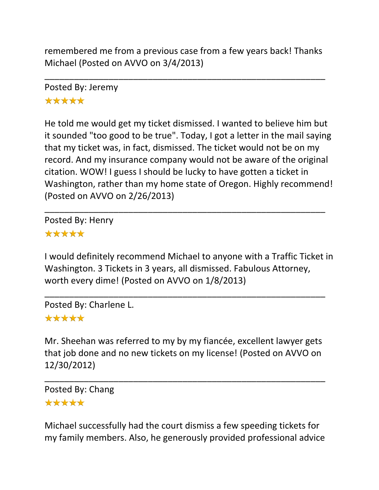remembered me from a previous case from a few years back! Thanks Michael (Posted on AVVO on 3/4/2013)

\_\_\_\_\_\_\_\_\_\_\_\_\_\_\_\_\_\_\_\_\_\_\_\_\_\_\_\_\_\_\_\_\_\_\_\_\_\_\_\_\_\_\_\_\_\_\_\_\_\_\_\_\_\_\_\_\_

Posted By: Jeremy \*\*\*\*\*

He told me would get my ticket dismissed. I wanted to believe him but it sounded "too good to be true". Today, I got a letter in the mail saying that my ticket was, in fact, dismissed. The ticket would not be on my record. And my insurance company would not be aware of the original citation. WOW! I guess I should be lucky to have gotten a ticket in Washington, rather than my home state of Oregon. Highly recommend! (Posted on AVVO on 2/26/2013)

\_\_\_\_\_\_\_\_\_\_\_\_\_\_\_\_\_\_\_\_\_\_\_\_\_\_\_\_\_\_\_\_\_\_\_\_\_\_\_\_\_\_\_\_\_\_\_\_\_\_\_\_\_\_\_\_\_

Posted By: Henry \*\*\*\*\*

I would definitely recommend Michael to anyone with a Traffic Ticket in Washington. 3 Tickets in 3 years, all dismissed. Fabulous Attorney, worth every dime! (Posted on AVVO on 1/8/2013)

\_\_\_\_\_\_\_\_\_\_\_\_\_\_\_\_\_\_\_\_\_\_\_\_\_\_\_\_\_\_\_\_\_\_\_\_\_\_\_\_\_\_\_\_\_\_\_\_\_\_\_\_\_\_\_\_\_

Posted By: Charlene L.

# \*\*\*\*\*

Mr. Sheehan was referred to my by my fiancée, excellent lawyer gets that job done and no new tickets on my license! (Posted on AVVO on 12/30/2012)

\_\_\_\_\_\_\_\_\_\_\_\_\_\_\_\_\_\_\_\_\_\_\_\_\_\_\_\_\_\_\_\_\_\_\_\_\_\_\_\_\_\_\_\_\_\_\_\_\_\_\_\_\_\_\_\_\_

Posted By: Chang \*\*\*\*\*

Michael successfully had the court dismiss a few speeding tickets for my family members. Also, he generously provided professional advice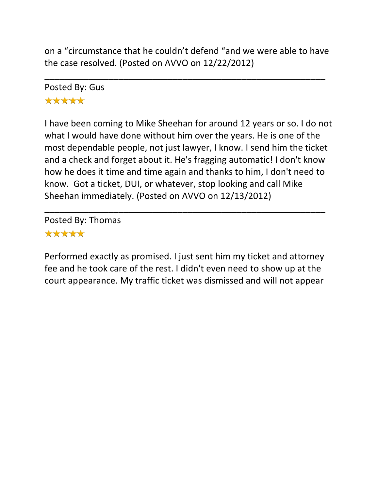on a "circumstance that he couldn't defend "and we were able to have the case resolved. (Posted on AVVO on 12/22/2012)

\_\_\_\_\_\_\_\_\_\_\_\_\_\_\_\_\_\_\_\_\_\_\_\_\_\_\_\_\_\_\_\_\_\_\_\_\_\_\_\_\_\_\_\_\_\_\_\_\_\_\_\_\_\_\_\_\_

Posted By: Gus \*\*\*\*\*

I have been coming to Mike Sheehan for around 12 years or so. I do not what I would have done without him over the years. He is one of the most dependable people, not just lawyer, I know. I send him the ticket and a check and forget about it. He's fragging automatic! I don't know how he does it time and time again and thanks to him, I don't need to know. Got a ticket, DUI, or whatever, stop looking and call Mike Sheehan immediately. (Posted on AVVO on 12/13/2012)

Posted By: Thomas \*\*\*\*\*

Performed exactly as promised. I just sent him my ticket and attorney fee and he took care of the rest. I didn't even need to show up at the court appearance. My traffic ticket was dismissed and will not appear

\_\_\_\_\_\_\_\_\_\_\_\_\_\_\_\_\_\_\_\_\_\_\_\_\_\_\_\_\_\_\_\_\_\_\_\_\_\_\_\_\_\_\_\_\_\_\_\_\_\_\_\_\_\_\_\_\_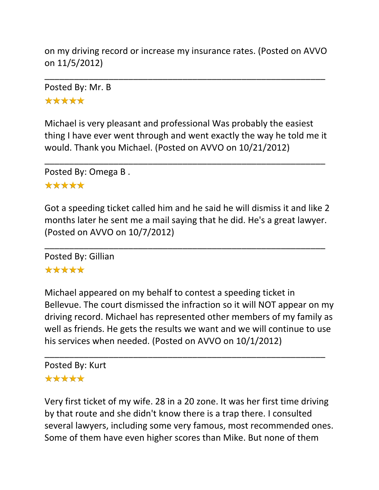on my driving record or increase my insurance rates. (Posted on AVVO on 11/5/2012)

\_\_\_\_\_\_\_\_\_\_\_\_\_\_\_\_\_\_\_\_\_\_\_\_\_\_\_\_\_\_\_\_\_\_\_\_\_\_\_\_\_\_\_\_\_\_\_\_\_\_\_\_\_\_\_\_\_

Posted By: Mr. B \*\*\*\*\*

Michael is very pleasant and professional Was probably the easiest thing I have ever went through and went exactly the way he told me it would. Thank you Michael. (Posted on AVVO on 10/21/2012)

\_\_\_\_\_\_\_\_\_\_\_\_\_\_\_\_\_\_\_\_\_\_\_\_\_\_\_\_\_\_\_\_\_\_\_\_\_\_\_\_\_\_\_\_\_\_\_\_\_\_\_\_\_\_\_\_\_

Posted By: Omega B .

#### \*\*\*\*\*

Got a speeding ticket called him and he said he will dismiss it and like 2 months later he sent me a mail saying that he did. He's a great lawyer. (Posted on AVVO on 10/7/2012)

\_\_\_\_\_\_\_\_\_\_\_\_\_\_\_\_\_\_\_\_\_\_\_\_\_\_\_\_\_\_\_\_\_\_\_\_\_\_\_\_\_\_\_\_\_\_\_\_\_\_\_\_\_\_\_\_\_

Posted By: Gillian

# \*\*\*\*\*

Michael appeared on my behalf to contest a speeding ticket in Bellevue. The court dismissed the infraction so it will NOT appear on my driving record. Michael has represented other members of my family as well as friends. He gets the results we want and we will continue to use his services when needed. (Posted on AVVO on 10/1/2012)

\_\_\_\_\_\_\_\_\_\_\_\_\_\_\_\_\_\_\_\_\_\_\_\_\_\_\_\_\_\_\_\_\_\_\_\_\_\_\_\_\_\_\_\_\_\_\_\_\_\_\_\_\_\_\_\_\_

#### Posted By: Kurt \*\*\*\*\*

Very first ticket of my wife. 28 in a 20 zone. It was her first time driving by that route and she didn't know there is a trap there. I consulted several lawyers, including some very famous, most recommended ones. Some of them have even higher scores than Mike. But none of them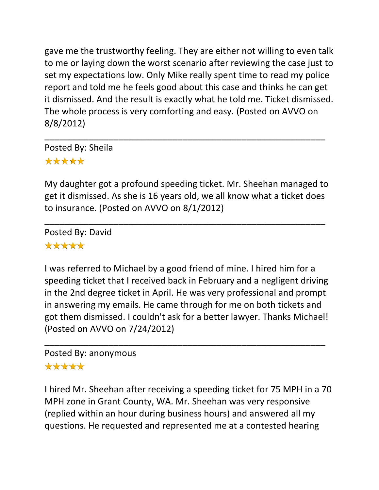gave me the trustworthy feeling. They are either not willing to even talk to me or laying down the worst scenario after reviewing the case just to set my expectations low. Only Mike really spent time to read my police report and told me he feels good about this case and thinks he can get it dismissed. And the result is exactly what he told me. Ticket dismissed. The whole process is very comforting and easy. (Posted on AVVO on 8/8/2012)

Posted By: Sheila \*\*\*\*\*

My daughter got a profound speeding ticket. Mr. Sheehan managed to get it dismissed. As she is 16 years old, we all know what a ticket does to insurance. (Posted on AVVO on 8/1/2012)

\_\_\_\_\_\_\_\_\_\_\_\_\_\_\_\_\_\_\_\_\_\_\_\_\_\_\_\_\_\_\_\_\_\_\_\_\_\_\_\_\_\_\_\_\_\_\_\_\_\_\_\_\_\_\_\_\_

\_\_\_\_\_\_\_\_\_\_\_\_\_\_\_\_\_\_\_\_\_\_\_\_\_\_\_\_\_\_\_\_\_\_\_\_\_\_\_\_\_\_\_\_\_\_\_\_\_\_\_\_\_\_\_\_\_

Posted By: David \*\*\*\*\*

I was referred to Michael by a good friend of mine. I hired him for a speeding ticket that I received back in February and a negligent driving in the 2nd degree ticket in April. He was very professional and prompt in answering my emails. He came through for me on both tickets and got them dismissed. I couldn't ask for a better lawyer. Thanks Michael! (Posted on AVVO on 7/24/2012)

\_\_\_\_\_\_\_\_\_\_\_\_\_\_\_\_\_\_\_\_\_\_\_\_\_\_\_\_\_\_\_\_\_\_\_\_\_\_\_\_\_\_\_\_\_\_\_\_\_\_\_\_\_\_\_\_\_

#### Posted By: anonymous

# \*\*\*\*\*

I hired Mr. Sheehan after receiving a speeding ticket for 75 MPH in a 70 MPH zone in Grant County, WA. Mr. Sheehan was very responsive (replied within an hour during business hours) and answered all my questions. He requested and represented me at a contested hearing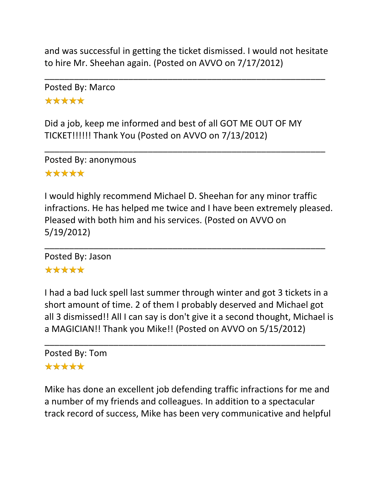and was successful in getting the ticket dismissed. I would not hesitate to hire Mr. Sheehan again. (Posted on AVVO on 7/17/2012)

\_\_\_\_\_\_\_\_\_\_\_\_\_\_\_\_\_\_\_\_\_\_\_\_\_\_\_\_\_\_\_\_\_\_\_\_\_\_\_\_\_\_\_\_\_\_\_\_\_\_\_\_\_\_\_\_\_

\_\_\_\_\_\_\_\_\_\_\_\_\_\_\_\_\_\_\_\_\_\_\_\_\_\_\_\_\_\_\_\_\_\_\_\_\_\_\_\_\_\_\_\_\_\_\_\_\_\_\_\_\_\_\_\_\_

Posted By: Marco \*\*\*\*\*

Did a job, keep me informed and best of all GOT ME OUT OF MY TICKET!!!!!! Thank You (Posted on AVVO on 7/13/2012)

Posted By: anonymous \*\*\*\*\*

I would highly recommend Michael D. Sheehan for any minor traffic infractions. He has helped me twice and I have been extremely pleased. Pleased with both him and his services. (Posted on AVVO on 5/19/2012)

\_\_\_\_\_\_\_\_\_\_\_\_\_\_\_\_\_\_\_\_\_\_\_\_\_\_\_\_\_\_\_\_\_\_\_\_\_\_\_\_\_\_\_\_\_\_\_\_\_\_\_\_\_\_\_\_\_

Posted By: Jason

# \*\*\*\*\*

I had a bad luck spell last summer through winter and got 3 tickets in a short amount of time. 2 of them I probably deserved and Michael got all 3 dismissed!! All I can say is don't give it a second thought, Michael is a MAGICIAN!! Thank you Mike!! (Posted on AVVO on 5/15/2012)

\_\_\_\_\_\_\_\_\_\_\_\_\_\_\_\_\_\_\_\_\_\_\_\_\_\_\_\_\_\_\_\_\_\_\_\_\_\_\_\_\_\_\_\_\_\_\_\_\_\_\_\_\_\_\_\_\_ Posted By: Tom \*\*\*\*\*

Mike has done an excellent job defending traffic infractions for me and a number of my friends and colleagues. In addition to a spectacular track record of success, Mike has been very communicative and helpful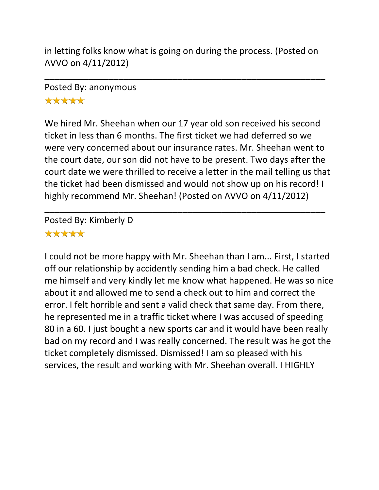in letting folks know what is going on during the process. (Posted on AVVO on 4/11/2012)

\_\_\_\_\_\_\_\_\_\_\_\_\_\_\_\_\_\_\_\_\_\_\_\_\_\_\_\_\_\_\_\_\_\_\_\_\_\_\_\_\_\_\_\_\_\_\_\_\_\_\_\_\_\_\_\_\_

# Posted By: anonymous \*\*\*\*\*

We hired Mr. Sheehan when our 17 year old son received his second ticket in less than 6 months. The first ticket we had deferred so we were very concerned about our insurance rates. Mr. Sheehan went to the court date, our son did not have to be present. Two days after the court date we were thrilled to receive a letter in the mail telling us that the ticket had been dismissed and would not show up on his record! I highly recommend Mr. Sheehan! (Posted on AVVO on 4/11/2012)

\_\_\_\_\_\_\_\_\_\_\_\_\_\_\_\_\_\_\_\_\_\_\_\_\_\_\_\_\_\_\_\_\_\_\_\_\_\_\_\_\_\_\_\_\_\_\_\_\_\_\_\_\_\_\_\_\_

Posted By: Kimberly D \*\*\*\*\*

I could not be more happy with Mr. Sheehan than I am... First, I started off our relationship by accidently sending him a bad check. He called me himself and very kindly let me know what happened. He was so nice about it and allowed me to send a check out to him and correct the error. I felt horrible and sent a valid check that same day. From there, he represented me in a traffic ticket where I was accused of speeding 80 in a 60. I just bought a new sports car and it would have been really bad on my record and I was really concerned. The result was he got the ticket completely dismissed. Dismissed! I am so pleased with his services, the result and working with Mr. Sheehan overall. I HIGHLY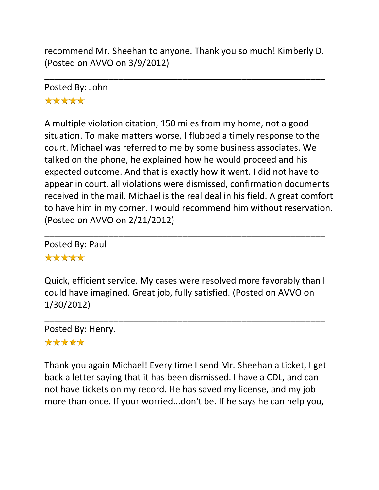recommend Mr. Sheehan to anyone. Thank you so much! Kimberly D. (Posted on AVVO on 3/9/2012)

\_\_\_\_\_\_\_\_\_\_\_\_\_\_\_\_\_\_\_\_\_\_\_\_\_\_\_\_\_\_\_\_\_\_\_\_\_\_\_\_\_\_\_\_\_\_\_\_\_\_\_\_\_\_\_\_\_

Posted By: John \*\*\*\*\*

A multiple violation citation, 150 miles from my home, not a good situation. To make matters worse, I flubbed a timely response to the court. Michael was referred to me by some business associates. We talked on the phone, he explained how he would proceed and his expected outcome. And that is exactly how it went. I did not have to appear in court, all violations were dismissed, confirmation documents received in the mail. Michael is the real deal in his field. A great comfort to have him in my corner. I would recommend him without reservation. (Posted on AVVO on 2/21/2012)

Posted By: Paul \*\*\*\*\*

Quick, efficient service. My cases were resolved more favorably than I could have imagined. Great job, fully satisfied. (Posted on AVVO on 1/30/2012)

\_\_\_\_\_\_\_\_\_\_\_\_\_\_\_\_\_\_\_\_\_\_\_\_\_\_\_\_\_\_\_\_\_\_\_\_\_\_\_\_\_\_\_\_\_\_\_\_\_\_\_\_\_\_\_\_\_

\_\_\_\_\_\_\_\_\_\_\_\_\_\_\_\_\_\_\_\_\_\_\_\_\_\_\_\_\_\_\_\_\_\_\_\_\_\_\_\_\_\_\_\_\_\_\_\_\_\_\_\_\_\_\_\_\_ Posted By: Henry.

#### \*\*\*\*\*

Thank you again Michael! Every time I send Mr. Sheehan a ticket, I get back a letter saying that it has been dismissed. I have a CDL, and can not have tickets on my record. He has saved my license, and my job more than once. If your worried...don't be. If he says he can help you,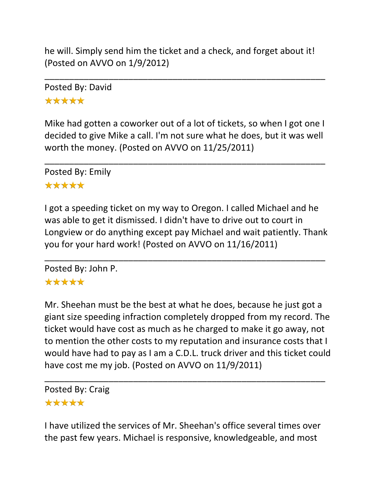he will. Simply send him the ticket and a check, and forget about it! (Posted on AVVO on 1/9/2012)

\_\_\_\_\_\_\_\_\_\_\_\_\_\_\_\_\_\_\_\_\_\_\_\_\_\_\_\_\_\_\_\_\_\_\_\_\_\_\_\_\_\_\_\_\_\_\_\_\_\_\_\_\_\_\_\_\_

Posted By: David \*\*\*\*\*

Mike had gotten a coworker out of a lot of tickets, so when I got one I decided to give Mike a call. I'm not sure what he does, but it was well worth the money. (Posted on AVVO on 11/25/2011)

\_\_\_\_\_\_\_\_\_\_\_\_\_\_\_\_\_\_\_\_\_\_\_\_\_\_\_\_\_\_\_\_\_\_\_\_\_\_\_\_\_\_\_\_\_\_\_\_\_\_\_\_\_\_\_\_\_

Posted By: Emily

### \*\*\*\*\*

I got a speeding ticket on my way to Oregon. I called Michael and he was able to get it dismissed. I didn't have to drive out to court in Longview or do anything except pay Michael and wait patiently. Thank you for your hard work! (Posted on AVVO on 11/16/2011)

\_\_\_\_\_\_\_\_\_\_\_\_\_\_\_\_\_\_\_\_\_\_\_\_\_\_\_\_\_\_\_\_\_\_\_\_\_\_\_\_\_\_\_\_\_\_\_\_\_\_\_\_\_\_\_\_\_ Posted By: John P.

# \*\*\*\*\*

Mr. Sheehan must be the best at what he does, because he just got a giant size speeding infraction completely dropped from my record. The ticket would have cost as much as he charged to make it go away, not to mention the other costs to my reputation and insurance costs that I would have had to pay as I am a C.D.L. truck driver and this ticket could have cost me my job. (Posted on AVVO on 11/9/2011)

\_\_\_\_\_\_\_\_\_\_\_\_\_\_\_\_\_\_\_\_\_\_\_\_\_\_\_\_\_\_\_\_\_\_\_\_\_\_\_\_\_\_\_\_\_\_\_\_\_\_\_\_\_\_\_\_\_

Posted By: Craig \*\*\*\*\*

I have utilized the services of Mr. Sheehan's office several times over the past few years. Michael is responsive, knowledgeable, and most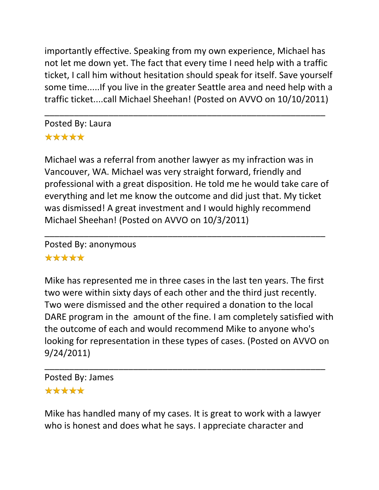importantly effective. Speaking from my own experience, Michael has not let me down yet. The fact that every time I need help with a traffic ticket, I call him without hesitation should speak for itself. Save yourself some time.....If you live in the greater Seattle area and need help with a traffic ticket....call Michael Sheehan! (Posted on AVVO on 10/10/2011)

\_\_\_\_\_\_\_\_\_\_\_\_\_\_\_\_\_\_\_\_\_\_\_\_\_\_\_\_\_\_\_\_\_\_\_\_\_\_\_\_\_\_\_\_\_\_\_\_\_\_\_\_\_\_\_\_\_

Posted By: Laura \*\*\*\*\*

Michael was a referral from another lawyer as my infraction was in Vancouver, WA. Michael was very straight forward, friendly and professional with a great disposition. He told me he would take care of everything and let me know the outcome and did just that. My ticket was dismissed! A great investment and I would highly recommend Michael Sheehan! (Posted on AVVO on 10/3/2011)

\_\_\_\_\_\_\_\_\_\_\_\_\_\_\_\_\_\_\_\_\_\_\_\_\_\_\_\_\_\_\_\_\_\_\_\_\_\_\_\_\_\_\_\_\_\_\_\_\_\_\_\_\_\_\_\_\_

Posted By: anonymous

#### \*\*\*\*\*

Mike has represented me in three cases in the last ten years. The first two were within sixty days of each other and the third just recently. Two were dismissed and the other required a donation to the local DARE program in the amount of the fine. I am completely satisfied with the outcome of each and would recommend Mike to anyone who's looking for representation in these types of cases. (Posted on AVVO on 9/24/2011)

\_\_\_\_\_\_\_\_\_\_\_\_\_\_\_\_\_\_\_\_\_\_\_\_\_\_\_\_\_\_\_\_\_\_\_\_\_\_\_\_\_\_\_\_\_\_\_\_\_\_\_\_\_\_\_\_\_ Posted By: James

#### \*\*\*\*\*

Mike has handled many of my cases. It is great to work with a lawyer who is honest and does what he says. I appreciate character and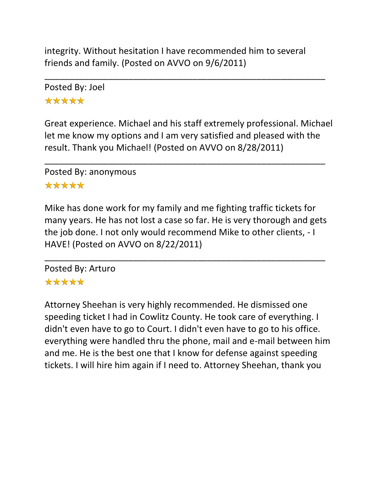integrity. Without hesitation I have recommended him to several friends and family. (Posted on AVVO on 9/6/2011)

\_\_\_\_\_\_\_\_\_\_\_\_\_\_\_\_\_\_\_\_\_\_\_\_\_\_\_\_\_\_\_\_\_\_\_\_\_\_\_\_\_\_\_\_\_\_\_\_\_\_\_\_\_\_\_\_\_

Posted By: Joel \*\*\*\*\*

Great experience. Michael and his staff extremely professional. Michael let me know my options and I am very satisfied and pleased with the result. Thank you Michael! (Posted on AVVO on 8/28/2011)

\_\_\_\_\_\_\_\_\_\_\_\_\_\_\_\_\_\_\_\_\_\_\_\_\_\_\_\_\_\_\_\_\_\_\_\_\_\_\_\_\_\_\_\_\_\_\_\_\_\_\_\_\_\_\_\_\_

Posted By: anonymous

#### \*\*\*\*\*

Mike has done work for my family and me fighting traffic tickets for many years. He has not lost a case so far. He is very thorough and gets the job done. I not only would recommend Mike to other clients, - I HAVE! (Posted on AVVO on 8/22/2011)

\_\_\_\_\_\_\_\_\_\_\_\_\_\_\_\_\_\_\_\_\_\_\_\_\_\_\_\_\_\_\_\_\_\_\_\_\_\_\_\_\_\_\_\_\_\_\_\_\_\_\_\_\_\_\_\_\_

Posted By: Arturo \*\*\*\*\*

Attorney Sheehan is very highly recommended. He dismissed one speeding ticket I had in Cowlitz County. He took care of everything. I didn't even have to go to Court. I didn't even have to go to his office. everything were handled thru the phone, mail and e-mail between him and me. He is the best one that I know for defense against speeding tickets. I will hire him again if I need to. Attorney Sheehan, thank you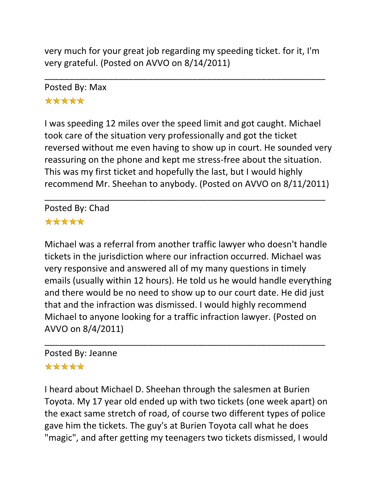very much for your great job regarding my speeding ticket. for it, I'm very grateful. (Posted on AVVO on 8/14/2011)

\_\_\_\_\_\_\_\_\_\_\_\_\_\_\_\_\_\_\_\_\_\_\_\_\_\_\_\_\_\_\_\_\_\_\_\_\_\_\_\_\_\_\_\_\_\_\_\_\_\_\_\_\_\_\_\_\_

Posted By: Max \*\*\*\*\*

I was speeding 12 miles over the speed limit and got caught. Michael took care of the situation very professionally and got the ticket reversed without me even having to show up in court. He sounded very reassuring on the phone and kept me stress-free about the situation. This was my first ticket and hopefully the last, but I would highly recommend Mr. Sheehan to anybody. (Posted on AVVO on 8/11/2011)

\_\_\_\_\_\_\_\_\_\_\_\_\_\_\_\_\_\_\_\_\_\_\_\_\_\_\_\_\_\_\_\_\_\_\_\_\_\_\_\_\_\_\_\_\_\_\_\_\_\_\_\_\_\_\_\_\_

Posted By: Chad \*\*\*\*\*

Michael was a referral from another traffic lawyer who doesn't handle tickets in the jurisdiction where our infraction occurred. Michael was very responsive and answered all of my many questions in timely emails (usually within 12 hours). He told us he would handle everything and there would be no need to show up to our court date. He did just that and the infraction was dismissed. I would highly recommend Michael to anyone looking for a traffic infraction lawyer. (Posted on AVVO on 8/4/2011)

\_\_\_\_\_\_\_\_\_\_\_\_\_\_\_\_\_\_\_\_\_\_\_\_\_\_\_\_\_\_\_\_\_\_\_\_\_\_\_\_\_\_\_\_\_\_\_\_\_\_\_\_\_\_\_\_\_

# Posted By: Jeanne

# \*\*\*\*\*

I heard about Michael D. Sheehan through the salesmen at Burien Toyota. My 17 year old ended up with two tickets (one week apart) on the exact same stretch of road, of course two different types of police gave him the tickets. The guy's at Burien Toyota call what he does "magic", and after getting my teenagers two tickets dismissed, I would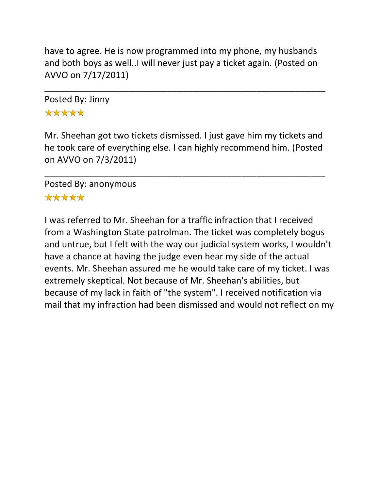have to agree. He is now programmed into my phone, my husbands and both boys as well..I will never just pay a ticket again. (Posted on AVVO on 7/17/2011)

\_\_\_\_\_\_\_\_\_\_\_\_\_\_\_\_\_\_\_\_\_\_\_\_\_\_\_\_\_\_\_\_\_\_\_\_\_\_\_\_\_\_\_\_\_\_\_\_\_\_\_\_\_\_\_\_\_

Posted By: Jinny \*\*\*\*\*

Mr. Sheehan got two tickets dismissed. I just gave him my tickets and he took care of everything else. I can highly recommend him. (Posted on AVVO on 7/3/2011)

\_\_\_\_\_\_\_\_\_\_\_\_\_\_\_\_\_\_\_\_\_\_\_\_\_\_\_\_\_\_\_\_\_\_\_\_\_\_\_\_\_\_\_\_\_\_\_\_\_\_\_\_\_\_\_\_\_

Posted By: anonymous \*\*\*\*\*

I was referred to Mr. Sheehan for a traffic infraction that I received from a Washington State patrolman. The ticket was completely bogus and untrue, but I felt with the way our judicial system works, I wouldn't have a chance at having the judge even hear my side of the actual events. Mr. Sheehan assured me he would take care of my ticket. I was extremely skeptical. Not because of Mr. Sheehan's abilities, but because of my lack in faith of "the system". I received notification via mail that my infraction had been dismissed and would not reflect on my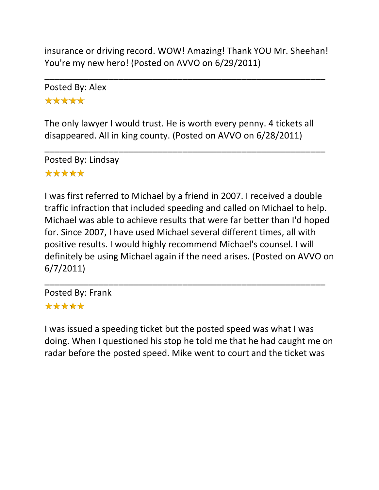insurance or driving record. WOW! Amazing! Thank YOU Mr. Sheehan! You're my new hero! (Posted on AVVO on 6/29/2011)

\_\_\_\_\_\_\_\_\_\_\_\_\_\_\_\_\_\_\_\_\_\_\_\_\_\_\_\_\_\_\_\_\_\_\_\_\_\_\_\_\_\_\_\_\_\_\_\_\_\_\_\_\_\_\_\_\_

Posted By: Alex \*\*\*\*\*

The only lawyer I would trust. He is worth every penny. 4 tickets all disappeared. All in king county. (Posted on AVVO on 6/28/2011)

\_\_\_\_\_\_\_\_\_\_\_\_\_\_\_\_\_\_\_\_\_\_\_\_\_\_\_\_\_\_\_\_\_\_\_\_\_\_\_\_\_\_\_\_\_\_\_\_\_\_\_\_\_\_\_\_\_

Posted By: Lindsay \*\*\*\*\*

I was first referred to Michael by a friend in 2007. I received a double traffic infraction that included speeding and called on Michael to help. Michael was able to achieve results that were far better than I'd hoped for. Since 2007, I have used Michael several different times, all with positive results. I would highly recommend Michael's counsel. I will definitely be using Michael again if the need arises. (Posted on AVVO on 6/7/2011)

\_\_\_\_\_\_\_\_\_\_\_\_\_\_\_\_\_\_\_\_\_\_\_\_\_\_\_\_\_\_\_\_\_\_\_\_\_\_\_\_\_\_\_\_\_\_\_\_\_\_\_\_\_\_\_\_\_

Posted By: Frank \*\*\*\*\*

I was issued a speeding ticket but the posted speed was what I was doing. When I questioned his stop he told me that he had caught me on radar before the posted speed. Mike went to court and the ticket was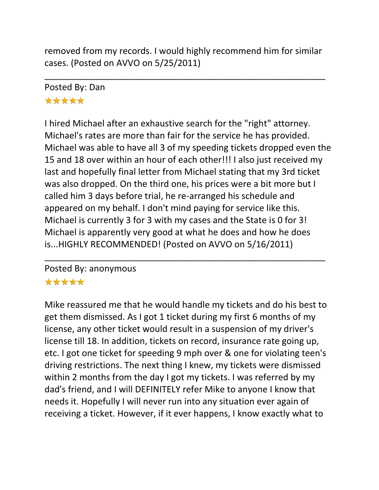removed from my records. I would highly recommend him for similar cases. (Posted on AVVO on 5/25/2011)

\_\_\_\_\_\_\_\_\_\_\_\_\_\_\_\_\_\_\_\_\_\_\_\_\_\_\_\_\_\_\_\_\_\_\_\_\_\_\_\_\_\_\_\_\_\_\_\_\_\_\_\_\_\_\_\_\_

# Posted By: Dan \*\*\*\*\*

I hired Michael after an exhaustive search for the "right" attorney. Michael's rates are more than fair for the service he has provided. Michael was able to have all 3 of my speeding tickets dropped even the 15 and 18 over within an hour of each other!!! I also just received my last and hopefully final letter from Michael stating that my 3rd ticket was also dropped. On the third one, his prices were a bit more but I called him 3 days before trial, he re-arranged his schedule and appeared on my behalf. I don't mind paying for service like this. Michael is currently 3 for 3 with my cases and the State is 0 for 3! Michael is apparently very good at what he does and how he does is...HIGHLY RECOMMENDED! (Posted on AVVO on 5/16/2011)

\_\_\_\_\_\_\_\_\_\_\_\_\_\_\_\_\_\_\_\_\_\_\_\_\_\_\_\_\_\_\_\_\_\_\_\_\_\_\_\_\_\_\_\_\_\_\_\_\_\_\_\_\_\_\_\_\_

# Posted By: anonymous

# \*\*\*\*\*

Mike reassured me that he would handle my tickets and do his best to get them dismissed. As I got 1 ticket during my first 6 months of my license, any other ticket would result in a suspension of my driver's license till 18. In addition, tickets on record, insurance rate going up, etc. I got one ticket for speeding 9 mph over & one for violating teen's driving restrictions. The next thing I knew, my tickets were dismissed within 2 months from the day I got my tickets. I was referred by my dad's friend, and I will DEFINITELY refer Mike to anyone I know that needs it. Hopefully I will never run into any situation ever again of receiving a ticket. However, if it ever happens, I know exactly what to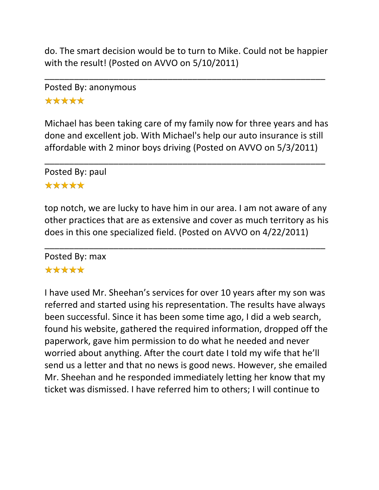do. The smart decision would be to turn to Mike. Could not be happier with the result! (Posted on AVVO on 5/10/2011)

\_\_\_\_\_\_\_\_\_\_\_\_\_\_\_\_\_\_\_\_\_\_\_\_\_\_\_\_\_\_\_\_\_\_\_\_\_\_\_\_\_\_\_\_\_\_\_\_\_\_\_\_\_\_\_\_\_

# Posted By: anonymous \*\*\*\*\*

Michael has been taking care of my family now for three years and has done and excellent job. With Michael's help our auto insurance is still affordable with 2 minor boys driving (Posted on AVVO on 5/3/2011)

\_\_\_\_\_\_\_\_\_\_\_\_\_\_\_\_\_\_\_\_\_\_\_\_\_\_\_\_\_\_\_\_\_\_\_\_\_\_\_\_\_\_\_\_\_\_\_\_\_\_\_\_\_\_\_\_\_

Posted By: paul \*\*\*\*\*

top notch, we are lucky to have him in our area. I am not aware of any other practices that are as extensive and cover as much territory as his does in this one specialized field. (Posted on AVVO on 4/22/2011)

\_\_\_\_\_\_\_\_\_\_\_\_\_\_\_\_\_\_\_\_\_\_\_\_\_\_\_\_\_\_\_\_\_\_\_\_\_\_\_\_\_\_\_\_\_\_\_\_\_\_\_\_\_\_\_\_\_

Posted By: max

# \*\*\*\*\*

I have used Mr. Sheehan's services for over 10 years after my son was referred and started using his representation. The results have always been successful. Since it has been some time ago, I did a web search, found his website, gathered the required information, dropped off the paperwork, gave him permission to do what he needed and never worried about anything. After the court date I told my wife that he'll send us a letter and that no news is good news. However, she emailed Mr. Sheehan and he responded immediately letting her know that my ticket was dismissed. I have referred him to others; I will continue to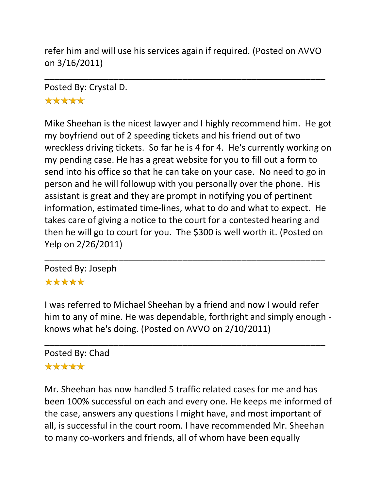refer him and will use his services again if required. (Posted on AVVO on 3/16/2011)

\_\_\_\_\_\_\_\_\_\_\_\_\_\_\_\_\_\_\_\_\_\_\_\_\_\_\_\_\_\_\_\_\_\_\_\_\_\_\_\_\_\_\_\_\_\_\_\_\_\_\_\_\_\_\_\_\_

Posted By: Crystal D.

\*\*\*\*\*

Mike Sheehan is the nicest lawyer and I highly recommend him. He got my boyfriend out of 2 speeding tickets and his friend out of two wreckless driving tickets. So far he is 4 for 4. He's currently working on my pending case. He has a great website for you to fill out a form to send into his office so that he can take on your case. No need to go in person and he will followup with you personally over the phone. His assistant is great and they are prompt in notifying you of pertinent information, estimated time-lines, what to do and what to expect. He takes care of giving a notice to the court for a contested hearing and then he will go to court for you. The \$300 is well worth it. (Posted on Yelp on 2/26/2011)

Posted By: Joseph \*\*\*\*\*

I was referred to Michael Sheehan by a friend and now I would refer him to any of mine. He was dependable, forthright and simply enough knows what he's doing. (Posted on AVVO on 2/10/2011)

\_\_\_\_\_\_\_\_\_\_\_\_\_\_\_\_\_\_\_\_\_\_\_\_\_\_\_\_\_\_\_\_\_\_\_\_\_\_\_\_\_\_\_\_\_\_\_\_\_\_\_\_\_\_\_\_\_

# \_\_\_\_\_\_\_\_\_\_\_\_\_\_\_\_\_\_\_\_\_\_\_\_\_\_\_\_\_\_\_\_\_\_\_\_\_\_\_\_\_\_\_\_\_\_\_\_\_\_\_\_\_\_\_\_\_ Posted By: Chad

# \*\*\*\*\*

Mr. Sheehan has now handled 5 traffic related cases for me and has been 100% successful on each and every one. He keeps me informed of the case, answers any questions I might have, and most important of all, is successful in the court room. I have recommended Mr. Sheehan to many co-workers and friends, all of whom have been equally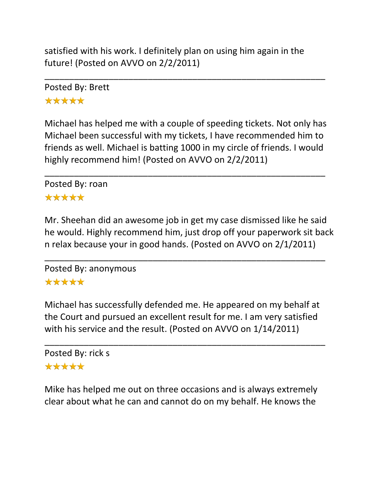satisfied with his work. I definitely plan on using him again in the future! (Posted on AVVO on 2/2/2011)

\_\_\_\_\_\_\_\_\_\_\_\_\_\_\_\_\_\_\_\_\_\_\_\_\_\_\_\_\_\_\_\_\_\_\_\_\_\_\_\_\_\_\_\_\_\_\_\_\_\_\_\_\_\_\_\_\_

Posted By: Brett \*\*\*\*\*

Michael has helped me with a couple of speeding tickets. Not only has Michael been successful with my tickets, I have recommended him to friends as well. Michael is batting 1000 in my circle of friends. I would highly recommend him! (Posted on AVVO on 2/2/2011)

\_\_\_\_\_\_\_\_\_\_\_\_\_\_\_\_\_\_\_\_\_\_\_\_\_\_\_\_\_\_\_\_\_\_\_\_\_\_\_\_\_\_\_\_\_\_\_\_\_\_\_\_\_\_\_\_\_

Posted By: roan \*\*\*\*\*

Mr. Sheehan did an awesome job in get my case dismissed like he said he would. Highly recommend him, just drop off your paperwork sit back n relax because your in good hands. (Posted on AVVO on 2/1/2011)

\_\_\_\_\_\_\_\_\_\_\_\_\_\_\_\_\_\_\_\_\_\_\_\_\_\_\_\_\_\_\_\_\_\_\_\_\_\_\_\_\_\_\_\_\_\_\_\_\_\_\_\_\_\_\_\_\_

Posted By: anonymous \*\*\*\*\*

Michael has successfully defended me. He appeared on my behalf at the Court and pursued an excellent result for me. I am very satisfied with his service and the result. (Posted on AVVO on 1/14/2011)

\_\_\_\_\_\_\_\_\_\_\_\_\_\_\_\_\_\_\_\_\_\_\_\_\_\_\_\_\_\_\_\_\_\_\_\_\_\_\_\_\_\_\_\_\_\_\_\_\_\_\_\_\_\_\_\_\_

Posted By: rick s \*\*\*\*\*

Mike has helped me out on three occasions and is always extremely clear about what he can and cannot do on my behalf. He knows the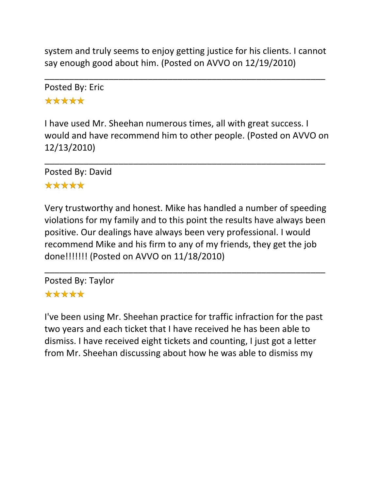system and truly seems to enjoy getting justice for his clients. I cannot say enough good about him. (Posted on AVVO on 12/19/2010)

\_\_\_\_\_\_\_\_\_\_\_\_\_\_\_\_\_\_\_\_\_\_\_\_\_\_\_\_\_\_\_\_\_\_\_\_\_\_\_\_\_\_\_\_\_\_\_\_\_\_\_\_\_\_\_\_\_

Posted By: Eric \*\*\*\*\*

I have used Mr. Sheehan numerous times, all with great success. I would and have recommend him to other people. (Posted on AVVO on 12/13/2010)

\_\_\_\_\_\_\_\_\_\_\_\_\_\_\_\_\_\_\_\_\_\_\_\_\_\_\_\_\_\_\_\_\_\_\_\_\_\_\_\_\_\_\_\_\_\_\_\_\_\_\_\_\_\_\_\_\_

Posted By: David

## \*\*\*\*\*

Very trustworthy and honest. Mike has handled a number of speeding violations for my family and to this point the results have always been positive. Our dealings have always been very professional. I would recommend Mike and his firm to any of my friends, they get the job done!!!!!!! (Posted on AVVO on 11/18/2010)

\_\_\_\_\_\_\_\_\_\_\_\_\_\_\_\_\_\_\_\_\_\_\_\_\_\_\_\_\_\_\_\_\_\_\_\_\_\_\_\_\_\_\_\_\_\_\_\_\_\_\_\_\_\_\_\_\_

Posted By: Taylor \*\*\*\*\*

I've been using Mr. Sheehan practice for traffic infraction for the past two years and each ticket that I have received he has been able to dismiss. I have received eight tickets and counting, I just got a letter from Mr. Sheehan discussing about how he was able to dismiss my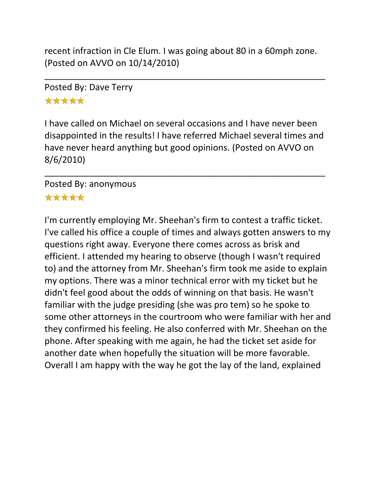recent infraction in Cle Elum. I was going about 80 in a 60mph zone. (Posted on AVVO on 10/14/2010)

\_\_\_\_\_\_\_\_\_\_\_\_\_\_\_\_\_\_\_\_\_\_\_\_\_\_\_\_\_\_\_\_\_\_\_\_\_\_\_\_\_\_\_\_\_\_\_\_\_\_\_\_\_\_\_\_\_

Posted By: Dave Terry \*\*\*\*\*

I have called on Michael on several occasions and I have never been disappointed in the results! I have referred Michael several times and have never heard anything but good opinions. (Posted on AVVO on 8/6/2010)

\_\_\_\_\_\_\_\_\_\_\_\_\_\_\_\_\_\_\_\_\_\_\_\_\_\_\_\_\_\_\_\_\_\_\_\_\_\_\_\_\_\_\_\_\_\_\_\_\_\_\_\_\_\_\_\_\_

#### Posted By: anonymous \*\*\*\*\*

I'm currently employing Mr. Sheehan's firm to contest a traffic ticket. I've called his office a couple of times and always gotten answers to my questions right away. Everyone there comes across as brisk and efficient. I attended my hearing to observe (though I wasn't required to) and the attorney from Mr. Sheehan's firm took me aside to explain my options. There was a minor technical error with my ticket but he didn't feel good about the odds of winning on that basis. He wasn't familiar with the judge presiding (she was pro tem) so he spoke to some other attorneys in the courtroom who were familiar with her and they confirmed his feeling. He also conferred with Mr. Sheehan on the phone. After speaking with me again, he had the ticket set aside for another date when hopefully the situation will be more favorable. Overall I am happy with the way he got the lay of the land, explained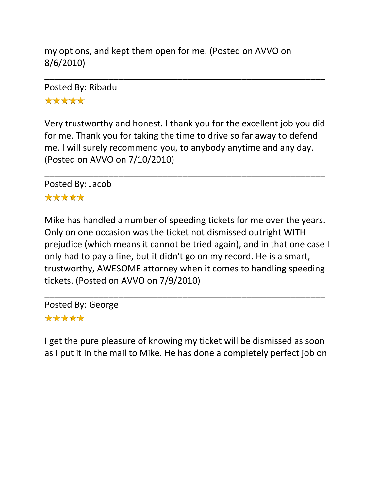my options, and kept them open for me. (Posted on AVVO on 8/6/2010)

Posted By: Ribadu \*\*\*\*\*

Very trustworthy and honest. I thank you for the excellent job you did for me. Thank you for taking the time to drive so far away to defend me, I will surely recommend you, to anybody anytime and any day. (Posted on AVVO on 7/10/2010)

\_\_\_\_\_\_\_\_\_\_\_\_\_\_\_\_\_\_\_\_\_\_\_\_\_\_\_\_\_\_\_\_\_\_\_\_\_\_\_\_\_\_\_\_\_\_\_\_\_\_\_\_\_\_\_\_\_

\_\_\_\_\_\_\_\_\_\_\_\_\_\_\_\_\_\_\_\_\_\_\_\_\_\_\_\_\_\_\_\_\_\_\_\_\_\_\_\_\_\_\_\_\_\_\_\_\_\_\_\_\_\_\_\_\_

Posted By: Jacob

#### \*\*\*\*\*

Mike has handled a number of speeding tickets for me over the years. Only on one occasion was the ticket not dismissed outright WITH prejudice (which means it cannot be tried again), and in that one case I only had to pay a fine, but it didn't go on my record. He is a smart, trustworthy, AWESOME attorney when it comes to handling speeding tickets. (Posted on AVVO on 7/9/2010)

\_\_\_\_\_\_\_\_\_\_\_\_\_\_\_\_\_\_\_\_\_\_\_\_\_\_\_\_\_\_\_\_\_\_\_\_\_\_\_\_\_\_\_\_\_\_\_\_\_\_\_\_\_\_\_\_\_

Posted By: George \*\*\*\*\*

I get the pure pleasure of knowing my ticket will be dismissed as soon as I put it in the mail to Mike. He has done a completely perfect job on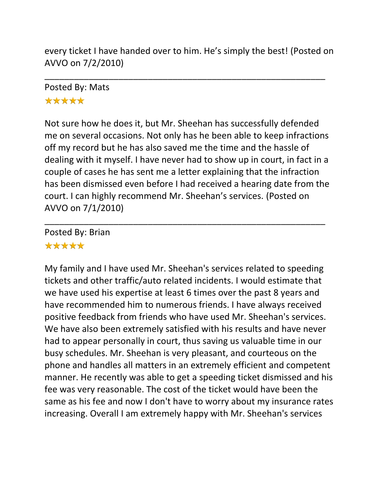every ticket I have handed over to him. He's simply the best! (Posted on AVVO on 7/2/2010)

\_\_\_\_\_\_\_\_\_\_\_\_\_\_\_\_\_\_\_\_\_\_\_\_\_\_\_\_\_\_\_\_\_\_\_\_\_\_\_\_\_\_\_\_\_\_\_\_\_\_\_\_\_\_\_\_\_

# Posted By: Mats \*\*\*\*\*

Not sure how he does it, but Mr. Sheehan has successfully defended me on several occasions. Not only has he been able to keep infractions off my record but he has also saved me the time and the hassle of dealing with it myself. I have never had to show up in court, in fact in a couple of cases he has sent me a letter explaining that the infraction has been dismissed even before I had received a hearing date from the court. I can highly recommend Mr. Sheehan's services. (Posted on AVVO on 7/1/2010)

\_\_\_\_\_\_\_\_\_\_\_\_\_\_\_\_\_\_\_\_\_\_\_\_\_\_\_\_\_\_\_\_\_\_\_\_\_\_\_\_\_\_\_\_\_\_\_\_\_\_\_\_\_\_\_\_\_

Posted By: Brian \*\*\*\*\*

My family and I have used Mr. Sheehan's services related to speeding tickets and other traffic/auto related incidents. I would estimate that we have used his expertise at least 6 times over the past 8 years and have recommended him to numerous friends. I have always received positive feedback from friends who have used Mr. Sheehan's services. We have also been extremely satisfied with his results and have never had to appear personally in court, thus saving us valuable time in our busy schedules. Mr. Sheehan is very pleasant, and courteous on the phone and handles all matters in an extremely efficient and competent manner. He recently was able to get a speeding ticket dismissed and his fee was very reasonable. The cost of the ticket would have been the same as his fee and now I don't have to worry about my insurance rates increasing. Overall I am extremely happy with Mr. Sheehan's services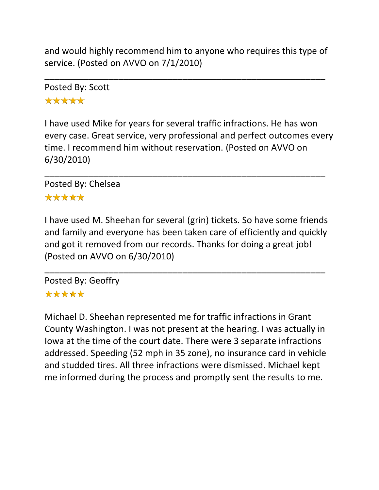and would highly recommend him to anyone who requires this type of service. (Posted on AVVO on 7/1/2010)

\_\_\_\_\_\_\_\_\_\_\_\_\_\_\_\_\_\_\_\_\_\_\_\_\_\_\_\_\_\_\_\_\_\_\_\_\_\_\_\_\_\_\_\_\_\_\_\_\_\_\_\_\_\_\_\_\_

Posted By: Scott \*\*\*\*\*

I have used Mike for years for several traffic infractions. He has won every case. Great service, very professional and perfect outcomes every time. I recommend him without reservation. (Posted on AVVO on 6/30/2010)

\_\_\_\_\_\_\_\_\_\_\_\_\_\_\_\_\_\_\_\_\_\_\_\_\_\_\_\_\_\_\_\_\_\_\_\_\_\_\_\_\_\_\_\_\_\_\_\_\_\_\_\_\_\_\_\_\_

Posted By: Chelsea \*\*\*\*\*

I have used M. Sheehan for several (grin) tickets. So have some friends and family and everyone has been taken care of efficiently and quickly and got it removed from our records. Thanks for doing a great job! (Posted on AVVO on 6/30/2010)

\_\_\_\_\_\_\_\_\_\_\_\_\_\_\_\_\_\_\_\_\_\_\_\_\_\_\_\_\_\_\_\_\_\_\_\_\_\_\_\_\_\_\_\_\_\_\_\_\_\_\_\_\_\_\_\_\_

Posted By: Geoffry \*\*\*\*\*

Michael D. Sheehan represented me for traffic infractions in Grant County Washington. I was not present at the hearing. I was actually in Iowa at the time of the court date. There were 3 separate infractions addressed. Speeding (52 mph in 35 zone), no insurance card in vehicle and studded tires. All three infractions were dismissed. Michael kept me informed during the process and promptly sent the results to me.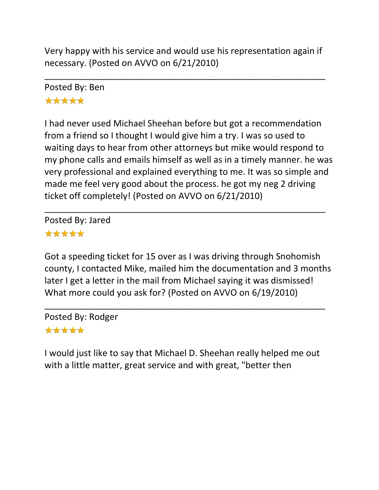Very happy with his service and would use his representation again if necessary. (Posted on AVVO on 6/21/2010)

\_\_\_\_\_\_\_\_\_\_\_\_\_\_\_\_\_\_\_\_\_\_\_\_\_\_\_\_\_\_\_\_\_\_\_\_\_\_\_\_\_\_\_\_\_\_\_\_\_\_\_\_\_\_\_\_\_

Posted By: Ben \*\*\*\*\*

I had never used Michael Sheehan before but got a recommendation from a friend so I thought I would give him a try. I was so used to waiting days to hear from other attorneys but mike would respond to my phone calls and emails himself as well as in a timely manner. he was very professional and explained everything to me. It was so simple and made me feel very good about the process. he got my neg 2 driving ticket off completely! (Posted on AVVO on 6/21/2010)

\_\_\_\_\_\_\_\_\_\_\_\_\_\_\_\_\_\_\_\_\_\_\_\_\_\_\_\_\_\_\_\_\_\_\_\_\_\_\_\_\_\_\_\_\_\_\_\_\_\_\_\_\_\_\_\_\_

Posted By: Jared \*\*\*\*\*

Got a speeding ticket for 15 over as I was driving through Snohomish county, I contacted Mike, mailed him the documentation and 3 months later I get a letter in the mail from Michael saying it was dismissed! What more could you ask for? (Posted on AVVO on 6/19/2010)

\_\_\_\_\_\_\_\_\_\_\_\_\_\_\_\_\_\_\_\_\_\_\_\_\_\_\_\_\_\_\_\_\_\_\_\_\_\_\_\_\_\_\_\_\_\_\_\_\_\_\_\_\_\_\_\_\_ Posted By: Rodger \*\*\*\*\*

I would just like to say that Michael D. Sheehan really helped me out with a little matter, great service and with great, "better then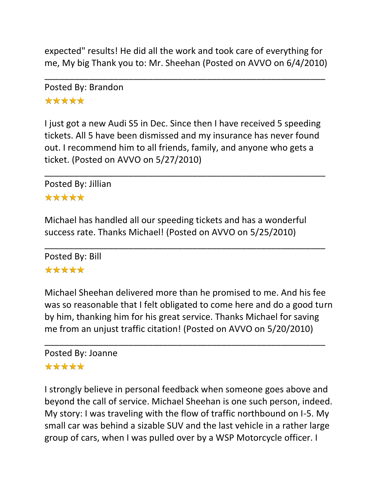expected" results! He did all the work and took care of everything for me, My big Thank you to: Mr. Sheehan (Posted on AVVO on 6/4/2010)

\_\_\_\_\_\_\_\_\_\_\_\_\_\_\_\_\_\_\_\_\_\_\_\_\_\_\_\_\_\_\_\_\_\_\_\_\_\_\_\_\_\_\_\_\_\_\_\_\_\_\_\_\_\_\_\_\_

Posted By: Brandon \*\*\*\*\*

I just got a new Audi S5 in Dec. Since then I have received 5 speeding tickets. All 5 have been dismissed and my insurance has never found out. I recommend him to all friends, family, and anyone who gets a ticket. (Posted on AVVO on 5/27/2010)

\_\_\_\_\_\_\_\_\_\_\_\_\_\_\_\_\_\_\_\_\_\_\_\_\_\_\_\_\_\_\_\_\_\_\_\_\_\_\_\_\_\_\_\_\_\_\_\_\_\_\_\_\_\_\_\_\_

Posted By: Jillian

#### \*\*\*\*\*

Michael has handled all our speeding tickets and has a wonderful success rate. Thanks Michael! (Posted on AVVO on 5/25/2010)

\_\_\_\_\_\_\_\_\_\_\_\_\_\_\_\_\_\_\_\_\_\_\_\_\_\_\_\_\_\_\_\_\_\_\_\_\_\_\_\_\_\_\_\_\_\_\_\_\_\_\_\_\_\_\_\_\_ Posted By: Bill \*\*\*\*\*

Michael Sheehan delivered more than he promised to me. And his fee was so reasonable that I felt obligated to come here and do a good turn by him, thanking him for his great service. Thanks Michael for saving me from an unjust traffic citation! (Posted on AVVO on 5/20/2010)

\_\_\_\_\_\_\_\_\_\_\_\_\_\_\_\_\_\_\_\_\_\_\_\_\_\_\_\_\_\_\_\_\_\_\_\_\_\_\_\_\_\_\_\_\_\_\_\_\_\_\_\_\_\_\_\_\_

# Posted By: Joanne

#### \*\*\*\*\*

I strongly believe in personal feedback when someone goes above and beyond the call of service. Michael Sheehan is one such person, indeed. My story: I was traveling with the flow of traffic northbound on I-5. My small car was behind a sizable SUV and the last vehicle in a rather large group of cars, when I was pulled over by a WSP Motorcycle officer. I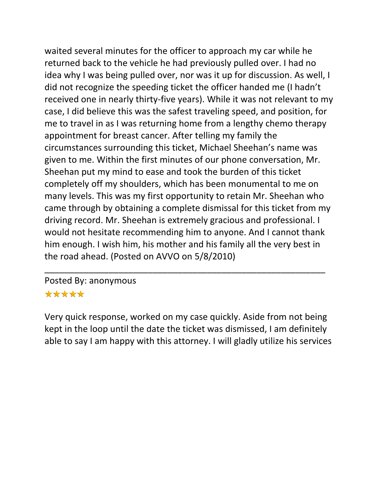waited several minutes for the officer to approach my car while he returned back to the vehicle he had previously pulled over. I had no idea why I was being pulled over, nor was it up for discussion. As well, I did not recognize the speeding ticket the officer handed me (I hadn't received one in nearly thirty-five years). While it was not relevant to my case, I did believe this was the safest traveling speed, and position, for me to travel in as I was returning home from a lengthy chemo therapy appointment for breast cancer. After telling my family the circumstances surrounding this ticket, Michael Sheehan's name was given to me. Within the first minutes of our phone conversation, Mr. Sheehan put my mind to ease and took the burden of this ticket completely off my shoulders, which has been monumental to me on many levels. This was my first opportunity to retain Mr. Sheehan who came through by obtaining a complete dismissal for this ticket from my driving record. Mr. Sheehan is extremely gracious and professional. I would not hesitate recommending him to anyone. And I cannot thank him enough. I wish him, his mother and his family all the very best in the road ahead. (Posted on AVVO on 5/8/2010)

#### Posted By: anonymous

#### \*\*\*\*\*

Very quick response, worked on my case quickly. Aside from not being kept in the loop until the date the ticket was dismissed, I am definitely able to say I am happy with this attorney. I will gladly utilize his services

\_\_\_\_\_\_\_\_\_\_\_\_\_\_\_\_\_\_\_\_\_\_\_\_\_\_\_\_\_\_\_\_\_\_\_\_\_\_\_\_\_\_\_\_\_\_\_\_\_\_\_\_\_\_\_\_\_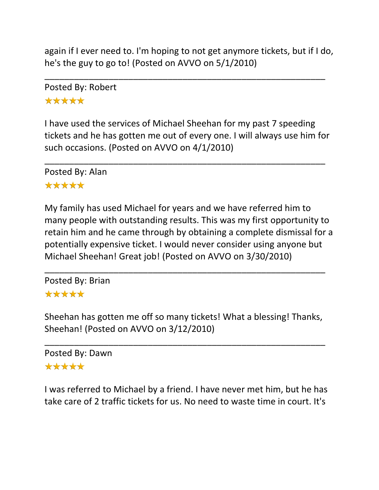again if I ever need to. I'm hoping to not get anymore tickets, but if I do, he's the guy to go to! (Posted on AVVO on 5/1/2010)

\_\_\_\_\_\_\_\_\_\_\_\_\_\_\_\_\_\_\_\_\_\_\_\_\_\_\_\_\_\_\_\_\_\_\_\_\_\_\_\_\_\_\_\_\_\_\_\_\_\_\_\_\_\_\_\_\_

Posted By: Robert \*\*\*\*\*

I have used the services of Michael Sheehan for my past 7 speeding tickets and he has gotten me out of every one. I will always use him for such occasions. (Posted on AVVO on 4/1/2010)

\_\_\_\_\_\_\_\_\_\_\_\_\_\_\_\_\_\_\_\_\_\_\_\_\_\_\_\_\_\_\_\_\_\_\_\_\_\_\_\_\_\_\_\_\_\_\_\_\_\_\_\_\_\_\_\_\_

Posted By: Alan \*\*\*\*\*

My family has used Michael for years and we have referred him to many people with outstanding results. This was my first opportunity to retain him and he came through by obtaining a complete dismissal for a potentially expensive ticket. I would never consider using anyone but Michael Sheehan! Great job! (Posted on AVVO on 3/30/2010)

Posted By: Brian \*\*\*\*\*

Sheehan has gotten me off so many tickets! What a blessing! Thanks, Sheehan! (Posted on AVVO on 3/12/2010)

\_\_\_\_\_\_\_\_\_\_\_\_\_\_\_\_\_\_\_\_\_\_\_\_\_\_\_\_\_\_\_\_\_\_\_\_\_\_\_\_\_\_\_\_\_\_\_\_\_\_\_\_\_\_\_\_\_

\_\_\_\_\_\_\_\_\_\_\_\_\_\_\_\_\_\_\_\_\_\_\_\_\_\_\_\_\_\_\_\_\_\_\_\_\_\_\_\_\_\_\_\_\_\_\_\_\_\_\_\_\_\_\_\_\_

Posted By: Dawn \*\*\*\*\*

I was referred to Michael by a friend. I have never met him, but he has take care of 2 traffic tickets for us. No need to waste time in court. It's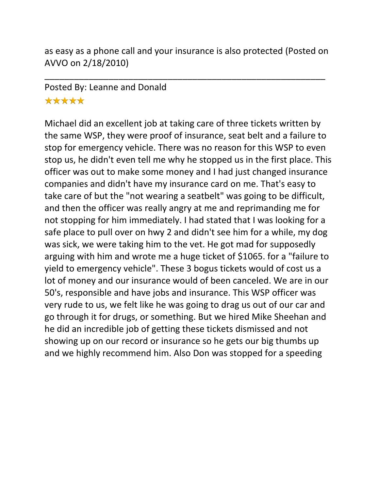as easy as a phone call and your insurance is also protected (Posted on AVVO on 2/18/2010)

\_\_\_\_\_\_\_\_\_\_\_\_\_\_\_\_\_\_\_\_\_\_\_\_\_\_\_\_\_\_\_\_\_\_\_\_\_\_\_\_\_\_\_\_\_\_\_\_\_\_\_\_\_\_\_\_\_

# Posted By: Leanne and Donald \*\*\*\*\*

Michael did an excellent job at taking care of three tickets written by the same WSP, they were proof of insurance, seat belt and a failure to stop for emergency vehicle. There was no reason for this WSP to even stop us, he didn't even tell me why he stopped us in the first place. This officer was out to make some money and I had just changed insurance companies and didn't have my insurance card on me. That's easy to take care of but the "not wearing a seatbelt" was going to be difficult, and then the officer was really angry at me and reprimanding me for not stopping for him immediately. I had stated that I was looking for a safe place to pull over on hwy 2 and didn't see him for a while, my dog was sick, we were taking him to the vet. He got mad for supposedly arguing with him and wrote me a huge ticket of \$1065. for a "failure to yield to emergency vehicle". These 3 bogus tickets would of cost us a lot of money and our insurance would of been canceled. We are in our 50's, responsible and have jobs and insurance. This WSP officer was very rude to us, we felt like he was going to drag us out of our car and go through it for drugs, or something. But we hired Mike Sheehan and he did an incredible job of getting these tickets dismissed and not showing up on our record or insurance so he gets our big thumbs up and we highly recommend him. Also Don was stopped for a speeding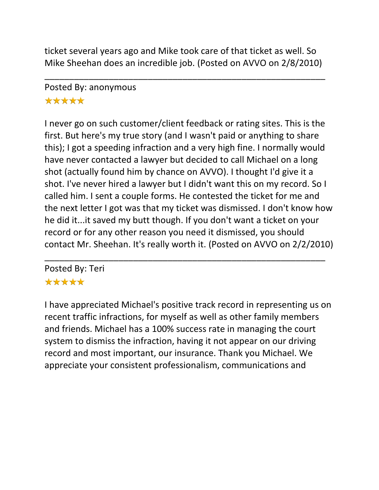ticket several years ago and Mike took care of that ticket as well. So Mike Sheehan does an incredible job. (Posted on AVVO on 2/8/2010)

\_\_\_\_\_\_\_\_\_\_\_\_\_\_\_\_\_\_\_\_\_\_\_\_\_\_\_\_\_\_\_\_\_\_\_\_\_\_\_\_\_\_\_\_\_\_\_\_\_\_\_\_\_\_\_\_\_

# Posted By: anonymous \*\*\*\*\*

I never go on such customer/client feedback or rating sites. This is the first. But here's my true story (and I wasn't paid or anything to share this); I got a speeding infraction and a very high fine. I normally would have never contacted a lawyer but decided to call Michael on a long shot (actually found him by chance on AVVO). I thought I'd give it a shot. I've never hired a lawyer but I didn't want this on my record. So I called him. I sent a couple forms. He contested the ticket for me and the next letter I got was that my ticket was dismissed. I don't know how he did it...it saved my butt though. If you don't want a ticket on your record or for any other reason you need it dismissed, you should contact Mr. Sheehan. It's really worth it. (Posted on AVVO on 2/2/2010)

\_\_\_\_\_\_\_\_\_\_\_\_\_\_\_\_\_\_\_\_\_\_\_\_\_\_\_\_\_\_\_\_\_\_\_\_\_\_\_\_\_\_\_\_\_\_\_\_\_\_\_\_\_\_\_\_\_

Posted By: Teri \*\*\*\*\*

I have appreciated Michael's positive track record in representing us on recent traffic infractions, for myself as well as other family members and friends. Michael has a 100% success rate in managing the court system to dismiss the infraction, having it not appear on our driving record and most important, our insurance. Thank you Michael. We appreciate your consistent professionalism, communications and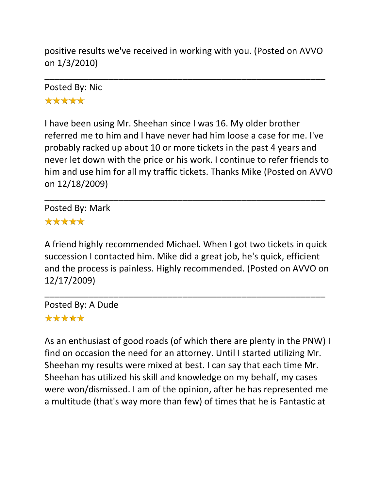positive results we've received in working with you. (Posted on AVVO on 1/3/2010)

\_\_\_\_\_\_\_\_\_\_\_\_\_\_\_\_\_\_\_\_\_\_\_\_\_\_\_\_\_\_\_\_\_\_\_\_\_\_\_\_\_\_\_\_\_\_\_\_\_\_\_\_\_\_\_\_\_

Posted By: Nic \*\*\*\*\*

I have been using Mr. Sheehan since I was 16. My older brother referred me to him and I have never had him loose a case for me. I've probably racked up about 10 or more tickets in the past 4 years and never let down with the price or his work. I continue to refer friends to him and use him for all my traffic tickets. Thanks Mike (Posted on AVVO on 12/18/2009)

\_\_\_\_\_\_\_\_\_\_\_\_\_\_\_\_\_\_\_\_\_\_\_\_\_\_\_\_\_\_\_\_\_\_\_\_\_\_\_\_\_\_\_\_\_\_\_\_\_\_\_\_\_\_\_\_\_

Posted By: Mark \*\*\*\*\*

A friend highly recommended Michael. When I got two tickets in quick succession I contacted him. Mike did a great job, he's quick, efficient and the process is painless. Highly recommended. (Posted on AVVO on 12/17/2009)

\_\_\_\_\_\_\_\_\_\_\_\_\_\_\_\_\_\_\_\_\_\_\_\_\_\_\_\_\_\_\_\_\_\_\_\_\_\_\_\_\_\_\_\_\_\_\_\_\_\_\_\_\_\_\_\_\_

Posted By: A Dude \*\*\*\*\*

As an enthusiast of good roads (of which there are plenty in the PNW) I find on occasion the need for an attorney. Until I started utilizing Mr. Sheehan my results were mixed at best. I can say that each time Mr. Sheehan has utilized his skill and knowledge on my behalf, my cases were won/dismissed. I am of the opinion, after he has represented me a multitude (that's way more than few) of times that he is Fantastic at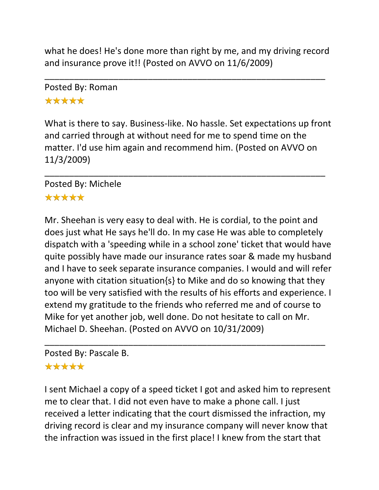what he does! He's done more than right by me, and my driving record and insurance prove it!! (Posted on AVVO on 11/6/2009)

\_\_\_\_\_\_\_\_\_\_\_\_\_\_\_\_\_\_\_\_\_\_\_\_\_\_\_\_\_\_\_\_\_\_\_\_\_\_\_\_\_\_\_\_\_\_\_\_\_\_\_\_\_\_\_\_\_

Posted By: Roman \*\*\*\*\*

What is there to say. Business-like. No hassle. Set expectations up front and carried through at without need for me to spend time on the matter. I'd use him again and recommend him. (Posted on AVVO on 11/3/2009)

\_\_\_\_\_\_\_\_\_\_\_\_\_\_\_\_\_\_\_\_\_\_\_\_\_\_\_\_\_\_\_\_\_\_\_\_\_\_\_\_\_\_\_\_\_\_\_\_\_\_\_\_\_\_\_\_\_

Posted By: Michele \*\*\*\*\*

Mr. Sheehan is very easy to deal with. He is cordial, to the point and does just what He says he'll do. In my case He was able to completely dispatch with a 'speeding while in a school zone' ticket that would have quite possibly have made our insurance rates soar & made my husband and I have to seek separate insurance companies. I would and will refer anyone with citation situation{s} to Mike and do so knowing that they too will be very satisfied with the results of his efforts and experience. I extend my gratitude to the friends who referred me and of course to Mike for yet another job, well done. Do not hesitate to call on Mr. Michael D. Sheehan. (Posted on AVVO on 10/31/2009)

\_\_\_\_\_\_\_\_\_\_\_\_\_\_\_\_\_\_\_\_\_\_\_\_\_\_\_\_\_\_\_\_\_\_\_\_\_\_\_\_\_\_\_\_\_\_\_\_\_\_\_\_\_\_\_\_\_

Posted By: Pascale B.

# \*\*\*\*\*

I sent Michael a copy of a speed ticket I got and asked him to represent me to clear that. I did not even have to make a phone call. I just received a letter indicating that the court dismissed the infraction, my driving record is clear and my insurance company will never know that the infraction was issued in the first place! I knew from the start that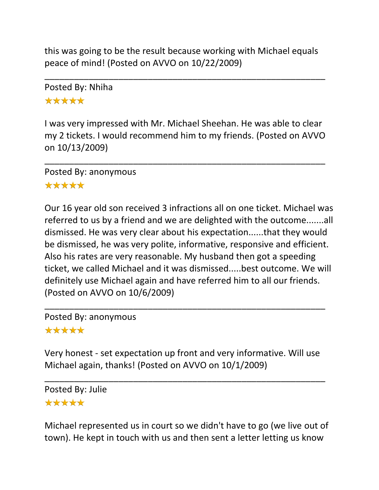this was going to be the result because working with Michael equals peace of mind! (Posted on AVVO on 10/22/2009)

\_\_\_\_\_\_\_\_\_\_\_\_\_\_\_\_\_\_\_\_\_\_\_\_\_\_\_\_\_\_\_\_\_\_\_\_\_\_\_\_\_\_\_\_\_\_\_\_\_\_\_\_\_\_\_\_\_

Posted By: Nhiha \*\*\*\*\*

I was very impressed with Mr. Michael Sheehan. He was able to clear my 2 tickets. I would recommend him to my friends. (Posted on AVVO on 10/13/2009)

\_\_\_\_\_\_\_\_\_\_\_\_\_\_\_\_\_\_\_\_\_\_\_\_\_\_\_\_\_\_\_\_\_\_\_\_\_\_\_\_\_\_\_\_\_\_\_\_\_\_\_\_\_\_\_\_\_

Posted By: anonymous \*\*\*\*\*

Our 16 year old son received 3 infractions all on one ticket. Michael was referred to us by a friend and we are delighted with the outcome.......all dismissed. He was very clear about his expectation......that they would be dismissed, he was very polite, informative, responsive and efficient. Also his rates are very reasonable. My husband then got a speeding ticket, we called Michael and it was dismissed.....best outcome. We will definitely use Michael again and have referred him to all our friends. (Posted on AVVO on 10/6/2009)

Posted By: anonymous

## \*\*\*\*\*

Very honest - set expectation up front and very informative. Will use Michael again, thanks! (Posted on AVVO on 10/1/2009)

\_\_\_\_\_\_\_\_\_\_\_\_\_\_\_\_\_\_\_\_\_\_\_\_\_\_\_\_\_\_\_\_\_\_\_\_\_\_\_\_\_\_\_\_\_\_\_\_\_\_\_\_\_\_\_\_\_

\_\_\_\_\_\_\_\_\_\_\_\_\_\_\_\_\_\_\_\_\_\_\_\_\_\_\_\_\_\_\_\_\_\_\_\_\_\_\_\_\_\_\_\_\_\_\_\_\_\_\_\_\_\_\_\_\_

Posted By: Julie \*\*\*\*\*

Michael represented us in court so we didn't have to go (we live out of town). He kept in touch with us and then sent a letter letting us know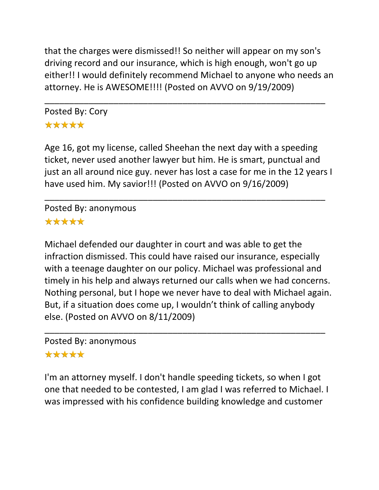that the charges were dismissed!! So neither will appear on my son's driving record and our insurance, which is high enough, won't go up either!! I would definitely recommend Michael to anyone who needs an attorney. He is AWESOME!!!! (Posted on AVVO on 9/19/2009)

\_\_\_\_\_\_\_\_\_\_\_\_\_\_\_\_\_\_\_\_\_\_\_\_\_\_\_\_\_\_\_\_\_\_\_\_\_\_\_\_\_\_\_\_\_\_\_\_\_\_\_\_\_\_\_\_\_

Posted By: Cory \*\*\*\*\*

Age 16, got my license, called Sheehan the next day with a speeding ticket, never used another lawyer but him. He is smart, punctual and just an all around nice guy. never has lost a case for me in the 12 years I have used him. My savior!!! (Posted on AVVO on 9/16/2009)

\_\_\_\_\_\_\_\_\_\_\_\_\_\_\_\_\_\_\_\_\_\_\_\_\_\_\_\_\_\_\_\_\_\_\_\_\_\_\_\_\_\_\_\_\_\_\_\_\_\_\_\_\_\_\_\_\_

Posted By: anonymous \*\*\*\*\*

Michael defended our daughter in court and was able to get the infraction dismissed. This could have raised our insurance, especially with a teenage daughter on our policy. Michael was professional and timely in his help and always returned our calls when we had concerns. Nothing personal, but I hope we never have to deal with Michael again. But, if a situation does come up, I wouldn't think of calling anybody else. (Posted on AVVO on 8/11/2009)

\_\_\_\_\_\_\_\_\_\_\_\_\_\_\_\_\_\_\_\_\_\_\_\_\_\_\_\_\_\_\_\_\_\_\_\_\_\_\_\_\_\_\_\_\_\_\_\_\_\_\_\_\_\_\_\_\_

Posted By: anonymous

## \*\*\*\*\*

I'm an attorney myself. I don't handle speeding tickets, so when I got one that needed to be contested, I am glad I was referred to Michael. I was impressed with his confidence building knowledge and customer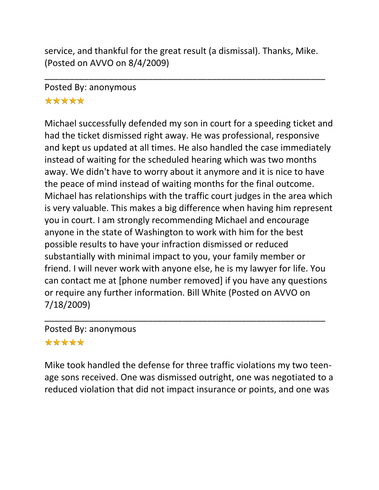service, and thankful for the great result (a dismissal). Thanks, Mike. (Posted on AVVO on 8/4/2009)

\_\_\_\_\_\_\_\_\_\_\_\_\_\_\_\_\_\_\_\_\_\_\_\_\_\_\_\_\_\_\_\_\_\_\_\_\_\_\_\_\_\_\_\_\_\_\_\_\_\_\_\_\_\_\_\_\_

# Posted By: anonymous \*\*\*\*\*

Michael successfully defended my son in court for a speeding ticket and had the ticket dismissed right away. He was professional, responsive and kept us updated at all times. He also handled the case immediately instead of waiting for the scheduled hearing which was two months away. We didn't have to worry about it anymore and it is nice to have the peace of mind instead of waiting months for the final outcome. Michael has relationships with the traffic court judges in the area which is very valuable. This makes a big difference when having him represent you in court. I am strongly recommending Michael and encourage anyone in the state of Washington to work with him for the best possible results to have your infraction dismissed or reduced substantially with minimal impact to you, your family member or friend. I will never work with anyone else, he is my lawyer for life. You can contact me at [phone number removed] if you have any questions or require any further information. Bill White (Posted on AVVO on 7/18/2009)

Posted By: anonymous \*\*\*\*\*

Mike took handled the defense for three traffic violations my two teenage sons received. One was dismissed outright, one was negotiated to a reduced violation that did not impact insurance or points, and one was

\_\_\_\_\_\_\_\_\_\_\_\_\_\_\_\_\_\_\_\_\_\_\_\_\_\_\_\_\_\_\_\_\_\_\_\_\_\_\_\_\_\_\_\_\_\_\_\_\_\_\_\_\_\_\_\_\_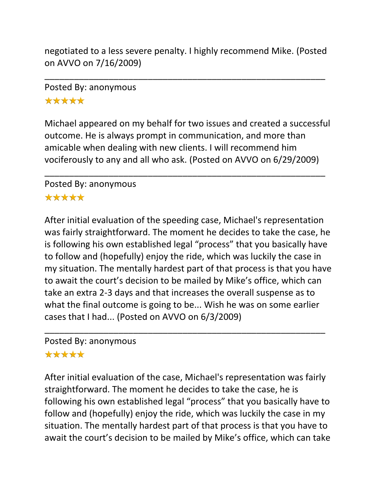negotiated to a less severe penalty. I highly recommend Mike. (Posted on AVVO on 7/16/2009)

\_\_\_\_\_\_\_\_\_\_\_\_\_\_\_\_\_\_\_\_\_\_\_\_\_\_\_\_\_\_\_\_\_\_\_\_\_\_\_\_\_\_\_\_\_\_\_\_\_\_\_\_\_\_\_\_\_

# Posted By: anonymous \*\*\*\*\*

Michael appeared on my behalf for two issues and created a successful outcome. He is always prompt in communication, and more than amicable when dealing with new clients. I will recommend him vociferously to any and all who ask. (Posted on AVVO on 6/29/2009)

\_\_\_\_\_\_\_\_\_\_\_\_\_\_\_\_\_\_\_\_\_\_\_\_\_\_\_\_\_\_\_\_\_\_\_\_\_\_\_\_\_\_\_\_\_\_\_\_\_\_\_\_\_\_\_\_\_

### Posted By: anonymous \*\*\*\*\*

After initial evaluation of the speeding case, Michael's representation was fairly straightforward. The moment he decides to take the case, he is following his own established legal "process" that you basically have to follow and (hopefully) enjoy the ride, which was luckily the case in my situation. The mentally hardest part of that process is that you have to await the court's decision to be mailed by Mike's office, which can take an extra 2-3 days and that increases the overall suspense as to what the final outcome is going to be... Wish he was on some earlier cases that I had... (Posted on AVVO on 6/3/2009)

\_\_\_\_\_\_\_\_\_\_\_\_\_\_\_\_\_\_\_\_\_\_\_\_\_\_\_\_\_\_\_\_\_\_\_\_\_\_\_\_\_\_\_\_\_\_\_\_\_\_\_\_\_\_\_\_\_

#### Posted By: anonymous

## \*\*\*\*\*

After initial evaluation of the case, Michael's representation was fairly straightforward. The moment he decides to take the case, he is following his own established legal "process" that you basically have to follow and (hopefully) enjoy the ride, which was luckily the case in my situation. The mentally hardest part of that process is that you have to await the court's decision to be mailed by Mike's office, which can take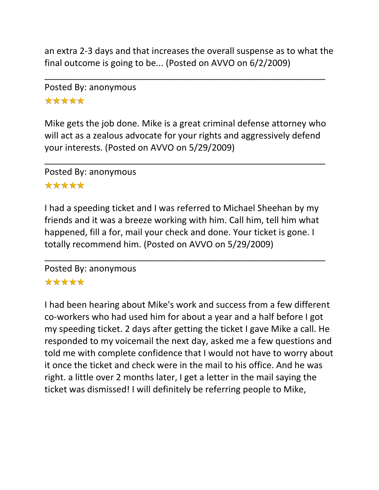an extra 2-3 days and that increases the overall suspense as to what the final outcome is going to be... (Posted on AVVO on 6/2/2009)

\_\_\_\_\_\_\_\_\_\_\_\_\_\_\_\_\_\_\_\_\_\_\_\_\_\_\_\_\_\_\_\_\_\_\_\_\_\_\_\_\_\_\_\_\_\_\_\_\_\_\_\_\_\_\_\_\_

# Posted By: anonymous \*\*\*\*\*

Mike gets the job done. Mike is a great criminal defense attorney who will act as a zealous advocate for your rights and aggressively defend your interests. (Posted on AVVO on 5/29/2009)

\_\_\_\_\_\_\_\_\_\_\_\_\_\_\_\_\_\_\_\_\_\_\_\_\_\_\_\_\_\_\_\_\_\_\_\_\_\_\_\_\_\_\_\_\_\_\_\_\_\_\_\_\_\_\_\_\_

Posted By: anonymous

## \*\*\*\*\*

I had a speeding ticket and I was referred to Michael Sheehan by my friends and it was a breeze working with him. Call him, tell him what happened, fill a for, mail your check and done. Your ticket is gone. I totally recommend him. (Posted on AVVO on 5/29/2009)

\_\_\_\_\_\_\_\_\_\_\_\_\_\_\_\_\_\_\_\_\_\_\_\_\_\_\_\_\_\_\_\_\_\_\_\_\_\_\_\_\_\_\_\_\_\_\_\_\_\_\_\_\_\_\_\_\_

# Posted By: anonymous

## \*\*\*\*\*

I had been hearing about Mike's work and success from a few different co-workers who had used him for about a year and a half before I got my speeding ticket. 2 days after getting the ticket I gave Mike a call. He responded to my voicemail the next day, asked me a few questions and told me with complete confidence that I would not have to worry about it once the ticket and check were in the mail to his office. And he was right. a little over 2 months later, I get a letter in the mail saying the ticket was dismissed! I will definitely be referring people to Mike,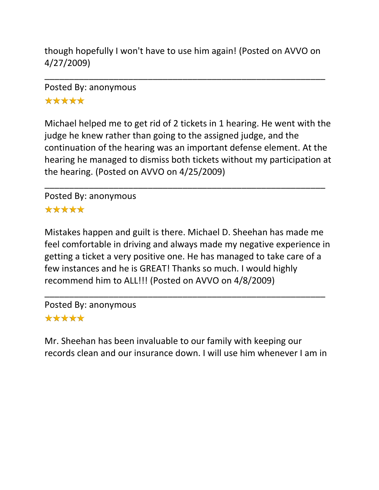though hopefully I won't have to use him again! (Posted on AVVO on 4/27/2009)

\_\_\_\_\_\_\_\_\_\_\_\_\_\_\_\_\_\_\_\_\_\_\_\_\_\_\_\_\_\_\_\_\_\_\_\_\_\_\_\_\_\_\_\_\_\_\_\_\_\_\_\_\_\_\_\_\_

Posted By: anonymous \*\*\*\*\*

Michael helped me to get rid of 2 tickets in 1 hearing. He went with the judge he knew rather than going to the assigned judge, and the continuation of the hearing was an important defense element. At the hearing he managed to dismiss both tickets without my participation at the hearing. (Posted on AVVO on 4/25/2009)

\_\_\_\_\_\_\_\_\_\_\_\_\_\_\_\_\_\_\_\_\_\_\_\_\_\_\_\_\_\_\_\_\_\_\_\_\_\_\_\_\_\_\_\_\_\_\_\_\_\_\_\_\_\_\_\_\_

Posted By: anonymous \*\*\*\*\*

Mistakes happen and guilt is there. Michael D. Sheehan has made me feel comfortable in driving and always made my negative experience in getting a ticket a very positive one. He has managed to take care of a few instances and he is GREAT! Thanks so much. I would highly recommend him to ALL!!! (Posted on AVVO on 4/8/2009)

\_\_\_\_\_\_\_\_\_\_\_\_\_\_\_\_\_\_\_\_\_\_\_\_\_\_\_\_\_\_\_\_\_\_\_\_\_\_\_\_\_\_\_\_\_\_\_\_\_\_\_\_\_\_\_\_\_

Posted By: anonymous \*\*\*\*\*

Mr. Sheehan has been invaluable to our family with keeping our records clean and our insurance down. I will use him whenever I am in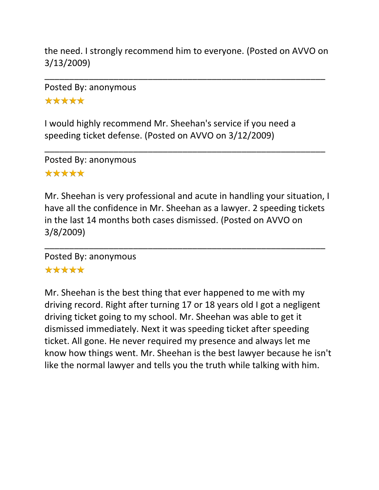the need. I strongly recommend him to everyone. (Posted on AVVO on 3/13/2009)

\_\_\_\_\_\_\_\_\_\_\_\_\_\_\_\_\_\_\_\_\_\_\_\_\_\_\_\_\_\_\_\_\_\_\_\_\_\_\_\_\_\_\_\_\_\_\_\_\_\_\_\_\_\_\_\_\_

\_\_\_\_\_\_\_\_\_\_\_\_\_\_\_\_\_\_\_\_\_\_\_\_\_\_\_\_\_\_\_\_\_\_\_\_\_\_\_\_\_\_\_\_\_\_\_\_\_\_\_\_\_\_\_\_\_

Posted By: anonymous \*\*\*\*\*

I would highly recommend Mr. Sheehan's service if you need a speeding ticket defense. (Posted on AVVO on 3/12/2009)

Posted By: anonymous \*\*\*\*\*

Mr. Sheehan is very professional and acute in handling your situation, I have all the confidence in Mr. Sheehan as a lawyer. 2 speeding tickets in the last 14 months both cases dismissed. (Posted on AVVO on 3/8/2009)

\_\_\_\_\_\_\_\_\_\_\_\_\_\_\_\_\_\_\_\_\_\_\_\_\_\_\_\_\_\_\_\_\_\_\_\_\_\_\_\_\_\_\_\_\_\_\_\_\_\_\_\_\_\_\_\_\_

Posted By: anonymous

# \*\*\*\*\*

Mr. Sheehan is the best thing that ever happened to me with my driving record. Right after turning 17 or 18 years old I got a negligent driving ticket going to my school. Mr. Sheehan was able to get it dismissed immediately. Next it was speeding ticket after speeding ticket. All gone. He never required my presence and always let me know how things went. Mr. Sheehan is the best lawyer because he isn't like the normal lawyer and tells you the truth while talking with him.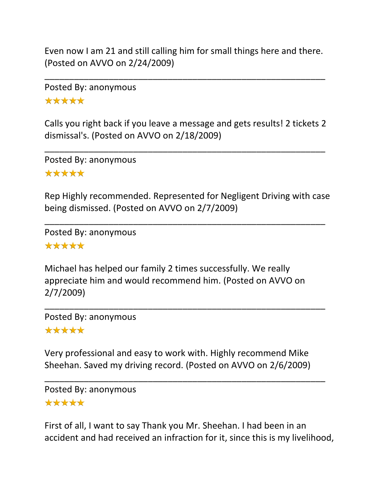Even now I am 21 and still calling him for small things here and there. (Posted on AVVO on 2/24/2009)

\_\_\_\_\_\_\_\_\_\_\_\_\_\_\_\_\_\_\_\_\_\_\_\_\_\_\_\_\_\_\_\_\_\_\_\_\_\_\_\_\_\_\_\_\_\_\_\_\_\_\_\_\_\_\_\_\_

Posted By: anonymous \*\*\*\*\*

Calls you right back if you leave a message and gets results! 2 tickets 2 dismissal's. (Posted on AVVO on 2/18/2009)

\_\_\_\_\_\_\_\_\_\_\_\_\_\_\_\_\_\_\_\_\_\_\_\_\_\_\_\_\_\_\_\_\_\_\_\_\_\_\_\_\_\_\_\_\_\_\_\_\_\_\_\_\_\_\_\_\_

Posted By: anonymous \*\*\*\*\*

Rep Highly recommended. Represented for Negligent Driving with case being dismissed. (Posted on AVVO on 2/7/2009)

\_\_\_\_\_\_\_\_\_\_\_\_\_\_\_\_\_\_\_\_\_\_\_\_\_\_\_\_\_\_\_\_\_\_\_\_\_\_\_\_\_\_\_\_\_\_\_\_\_\_\_\_\_\_\_\_\_

Posted By: anonymous \*\*\*\*\*

Michael has helped our family 2 times successfully. We really appreciate him and would recommend him. (Posted on AVVO on 2/7/2009)

\_\_\_\_\_\_\_\_\_\_\_\_\_\_\_\_\_\_\_\_\_\_\_\_\_\_\_\_\_\_\_\_\_\_\_\_\_\_\_\_\_\_\_\_\_\_\_\_\_\_\_\_\_\_\_\_\_

Posted By: anonymous

\*\*\*\*\*

Very professional and easy to work with. Highly recommend Mike Sheehan. Saved my driving record. (Posted on AVVO on 2/6/2009)

\_\_\_\_\_\_\_\_\_\_\_\_\_\_\_\_\_\_\_\_\_\_\_\_\_\_\_\_\_\_\_\_\_\_\_\_\_\_\_\_\_\_\_\_\_\_\_\_\_\_\_\_\_\_\_\_\_

Posted By: anonymous \*\*\*\*\*

First of all, I want to say Thank you Mr. Sheehan. I had been in an accident and had received an infraction for it, since this is my livelihood,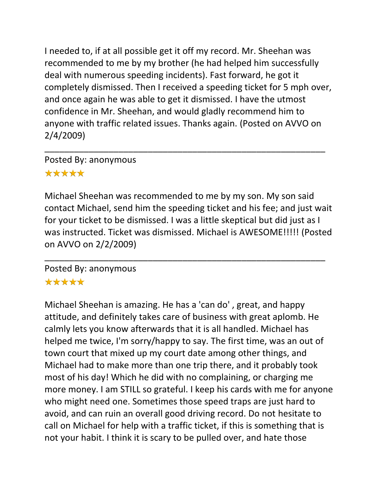I needed to, if at all possible get it off my record. Mr. Sheehan was recommended to me by my brother (he had helped him successfully deal with numerous speeding incidents). Fast forward, he got it completely dismissed. Then I received a speeding ticket for 5 mph over, and once again he was able to get it dismissed. I have the utmost confidence in Mr. Sheehan, and would gladly recommend him to anyone with traffic related issues. Thanks again. (Posted on AVVO on 2/4/2009)

\_\_\_\_\_\_\_\_\_\_\_\_\_\_\_\_\_\_\_\_\_\_\_\_\_\_\_\_\_\_\_\_\_\_\_\_\_\_\_\_\_\_\_\_\_\_\_\_\_\_\_\_\_\_\_\_\_

# Posted By: anonymous \*\*\*\*\*

Michael Sheehan was recommended to me by my son. My son said contact Michael, send him the speeding ticket and his fee; and just wait for your ticket to be dismissed. I was a little skeptical but did just as I was instructed. Ticket was dismissed. Michael is AWESOME!!!!! (Posted on AVVO on 2/2/2009)

\_\_\_\_\_\_\_\_\_\_\_\_\_\_\_\_\_\_\_\_\_\_\_\_\_\_\_\_\_\_\_\_\_\_\_\_\_\_\_\_\_\_\_\_\_\_\_\_\_\_\_\_\_\_\_\_\_

# Posted By: anonymous

## \*\*\*\*\*

Michael Sheehan is amazing. He has a 'can do' , great, and happy attitude, and definitely takes care of business with great aplomb. He calmly lets you know afterwards that it is all handled. Michael has helped me twice, I'm sorry/happy to say. The first time, was an out of town court that mixed up my court date among other things, and Michael had to make more than one trip there, and it probably took most of his day! Which he did with no complaining, or charging me more money. I am STILL so grateful. I keep his cards with me for anyone who might need one. Sometimes those speed traps are just hard to avoid, and can ruin an overall good driving record. Do not hesitate to call on Michael for help with a traffic ticket, if this is something that is not your habit. I think it is scary to be pulled over, and hate those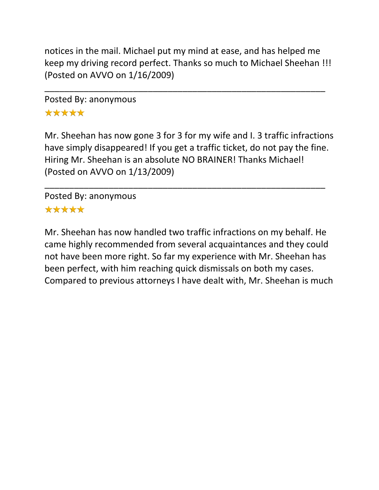notices in the mail. Michael put my mind at ease, and has helped me keep my driving record perfect. Thanks so much to Michael Sheehan !!! (Posted on AVVO on 1/16/2009)

\_\_\_\_\_\_\_\_\_\_\_\_\_\_\_\_\_\_\_\_\_\_\_\_\_\_\_\_\_\_\_\_\_\_\_\_\_\_\_\_\_\_\_\_\_\_\_\_\_\_\_\_\_\_\_\_\_

Posted By: anonymous \*\*\*\*\*

Mr. Sheehan has now gone 3 for 3 for my wife and I. 3 traffic infractions have simply disappeared! If you get a traffic ticket, do not pay the fine. Hiring Mr. Sheehan is an absolute NO BRAINER! Thanks Michael! (Posted on AVVO on 1/13/2009)

\_\_\_\_\_\_\_\_\_\_\_\_\_\_\_\_\_\_\_\_\_\_\_\_\_\_\_\_\_\_\_\_\_\_\_\_\_\_\_\_\_\_\_\_\_\_\_\_\_\_\_\_\_\_\_\_\_

Posted By: anonymous \*\*\*\*\*

Mr. Sheehan has now handled two traffic infractions on my behalf. He came highly recommended from several acquaintances and they could not have been more right. So far my experience with Mr. Sheehan has been perfect, with him reaching quick dismissals on both my cases. Compared to previous attorneys I have dealt with, Mr. Sheehan is much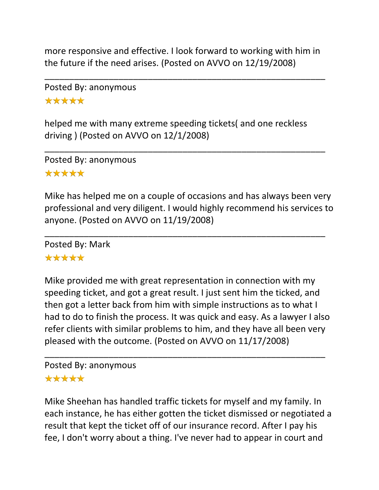more responsive and effective. I look forward to working with him in the future if the need arises. (Posted on AVVO on 12/19/2008)

\_\_\_\_\_\_\_\_\_\_\_\_\_\_\_\_\_\_\_\_\_\_\_\_\_\_\_\_\_\_\_\_\_\_\_\_\_\_\_\_\_\_\_\_\_\_\_\_\_\_\_\_\_\_\_\_\_

Posted By: anonymous \*\*\*\*\*

helped me with many extreme speeding tickets( and one reckless driving ) (Posted on AVVO on 12/1/2008)

\_\_\_\_\_\_\_\_\_\_\_\_\_\_\_\_\_\_\_\_\_\_\_\_\_\_\_\_\_\_\_\_\_\_\_\_\_\_\_\_\_\_\_\_\_\_\_\_\_\_\_\_\_\_\_\_\_

Posted By: anonymous \*\*\*\*\*

Mike has helped me on a couple of occasions and has always been very professional and very diligent. I would highly recommend his services to anyone. (Posted on AVVO on 11/19/2008)

\_\_\_\_\_\_\_\_\_\_\_\_\_\_\_\_\_\_\_\_\_\_\_\_\_\_\_\_\_\_\_\_\_\_\_\_\_\_\_\_\_\_\_\_\_\_\_\_\_\_\_\_\_\_\_\_\_

Posted By: Mark \*\*\*\*\*

Mike provided me with great representation in connection with my speeding ticket, and got a great result. I just sent him the ticked, and then got a letter back from him with simple instructions as to what I had to do to finish the process. It was quick and easy. As a lawyer I also refer clients with similar problems to him, and they have all been very pleased with the outcome. (Posted on AVVO on 11/17/2008)

\_\_\_\_\_\_\_\_\_\_\_\_\_\_\_\_\_\_\_\_\_\_\_\_\_\_\_\_\_\_\_\_\_\_\_\_\_\_\_\_\_\_\_\_\_\_\_\_\_\_\_\_\_\_\_\_\_

## Posted By: anonymous \*\*\*\*\*

Mike Sheehan has handled traffic tickets for myself and my family. In each instance, he has either gotten the ticket dismissed or negotiated a result that kept the ticket off of our insurance record. After I pay his fee, I don't worry about a thing. I've never had to appear in court and